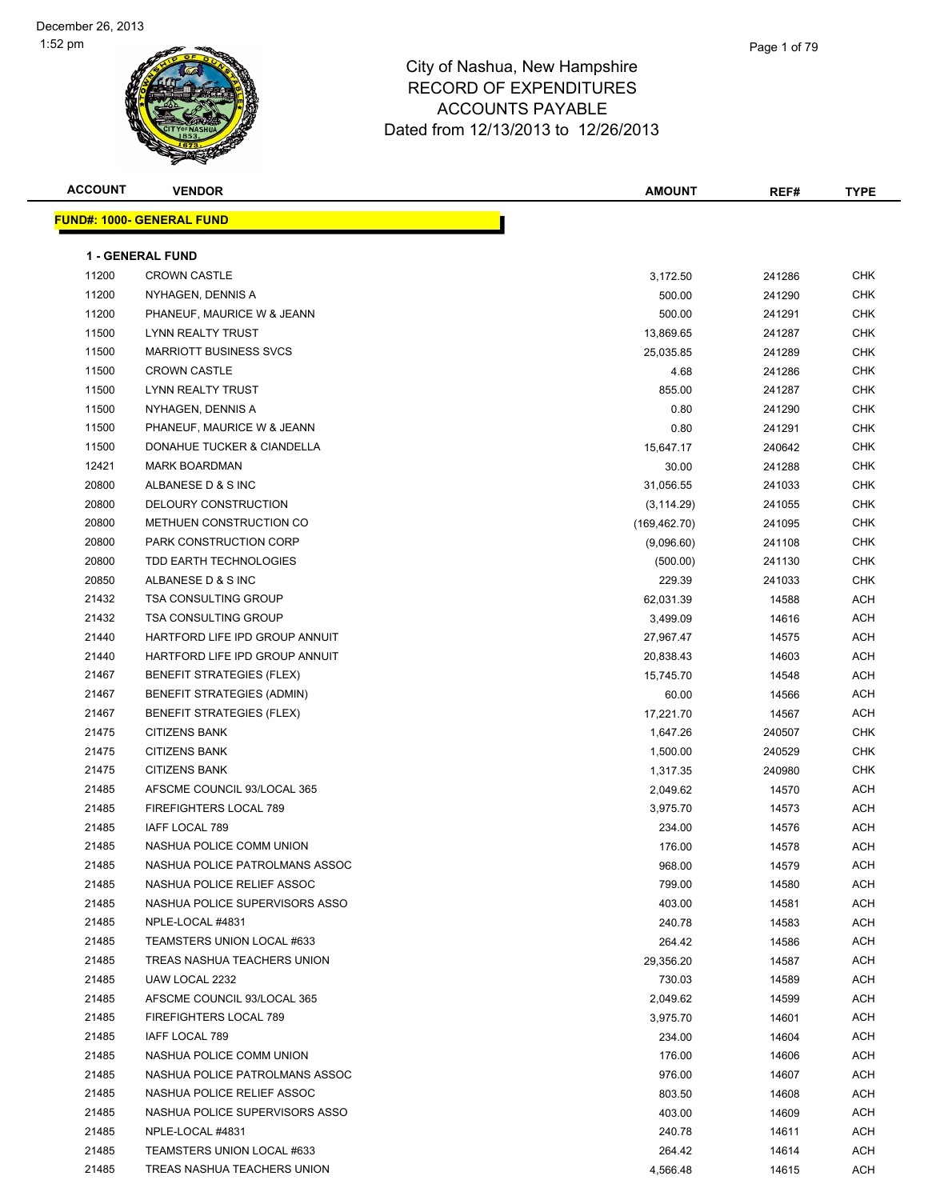

| <b>ACCOUNT</b> | <b>VENDOR</b>                     | <b>AMOUNT</b> | REF#   | <b>TYPE</b> |
|----------------|-----------------------------------|---------------|--------|-------------|
|                | <b>FUND#: 1000- GENERAL FUND</b>  |               |        |             |
|                | <b>1 - GENERAL FUND</b>           |               |        |             |
| 11200          | <b>CROWN CASTLE</b>               | 3,172.50      | 241286 | <b>CHK</b>  |
| 11200          | NYHAGEN, DENNIS A                 | 500.00        | 241290 | <b>CHK</b>  |
| 11200          | PHANEUF, MAURICE W & JEANN        | 500.00        | 241291 | <b>CHK</b>  |
| 11500          | LYNN REALTY TRUST                 | 13,869.65     | 241287 | <b>CHK</b>  |
| 11500          | <b>MARRIOTT BUSINESS SVCS</b>     | 25,035.85     | 241289 | <b>CHK</b>  |
| 11500          | <b>CROWN CASTLE</b>               | 4.68          | 241286 | <b>CHK</b>  |
| 11500          | <b>LYNN REALTY TRUST</b>          | 855.00        | 241287 | <b>CHK</b>  |
| 11500          | NYHAGEN, DENNIS A                 | 0.80          | 241290 | <b>CHK</b>  |
| 11500          | PHANEUF, MAURICE W & JEANN        | 0.80          | 241291 | <b>CHK</b>  |
| 11500          | DONAHUE TUCKER & CIANDELLA        | 15,647.17     | 240642 | <b>CHK</b>  |
| 12421          | <b>MARK BOARDMAN</b>              | 30.00         | 241288 | <b>CHK</b>  |
| 20800          | ALBANESE D & S INC                | 31,056.55     | 241033 | <b>CHK</b>  |
| 20800          | DELOURY CONSTRUCTION              | (3, 114.29)   | 241055 | <b>CHK</b>  |
| 20800          | METHUEN CONSTRUCTION CO           | (169, 462.70) | 241095 | <b>CHK</b>  |
| 20800          | PARK CONSTRUCTION CORP            | (9,096.60)    | 241108 | <b>CHK</b>  |
| 20800          | TDD EARTH TECHNOLOGIES            | (500.00)      | 241130 | <b>CHK</b>  |
| 20850          | ALBANESE D & S INC                | 229.39        | 241033 | <b>CHK</b>  |
| 21432          | <b>TSA CONSULTING GROUP</b>       | 62,031.39     | 14588  | <b>ACH</b>  |
| 21432          | <b>TSA CONSULTING GROUP</b>       | 3,499.09      | 14616  | <b>ACH</b>  |
| 21440          | HARTFORD LIFE IPD GROUP ANNUIT    | 27,967.47     | 14575  | <b>ACH</b>  |
| 21440          | HARTFORD LIFE IPD GROUP ANNUIT    | 20,838.43     | 14603  | <b>ACH</b>  |
| 21467          | <b>BENEFIT STRATEGIES (FLEX)</b>  | 15,745.70     | 14548  | <b>ACH</b>  |
| 21467          | <b>BENEFIT STRATEGIES (ADMIN)</b> | 60.00         | 14566  | <b>ACH</b>  |
| 21467          | <b>BENEFIT STRATEGIES (FLEX)</b>  | 17,221.70     | 14567  | <b>ACH</b>  |
| 21475          | <b>CITIZENS BANK</b>              | 1,647.26      | 240507 | <b>CHK</b>  |
| 21475          | <b>CITIZENS BANK</b>              | 1,500.00      | 240529 | <b>CHK</b>  |
| 21475          | <b>CITIZENS BANK</b>              | 1,317.35      | 240980 | <b>CHK</b>  |
| 21485          | AFSCME COUNCIL 93/LOCAL 365       | 2,049.62      | 14570  | <b>ACH</b>  |
| 21485          | FIREFIGHTERS LOCAL 789            | 3,975.70      | 14573  | <b>ACH</b>  |
| 21485          | IAFF LOCAL 789                    | 234.00        | 14576  | <b>ACH</b>  |
| 21485          | NASHUA POLICE COMM UNION          | 176.00        | 14578  | <b>ACH</b>  |
| 21485          | NASHUA POLICE PATROLMANS ASSOC    | 968.00        | 14579  | ACH         |
| 21485          | NASHUA POLICE RELIEF ASSOC        | 799.00        | 14580  | ACH         |
| 21485          | NASHUA POLICE SUPERVISORS ASSO    | 403.00        | 14581  | <b>ACH</b>  |
| 21485          | NPLE-LOCAL #4831                  | 240.78        | 14583  | <b>ACH</b>  |
| 21485          | TEAMSTERS UNION LOCAL #633        | 264.42        | 14586  | <b>ACH</b>  |
| 21485          | TREAS NASHUA TEACHERS UNION       | 29,356.20     | 14587  | <b>ACH</b>  |
| 21485          | UAW LOCAL 2232                    | 730.03        | 14589  | <b>ACH</b>  |
| 21485          | AFSCME COUNCIL 93/LOCAL 365       | 2,049.62      | 14599  | <b>ACH</b>  |
| 21485          | FIREFIGHTERS LOCAL 789            | 3,975.70      | 14601  | <b>ACH</b>  |
| 21485          | IAFF LOCAL 789                    | 234.00        | 14604  | ACH         |
| 21485          | NASHUA POLICE COMM UNION          | 176.00        | 14606  | <b>ACH</b>  |
| 21485          | NASHUA POLICE PATROLMANS ASSOC    | 976.00        | 14607  | <b>ACH</b>  |
| 21485          | NASHUA POLICE RELIEF ASSOC        | 803.50        | 14608  | <b>ACH</b>  |
| 21485          | NASHUA POLICE SUPERVISORS ASSO    | 403.00        | 14609  | <b>ACH</b>  |
| 21485          | NPLE-LOCAL #4831                  | 240.78        | 14611  | <b>ACH</b>  |
| 21485          | TEAMSTERS UNION LOCAL #633        | 264.42        | 14614  | <b>ACH</b>  |
| 21485          | TREAS NASHUA TEACHERS UNION       | 4,566.48      | 14615  | <b>ACH</b>  |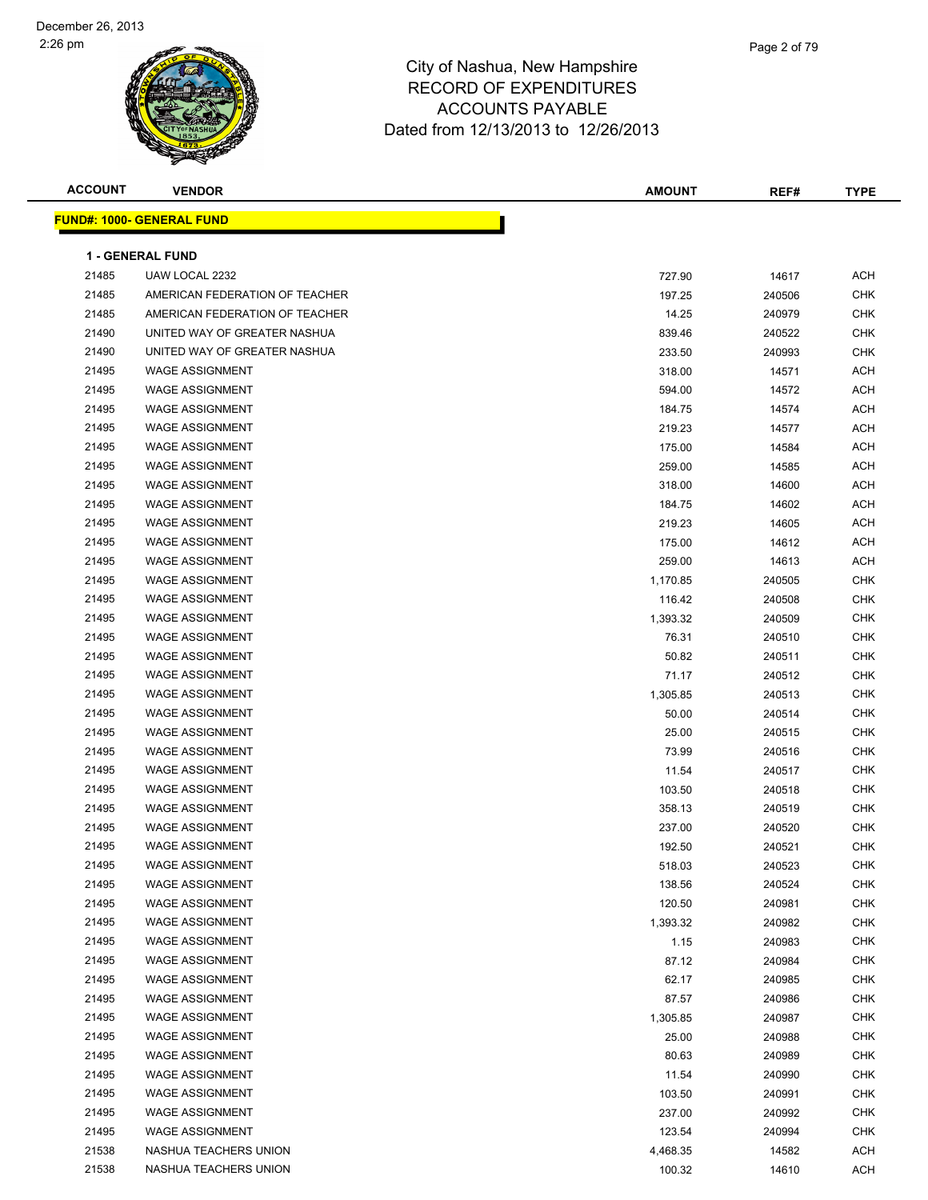

| <b>ACCOUNT</b> | <b>VENDOR</b>                    | <b>AMOUNT</b> | REF#   | <b>TYPE</b> |
|----------------|----------------------------------|---------------|--------|-------------|
|                | <b>FUND#: 1000- GENERAL FUND</b> |               |        |             |
|                |                                  |               |        |             |
|                | 1 - GENERAL FUND                 |               |        |             |
| 21485          | UAW LOCAL 2232                   | 727.90        | 14617  | <b>ACH</b>  |
| 21485          | AMERICAN FEDERATION OF TEACHER   | 197.25        | 240506 | <b>CHK</b>  |
| 21485          | AMERICAN FEDERATION OF TEACHER   | 14.25         | 240979 | <b>CHK</b>  |
| 21490          | UNITED WAY OF GREATER NASHUA     | 839.46        | 240522 | <b>CHK</b>  |
| 21490          | UNITED WAY OF GREATER NASHUA     | 233.50        | 240993 | <b>CHK</b>  |
| 21495          | <b>WAGE ASSIGNMENT</b>           | 318.00        | 14571  | <b>ACH</b>  |
| 21495          | <b>WAGE ASSIGNMENT</b>           | 594.00        | 14572  | <b>ACH</b>  |
| 21495          | <b>WAGE ASSIGNMENT</b>           | 184.75        | 14574  | <b>ACH</b>  |
| 21495          | <b>WAGE ASSIGNMENT</b>           | 219.23        | 14577  | <b>ACH</b>  |
| 21495          | <b>WAGE ASSIGNMENT</b>           | 175.00        | 14584  | <b>ACH</b>  |
| 21495          | <b>WAGE ASSIGNMENT</b>           | 259.00        | 14585  | <b>ACH</b>  |
| 21495          | <b>WAGE ASSIGNMENT</b>           | 318.00        | 14600  | <b>ACH</b>  |
| 21495          | <b>WAGE ASSIGNMENT</b>           | 184.75        | 14602  | <b>ACH</b>  |
| 21495          | <b>WAGE ASSIGNMENT</b>           | 219.23        | 14605  | <b>ACH</b>  |
| 21495          | <b>WAGE ASSIGNMENT</b>           | 175.00        | 14612  | <b>ACH</b>  |
| 21495          | <b>WAGE ASSIGNMENT</b>           | 259.00        | 14613  | <b>ACH</b>  |
| 21495          | <b>WAGE ASSIGNMENT</b>           | 1,170.85      | 240505 | <b>CHK</b>  |
| 21495          | <b>WAGE ASSIGNMENT</b>           | 116.42        | 240508 | <b>CHK</b>  |
| 21495          | <b>WAGE ASSIGNMENT</b>           | 1,393.32      | 240509 | <b>CHK</b>  |
| 21495          | <b>WAGE ASSIGNMENT</b>           | 76.31         | 240510 | <b>CHK</b>  |
| 21495          | <b>WAGE ASSIGNMENT</b>           | 50.82         | 240511 | <b>CHK</b>  |
| 21495          | <b>WAGE ASSIGNMENT</b>           | 71.17         | 240512 | <b>CHK</b>  |
| 21495          | <b>WAGE ASSIGNMENT</b>           | 1,305.85      | 240513 | CHK         |
| 21495          | <b>WAGE ASSIGNMENT</b>           | 50.00         | 240514 | <b>CHK</b>  |
| 21495          | <b>WAGE ASSIGNMENT</b>           | 25.00         | 240515 | <b>CHK</b>  |
| 21495          | <b>WAGE ASSIGNMENT</b>           | 73.99         | 240516 | <b>CHK</b>  |
| 21495          | <b>WAGE ASSIGNMENT</b>           | 11.54         | 240517 | <b>CHK</b>  |
| 21495          | <b>WAGE ASSIGNMENT</b>           | 103.50        | 240518 | <b>CHK</b>  |
| 21495          | <b>WAGE ASSIGNMENT</b>           | 358.13        | 240519 | <b>CHK</b>  |
| 21495          | <b>WAGE ASSIGNMENT</b>           | 237.00        | 240520 | <b>CHK</b>  |
| 21495          | <b>WAGE ASSIGNMENT</b>           | 192.50        | 240521 | <b>CHK</b>  |
| 21495          | <b>WAGE ASSIGNMENT</b>           | 518.03        | 240523 | <b>CHK</b>  |
| 21495          | <b>WAGE ASSIGNMENT</b>           | 138.56        | 240524 | <b>CHK</b>  |
| 21495          | <b>WAGE ASSIGNMENT</b>           | 120.50        | 240981 | CHK         |
| 21495          | <b>WAGE ASSIGNMENT</b>           | 1,393.32      | 240982 | CHK         |
| 21495          | <b>WAGE ASSIGNMENT</b>           | 1.15          | 240983 | <b>CHK</b>  |
| 21495          | <b>WAGE ASSIGNMENT</b>           | 87.12         | 240984 | <b>CHK</b>  |
| 21495          | <b>WAGE ASSIGNMENT</b>           | 62.17         | 240985 | <b>CHK</b>  |
| 21495          | <b>WAGE ASSIGNMENT</b>           | 87.57         | 240986 | <b>CHK</b>  |
| 21495          | <b>WAGE ASSIGNMENT</b>           | 1,305.85      | 240987 | CHK         |
| 21495          | <b>WAGE ASSIGNMENT</b>           | 25.00         | 240988 | <b>CHK</b>  |
| 21495          | <b>WAGE ASSIGNMENT</b>           | 80.63         | 240989 | <b>CHK</b>  |
| 21495          | <b>WAGE ASSIGNMENT</b>           | 11.54         | 240990 | <b>CHK</b>  |
| 21495          | <b>WAGE ASSIGNMENT</b>           | 103.50        | 240991 | <b>CHK</b>  |
| 21495          | <b>WAGE ASSIGNMENT</b>           | 237.00        | 240992 | CHK         |
| 21495          | <b>WAGE ASSIGNMENT</b>           | 123.54        | 240994 | CHK         |
| 21538          | NASHUA TEACHERS UNION            | 4,468.35      | 14582  | <b>ACH</b>  |
| 21538          | NASHUA TEACHERS UNION            | 100.32        | 14610  | <b>ACH</b>  |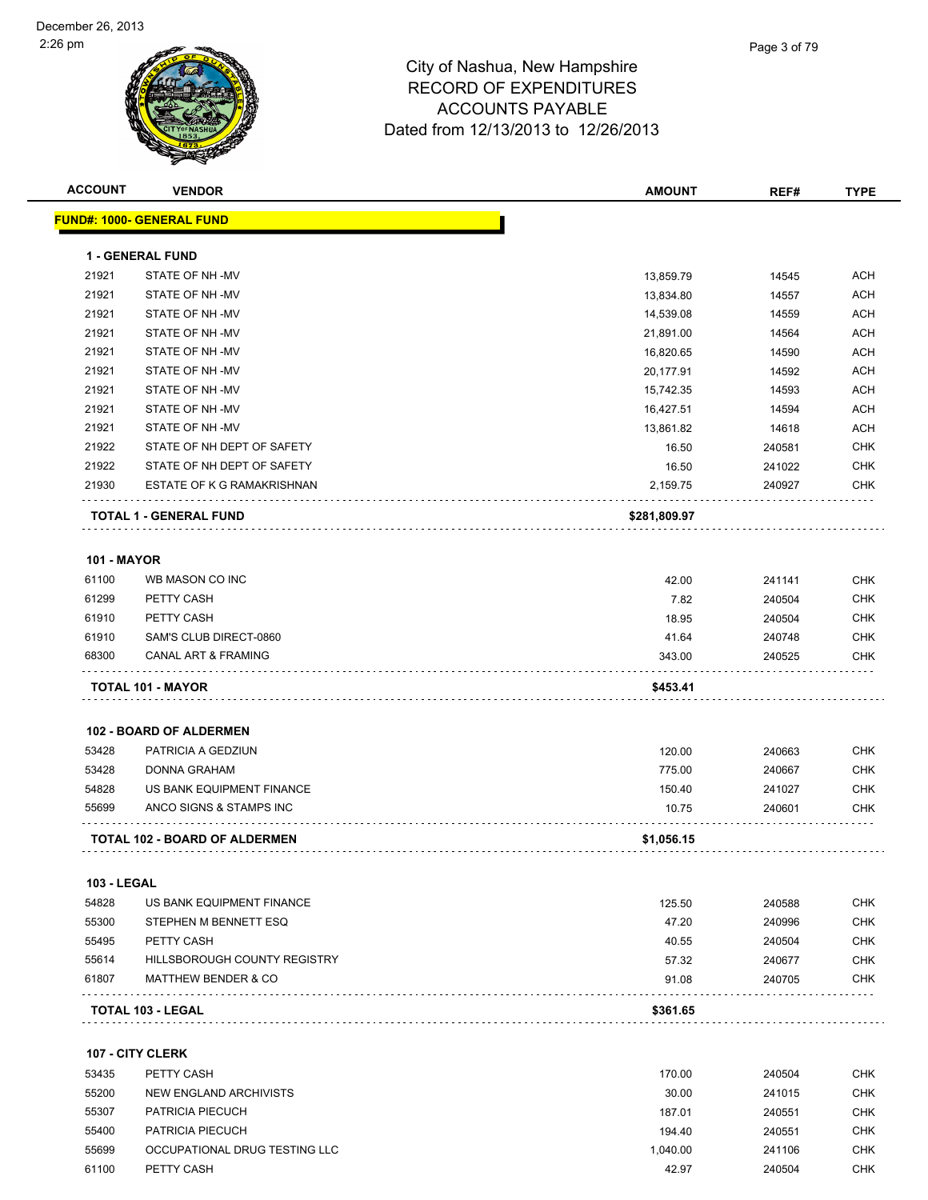

| <u> FUND#: 1000- GENERAL FUND</u><br><b>1 - GENERAL FUND</b><br>21921<br>STATE OF NH-MV<br>13,859.79<br>21921<br>STATE OF NH-MV<br>13,834.80<br>21921<br>STATE OF NH-MV<br>14,539.08<br>21921<br>STATE OF NH-MV<br>21,891.00<br>21921<br>STATE OF NH-MV<br>16,820.65 | 14545<br>14557<br>14559<br>14564 | ACH<br>ACH |
|----------------------------------------------------------------------------------------------------------------------------------------------------------------------------------------------------------------------------------------------------------------------|----------------------------------|------------|
|                                                                                                                                                                                                                                                                      |                                  |            |
|                                                                                                                                                                                                                                                                      |                                  |            |
|                                                                                                                                                                                                                                                                      |                                  |            |
|                                                                                                                                                                                                                                                                      |                                  |            |
|                                                                                                                                                                                                                                                                      |                                  | <b>ACH</b> |
|                                                                                                                                                                                                                                                                      |                                  | <b>ACH</b> |
|                                                                                                                                                                                                                                                                      | 14590                            | <b>ACH</b> |
| 21921<br>STATE OF NH-MV<br>20,177.91                                                                                                                                                                                                                                 | 14592                            | <b>ACH</b> |
| 21921<br>STATE OF NH-MV<br>15,742.35                                                                                                                                                                                                                                 | 14593                            | <b>ACH</b> |
| 21921<br>STATE OF NH-MV<br>16,427.51                                                                                                                                                                                                                                 | 14594                            | <b>ACH</b> |
| 21921<br>STATE OF NH -MV<br>13,861.82                                                                                                                                                                                                                                | 14618                            | <b>ACH</b> |
| 21922<br>STATE OF NH DEPT OF SAFETY<br>16.50                                                                                                                                                                                                                         | 240581                           | <b>CHK</b> |
| 21922<br>STATE OF NH DEPT OF SAFETY<br>16.50                                                                                                                                                                                                                         | 241022                           | <b>CHK</b> |
| 21930<br>ESTATE OF K G RAMAKRISHNAN<br>2,159.75                                                                                                                                                                                                                      | 240927                           | CHK        |
| TOTAL 1 - GENERAL FUND<br>\$281,809.97                                                                                                                                                                                                                               |                                  |            |
| <b>101 - MAYOR</b>                                                                                                                                                                                                                                                   |                                  |            |
| 61100<br>WB MASON CO INC<br>42.00                                                                                                                                                                                                                                    | 241141                           | CHK        |
| 61299<br>PETTY CASH<br>7.82                                                                                                                                                                                                                                          | 240504                           | <b>CHK</b> |
| PETTY CASH<br>18.95<br>61910                                                                                                                                                                                                                                         | 240504                           | <b>CHK</b> |
| SAM'S CLUB DIRECT-0860<br>61910<br>41.64                                                                                                                                                                                                                             | 240748                           | <b>CHK</b> |
| <b>CANAL ART &amp; FRAMING</b><br>68300<br>343.00                                                                                                                                                                                                                    | 240525                           | CHK        |
| TOTAL 101 - MAYOR<br>\$453.41                                                                                                                                                                                                                                        |                                  |            |
| <b>102 - BOARD OF ALDERMEN</b>                                                                                                                                                                                                                                       |                                  |            |
| PATRICIA A GEDZIUN<br>53428<br>120.00                                                                                                                                                                                                                                | 240663                           | <b>CHK</b> |
| <b>DONNA GRAHAM</b><br>53428<br>775.00                                                                                                                                                                                                                               | 240667                           | <b>CHK</b> |
| US BANK EQUIPMENT FINANCE<br>54828<br>150.40                                                                                                                                                                                                                         | 241027                           | CHK        |
| 55699<br>ANCO SIGNS & STAMPS INC<br>10.75                                                                                                                                                                                                                            | 240601                           | <b>CHK</b> |
| TOTAL 102 - BOARD OF ALDERMEN<br>\$1,056.15                                                                                                                                                                                                                          |                                  |            |
| <b>103 - LEGAL</b>                                                                                                                                                                                                                                                   |                                  |            |
| 54828<br>US BANK EQUIPMENT FINANCE<br>125.50                                                                                                                                                                                                                         | 240588                           | <b>CHK</b> |
| 47.20<br>55300<br>STEPHEN M BENNETT ESQ                                                                                                                                                                                                                              | 240996                           | <b>CHK</b> |
| 55495<br>PETTY CASH<br>40.55                                                                                                                                                                                                                                         | 240504                           | CHK        |
| 55614<br><b>HILLSBOROUGH COUNTY REGISTRY</b><br>57.32                                                                                                                                                                                                                | 240677                           | CHK        |
| 61807<br><b>MATTHEW BENDER &amp; CO</b><br>91.08                                                                                                                                                                                                                     | 240705                           | CHK        |
| \$361.65<br>TOTAL 103 - LEGAL                                                                                                                                                                                                                                        |                                  |            |
| 107 - CITY CLERK                                                                                                                                                                                                                                                     |                                  |            |
| 53435<br>PETTY CASH<br>170.00                                                                                                                                                                                                                                        | 240504                           | CHK        |
| 55200<br>30.00<br>NEW ENGLAND ARCHIVISTS                                                                                                                                                                                                                             | 241015                           | <b>CHK</b> |

 PATRICIA PIECUCH 187.01 240551 CHK PATRICIA PIECUCH 194.40 240551 CHK OCCUPATIONAL DRUG TESTING LLC 1,040.00 241106 CHK PETTY CASH 42.97 240504 CHK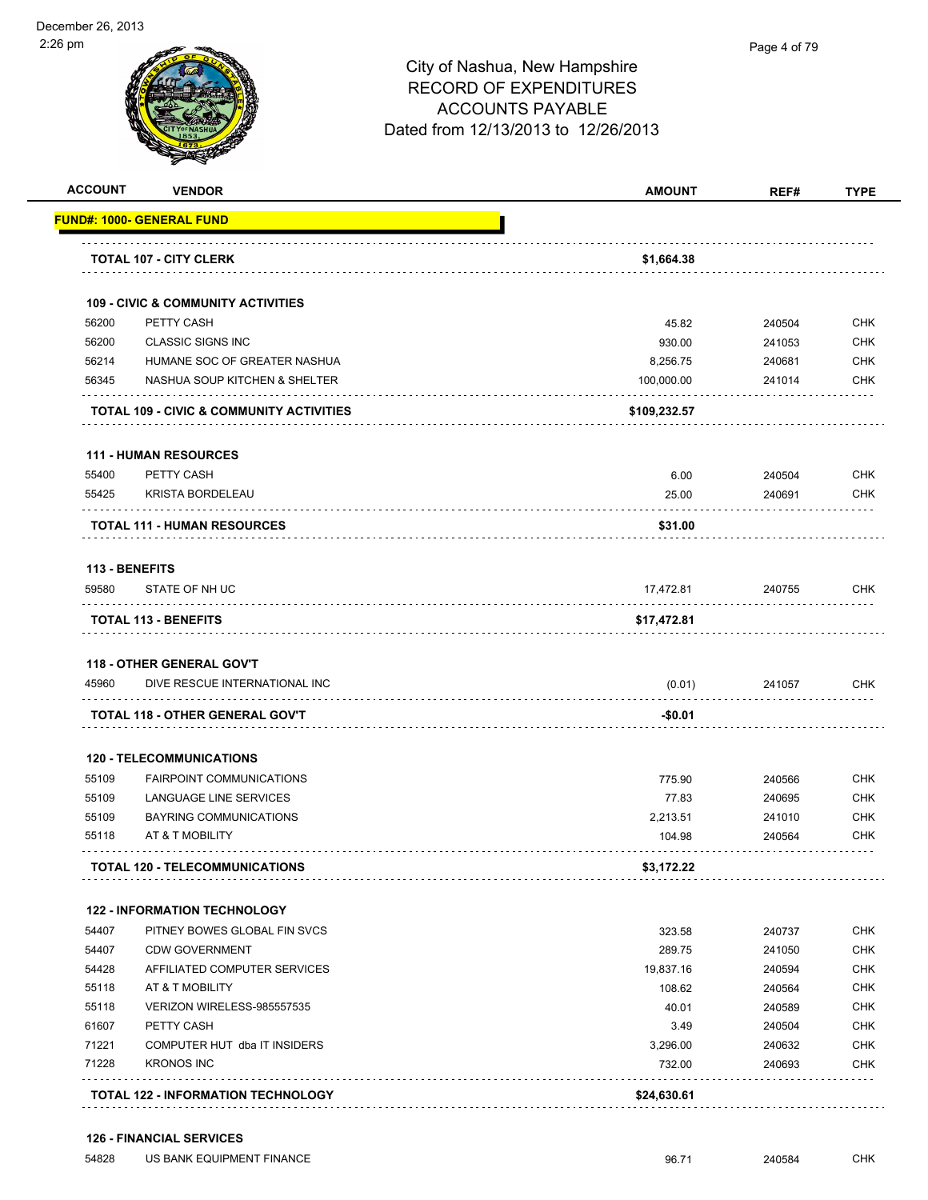| <b>ACCOUNT</b> | <b>VENDOR</b>                                                                                                                                                                   | <b>AMOUNT</b> | REF#       | <b>TYPE</b>              |
|----------------|---------------------------------------------------------------------------------------------------------------------------------------------------------------------------------|---------------|------------|--------------------------|
|                | <b>FUND#: 1000- GENERAL FUND</b>                                                                                                                                                |               |            |                          |
|                | <b>TOTAL 107 - CITY CLERK</b>                                                                                                                                                   | \$1,664.38    |            |                          |
|                | <b>109 - CIVIC &amp; COMMUNITY ACTIVITIES</b>                                                                                                                                   |               |            |                          |
| 56200          | PETTY CASH                                                                                                                                                                      | 45.82         | 240504     | <b>CHK</b>               |
| 56200          | <b>CLASSIC SIGNS INC</b>                                                                                                                                                        | 930.00        | 241053     | <b>CHK</b>               |
| 56214          | HUMANE SOC OF GREATER NASHUA                                                                                                                                                    | 8,256.75      | 240681     | <b>CHK</b>               |
| 56345          | NASHUA SOUP KITCHEN & SHELTER                                                                                                                                                   | 100,000.00    | 241014     | <b>CHK</b>               |
|                | <b>TOTAL 109 - CIVIC &amp; COMMUNITY ACTIVITIES</b>                                                                                                                             | \$109,232.57  |            |                          |
|                | <b>111 - HUMAN RESOURCES</b>                                                                                                                                                    |               |            |                          |
| 55400          | PETTY CASH                                                                                                                                                                      | 6.00          | 240504     | <b>CHK</b>               |
| 55425          | <b>KRISTA BORDELEAU</b>                                                                                                                                                         | 25.00         | 240691     | <b>CHK</b>               |
|                | <b>TOTAL 111 - HUMAN RESOURCES</b>                                                                                                                                              | \$31.00       |            |                          |
| 113 - BENEFITS |                                                                                                                                                                                 |               |            |                          |
| 59580          | STATE OF NH UC                                                                                                                                                                  | 17,472.81     | 240755     | CHK                      |
|                | <b>TOTAL 113 - BENEFITS</b>                                                                                                                                                     | \$17,472.81   |            |                          |
|                |                                                                                                                                                                                 |               |            |                          |
| 45960          | DIVE RESCUE INTERNATIONAL INC                                                                                                                                                   | (0.01)        | 241057     | <b>CHK</b>               |
|                | TOTAL 118 - OTHER GENERAL GOV'T                                                                                                                                                 | -\$0.01       |            |                          |
|                | <b>120 - TELECOMMUNICATIONS</b>                                                                                                                                                 |               |            |                          |
| 55109          | <b>FAIRPOINT COMMUNICATIONS</b>                                                                                                                                                 | 775.90        | 240566     | <b>CHK</b>               |
| 55109          | LANGUAGE LINE SERVICES                                                                                                                                                          | 77.83         | 240695     | <b>CHK</b>               |
| 55109          | <b>BAYRING COMMUNICATIONS</b>                                                                                                                                                   | 2,213.51      | 241010     | <b>CHK</b>               |
| 55118          | AT & T MOBILITY                                                                                                                                                                 | 104.98        | 240564     | <b>CHK</b>               |
|                | <b>TOTAL 120 - TELECOMMUNICATIONS</b>                                                                                                                                           | \$3,172.22    |            |                          |
|                | <b>122 - INFORMATION TECHNOLOGY</b>                                                                                                                                             |               |            |                          |
| 54407          | PITNEY BOWES GLOBAL FIN SVCS                                                                                                                                                    | 323.58        | 240737     | <b>CHK</b>               |
| 54407          | <b>CDW GOVERNMENT</b>                                                                                                                                                           | 289.75        | 241050     | <b>CHK</b>               |
| 54428          | AFFILIATED COMPUTER SERVICES                                                                                                                                                    | 19,837.16     | 240594     | <b>CHK</b>               |
| 55118          | AT & T MOBILITY                                                                                                                                                                 | 108.62        | 240564     | <b>CHK</b>               |
|                | <b>118 - OTHER GENERAL GOV'T</b><br>VERIZON WIRELESS-985557535<br>40.01<br>PETTY CASH<br>3.49<br>3,296.00<br>732.00<br>\$24,630.61<br><b>TOTAL 122 - INFORMATION TECHNOLOGY</b> | 240589        | <b>CHK</b> |                          |
| 55118          |                                                                                                                                                                                 |               | 240504     | <b>CHK</b>               |
| 61607          |                                                                                                                                                                                 |               |            |                          |
| 71221          | COMPUTER HUT dba IT INSIDERS                                                                                                                                                    |               | 240632     |                          |
| 71228          | <b>KRONOS INC</b>                                                                                                                                                               |               | 240693     | <b>CHK</b><br><b>CHK</b> |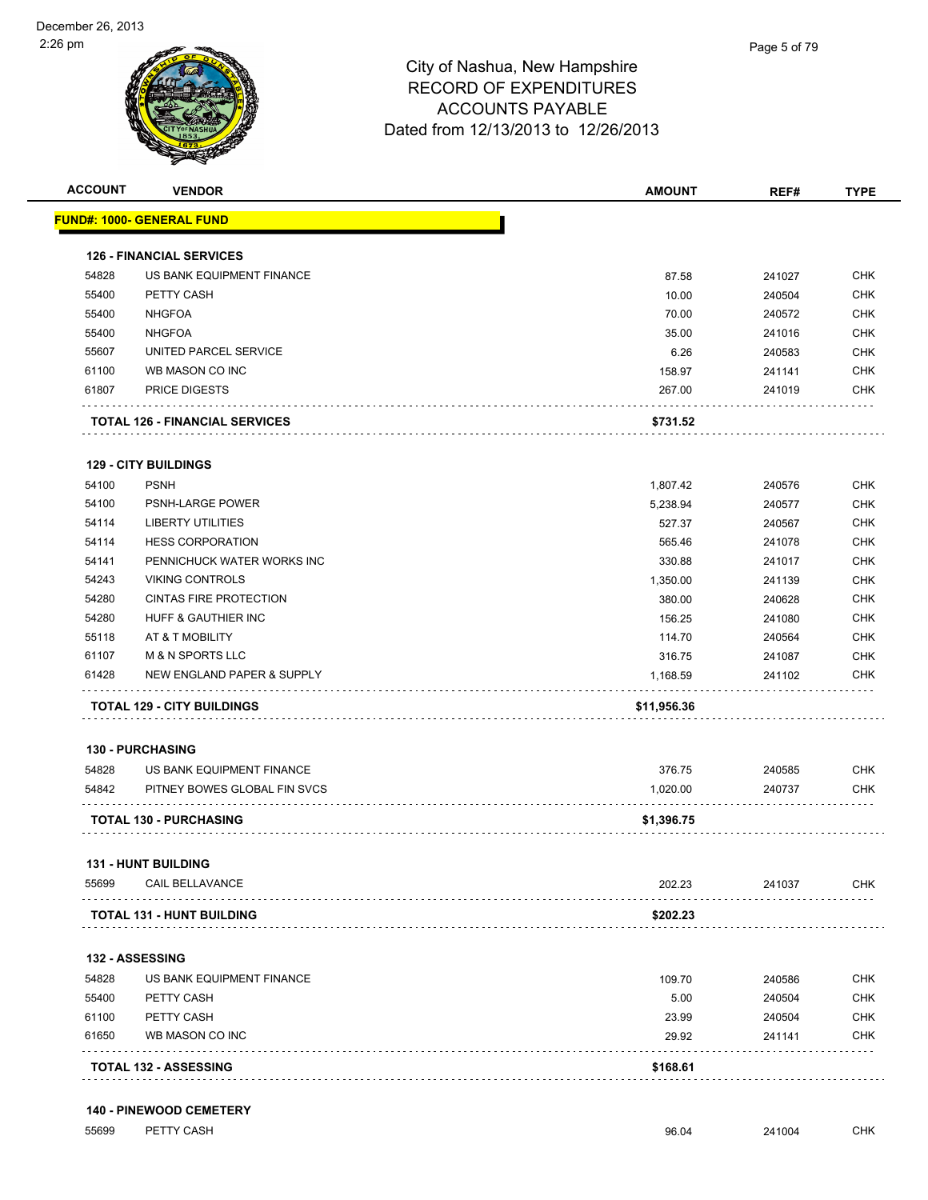

| <b>ACCOUNT</b> | <b>VENDOR</b>                              | <b>AMOUNT</b> | REF#   | <b>TYPE</b> |
|----------------|--------------------------------------------|---------------|--------|-------------|
|                | <u> FUND#: 1000- GENERAL FUND</u>          |               |        |             |
|                | <b>126 - FINANCIAL SERVICES</b>            |               |        |             |
| 54828          | US BANK EQUIPMENT FINANCE                  | 87.58         | 241027 | <b>CHK</b>  |
| 55400          | PETTY CASH                                 | 10.00         | 240504 | <b>CHK</b>  |
| 55400          | <b>NHGFOA</b>                              | 70.00         | 240572 | CHK         |
| 55400          | <b>NHGFOA</b>                              | 35.00         | 241016 | <b>CHK</b>  |
| 55607          | UNITED PARCEL SERVICE                      | 6.26          | 240583 | <b>CHK</b>  |
| 61100          | WB MASON CO INC                            | 158.97        | 241141 | <b>CHK</b>  |
| 61807          | <b>PRICE DIGESTS</b>                       | 267.00        | 241019 | <b>CHK</b>  |
|                | <b>TOTAL 126 - FINANCIAL SERVICES</b>      | \$731.52      |        |             |
|                |                                            |               |        |             |
| 54100          | <b>129 - CITY BUILDINGS</b><br><b>PSNH</b> | 1,807.42      | 240576 | <b>CHK</b>  |
| 54100          | <b>PSNH-LARGE POWER</b>                    | 5,238.94      | 240577 | <b>CHK</b>  |
| 54114          | <b>LIBERTY UTILITIES</b>                   | 527.37        | 240567 | <b>CHK</b>  |
| 54114          | <b>HESS CORPORATION</b>                    | 565.46        | 241078 | <b>CHK</b>  |
| 54141          | PENNICHUCK WATER WORKS INC                 | 330.88        | 241017 | <b>CHK</b>  |
| 54243          | <b>VIKING CONTROLS</b>                     | 1,350.00      | 241139 | <b>CHK</b>  |
| 54280          | <b>CINTAS FIRE PROTECTION</b>              | 380.00        | 240628 | <b>CHK</b>  |
| 54280          | <b>HUFF &amp; GAUTHIER INC</b>             | 156.25        | 241080 | <b>CHK</b>  |
| 55118          | AT & T MOBILITY                            | 114.70        | 240564 | <b>CHK</b>  |
| 61107          | <b>M &amp; N SPORTS LLC</b>                | 316.75        | 241087 | <b>CHK</b>  |
| 61428          | NEW ENGLAND PAPER & SUPPLY                 | 1,168.59      | 241102 | <b>CHK</b>  |
|                | TOTAL 129 - CITY BUILDINGS                 | \$11,956.36   |        |             |
|                | <b>130 - PURCHASING</b>                    |               |        |             |
| 54828          | US BANK EQUIPMENT FINANCE                  | 376.75        | 240585 | <b>CHK</b>  |
| 54842          | PITNEY BOWES GLOBAL FIN SVCS               | 1,020.00      | 240737 | <b>CHK</b>  |
|                | <b>TOTAL 130 - PURCHASING</b>              | \$1,396.75    |        |             |
|                | 131 - HUNT BUILDING                        |               |        |             |
| 55699          | CAIL BELLAVANCE                            | 202.23        | 241037 | <b>CHK</b>  |
|                | <b>TOTAL 131 - HUNT BUILDING</b>           | \$202.23      |        |             |
|                | <b>132 - ASSESSING</b>                     |               |        |             |
| 54828          | US BANK EQUIPMENT FINANCE                  | 109.70        | 240586 | <b>CHK</b>  |
| 55400          | PETTY CASH                                 | 5.00          | 240504 | <b>CHK</b>  |
| 61100          | PETTY CASH                                 | 23.99         | 240504 | <b>CHK</b>  |
| 61650          | WB MASON CO INC                            | 29.92         | 241141 | <b>CHK</b>  |
|                | <b>TOTAL 132 - ASSESSING</b>               | \$168.61      |        |             |

55699 PETTY CASH 96.04 241004 CHK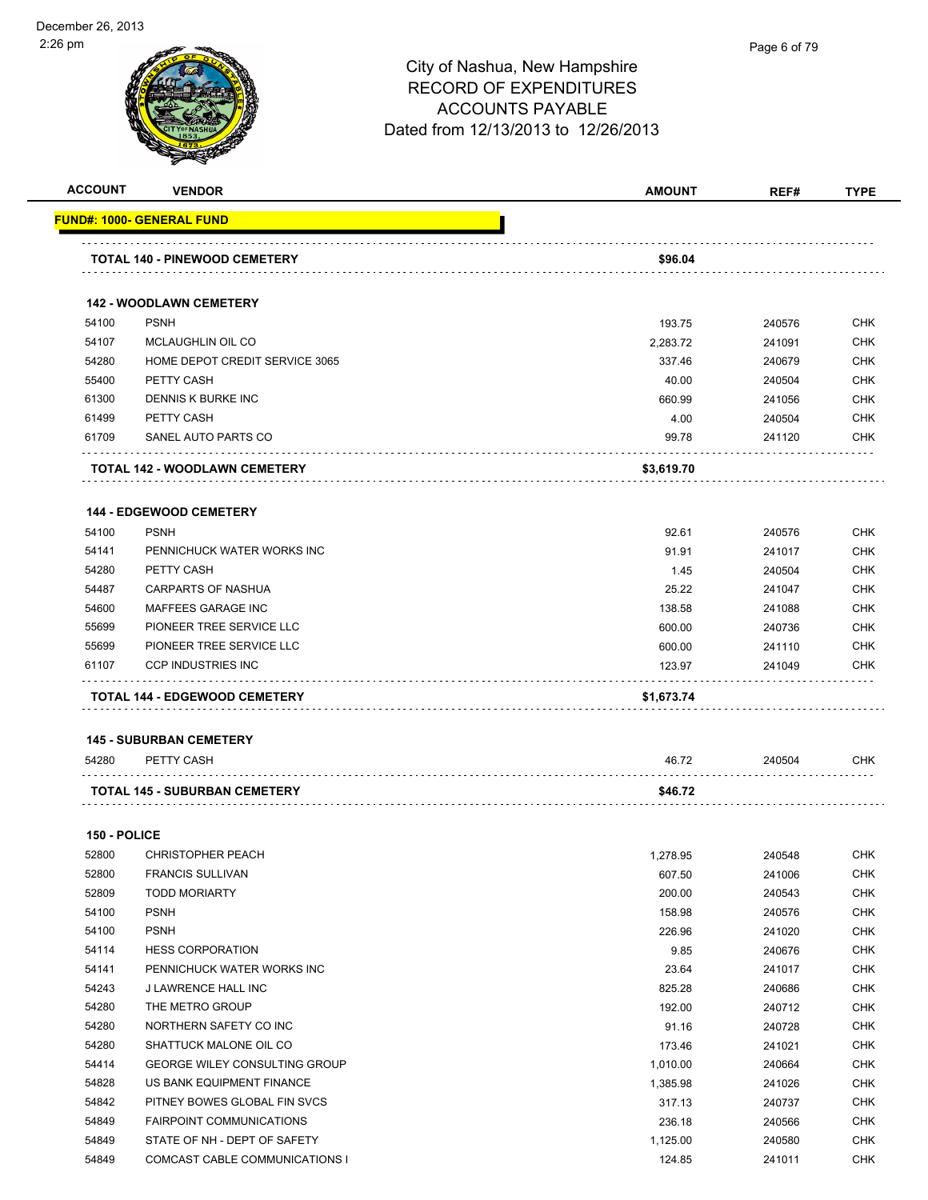| <b>ACCOUNT</b> | <b>VENDOR</b>                        | <b>AMOUNT</b> | REF#   | <b>TYPE</b> |
|----------------|--------------------------------------|---------------|--------|-------------|
|                | FUND#: 1000- GENERAL FUND            |               |        |             |
|                | TOTAL 140 - PINEWOOD CEMETERY        | \$96.04       |        |             |
|                | <b>142 - WOODLAWN CEMETERY</b>       |               |        |             |
| 54100          | <b>PSNH</b>                          | 193.75        | 240576 | <b>CHK</b>  |
| 54107          | MCLAUGHLIN OIL CO                    | 2,283.72      | 241091 | <b>CHK</b>  |
| 54280          | HOME DEPOT CREDIT SERVICE 3065       | 337.46        | 240679 | <b>CHK</b>  |
| 55400          | PETTY CASH                           | 40.00         | 240504 | <b>CHK</b>  |
| 61300          | DENNIS K BURKE INC                   | 660.99        | 241056 | <b>CHK</b>  |
| 61499          | PETTY CASH                           | 4.00          | 240504 | <b>CHK</b>  |
| 61709          | SANEL AUTO PARTS CO                  | 99.78         | 241120 | <b>CHK</b>  |
|                | TOTAL 142 - WOODLAWN CEMETERY        | \$3,619.70    |        |             |
|                | <b>144 - EDGEWOOD CEMETERY</b>       |               |        |             |
| 54100          | <b>PSNH</b>                          | 92.61         | 240576 | <b>CHK</b>  |
| 54141          | PENNICHUCK WATER WORKS INC           | 91.91         | 241017 | <b>CHK</b>  |
| 54280          | PETTY CASH                           | 1.45          | 240504 | <b>CHK</b>  |
| 54487          | <b>CARPARTS OF NASHUA</b>            | 25.22         | 241047 | <b>CHK</b>  |
| 54600          | MAFFEES GARAGE INC                   | 138.58        | 241088 | <b>CHK</b>  |
| 55699          | PIONEER TREE SERVICE LLC             | 600.00        | 240736 | <b>CHK</b>  |
| 55699          | PIONEER TREE SERVICE LLC             | 600.00        | 241110 | <b>CHK</b>  |
| 61107          | <b>CCP INDUSTRIES INC</b>            | 123.97        | 241049 | <b>CHK</b>  |
|                | TOTAL 144 - EDGEWOOD CEMETERY        | \$1,673.74    |        |             |
|                |                                      |               |        |             |
|                | <b>145 - SUBURBAN CEMETERY</b>       |               |        |             |
| 54280          | PETTY CASH                           | 46.72         | 240504 | <b>CHK</b>  |
|                | TOTAL 145 - SUBURBAN CEMETERY        | \$46.72       |        |             |
| 150 - POLICE   |                                      |               |        |             |
| 52800          | <b>CHRISTOPHER PEACH</b>             | 1.278.95      | 240548 | CHK         |
| 52800          | <b>FRANCIS SULLIVAN</b>              | 607.50        | 241006 | <b>CHK</b>  |
| 52809          | <b>TODD MORIARTY</b>                 | 200.00        | 240543 | CHK         |
| 54100          | <b>PSNH</b>                          | 158.98        | 240576 | CHK         |
| 54100          | <b>PSNH</b>                          | 226.96        | 241020 | <b>CHK</b>  |
| 54114          | <b>HESS CORPORATION</b>              | 9.85          | 240676 | <b>CHK</b>  |
| 54141          | PENNICHUCK WATER WORKS INC           | 23.64         | 241017 | <b>CHK</b>  |
| 54243          | J LAWRENCE HALL INC                  | 825.28        | 240686 | <b>CHK</b>  |
| 54280          | THE METRO GROUP                      | 192.00        | 240712 | <b>CHK</b>  |
| 54280          | NORTHERN SAFETY CO INC               | 91.16         | 240728 | <b>CHK</b>  |
| 54280          | SHATTUCK MALONE OIL CO               | 173.46        | 241021 | <b>CHK</b>  |
| 54414          | <b>GEORGE WILEY CONSULTING GROUP</b> | 1,010.00      | 240664 | <b>CHK</b>  |
| 54828          | US BANK EQUIPMENT FINANCE            | 1,385.98      | 241026 | <b>CHK</b>  |
| 54842          | PITNEY BOWES GLOBAL FIN SVCS         | 317.13        | 240737 | CHK         |
| 54849          | <b>FAIRPOINT COMMUNICATIONS</b>      | 236.18        | 240566 | CHK         |
| 54849          | STATE OF NH - DEPT OF SAFETY         | 1,125.00      | 240580 | <b>CHK</b>  |
| 54849          | COMCAST CABLE COMMUNICATIONS I       | 124.85        | 241011 | <b>CHK</b>  |
|                |                                      |               |        |             |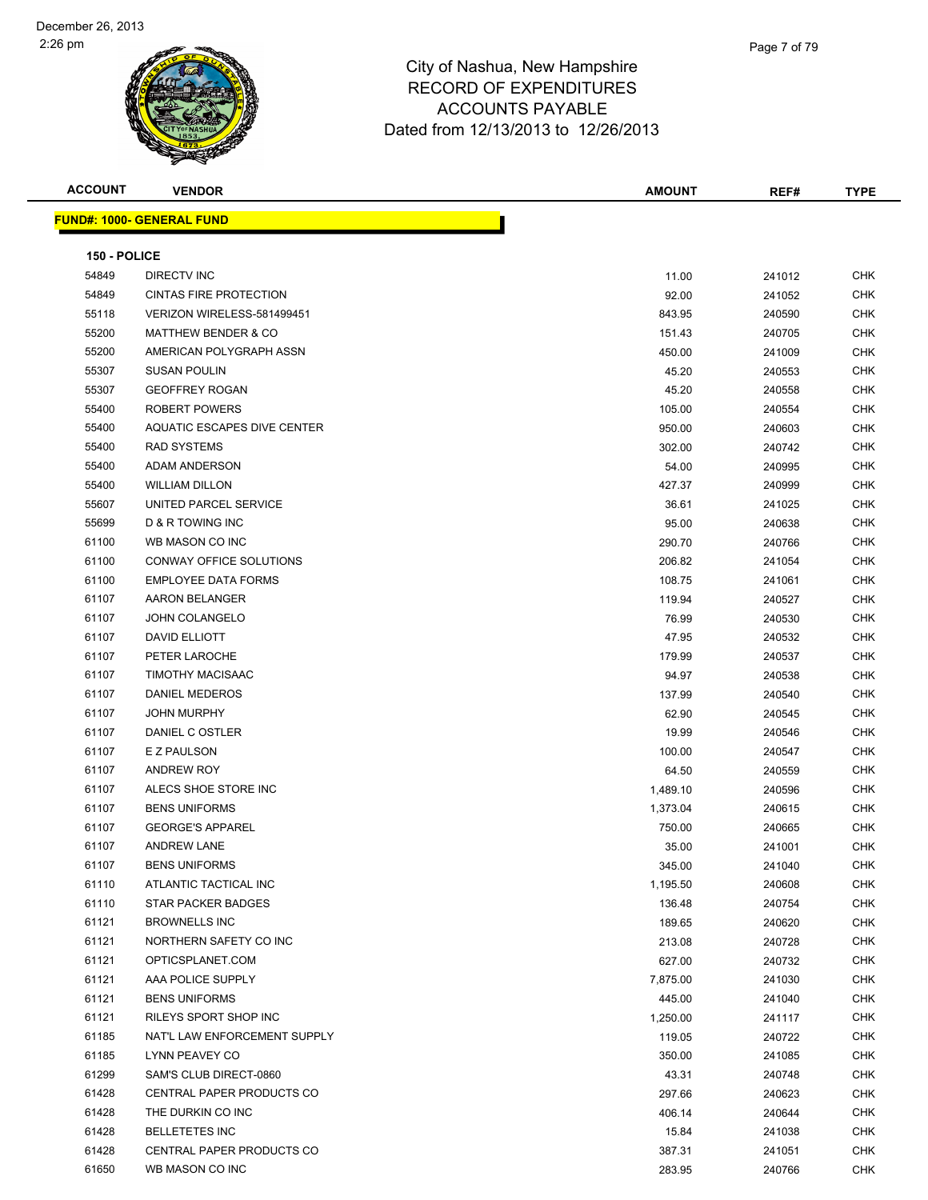

| <b>ACCOUNT</b> | <b>VENDOR</b>                     | <b>AMOUNT</b> | REF#   | <b>TYPE</b> |
|----------------|-----------------------------------|---------------|--------|-------------|
|                | <u> FUND#: 1000- GENERAL FUND</u> |               |        |             |
|                |                                   |               |        |             |
| 150 - POLICE   |                                   |               |        |             |
| 54849          | <b>DIRECTV INC</b>                | 11.00         | 241012 | <b>CHK</b>  |
| 54849          | <b>CINTAS FIRE PROTECTION</b>     | 92.00         | 241052 | <b>CHK</b>  |
| 55118          | VERIZON WIRELESS-581499451        | 843.95        | 240590 | <b>CHK</b>  |
| 55200          | <b>MATTHEW BENDER &amp; CO</b>    | 151.43        | 240705 | <b>CHK</b>  |
| 55200          | AMERICAN POLYGRAPH ASSN           | 450.00        | 241009 | <b>CHK</b>  |
| 55307          | <b>SUSAN POULIN</b>               | 45.20         | 240553 | <b>CHK</b>  |
| 55307          | <b>GEOFFREY ROGAN</b>             | 45.20         | 240558 | <b>CHK</b>  |
| 55400          | <b>ROBERT POWERS</b>              | 105.00        | 240554 | <b>CHK</b>  |
| 55400          | AQUATIC ESCAPES DIVE CENTER       | 950.00        | 240603 | <b>CHK</b>  |
| 55400          | <b>RAD SYSTEMS</b>                | 302.00        | 240742 | <b>CHK</b>  |
| 55400          | ADAM ANDERSON                     | 54.00         | 240995 | <b>CHK</b>  |
| 55400          | <b>WILLIAM DILLON</b>             | 427.37        | 240999 | <b>CHK</b>  |
| 55607          | UNITED PARCEL SERVICE             | 36.61         | 241025 | <b>CHK</b>  |
| 55699          | D & R TOWING INC                  | 95.00         | 240638 | <b>CHK</b>  |
| 61100          | WB MASON CO INC                   | 290.70        | 240766 | <b>CHK</b>  |
| 61100          | CONWAY OFFICE SOLUTIONS           | 206.82        | 241054 | <b>CHK</b>  |
| 61100          | <b>EMPLOYEE DATA FORMS</b>        | 108.75        | 241061 | <b>CHK</b>  |
| 61107          | AARON BELANGER                    | 119.94        | 240527 | <b>CHK</b>  |
| 61107          | <b>JOHN COLANGELO</b>             | 76.99         | 240530 | <b>CHK</b>  |
| 61107          | DAVID ELLIOTT                     | 47.95         | 240532 | <b>CHK</b>  |
| 61107          | PETER LAROCHE                     | 179.99        | 240537 | <b>CHK</b>  |
| 61107          | TIMOTHY MACISAAC                  | 94.97         | 240538 | <b>CHK</b>  |
| 61107          | DANIEL MEDEROS                    | 137.99        | 240540 | <b>CHK</b>  |
| 61107          | <b>JOHN MURPHY</b>                | 62.90         | 240545 | <b>CHK</b>  |
| 61107          | DANIEL C OSTLER                   | 19.99         | 240546 | <b>CHK</b>  |
| 61107          | E Z PAULSON                       | 100.00        | 240547 | <b>CHK</b>  |
| 61107          | <b>ANDREW ROY</b>                 | 64.50         | 240559 | <b>CHK</b>  |
| 61107          | ALECS SHOE STORE INC              | 1,489.10      | 240596 | <b>CHK</b>  |
| 61107          | <b>BENS UNIFORMS</b>              | 1,373.04      | 240615 | <b>CHK</b>  |
| 61107          | <b>GEORGE'S APPAREL</b>           | 750.00        | 240665 | <b>CHK</b>  |
| 61107          | <b>ANDREW LANE</b>                | 35.00         | 241001 | <b>CHK</b>  |
| 61107          | <b>BENS UNIFORMS</b>              | 345.00        | 241040 | CHK         |
| 61110          | ATLANTIC TACTICAL INC             | 1,195.50      | 240608 | <b>CHK</b>  |
| 61110          | STAR PACKER BADGES                | 136.48        | 240754 | <b>CHK</b>  |
| 61121          | <b>BROWNELLS INC</b>              | 189.65        | 240620 | <b>CHK</b>  |
| 61121          | NORTHERN SAFETY CO INC            | 213.08        | 240728 | <b>CHK</b>  |
| 61121          | OPTICSPLANET.COM                  | 627.00        | 240732 | <b>CHK</b>  |
| 61121          | AAA POLICE SUPPLY                 | 7,875.00      | 241030 | <b>CHK</b>  |
| 61121          | <b>BENS UNIFORMS</b>              | 445.00        | 241040 | <b>CHK</b>  |
| 61121          | RILEYS SPORT SHOP INC             | 1,250.00      | 241117 | <b>CHK</b>  |
| 61185          | NAT'L LAW ENFORCEMENT SUPPLY      | 119.05        | 240722 | <b>CHK</b>  |
| 61185          | LYNN PEAVEY CO                    | 350.00        | 241085 | <b>CHK</b>  |
| 61299          | SAM'S CLUB DIRECT-0860            | 43.31         | 240748 | <b>CHK</b>  |
| 61428          | CENTRAL PAPER PRODUCTS CO         | 297.66        | 240623 | <b>CHK</b>  |
| 61428          | THE DURKIN CO INC                 | 406.14        | 240644 | <b>CHK</b>  |
| 61428          | <b>BELLETETES INC</b>             | 15.84         | 241038 | <b>CHK</b>  |
| 61428          | CENTRAL PAPER PRODUCTS CO         | 387.31        | 241051 | <b>CHK</b>  |
| 61650          | WB MASON CO INC                   | 283.95        | 240766 | <b>CHK</b>  |
|                |                                   |               |        |             |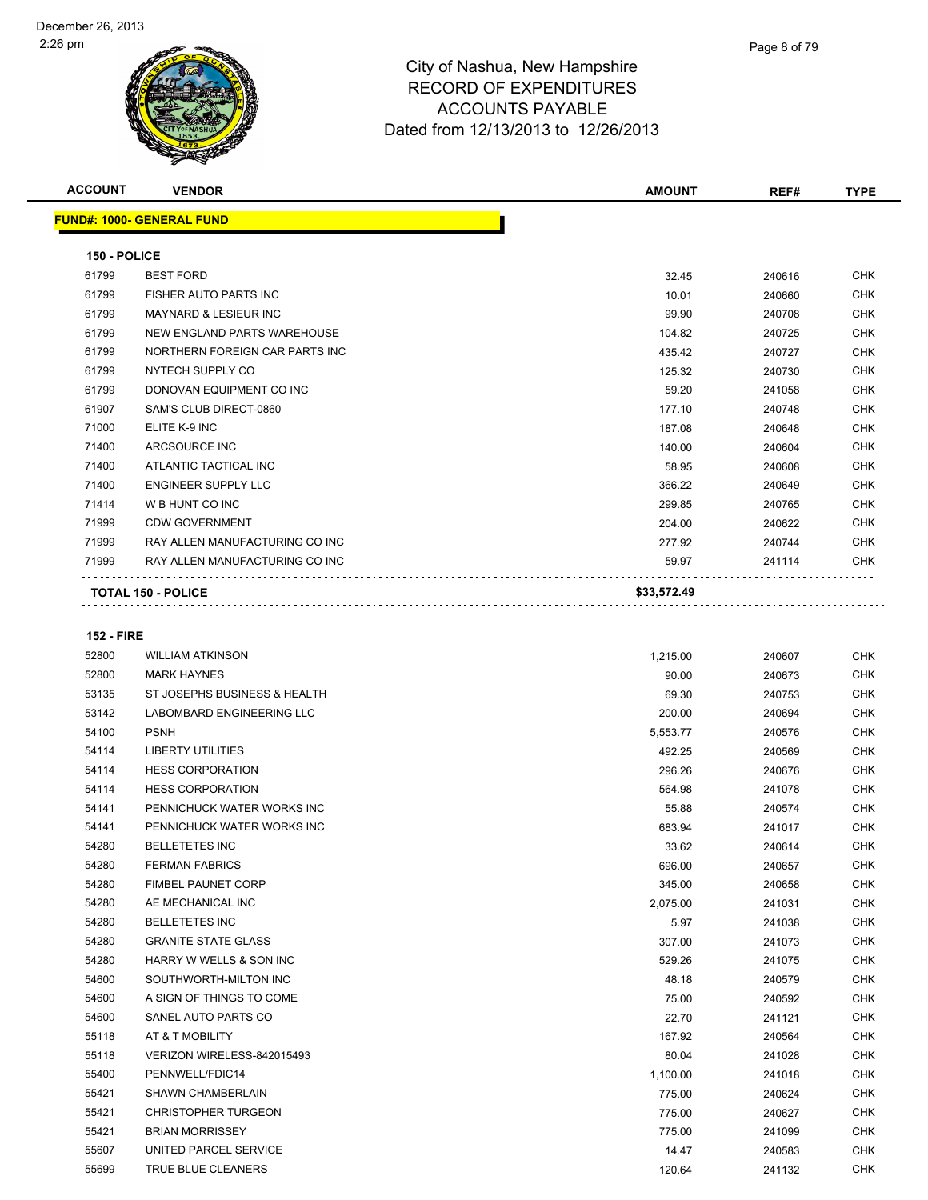

| <b>ACCOUNT</b>    | <b>VENDOR</b>                    | <b>AMOUNT</b> | REF#   | <b>TYPE</b> |
|-------------------|----------------------------------|---------------|--------|-------------|
|                   | <b>FUND#: 1000- GENERAL FUND</b> |               |        |             |
| 150 - POLICE      |                                  |               |        |             |
| 61799             | <b>BEST FORD</b>                 | 32.45         | 240616 | <b>CHK</b>  |
| 61799             | FISHER AUTO PARTS INC            | 10.01         | 240660 | <b>CHK</b>  |
| 61799             | MAYNARD & LESIEUR INC            | 99.90         | 240708 | <b>CHK</b>  |
| 61799             | NEW ENGLAND PARTS WAREHOUSE      | 104.82        | 240725 | <b>CHK</b>  |
| 61799             | NORTHERN FOREIGN CAR PARTS INC   | 435.42        | 240727 | <b>CHK</b>  |
| 61799             | NYTECH SUPPLY CO                 | 125.32        | 240730 | <b>CHK</b>  |
| 61799             | DONOVAN EQUIPMENT CO INC         | 59.20         | 241058 | <b>CHK</b>  |
| 61907             | SAM'S CLUB DIRECT-0860           | 177.10        | 240748 | <b>CHK</b>  |
| 71000             | ELITE K-9 INC                    | 187.08        | 240648 | <b>CHK</b>  |
| 71400             | ARCSOURCE INC                    | 140.00        | 240604 | <b>CHK</b>  |
| 71400             | ATLANTIC TACTICAL INC            | 58.95         | 240608 | <b>CHK</b>  |
| 71400             | <b>ENGINEER SUPPLY LLC</b>       | 366.22        | 240649 | <b>CHK</b>  |
| 71414             | W B HUNT CO INC                  | 299.85        | 240765 | <b>CHK</b>  |
| 71999             | <b>CDW GOVERNMENT</b>            | 204.00        | 240622 | <b>CHK</b>  |
| 71999             | RAY ALLEN MANUFACTURING CO INC   | 277.92        | 240744 | <b>CHK</b>  |
| 71999             | RAY ALLEN MANUFACTURING CO INC   | 59.97         | 241114 | <b>CHK</b>  |
|                   | <b>TOTAL 150 - POLICE</b>        | \$33,572.49   |        |             |
| <b>152 - FIRE</b> |                                  |               |        |             |
| 52800             | <b>WILLIAM ATKINSON</b>          | 1,215.00      | 240607 | <b>CHK</b>  |
| 52800             | <b>MARK HAYNES</b>               | 90.00         | 240673 | CHK         |
| 53135             | ST JOSEPHS BUSINESS & HEALTH     | 69.30         | 240753 | <b>CHK</b>  |
| 53142             | LABOMBARD ENGINEERING LLC        | 200.00        | 240694 | CHK         |
| 54100             | <b>PSNH</b>                      | 5,553.77      | 240576 | <b>CHK</b>  |
| 54114             | <b>LIBERTY UTILITIES</b>         | 492.25        | 240569 | <b>CHK</b>  |
| 54114             | <b>HESS CORPORATION</b>          | 296.26        | 240676 | <b>CHK</b>  |
| 54114             | <b>HESS CORPORATION</b>          | 564.98        | 241078 | <b>CHK</b>  |
| 54141             | PENNICHUCK WATER WORKS INC       | 55.88         | 240574 | <b>CHK</b>  |
| 54141             | PENNICHUCK WATER WORKS INC       | 683.94        | 241017 | <b>CHK</b>  |

| 54100 | <b>PSNH</b>                | 5,553.77 | 240576 | <b>CHK</b> |
|-------|----------------------------|----------|--------|------------|
| 54114 | <b>LIBERTY UTILITIES</b>   | 492.25   | 240569 | <b>CHK</b> |
| 54114 | <b>HESS CORPORATION</b>    | 296.26   | 240676 | <b>CHK</b> |
| 54114 | <b>HESS CORPORATION</b>    | 564.98   | 241078 | <b>CHK</b> |
| 54141 | PENNICHUCK WATER WORKS INC | 55.88    | 240574 | <b>CHK</b> |
| 54141 | PENNICHUCK WATER WORKS INC | 683.94   | 241017 | <b>CHK</b> |
| 54280 | <b>BELLETETES INC</b>      | 33.62    | 240614 | <b>CHK</b> |
| 54280 | <b>FERMAN FABRICS</b>      | 696.00   | 240657 | <b>CHK</b> |
| 54280 | <b>FIMBEL PAUNET CORP</b>  | 345.00   | 240658 | <b>CHK</b> |
| 54280 | AE MECHANICAL INC          | 2,075.00 | 241031 | <b>CHK</b> |
| 54280 | <b>BELLETETES INC</b>      | 5.97     | 241038 | <b>CHK</b> |
| 54280 | <b>GRANITE STATE GLASS</b> | 307.00   | 241073 | <b>CHK</b> |
| 54280 | HARRY W WELLS & SON INC    | 529.26   | 241075 | <b>CHK</b> |
| 54600 | SOUTHWORTH-MILTON INC      | 48.18    | 240579 | <b>CHK</b> |
| 54600 | A SIGN OF THINGS TO COME   | 75.00    | 240592 | <b>CHK</b> |
| 54600 | SANEL AUTO PARTS CO        | 22.70    | 241121 | <b>CHK</b> |
| 55118 | AT & T MOBILITY            | 167.92   | 240564 | <b>CHK</b> |
| 55118 | VERIZON WIRELESS-842015493 | 80.04    | 241028 | <b>CHK</b> |
| 55400 | PENNWELL/FDIC14            | 1,100.00 | 241018 | <b>CHK</b> |
| 55421 | <b>SHAWN CHAMBERLAIN</b>   | 775.00   | 240624 | <b>CHK</b> |
| 55421 | <b>CHRISTOPHER TURGEON</b> | 775.00   | 240627 | <b>CHK</b> |
| 55421 | <b>BRIAN MORRISSEY</b>     | 775.00   | 241099 | <b>CHK</b> |
| 55607 | UNITED PARCEL SERVICE      | 14.47    | 240583 | <b>CHK</b> |
| 55699 | <b>TRUE BLUE CLEANERS</b>  | 120.64   | 241132 | <b>CHK</b> |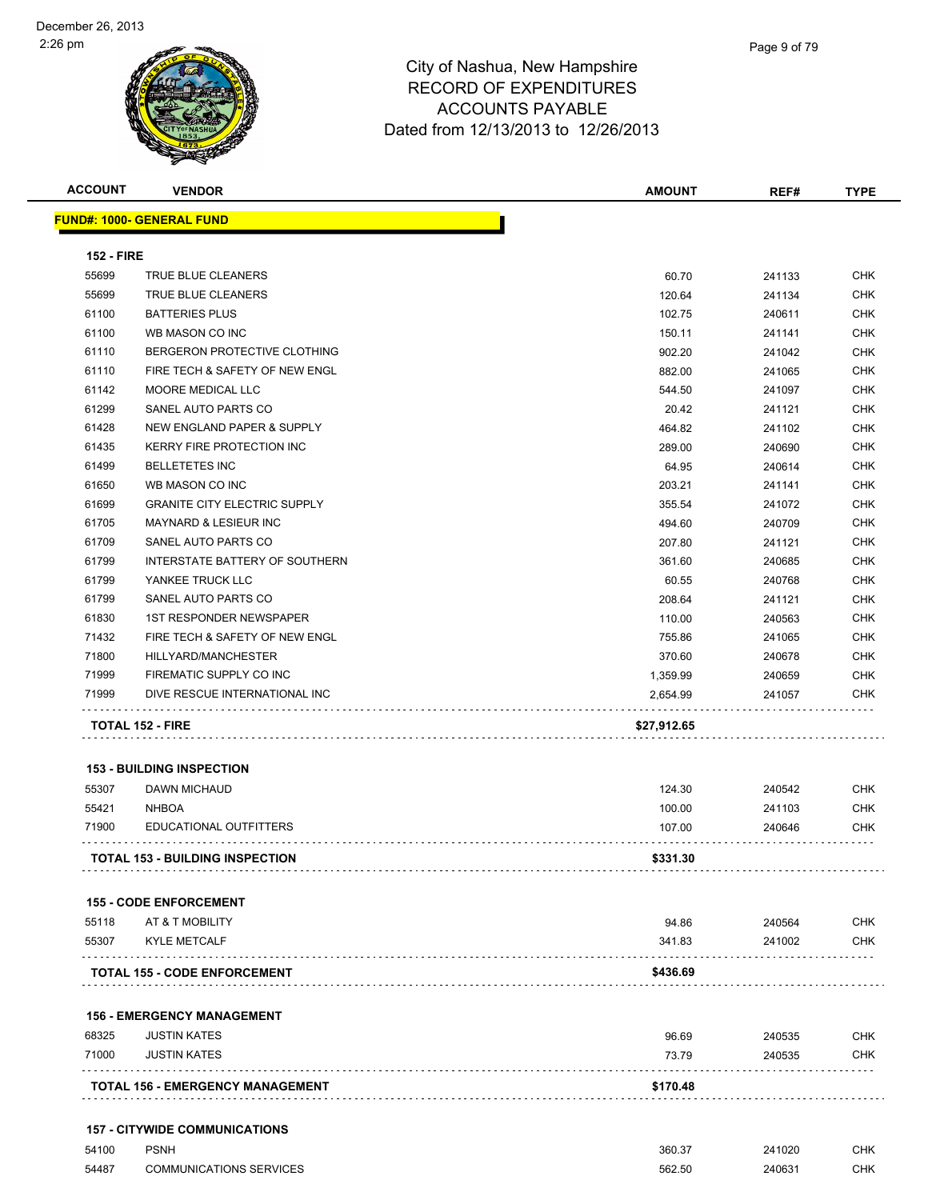| <b>ACCOUNT</b>    | <b>VENDOR</b>                           | <b>AMOUNT</b> | REF#   | <b>TYPE</b> |
|-------------------|-----------------------------------------|---------------|--------|-------------|
|                   | <b>FUND#: 1000- GENERAL FUND</b>        |               |        |             |
| <b>152 - FIRE</b> |                                         |               |        |             |
| 55699             | TRUE BLUE CLEANERS                      | 60.70         | 241133 | <b>CHK</b>  |
| 55699             | TRUE BLUE CLEANERS                      | 120.64        | 241134 | CHK         |
| 61100             | <b>BATTERIES PLUS</b>                   | 102.75        | 240611 | <b>CHK</b>  |
| 61100             | WB MASON CO INC                         | 150.11        | 241141 | <b>CHK</b>  |
| 61110             | BERGERON PROTECTIVE CLOTHING            | 902.20        | 241042 | <b>CHK</b>  |
| 61110             | FIRE TECH & SAFETY OF NEW ENGL          | 882.00        | 241065 | <b>CHK</b>  |
| 61142             | MOORE MEDICAL LLC                       | 544.50        | 241097 | <b>CHK</b>  |
| 61299             | SANEL AUTO PARTS CO                     | 20.42         | 241121 | <b>CHK</b>  |
| 61428             | NEW ENGLAND PAPER & SUPPLY              | 464.82        | 241102 | <b>CHK</b>  |
| 61435             | KERRY FIRE PROTECTION INC               | 289.00        | 240690 | <b>CHK</b>  |
| 61499             | <b>BELLETETES INC</b>                   | 64.95         | 240614 | <b>CHK</b>  |
| 61650             | WB MASON CO INC                         | 203.21        | 241141 | <b>CHK</b>  |
| 61699             | <b>GRANITE CITY ELECTRIC SUPPLY</b>     | 355.54        | 241072 | <b>CHK</b>  |
| 61705             | <b>MAYNARD &amp; LESIEUR INC</b>        | 494.60        | 240709 | <b>CHK</b>  |
| 61709             | SANEL AUTO PARTS CO                     | 207.80        | 241121 | <b>CHK</b>  |
| 61799             | <b>INTERSTATE BATTERY OF SOUTHERN</b>   | 361.60        | 240685 | <b>CHK</b>  |
| 61799             | YANKEE TRUCK LLC                        | 60.55         | 240768 | <b>CHK</b>  |
| 61799             | SANEL AUTO PARTS CO                     | 208.64        | 241121 | <b>CHK</b>  |
| 61830             | <b>1ST RESPONDER NEWSPAPER</b>          | 110.00        | 240563 | <b>CHK</b>  |
| 71432             | FIRE TECH & SAFETY OF NEW ENGL          | 755.86        | 241065 | <b>CHK</b>  |
| 71800             | HILLYARD/MANCHESTER                     | 370.60        | 240678 | <b>CHK</b>  |
| 71999             | FIREMATIC SUPPLY CO INC                 | 1,359.99      | 240659 | <b>CHK</b>  |
| 71999             | DIVE RESCUE INTERNATIONAL INC           | 2,654.99      | 241057 | <b>CHK</b>  |
|                   | <b>TOTAL 152 - FIRE</b>                 | \$27,912.65   |        |             |
|                   | <b>153 - BUILDING INSPECTION</b>        |               |        |             |
| 55307             | <b>DAWN MICHAUD</b>                     | 124.30        | 240542 | <b>CHK</b>  |
| 55421             | <b>NHBOA</b>                            | 100.00        | 241103 | <b>CHK</b>  |
| 71900             | EDUCATIONAL OUTFITTERS                  | 107.00        | 240646 | <b>CHK</b>  |
|                   | TOTAL 153 - BUILDING INSPECTION         | \$331.30      |        |             |
|                   | <b>155 - CODE ENFORCEMENT</b>           |               |        |             |
| 55118             | AT & T MOBILITY                         | 94.86         | 240564 | <b>CHK</b>  |
| 55307             | <b>KYLE METCALF</b>                     | 341.83        | 241002 | <b>CHK</b>  |
|                   |                                         |               |        |             |
|                   | <b>TOTAL 155 - CODE ENFORCEMENT</b>     | \$436.69      |        |             |
|                   | <b>156 - EMERGENCY MANAGEMENT</b>       |               |        |             |
| 68325             | <b>JUSTIN KATES</b>                     | 96.69         | 240535 | <b>CHK</b>  |
| 71000             | <b>JUSTIN KATES</b>                     | 73.79         | 240535 | <b>CHK</b>  |
|                   | <b>TOTAL 156 - EMERGENCY MANAGEMENT</b> | \$170.48      |        |             |
|                   | <b>157 - CITYWIDE COMMUNICATIONS</b>    |               |        |             |
| 54100             | <b>PSNH</b>                             | 360.37        | 241020 | CHK         |

COMMUNICATIONS SERVICES 562.50 240631 CHK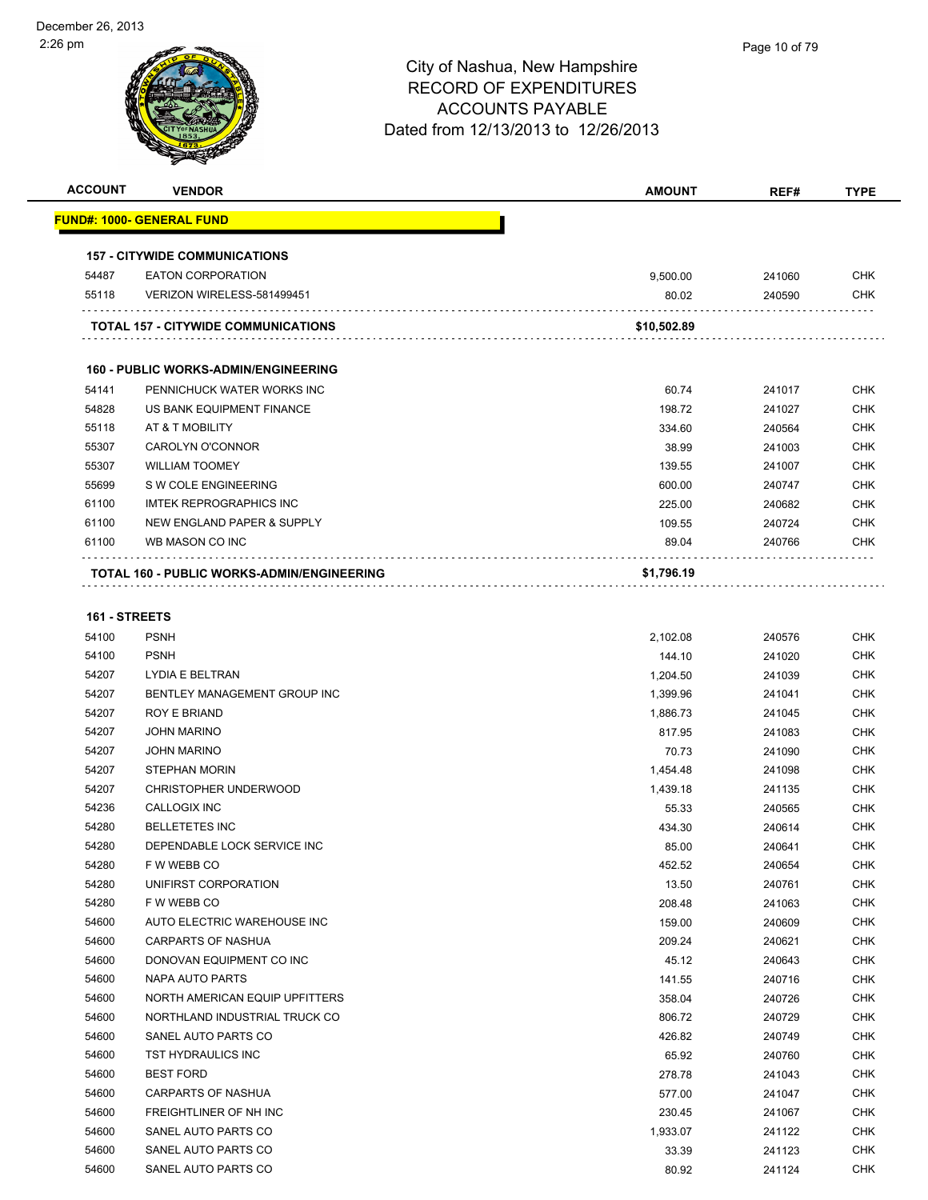| <b>ACCOUNT</b> | <b>VENDOR</b>                               | <b>AMOUNT</b> | REF#   | <b>TYPE</b> |
|----------------|---------------------------------------------|---------------|--------|-------------|
|                | <u> FUND#: 1000- GENERAL FUND</u>           |               |        |             |
|                | <b>157 - CITYWIDE COMMUNICATIONS</b>        |               |        |             |
| 54487          | <b>EATON CORPORATION</b>                    | 9,500.00      | 241060 | <b>CHK</b>  |
| 55118          | VERIZON WIRELESS-581499451                  | 80.02         | 240590 | <b>CHK</b>  |
|                | TOTAL 157 - CITYWIDE COMMUNICATIONS         | \$10,502.89   |        |             |
|                | <b>160 - PUBLIC WORKS-ADMIN/ENGINEERING</b> |               |        |             |
| 54141          | PENNICHUCK WATER WORKS INC                  | 60.74         | 241017 | <b>CHK</b>  |
| 54828          | US BANK EQUIPMENT FINANCE                   | 198.72        | 241027 | <b>CHK</b>  |
| 55118          | AT & T MOBILITY                             | 334.60        | 240564 | CHK         |
| 55307          | <b>CAROLYN O'CONNOR</b>                     | 38.99         | 241003 | <b>CHK</b>  |
| 55307          | <b>WILLIAM TOOMEY</b>                       | 139.55        | 241007 | <b>CHK</b>  |
| 55699          | S W COLE ENGINEERING                        | 600.00        | 240747 | <b>CHK</b>  |
| 61100          | <b>IMTEK REPROGRAPHICS INC</b>              | 225.00        | 240682 | <b>CHK</b>  |
| 61100          | NEW ENGLAND PAPER & SUPPLY                  | 109.55        | 240724 | <b>CHK</b>  |
| 61100          | WB MASON CO INC                             | 89.04         | 240766 | CHK         |
|                | TOTAL 160 - PUBLIC WORKS-ADMIN/ENGINEERING  | \$1,796.19    |        |             |
| 161 - STREETS  |                                             |               |        |             |
| 54100          | <b>PSNH</b>                                 | 2,102.08      | 240576 | CHK         |
| 54100          | <b>PSNH</b>                                 | 144.10        | 241020 | <b>CHK</b>  |
| 54207          | LYDIA E BELTRAN                             | 1,204.50      | 241039 | CHK         |
| 54207          | BENTLEY MANAGEMENT GROUP INC                | 1,399.96      | 241041 | CHK         |
| 54207          | ROY E BRIAND                                | 1,886.73      | 241045 | <b>CHK</b>  |
| 54207          | <b>JOHN MARINO</b>                          | 817.95        | 241083 | CHK         |
| 54207          | <b>JOHN MARINO</b>                          | 70.73         | 241090 | <b>CHK</b>  |
| 54207          | <b>STEPHAN MORIN</b>                        | 1,454.48      | 241098 | <b>CHK</b>  |
| 54207          | <b>CHRISTOPHER UNDERWOOD</b>                | 1,439.18      | 241135 | <b>CHK</b>  |
| 54236          | CALLOGIX INC                                | 55.33         | 240565 | <b>CHK</b>  |
| 54280          | <b>BELLETETES INC</b>                       | 434.30        | 240614 | CHK         |
| 54280          | DEPENDABLE LOCK SERVICE INC                 | 85.00         | 240641 | <b>CHK</b>  |
| 54280          | F W WEBB CO                                 | 452.52        | 240654 | <b>CHK</b>  |
| 54280          | UNIFIRST CORPORATION                        | 13.50         | 240761 | CHK         |
| 54280          | F W WEBB CO                                 | 208.48        | 241063 | <b>CHK</b>  |
| 54600          | AUTO ELECTRIC WAREHOUSE INC                 | 159.00        | 240609 | <b>CHK</b>  |
| 54600          | <b>CARPARTS OF NASHUA</b>                   | 209.24        | 240621 | <b>CHK</b>  |
| 54600          | DONOVAN EQUIPMENT CO INC                    | 45.12         | 240643 | <b>CHK</b>  |
| 54600          | NAPA AUTO PARTS                             | 141.55        | 240716 | <b>CHK</b>  |
| 54600          | NORTH AMERICAN EQUIP UPFITTERS              | 358.04        | 240726 | <b>CHK</b>  |
| 54600          | NORTHLAND INDUSTRIAL TRUCK CO               | 806.72        | 240729 | <b>CHK</b>  |
| 54600          | SANEL AUTO PARTS CO                         | 426.82        | 240749 | <b>CHK</b>  |
| 54600          | TST HYDRAULICS INC                          | 65.92         | 240760 | <b>CHK</b>  |
| 54600          | <b>BEST FORD</b>                            | 278.78        | 241043 | <b>CHK</b>  |
| 54600          | <b>CARPARTS OF NASHUA</b>                   | 577.00        | 241047 | <b>CHK</b>  |
| 54600          | FREIGHTLINER OF NH INC                      | 230.45        | 241067 | <b>CHK</b>  |
| 54600          | SANEL AUTO PARTS CO                         | 1,933.07      | 241122 | <b>CHK</b>  |
| 54600          | SANEL AUTO PARTS CO                         | 33.39         | 241123 | <b>CHK</b>  |
| 54600          | SANEL AUTO PARTS CO                         | 80.92         | 241124 | <b>CHK</b>  |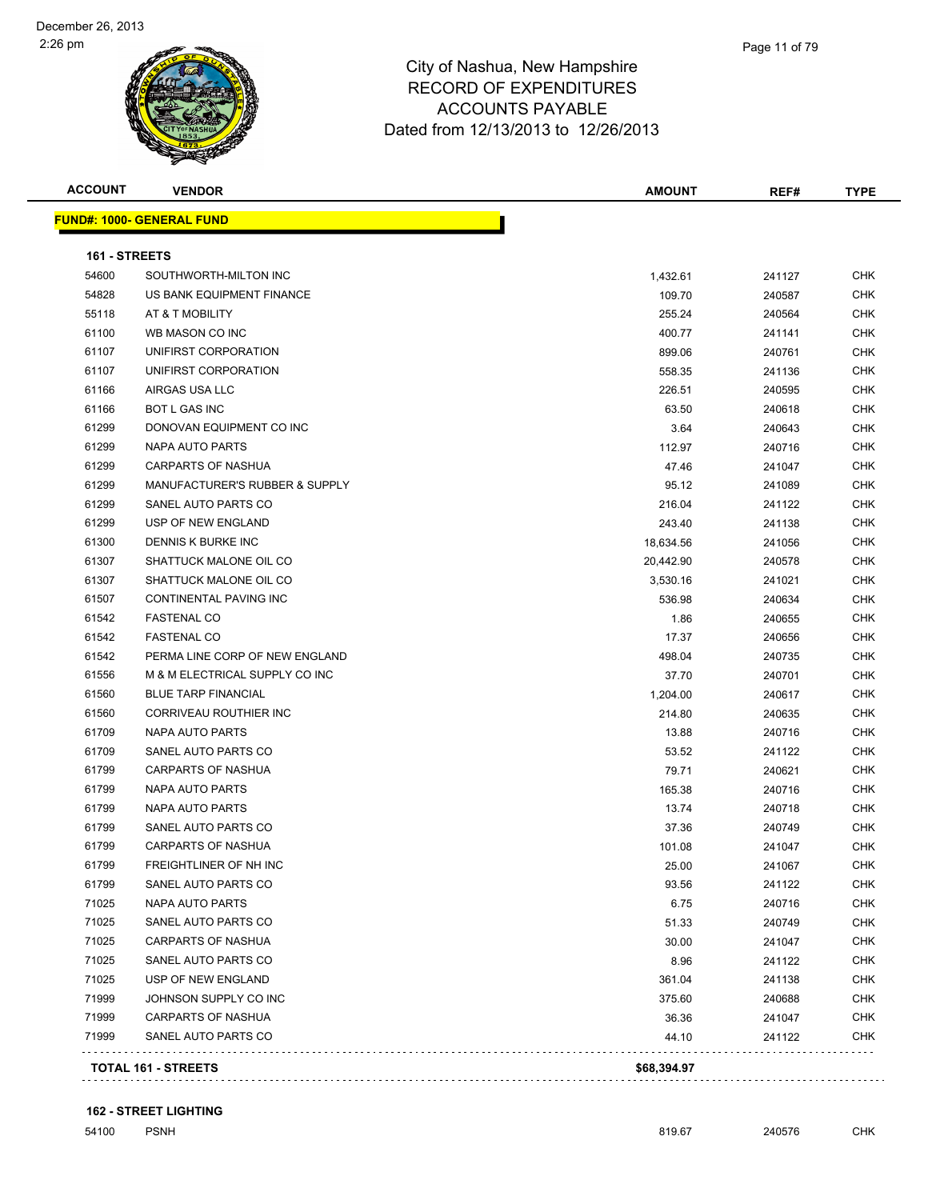| <b>ACCOUNT</b> | <b>VENDOR</b>                     | <b>AMOUNT</b> | REF#   | <b>TYPE</b> |
|----------------|-----------------------------------|---------------|--------|-------------|
|                | <u> FUND#: 1000- GENERAL FUND</u> |               |        |             |
| 161 - STREETS  |                                   |               |        |             |
| 54600          | SOUTHWORTH-MILTON INC             | 1,432.61      | 241127 | <b>CHK</b>  |
| 54828          | US BANK EQUIPMENT FINANCE         | 109.70        | 240587 | <b>CHK</b>  |
| 55118          | AT & T MOBILITY                   | 255.24        | 240564 | <b>CHK</b>  |
| 61100          | WB MASON CO INC                   | 400.77        | 241141 | <b>CHK</b>  |
| 61107          | UNIFIRST CORPORATION              | 899.06        | 240761 | <b>CHK</b>  |
| 61107          | UNIFIRST CORPORATION              | 558.35        | 241136 | <b>CHK</b>  |
| 61166          | AIRGAS USA LLC                    | 226.51        | 240595 | <b>CHK</b>  |
| 61166          | <b>BOT L GAS INC</b>              | 63.50         | 240618 | <b>CHK</b>  |
| 61299          | DONOVAN EQUIPMENT CO INC          | 3.64          | 240643 | <b>CHK</b>  |
| 61299          | NAPA AUTO PARTS                   | 112.97        | 240716 | <b>CHK</b>  |
| 61299          | <b>CARPARTS OF NASHUA</b>         | 47.46         | 241047 | <b>CHK</b>  |
| 61299          | MANUFACTURER'S RUBBER & SUPPLY    | 95.12         | 241089 | <b>CHK</b>  |
| 61299          | SANEL AUTO PARTS CO               | 216.04        | 241122 | <b>CHK</b>  |
| 61299          | USP OF NEW ENGLAND                | 243.40        | 241138 | <b>CHK</b>  |
| 61300          | DENNIS K BURKE INC                | 18,634.56     | 241056 | <b>CHK</b>  |
| 61307          | SHATTUCK MALONE OIL CO            | 20,442.90     | 240578 | <b>CHK</b>  |
| 61307          | SHATTUCK MALONE OIL CO            | 3,530.16      | 241021 | <b>CHK</b>  |
| 61507          | CONTINENTAL PAVING INC            | 536.98        | 240634 | <b>CHK</b>  |
| 61542          | <b>FASTENAL CO</b>                | 1.86          | 240655 | <b>CHK</b>  |
| 61542          | <b>FASTENAL CO</b>                | 17.37         | 240656 | <b>CHK</b>  |
| 61542          | PERMA LINE CORP OF NEW ENGLAND    | 498.04        | 240735 | <b>CHK</b>  |
| 61556          | M & M ELECTRICAL SUPPLY CO INC    | 37.70         | 240701 | <b>CHK</b>  |
| 61560          | <b>BLUE TARP FINANCIAL</b>        | 1,204.00      | 240617 | <b>CHK</b>  |
| 61560          | CORRIVEAU ROUTHIER INC            | 214.80        | 240635 | <b>CHK</b>  |
| 61709          | NAPA AUTO PARTS                   | 13.88         | 240716 | <b>CHK</b>  |
| 61709          | SANEL AUTO PARTS CO               | 53.52         | 241122 | <b>CHK</b>  |
| 61799          | <b>CARPARTS OF NASHUA</b>         | 79.71         | 240621 | <b>CHK</b>  |
| 61799          | <b>NAPA AUTO PARTS</b>            | 165.38        | 240716 | <b>CHK</b>  |
| 61799          | NAPA AUTO PARTS                   | 13.74         | 240718 | <b>CHK</b>  |
| 61799          | SANEL AUTO PARTS CO               | 37.36         | 240749 | <b>CHK</b>  |
| 61799          | <b>CARPARTS OF NASHUA</b>         | 101.08        | 241047 | CHK         |
| 61799          | FREIGHTLINER OF NH INC            | 25.00         | 241067 | <b>CHK</b>  |
| 61799          | SANEL AUTO PARTS CO               | 93.56         | 241122 | <b>CHK</b>  |
| 71025          | NAPA AUTO PARTS                   | 6.75          | 240716 | <b>CHK</b>  |
| 71025          | SANEL AUTO PARTS CO               | 51.33         | 240749 | CHK         |
| 71025          | <b>CARPARTS OF NASHUA</b>         | 30.00         | 241047 | CHK         |
| 71025          | SANEL AUTO PARTS CO               | 8.96          | 241122 | <b>CHK</b>  |
| 71025          | USP OF NEW ENGLAND                | 361.04        | 241138 | <b>CHK</b>  |
| 71999          | JOHNSON SUPPLY CO INC             | 375.60        | 240688 | <b>CHK</b>  |
| 71999          | <b>CARPARTS OF NASHUA</b>         | 36.36         | 241047 | <b>CHK</b>  |
| 71999          | SANEL AUTO PARTS CO               | 44.10         | 241122 | <b>CHK</b>  |
|                |                                   |               |        |             |
|                | <b>TOTAL 161 - STREETS</b>        | \$68,394.97   |        |             |

#### **162 - STREET LIGHTING**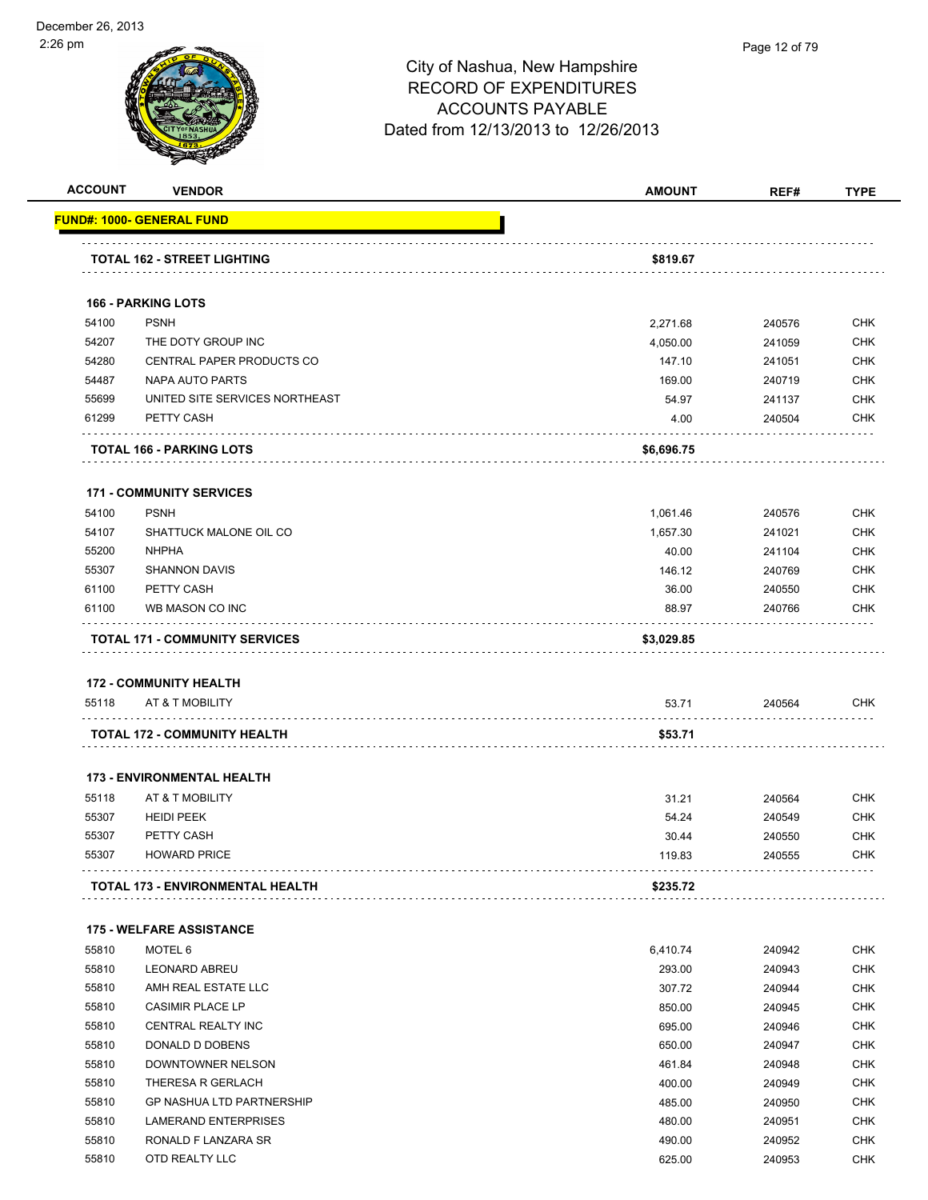|       | <b>VENDOR</b>                         | <b>AMOUNT</b> | REF#   |                                                                                                                                                                                                                |
|-------|---------------------------------------|---------------|--------|----------------------------------------------------------------------------------------------------------------------------------------------------------------------------------------------------------------|
|       | <u> FUND#: 1000- GENERAL FUND</u>     |               |        |                                                                                                                                                                                                                |
|       | <b>TOTAL 162 - STREET LIGHTING</b>    | \$819.67      |        |                                                                                                                                                                                                                |
|       |                                       |               |        |                                                                                                                                                                                                                |
|       | <b>166 - PARKING LOTS</b>             |               |        |                                                                                                                                                                                                                |
| 54100 | <b>PSNH</b>                           | 2,271.68      | 240576 | <b>CHK</b>                                                                                                                                                                                                     |
| 54207 | THE DOTY GROUP INC                    | 4,050.00      | 241059 | <b>CHK</b>                                                                                                                                                                                                     |
| 54280 | CENTRAL PAPER PRODUCTS CO             | 147.10        | 241051 | <b>CHK</b>                                                                                                                                                                                                     |
| 54487 | NAPA AUTO PARTS                       | 169.00        | 240719 | <b>CHK</b>                                                                                                                                                                                                     |
| 55699 | UNITED SITE SERVICES NORTHEAST        | 54.97         | 241137 | <b>CHK</b>                                                                                                                                                                                                     |
| 61299 | PETTY CASH                            | 4.00          | 240504 | <b>CHK</b>                                                                                                                                                                                                     |
|       | <b>TOTAL 166 - PARKING LOTS</b>       | \$6,696.75    |        |                                                                                                                                                                                                                |
|       | <b>171 - COMMUNITY SERVICES</b>       |               |        |                                                                                                                                                                                                                |
| 54100 | <b>PSNH</b>                           | 1,061.46      | 240576 | <b>CHK</b>                                                                                                                                                                                                     |
| 54107 | SHATTUCK MALONE OIL CO                | 1,657.30      | 241021 | <b>CHK</b>                                                                                                                                                                                                     |
| 55200 | <b>NHPHA</b>                          | 40.00         | 241104 | <b>CHK</b>                                                                                                                                                                                                     |
| 55307 | <b>SHANNON DAVIS</b>                  | 146.12        | 240769 | <b>CHK</b>                                                                                                                                                                                                     |
| 61100 | PETTY CASH                            | 36.00         | 240550 | <b>CHK</b>                                                                                                                                                                                                     |
| 61100 | WB MASON CO INC                       | 88.97         | 240766 | <b>CHK</b>                                                                                                                                                                                                     |
|       |                                       |               |        |                                                                                                                                                                                                                |
|       | <b>TOTAL 171 - COMMUNITY SERVICES</b> |               |        |                                                                                                                                                                                                                |
|       |                                       | \$3,029.85    |        |                                                                                                                                                                                                                |
|       | <b>172 - COMMUNITY HEALTH</b>         |               |        |                                                                                                                                                                                                                |
| 55118 | AT & T MOBILITY                       | 53.71         | 240564 |                                                                                                                                                                                                                |
|       | <b>TOTAL 172 - COMMUNITY HEALTH</b>   | \$53.71       |        | <b>CHK</b>                                                                                                                                                                                                     |
|       | <b>173 - ENVIRONMENTAL HEALTH</b>     |               |        |                                                                                                                                                                                                                |
| 55118 | AT & T MOBILITY                       | 31.21         | 240564 |                                                                                                                                                                                                                |
| 55307 | <b>HEIDI PEEK</b>                     | 54.24         | 240549 |                                                                                                                                                                                                                |
| 55307 | PETTY CASH                            | 30.44         | 240550 |                                                                                                                                                                                                                |
| 55307 | <b>HOWARD PRICE</b>                   | 119.83        | 240555 |                                                                                                                                                                                                                |
|       | TOTAL 173 - ENVIRONMENTAL HEALTH      | \$235.72      |        |                                                                                                                                                                                                                |
|       | <b>175 - WELFARE ASSISTANCE</b>       |               |        |                                                                                                                                                                                                                |
| 55810 | MOTEL 6                               | 6,410.74      | 240942 |                                                                                                                                                                                                                |
| 55810 | <b>LEONARD ABREU</b>                  | 293.00        | 240943 |                                                                                                                                                                                                                |
| 55810 | AMH REAL ESTATE LLC                   | 307.72        | 240944 |                                                                                                                                                                                                                |
| 55810 | <b>CASIMIR PLACE LP</b>               | 850.00        | 240945 |                                                                                                                                                                                                                |
| 55810 | CENTRAL REALTY INC                    | 695.00        | 240946 |                                                                                                                                                                                                                |
| 55810 | DONALD D DOBENS                       | 650.00        | 240947 |                                                                                                                                                                                                                |
| 55810 | DOWNTOWNER NELSON                     | 461.84        | 240948 |                                                                                                                                                                                                                |
| 55810 | THERESA R GERLACH                     | 400.00        | 240949 |                                                                                                                                                                                                                |
| 55810 | <b>GP NASHUA LTD PARTNERSHIP</b>      | 485.00        | 240950 |                                                                                                                                                                                                                |
| 55810 | <b>LAMERAND ENTERPRISES</b>           | 480.00        | 240951 |                                                                                                                                                                                                                |
| 55810 | RONALD F LANZARA SR                   | 490.00        | 240952 | <b>CHK</b><br><b>CHK</b><br><b>CHK</b><br><b>CHK</b><br><b>CHK</b><br><b>CHK</b><br><b>CHK</b><br><b>CHK</b><br><b>CHK</b><br><b>CHK</b><br><b>CHK</b><br><b>CHK</b><br><b>CHK</b><br><b>CHK</b><br><b>CHK</b> |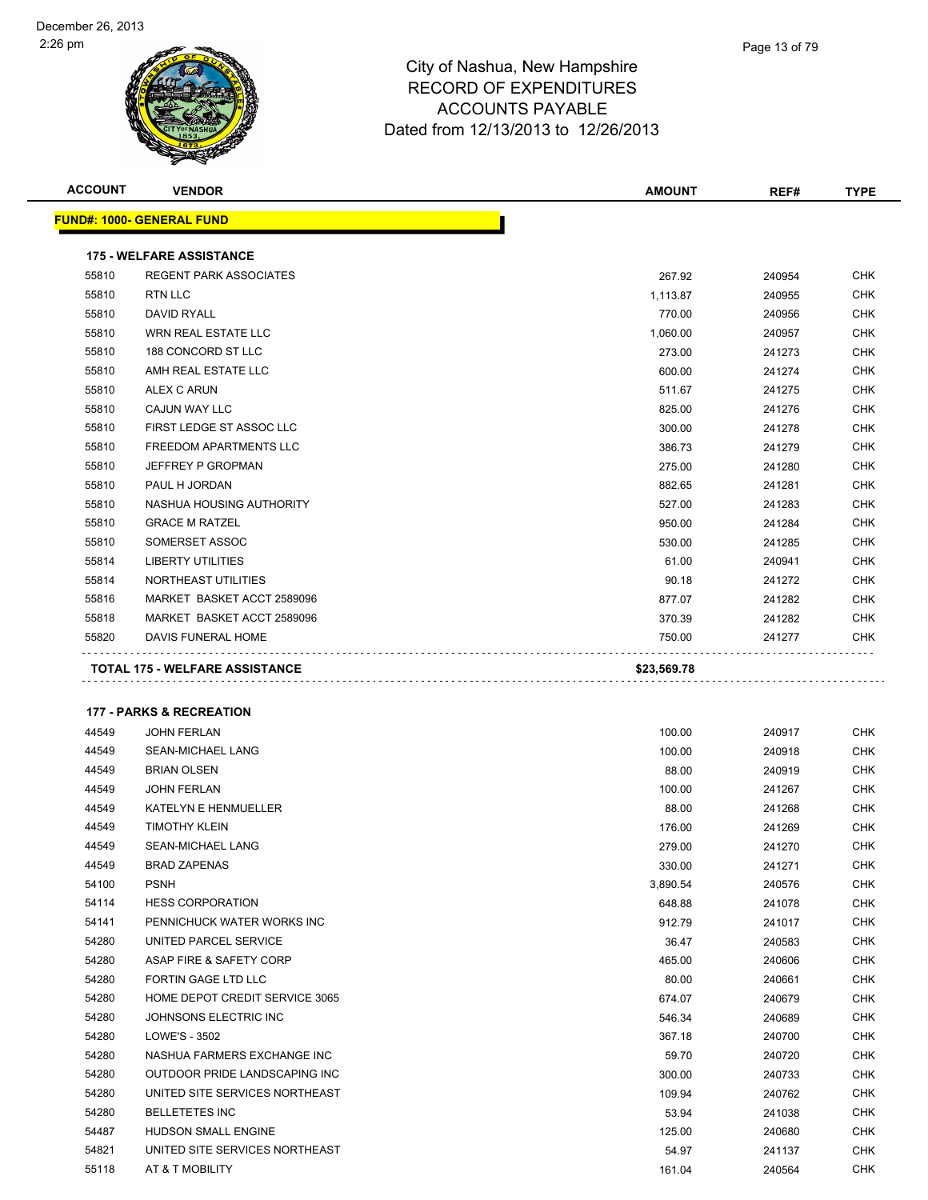

| <b>ACCOUNT</b> | <b>VENDOR</b>                       | <b>AMOUNT</b> | REF#   | <b>TYPE</b> |
|----------------|-------------------------------------|---------------|--------|-------------|
|                | <u> FUND#: 1000- GENERAL FUND</u>   |               |        |             |
|                | <b>175 - WELFARE ASSISTANCE</b>     |               |        |             |
| 55810          | <b>REGENT PARK ASSOCIATES</b>       | 267.92        | 240954 | CHK         |
| 55810          | <b>RTN LLC</b>                      | 1,113.87      | 240955 | CHK         |
| 55810          | DAVID RYALL                         | 770.00        | 240956 | CHK         |
| 55810          | WRN REAL ESTATE LLC                 | 1,060.00      | 240957 | <b>CHK</b>  |
| 55810          | 188 CONCORD ST LLC                  | 273.00        | 241273 | CHK         |
| 55810          | AMH REAL ESTATE LLC                 | 600.00        | 241274 | CHK         |
| 55810          | <b>ALEX C ARUN</b>                  | 511.67        | 241275 | <b>CHK</b>  |
| 55810          | CAJUN WAY LLC                       | 825.00        | 241276 | <b>CHK</b>  |
| 55810          | FIRST LEDGE ST ASSOC LLC            | 300.00        | 241278 | <b>CHK</b>  |
| 55810          | FREEDOM APARTMENTS LLC              | 386.73        | 241279 | <b>CHK</b>  |
| 55810          | JEFFREY P GROPMAN                   | 275.00        | 241280 | <b>CHK</b>  |
| 55810          | PAUL H JORDAN                       | 882.65        | 241281 | <b>CHK</b>  |
| 55810          | NASHUA HOUSING AUTHORITY            | 527.00        | 241283 | <b>CHK</b>  |
| 55810          | <b>GRACE M RATZEL</b>               | 950.00        | 241284 | <b>CHK</b>  |
| 55810          | SOMERSET ASSOC                      | 530.00        | 241285 | <b>CHK</b>  |
| 55814          | <b>LIBERTY UTILITIES</b>            | 61.00         | 240941 | CHK         |
| 55814          | NORTHEAST UTILITIES                 | 90.18         | 241272 | CHK         |
| 55816          | MARKET BASKET ACCT 2589096          | 877.07        | 241282 | <b>CHK</b>  |
| 55818          | MARKET BASKET ACCT 2589096          | 370.39        | 241282 | CHK         |
| 55820          | DAVIS FUNERAL HOME                  | 750.00        | 241277 | <b>CHK</b>  |
|                | <b>177 - PARKS &amp; RECREATION</b> |               |        |             |
| 44549          | <b>JOHN FERLAN</b>                  | 100.00        | 240917 | CHK         |
| 44549          | SEAN-MICHAEL LANG                   | 100.00        | 240918 | <b>CHK</b>  |
| 44549          | <b>BRIAN OLSEN</b>                  | 88.00         | 240919 | CHK         |
| 44549          | <b>JOHN FERLAN</b>                  | 100.00        | 241267 | CHK         |
| 44549          | <b>KATELYN E HENMUELLER</b>         | 88.00         | 241268 | <b>CHK</b>  |
| 44549          | <b>TIMOTHY KLEIN</b>                | 176.00        | 241269 | <b>CHK</b>  |
| 44549          | SEAN-MICHAEL LANG                   | 279.00        | 241270 | <b>CHK</b>  |
| 44549          | <b>BRAD ZAPENAS</b>                 | 330.00        | 241271 | <b>CHK</b>  |
| 54100          | <b>PSNH</b>                         | 3,890.54      | 240576 | CHK         |
| 54114          | <b>HESS CORPORATION</b>             | 648.88        | 241078 | CHK         |
| 54141          | PENNICHUCK WATER WORKS INC          | 912.79        | 241017 | CHK         |
| 54280          | UNITED PARCEL SERVICE               | 36.47         | 240583 | <b>CHK</b>  |
| 54280          | ASAP FIRE & SAFETY CORP             | 465.00        | 240606 | <b>CHK</b>  |
| 54280          | FORTIN GAGE LTD LLC                 | 80.00         | 240661 | CHK         |
| 54280          | HOME DEPOT CREDIT SERVICE 3065      | 674.07        | 240679 | <b>CHK</b>  |
| 54280          | JOHNSONS ELECTRIC INC               | 546.34        | 240689 | <b>CHK</b>  |
| 54280          | LOWE'S - 3502                       | 367.18        | 240700 | CHK         |
| 54280          | NASHUA FARMERS EXCHANGE INC         | 59.70         | 240720 | <b>CHK</b>  |
| 54280          | OUTDOOR PRIDE LANDSCAPING INC       | 300.00        | 240733 | <b>CHK</b>  |
| 54280          | UNITED SITE SERVICES NORTHEAST      | 109.94        | 240762 | CHK         |
| 54280          | <b>BELLETETES INC</b>               | 53.94         | 241038 | CHK         |
| 54487          | HUDSON SMALL ENGINE                 | 125.00        | 240680 | CHK         |
| 54821          | UNITED SITE SERVICES NORTHEAST      | 54.97         | 241137 | CHK         |
| 55118          | AT & T MOBILITY                     | 161.04        | 240564 | <b>CHK</b>  |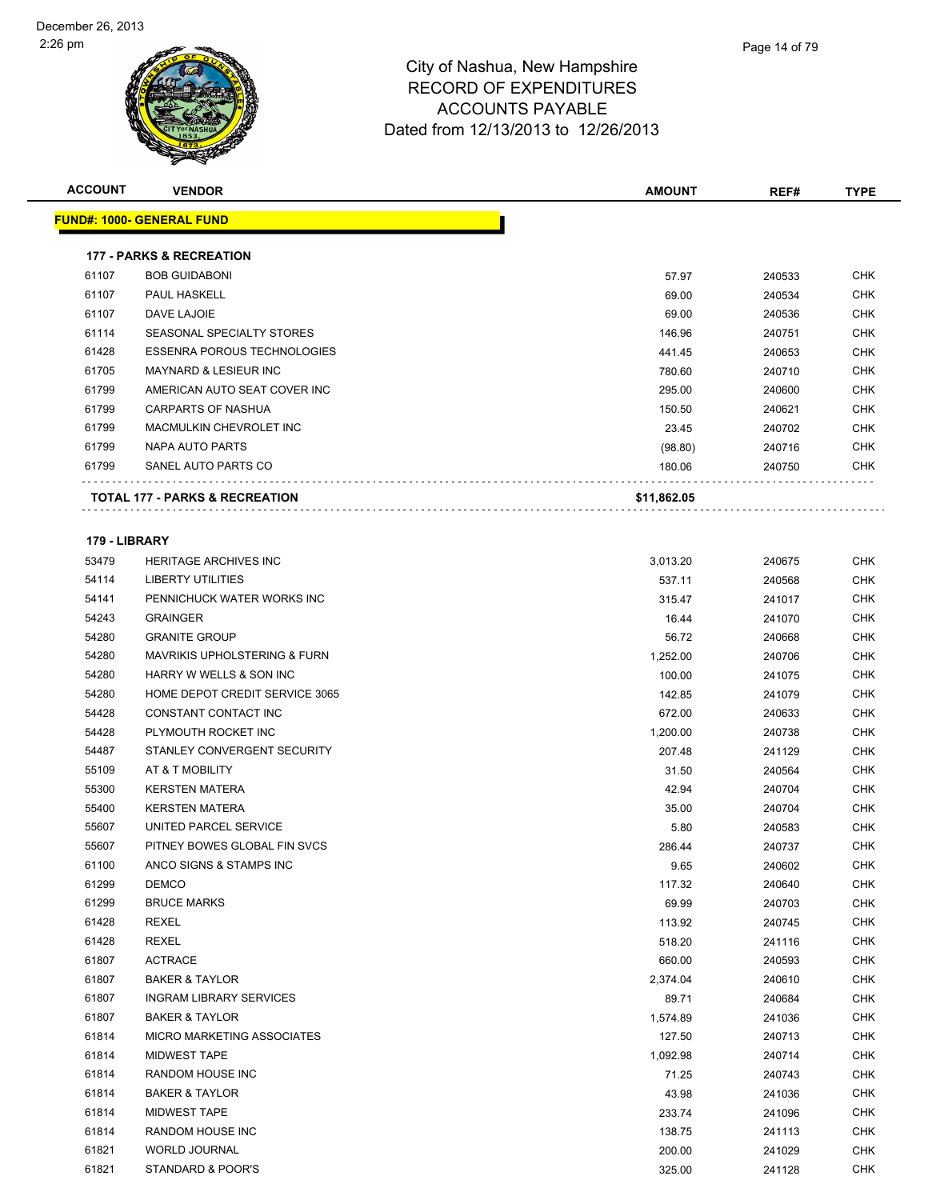| <b>ACCOUNT</b> | <b>VENDOR</b>                             | AMOUNT      | REF#   | <b>TYPE</b> |
|----------------|-------------------------------------------|-------------|--------|-------------|
|                | <u> FUND#: 1000- GENERAL FUND</u>         |             |        |             |
|                |                                           |             |        |             |
|                | <b>177 - PARKS &amp; RECREATION</b>       |             |        |             |
| 61107          | <b>BOB GUIDABONI</b>                      | 57.97       | 240533 | <b>CHK</b>  |
| 61107          | PAUL HASKELL                              | 69.00       | 240534 | <b>CHK</b>  |
| 61107          | DAVE LAJOIE                               | 69.00       | 240536 | <b>CHK</b>  |
| 61114          | SEASONAL SPECIALTY STORES                 | 146.96      | 240751 | <b>CHK</b>  |
| 61428          | <b>ESSENRA POROUS TECHNOLOGIES</b>        | 441.45      | 240653 | <b>CHK</b>  |
| 61705          | <b>MAYNARD &amp; LESIEUR INC</b>          | 780.60      | 240710 | <b>CHK</b>  |
| 61799          | AMERICAN AUTO SEAT COVER INC              | 295.00      | 240600 | <b>CHK</b>  |
| 61799          | <b>CARPARTS OF NASHUA</b>                 | 150.50      | 240621 | <b>CHK</b>  |
| 61799          | MACMULKIN CHEVROLET INC                   | 23.45       | 240702 | <b>CHK</b>  |
| 61799          | NAPA AUTO PARTS                           | (98.80)     | 240716 | <b>CHK</b>  |
| 61799          | SANEL AUTO PARTS CO                       | 180.06      | 240750 | CHK         |
|                | <b>TOTAL 177 - PARKS &amp; RECREATION</b> | \$11,862.05 |        |             |
|                |                                           |             |        |             |
| 179 - LIBRARY  |                                           |             |        |             |
| 53479          | <b>HERITAGE ARCHIVES INC</b>              | 3,013.20    | 240675 | <b>CHK</b>  |
| 54114          | LIBERTY UTILITIES                         | 537.11      | 240568 | CHK         |
| 54141          | PENNICHUCK WATER WORKS INC                | 315.47      | 241017 | CHK         |
| 54243          | <b>GRAINGER</b>                           | 16.44       | 241070 | <b>CHK</b>  |
| 54280          | <b>GRANITE GROUP</b>                      | 56.72       | 240668 | CHK         |
| 54280          | <b>MAVRIKIS UPHOLSTERING &amp; FURN</b>   | 1,252.00    | 240706 | <b>CHK</b>  |
| 54280          | HARRY W WELLS & SON INC                   | 100.00      | 241075 | <b>CHK</b>  |
| 54280          | HOME DEPOT CREDIT SERVICE 3065            | 142.85      | 241079 | <b>CHK</b>  |
| 54428          | CONSTANT CONTACT INC                      | 672.00      | 240633 | <b>CHK</b>  |
| 54428          | PLYMOUTH ROCKET INC                       | 1,200.00    | 240738 | <b>CHK</b>  |
| 54487          | STANLEY CONVERGENT SECURITY               | 207.48      | 241129 | <b>CHK</b>  |
| 55109          | AT & T MOBILITY                           | 31.50       | 240564 | <b>CHK</b>  |
| 55300          | <b>KERSTEN MATERA</b>                     | 42.94       | 240704 | <b>CHK</b>  |
| 55400          | <b>KERSTEN MATERA</b>                     | 35.00       | 240704 | <b>CHK</b>  |
| 55607          | UNITED PARCEL SERVICE                     | 5.80        | 240583 | <b>CHK</b>  |
| 55607          | PITNEY BOWES GLOBAL FIN SVCS              | 286.44      | 240737 | CHK         |
| 61100          | ANCO SIGNS & STAMPS INC                   | 9.65        | 240602 | <b>CHK</b>  |
| 61299          | <b>DEMCO</b>                              | 117.32      | 240640 | <b>CHK</b>  |
| 61299          | <b>BRUCE MARKS</b>                        | 69.99       | 240703 | <b>CHK</b>  |
| 61428          | <b>REXEL</b>                              | 113.92      | 240745 | <b>CHK</b>  |
| 61428          | REXEL                                     | 518.20      | 241116 | CHK         |
| 61807          | <b>ACTRACE</b>                            | 660.00      | 240593 | CHK         |
| 61807          | <b>BAKER &amp; TAYLOR</b>                 | 2,374.04    | 240610 | <b>CHK</b>  |
| 61807          | <b>INGRAM LIBRARY SERVICES</b>            | 89.71       | 240684 | <b>CHK</b>  |
| 61807          | <b>BAKER &amp; TAYLOR</b>                 | 1,574.89    | 241036 | <b>CHK</b>  |
| 61814          | <b>MICRO MARKETING ASSOCIATES</b>         | 127.50      | 240713 | <b>CHK</b>  |
| 61814          | <b>MIDWEST TAPE</b>                       | 1,092.98    | 240714 | CHK         |
| 61814          | RANDOM HOUSE INC                          | 71.25       | 240743 | <b>CHK</b>  |
| 61814          | <b>BAKER &amp; TAYLOR</b>                 | 43.98       | 241036 | CHK         |
| 61814          | <b>MIDWEST TAPE</b>                       | 233.74      | 241096 | CHK         |
| 61814          | RANDOM HOUSE INC                          | 138.75      | 241113 | CHK         |
| 61821          | WORLD JOURNAL                             | 200.00      | 241029 | CHK         |
| 61821          | STANDARD & POOR'S                         | 325.00      | 241128 | CHK         |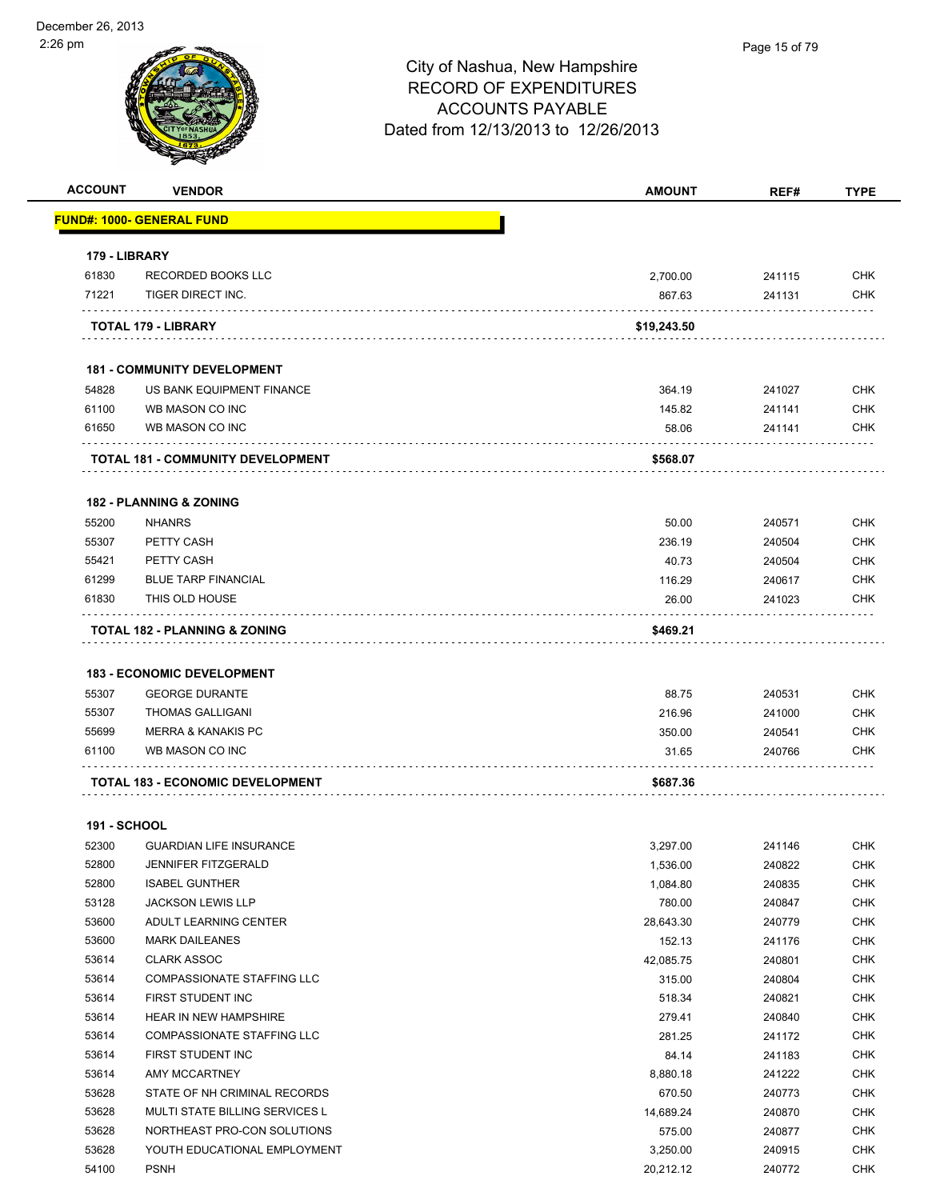| <b>ACCOUNT</b>      | <b>VENDOR</b>                           | <b>AMOUNT</b> | REF#   | <b>TYPE</b> |
|---------------------|-----------------------------------------|---------------|--------|-------------|
|                     | FUND#: 1000- GENERAL FUND               |               |        |             |
| 179 - LIBRARY       |                                         |               |        |             |
| 61830               | RECORDED BOOKS LLC                      | 2,700.00      | 241115 | <b>CHK</b>  |
| 71221               | TIGER DIRECT INC.                       | 867.63        | 241131 | <b>CHK</b>  |
|                     | TOTAL 179 - LIBRARY                     | \$19,243.50   |        |             |
|                     | <b>181 - COMMUNITY DEVELOPMENT</b>      |               |        |             |
| 54828               | US BANK EQUIPMENT FINANCE               | 364.19        | 241027 | <b>CHK</b>  |
| 61100               | WB MASON CO INC                         | 145.82        | 241141 | <b>CHK</b>  |
| 61650               | WB MASON CO INC                         | 58.06         | 241141 | <b>CHK</b>  |
|                     | TOTAL 181 - COMMUNITY DEVELOPMENT       | \$568.07      |        |             |
|                     | <b>182 - PLANNING &amp; ZONING</b>      |               |        |             |
| 55200               | <b>NHANRS</b>                           | 50.00         | 240571 | <b>CHK</b>  |
| 55307               | PETTY CASH                              | 236.19        | 240504 | <b>CHK</b>  |
| 55421               | PETTY CASH                              | 40.73         | 240504 | <b>CHK</b>  |
| 61299               | <b>BLUE TARP FINANCIAL</b>              | 116.29        | 240617 | <b>CHK</b>  |
| 61830               | THIS OLD HOUSE                          | 26.00         | 241023 | <b>CHK</b>  |
|                     | TOTAL 182 - PLANNING & ZONING           | \$469.21      |        |             |
|                     |                                         |               |        |             |
|                     | <b>183 - ECONOMIC DEVELOPMENT</b>       |               |        |             |
| 55307               | <b>GEORGE DURANTE</b>                   | 88.75         | 240531 | <b>CHK</b>  |
| 55307               | <b>THOMAS GALLIGANI</b>                 | 216.96        | 241000 | <b>CHK</b>  |
| 55699               | <b>MERRA &amp; KANAKIS PC</b>           | 350.00        | 240541 | <b>CHK</b>  |
| 61100               | WB MASON CO INC                         | 31.65         | 240766 | <b>CHK</b>  |
|                     | <b>TOTAL 183 - ECONOMIC DEVELOPMENT</b> | \$687.36      |        |             |
| <b>191 - SCHOOL</b> |                                         |               |        |             |
| 52300               | <b>GUARDIAN LIFE INSURANCE</b>          | 3,297.00      | 241146 | <b>CHK</b>  |
| 52800               | <b>JENNIFER FITZGERALD</b>              | 1,536.00      | 240822 | <b>CHK</b>  |
| 52800               | <b>ISABEL GUNTHER</b>                   | 1,084.80      | 240835 | <b>CHK</b>  |
| 53128               | <b>JACKSON LEWIS LLP</b>                | 780.00        | 240847 | <b>CHK</b>  |
| 53600               | ADULT LEARNING CENTER                   | 28,643.30     | 240779 | <b>CHK</b>  |
| 53600               | <b>MARK DAILEANES</b>                   | 152.13        | 241176 | CHK         |
| 53614               | <b>CLARK ASSOC</b>                      | 42,085.75     | 240801 | <b>CHK</b>  |
| 53614               | COMPASSIONATE STAFFING LLC              | 315.00        | 240804 | <b>CHK</b>  |
| 53614               | FIRST STUDENT INC                       | 518.34        | 240821 | CHK         |
| 53614               | <b>HEAR IN NEW HAMPSHIRE</b>            | 279.41        | 240840 | <b>CHK</b>  |
| 53614               | COMPASSIONATE STAFFING LLC              | 281.25        | 241172 | <b>CHK</b>  |
| 53614               | FIRST STUDENT INC                       | 84.14         | 241183 | <b>CHK</b>  |
| 53614               | AMY MCCARTNEY                           | 8,880.18      | 241222 | <b>CHK</b>  |
| 53628               | STATE OF NH CRIMINAL RECORDS            | 670.50        | 240773 | <b>CHK</b>  |
| 53628               | MULTI STATE BILLING SERVICES L          | 14.689.24     | 240870 | <b>CHK</b>  |

 NORTHEAST PRO-CON SOLUTIONS 575.00 240877 CHK 53628 YOUTH EDUCATIONAL EMPLOYMENT **12000 1240915** CHK PSNH 20,212.12 240772 CHK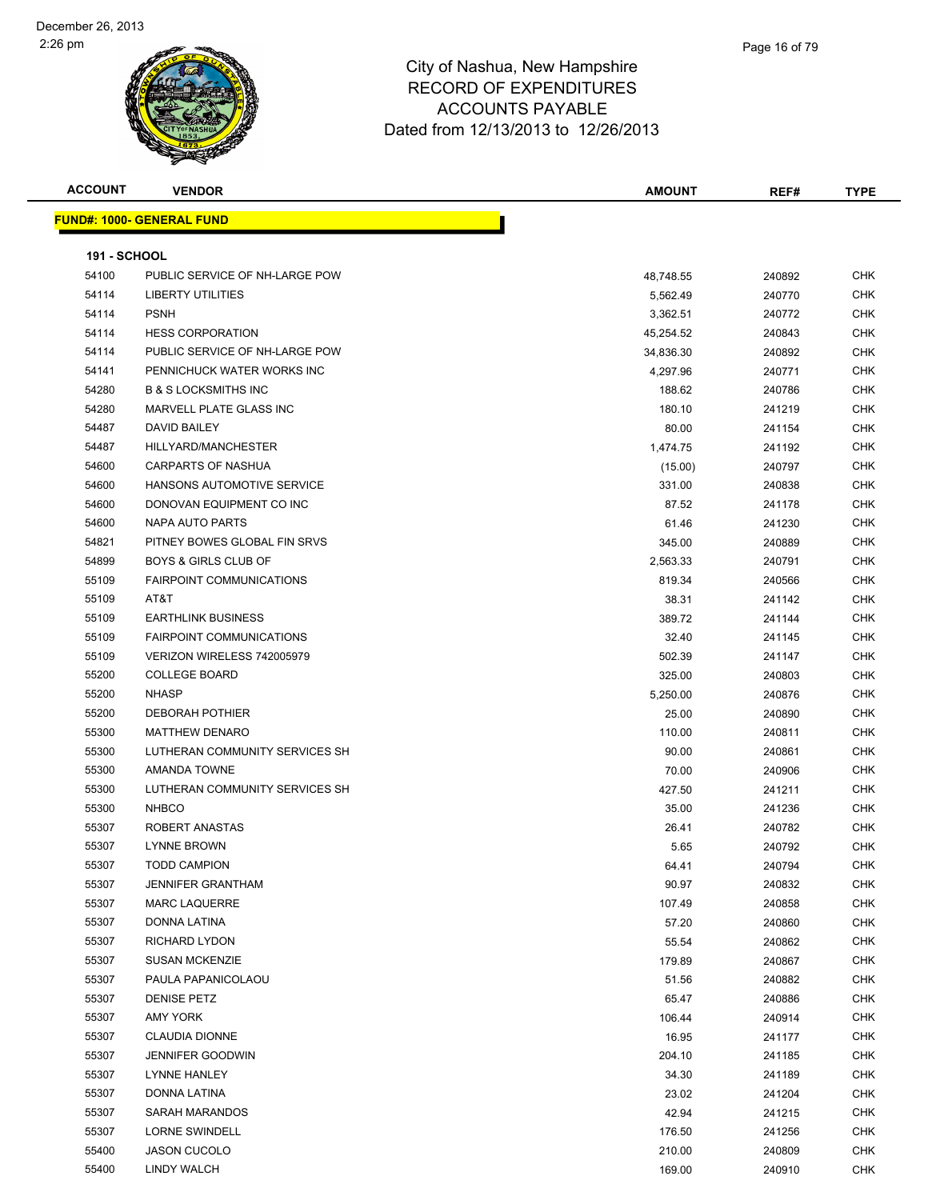

| <b>ACCOUNT</b>      | <b>VENDOR</b>                    | AMOUNT    | REF#   | <b>TYPE</b> |
|---------------------|----------------------------------|-----------|--------|-------------|
|                     | <b>FUND#: 1000- GENERAL FUND</b> |           |        |             |
|                     |                                  |           |        |             |
| <b>191 - SCHOOL</b> |                                  |           |        |             |
| 54100               | PUBLIC SERVICE OF NH-LARGE POW   | 48,748.55 | 240892 | <b>CHK</b>  |
| 54114               | LIBERTY UTILITIES                | 5,562.49  | 240770 | <b>CHK</b>  |
| 54114               | <b>PSNH</b>                      | 3,362.51  | 240772 | <b>CHK</b>  |
| 54114               | <b>HESS CORPORATION</b>          | 45,254.52 | 240843 | <b>CHK</b>  |
| 54114               | PUBLIC SERVICE OF NH-LARGE POW   | 34,836.30 | 240892 | <b>CHK</b>  |
| 54141               | PENNICHUCK WATER WORKS INC       | 4,297.96  | 240771 | <b>CHK</b>  |
| 54280               | <b>B &amp; S LOCKSMITHS INC</b>  | 188.62    | 240786 | <b>CHK</b>  |
| 54280               | MARVELL PLATE GLASS INC          | 180.10    | 241219 | <b>CHK</b>  |
| 54487               | DAVID BAILEY                     | 80.00     | 241154 | <b>CHK</b>  |
| 54487               | HILLYARD/MANCHESTER              | 1,474.75  | 241192 | <b>CHK</b>  |
| 54600               | <b>CARPARTS OF NASHUA</b>        | (15.00)   | 240797 | <b>CHK</b>  |
| 54600               | HANSONS AUTOMOTIVE SERVICE       | 331.00    | 240838 | CHK         |
| 54600               | DONOVAN EQUIPMENT CO INC         | 87.52     | 241178 | <b>CHK</b>  |
| 54600               | NAPA AUTO PARTS                  | 61.46     | 241230 | <b>CHK</b>  |
| 54821               | PITNEY BOWES GLOBAL FIN SRVS     | 345.00    | 240889 | <b>CHK</b>  |
| 54899               | <b>BOYS &amp; GIRLS CLUB OF</b>  | 2,563.33  | 240791 | <b>CHK</b>  |
| 55109               | <b>FAIRPOINT COMMUNICATIONS</b>  | 819.34    | 240566 | <b>CHK</b>  |
| 55109               | AT&T                             | 38.31     | 241142 | <b>CHK</b>  |
| 55109               | <b>EARTHLINK BUSINESS</b>        | 389.72    | 241144 | <b>CHK</b>  |
| 55109               | <b>FAIRPOINT COMMUNICATIONS</b>  | 32.40     | 241145 | <b>CHK</b>  |
| 55109               | VERIZON WIRELESS 742005979       | 502.39    | 241147 | <b>CHK</b>  |
| 55200               | <b>COLLEGE BOARD</b>             | 325.00    | 240803 | <b>CHK</b>  |
| 55200               | <b>NHASP</b>                     | 5,250.00  | 240876 | <b>CHK</b>  |
| 55200               | <b>DEBORAH POTHIER</b>           | 25.00     | 240890 | <b>CHK</b>  |
| 55300               | <b>MATTHEW DENARO</b>            | 110.00    | 240811 | <b>CHK</b>  |
| 55300               | LUTHERAN COMMUNITY SERVICES SH   | 90.00     | 240861 | <b>CHK</b>  |
| 55300               | AMANDA TOWNE                     | 70.00     | 240906 | <b>CHK</b>  |
| 55300               | LUTHERAN COMMUNITY SERVICES SH   | 427.50    | 241211 | <b>CHK</b>  |
| 55300               | <b>NHBCO</b>                     | 35.00     | 241236 | <b>CHK</b>  |
| 55307               | ROBERT ANASTAS                   | 26.41     | 240782 | <b>CHK</b>  |
| 55307               | LYNNE BROWN                      | 5.65      | 240792 | <b>CHK</b>  |
| 55307               | <b>TODD CAMPION</b>              | 64.41     | 240794 | <b>CHK</b>  |
| 55307               | <b>JENNIFER GRANTHAM</b>         | 90.97     | 240832 | <b>CHK</b>  |
| 55307               | <b>MARC LAQUERRE</b>             | 107.49    | 240858 | <b>CHK</b>  |
| 55307               | DONNA LATINA                     | 57.20     | 240860 | <b>CHK</b>  |
| 55307               | <b>RICHARD LYDON</b>             | 55.54     | 240862 | <b>CHK</b>  |
| 55307               | <b>SUSAN MCKENZIE</b>            | 179.89    | 240867 | <b>CHK</b>  |
| 55307               | PAULA PAPANICOLAOU               | 51.56     | 240882 | <b>CHK</b>  |
| 55307               | <b>DENISE PETZ</b>               | 65.47     | 240886 | <b>CHK</b>  |
| 55307               | AMY YORK                         | 106.44    | 240914 | <b>CHK</b>  |
| 55307               | <b>CLAUDIA DIONNE</b>            | 16.95     | 241177 | <b>CHK</b>  |
| 55307               | <b>JENNIFER GOODWIN</b>          | 204.10    | 241185 | <b>CHK</b>  |
| 55307               | LYNNE HANLEY                     | 34.30     | 241189 | <b>CHK</b>  |
| 55307               | DONNA LATINA                     | 23.02     | 241204 | <b>CHK</b>  |
| 55307               | SARAH MARANDOS                   | 42.94     | 241215 | <b>CHK</b>  |
| 55307               | <b>LORNE SWINDELL</b>            | 176.50    | 241256 | CHK         |
| 55400               | <b>JASON CUCOLO</b>              | 210.00    | 240809 | <b>CHK</b>  |
| 55400               | LINDY WALCH                      | 169.00    | 240910 | <b>CHK</b>  |
|                     |                                  |           |        |             |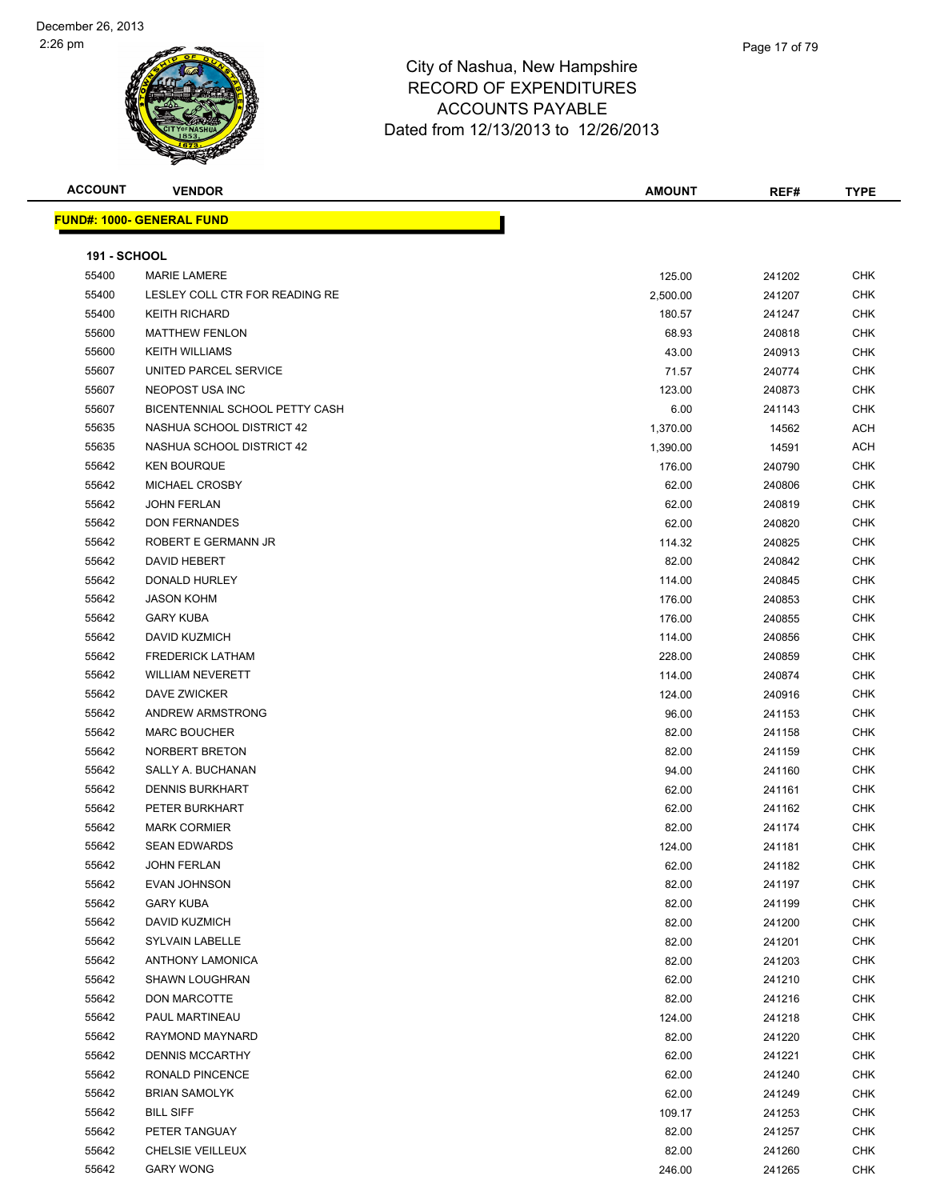

| <b>ACCOUNT</b>      | <b>VENDOR</b>                  | <b>AMOUNT</b> | REF#   | <b>TYPE</b> |
|---------------------|--------------------------------|---------------|--------|-------------|
|                     | FUND#: 1000- GENERAL FUND      |               |        |             |
|                     |                                |               |        |             |
| <b>191 - SCHOOL</b> |                                |               |        |             |
| 55400               | <b>MARIE LAMERE</b>            | 125.00        | 241202 | <b>CHK</b>  |
| 55400               | LESLEY COLL CTR FOR READING RE | 2,500.00      | 241207 | <b>CHK</b>  |
| 55400               | <b>KEITH RICHARD</b>           | 180.57        | 241247 | <b>CHK</b>  |
| 55600               | <b>MATTHEW FENLON</b>          | 68.93         | 240818 | <b>CHK</b>  |
| 55600               | <b>KEITH WILLIAMS</b>          | 43.00         | 240913 | <b>CHK</b>  |
| 55607               | UNITED PARCEL SERVICE          | 71.57         | 240774 | <b>CHK</b>  |
| 55607               | NEOPOST USA INC                | 123.00        | 240873 | <b>CHK</b>  |
| 55607               | BICENTENNIAL SCHOOL PETTY CASH | 6.00          | 241143 | <b>CHK</b>  |
| 55635               | NASHUA SCHOOL DISTRICT 42      | 1,370.00      | 14562  | ACH         |
| 55635               | NASHUA SCHOOL DISTRICT 42      | 1,390.00      | 14591  | ACH         |
| 55642               | <b>KEN BOURQUE</b>             | 176.00        | 240790 | CHK         |
| 55642               | MICHAEL CROSBY                 | 62.00         | 240806 | CHK         |
| 55642               | <b>JOHN FERLAN</b>             | 62.00         | 240819 | CHK         |
| 55642               | <b>DON FERNANDES</b>           | 62.00         | 240820 | <b>CHK</b>  |
| 55642               | ROBERT E GERMANN JR            | 114.32        | 240825 | <b>CHK</b>  |
| 55642               | DAVID HEBERT                   | 82.00         | 240842 | <b>CHK</b>  |
| 55642               | DONALD HURLEY                  | 114.00        | 240845 | <b>CHK</b>  |
| 55642               | <b>JASON KOHM</b>              | 176.00        | 240853 | <b>CHK</b>  |
| 55642               | <b>GARY KUBA</b>               | 176.00        | 240855 | <b>CHK</b>  |
| 55642               | DAVID KUZMICH                  | 114.00        | 240856 | CHK         |
| 55642               | <b>FREDERICK LATHAM</b>        | 228.00        | 240859 | <b>CHK</b>  |
| 55642               | <b>WILLIAM NEVERETT</b>        | 114.00        | 240874 | <b>CHK</b>  |
| 55642               | DAVE ZWICKER                   | 124.00        | 240916 | CHK         |
| 55642               | ANDREW ARMSTRONG               | 96.00         | 241153 | <b>CHK</b>  |
| 55642               | <b>MARC BOUCHER</b>            | 82.00         | 241158 | <b>CHK</b>  |
| 55642               | NORBERT BRETON                 | 82.00         | 241159 | <b>CHK</b>  |
| 55642               | SALLY A. BUCHANAN              | 94.00         | 241160 | <b>CHK</b>  |
| 55642               | <b>DENNIS BURKHART</b>         | 62.00         | 241161 | <b>CHK</b>  |
| 55642               | PETER BURKHART                 | 62.00         | 241162 | <b>CHK</b>  |
| 55642               | <b>MARK CORMIER</b>            | 82.00         | 241174 | <b>CHK</b>  |
| 55642               | <b>SEAN EDWARDS</b>            | 124.00        | 241181 | CHK         |
| 55642               | <b>JOHN FERLAN</b>             | 62.00         | 241182 | <b>CHK</b>  |
| 55642               | EVAN JOHNSON                   | 82.00         | 241197 | CHK         |
| 55642               | <b>GARY KUBA</b>               | 82.00         | 241199 | CHK         |
| 55642               | DAVID KUZMICH                  | 82.00         | 241200 | <b>CHK</b>  |
| 55642               | <b>SYLVAIN LABELLE</b>         | 82.00         | 241201 | <b>CHK</b>  |
| 55642               | <b>ANTHONY LAMONICA</b>        | 82.00         | 241203 | <b>CHK</b>  |
| 55642               | SHAWN LOUGHRAN                 | 62.00         | 241210 | <b>CHK</b>  |
| 55642               | DON MARCOTTE                   | 82.00         | 241216 | CHK         |
| 55642               | PAUL MARTINEAU                 | 124.00        | 241218 | CHK         |
| 55642               | RAYMOND MAYNARD                | 82.00         | 241220 | CHK         |
| 55642               | <b>DENNIS MCCARTHY</b>         | 62.00         | 241221 | CHK         |
| 55642               | RONALD PINCENCE                | 62.00         | 241240 | CHK         |
| 55642               | <b>BRIAN SAMOLYK</b>           | 62.00         | 241249 | CHK         |
| 55642               | <b>BILL SIFF</b>               | 109.17        | 241253 | CHK         |
| 55642               | PETER TANGUAY                  | 82.00         | 241257 | <b>CHK</b>  |
| 55642               | CHELSIE VEILLEUX               | 82.00         | 241260 | <b>CHK</b>  |
| 55642               | <b>GARY WONG</b>               | 246.00        | 241265 | <b>CHK</b>  |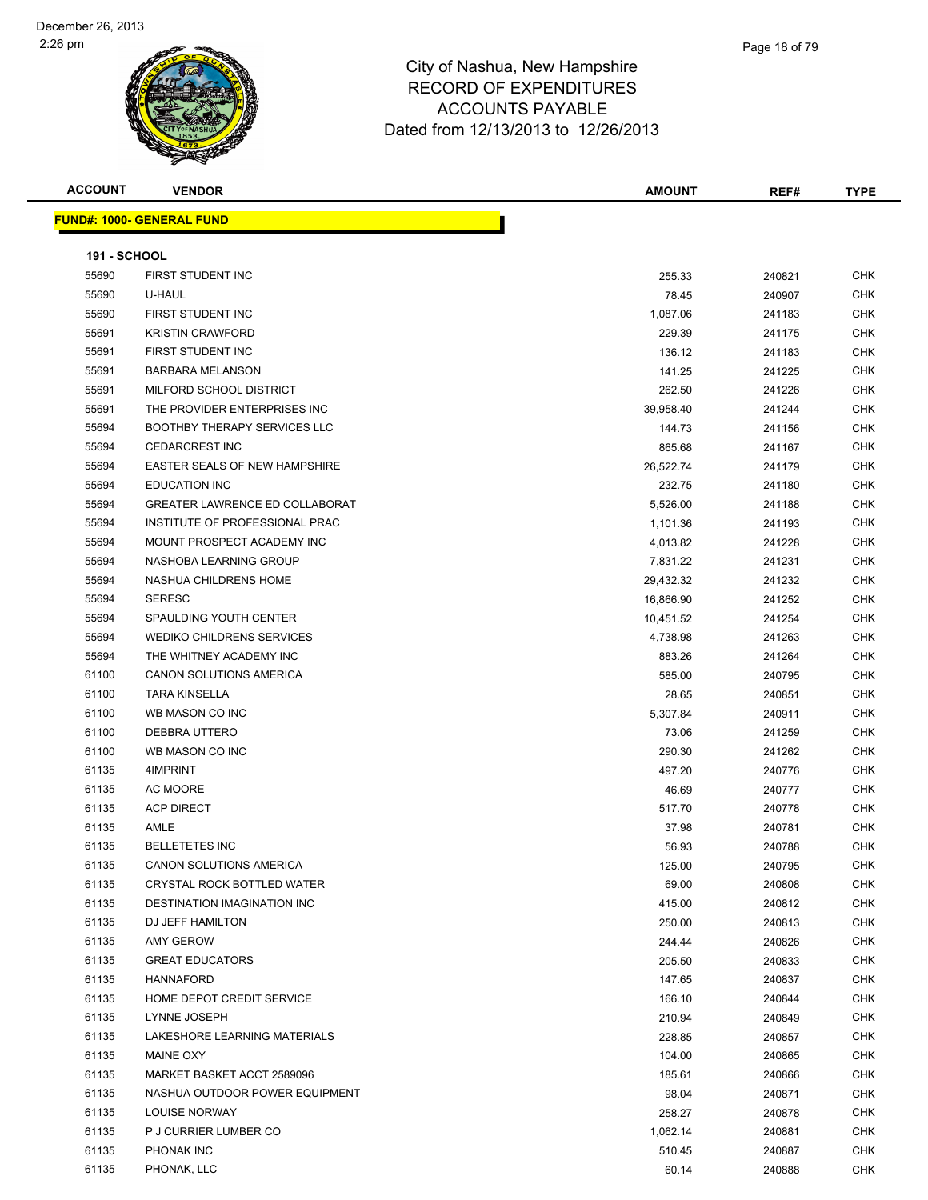| <b>ACCOUNT</b>      | <b>VENDOR</b>                         | <b>AMOUNT</b>   | REF#             | <b>TYPE</b>       |
|---------------------|---------------------------------------|-----------------|------------------|-------------------|
|                     | <b>FUND#: 1000- GENERAL FUND</b>      |                 |                  |                   |
|                     |                                       |                 |                  |                   |
| <b>191 - SCHOOL</b> |                                       |                 |                  |                   |
| 55690               | FIRST STUDENT INC                     | 255.33          | 240821           | <b>CHK</b>        |
| 55690               | U-HAUL                                | 78.45           | 240907           | <b>CHK</b>        |
| 55690               | FIRST STUDENT INC                     | 1,087.06        | 241183           | CHK               |
| 55691               | <b>KRISTIN CRAWFORD</b>               | 229.39          | 241175           | <b>CHK</b>        |
| 55691               | FIRST STUDENT INC                     | 136.12          | 241183           | <b>CHK</b>        |
| 55691               | <b>BARBARA MELANSON</b>               | 141.25          | 241225           | <b>CHK</b>        |
| 55691               | MILFORD SCHOOL DISTRICT               | 262.50          | 241226           | <b>CHK</b>        |
| 55691               | THE PROVIDER ENTERPRISES INC          | 39,958.40       | 241244           | <b>CHK</b>        |
| 55694               | BOOTHBY THERAPY SERVICES LLC          | 144.73          | 241156           | <b>CHK</b>        |
| 55694               | <b>CEDARCREST INC</b>                 | 865.68          | 241167           | <b>CHK</b>        |
| 55694               | EASTER SEALS OF NEW HAMPSHIRE         | 26,522.74       | 241179           | <b>CHK</b>        |
| 55694               | <b>EDUCATION INC</b>                  | 232.75          | 241180           | <b>CHK</b>        |
| 55694               | <b>GREATER LAWRENCE ED COLLABORAT</b> | 5,526.00        | 241188           | <b>CHK</b>        |
| 55694               | INSTITUTE OF PROFESSIONAL PRAC        | 1,101.36        | 241193           | CHK               |
| 55694               | MOUNT PROSPECT ACADEMY INC            | 4,013.82        | 241228           | <b>CHK</b>        |
| 55694               | NASHOBA LEARNING GROUP                | 7,831.22        | 241231           | <b>CHK</b>        |
| 55694               | NASHUA CHILDRENS HOME                 | 29,432.32       | 241232           | CHK               |
| 55694               | <b>SERESC</b>                         | 16,866.90       | 241252           | <b>CHK</b>        |
| 55694               | SPAULDING YOUTH CENTER                | 10,451.52       | 241254           | <b>CHK</b>        |
| 55694               | WEDIKO CHILDRENS SERVICES             | 4,738.98        | 241263           | <b>CHK</b>        |
| 55694               | THE WHITNEY ACADEMY INC               | 883.26          | 241264           | <b>CHK</b>        |
| 61100               | CANON SOLUTIONS AMERICA               | 585.00          | 240795           | <b>CHK</b>        |
| 61100               | <b>TARA KINSELLA</b>                  | 28.65           | 240851           | <b>CHK</b>        |
| 61100               | WB MASON CO INC                       | 5,307.84        | 240911           | <b>CHK</b>        |
| 61100               | DEBBRA UTTERO                         | 73.06           | 241259           | <b>CHK</b>        |
| 61100               | WB MASON CO INC                       | 290.30          | 241262           | <b>CHK</b>        |
| 61135               | 4IMPRINT                              | 497.20          | 240776           | <b>CHK</b>        |
| 61135               | AC MOORE                              | 46.69           | 240777           | CHK               |
| 61135               | <b>ACP DIRECT</b>                     | 517.70          | 240778           | <b>CHK</b>        |
| 61135               | AMLE                                  | 37.98           | 240781           | <b>CHK</b>        |
| 61135               | <b>BELLETETES INC</b>                 | 56.93           | 240788           | <b>CHK</b>        |
| 61135               | CANON SOLUTIONS AMERICA               | 125.00          | 240795           | CHK               |
| 61135               | <b>CRYSTAL ROCK BOTTLED WATER</b>     | 69.00           | 240808           | <b>CHK</b>        |
| 61135               | <b>DESTINATION IMAGINATION INC</b>    | 415.00          | 240812           | CHK               |
| 61135               | DJ JEFF HAMILTON                      | 250.00          | 240813           | CHK               |
| 61135               | AMY GEROW                             | 244.44          | 240826           | <b>CHK</b>        |
| 61135               | <b>GREAT EDUCATORS</b>                | 205.50          | 240833           | <b>CHK</b>        |
| 61135               | <b>HANNAFORD</b>                      | 147.65          | 240837           | <b>CHK</b>        |
| 61135               | HOME DEPOT CREDIT SERVICE             | 166.10          | 240844           | <b>CHK</b>        |
| 61135               | LYNNE JOSEPH                          | 210.94          | 240849           | CHK               |
| 61135               | LAKESHORE LEARNING MATERIALS          | 228.85          | 240857           | CHK               |
| 61135               | MAINE OXY                             | 104.00          | 240865           | CHK               |
| 61135               | MARKET BASKET ACCT 2589096            | 185.61          | 240866           | <b>CHK</b>        |
| 61135               | NASHUA OUTDOOR POWER EQUIPMENT        | 98.04           | 240871           | <b>CHK</b>        |
| 61135               | LOUISE NORWAY                         |                 | 240878           | CHK               |
| 61135               | P J CURRIER LUMBER CO                 | 258.27          |                  | CHK               |
| 61135               | PHONAK INC                            | 1,062.14        | 240881           |                   |
| 61135               | PHONAK, LLC                           | 510.45<br>60.14 | 240887<br>240888 | CHK<br><b>CHK</b> |
|                     |                                       |                 |                  |                   |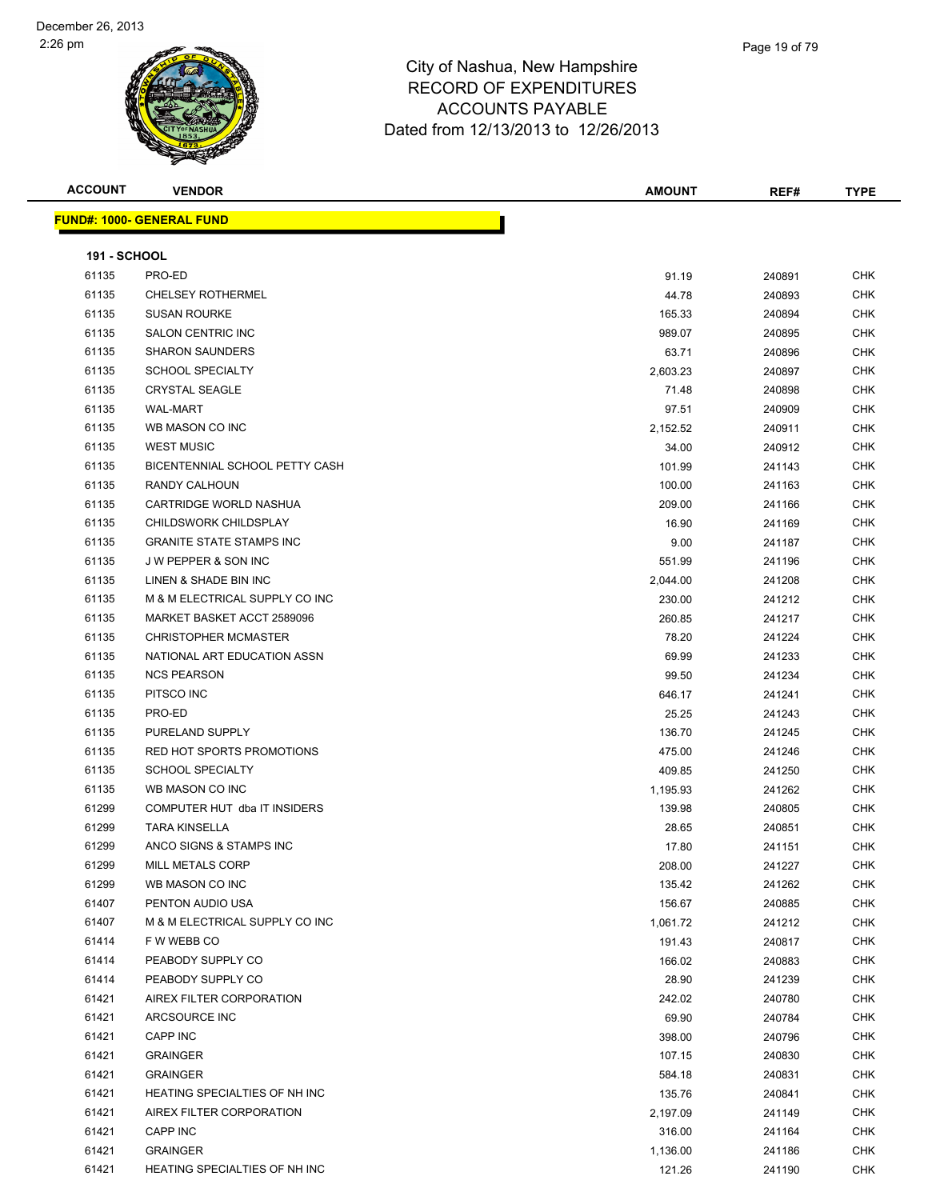

### City of Nashua, New Hampshire RECORD OF EX ACCOUNTS Dated from 12/13/20

| סווופעוווטאווויד  |  |
|-------------------|--|
| XPENDITURES       |  |
| S PAYABLE         |  |
| 013 to 12/26/2013 |  |
|                   |  |

| <b>ACCOUNT</b>      | <b>VENDOR</b>                               | <b>AMOUNT</b>      | REF#             | <b>TYPE</b> |
|---------------------|---------------------------------------------|--------------------|------------------|-------------|
|                     | <b>FUND#: 1000- GENERAL FUND</b>            |                    |                  |             |
|                     |                                             |                    |                  |             |
| <b>191 - SCHOOL</b> |                                             |                    |                  |             |
| 61135               | PRO-ED                                      | 91.19              | 240891           | CHK         |
| 61135               | <b>CHELSEY ROTHERMEL</b>                    | 44.78              | 240893           | <b>CHK</b>  |
| 61135               | <b>SUSAN ROURKE</b>                         | 165.33             | 240894           | <b>CHK</b>  |
| 61135               | <b>SALON CENTRIC INC</b>                    | 989.07             | 240895           | CHK         |
| 61135               | <b>SHARON SAUNDERS</b>                      | 63.71              | 240896           | CHK         |
| 61135               | <b>SCHOOL SPECIALTY</b>                     | 2,603.23           | 240897           | CHK         |
| 61135               | <b>CRYSTAL SEAGLE</b>                       | 71.48              | 240898           | <b>CHK</b>  |
| 61135               | <b>WAL-MART</b>                             | 97.51              | 240909           | CHK         |
| 61135               | WB MASON CO INC                             | 2,152.52           | 240911           | <b>CHK</b>  |
| 61135               | <b>WEST MUSIC</b>                           | 34.00              | 240912           | <b>CHK</b>  |
| 61135               | BICENTENNIAL SCHOOL PETTY CASH              | 101.99             | 241143           | CHK         |
| 61135               | RANDY CALHOUN                               | 100.00             | 241163           | <b>CHK</b>  |
| 61135               | CARTRIDGE WORLD NASHUA                      | 209.00             | 241166           | <b>CHK</b>  |
| 61135               | CHILDSWORK CHILDSPLAY                       | 16.90              | 241169           | <b>CHK</b>  |
| 61135               | <b>GRANITE STATE STAMPS INC</b>             | 9.00               | 241187           | <b>CHK</b>  |
| 61135               | J W PEPPER & SON INC                        | 551.99             | 241196           | CHK         |
| 61135               | LINEN & SHADE BIN INC                       | 2,044.00           | 241208           | CHK         |
| 61135               | M & M ELECTRICAL SUPPLY CO INC              | 230.00             | 241212           | CHK         |
| 61135               | MARKET BASKET ACCT 2589096                  | 260.85             | 241217           | CHK         |
| 61135               | CHRISTOPHER MCMASTER                        | 78.20              | 241224           | CHK         |
| 61135               | NATIONAL ART EDUCATION ASSN                 | 69.99              | 241233           | CHK         |
| 61135               | <b>NCS PEARSON</b>                          | 99.50              | 241234           | <b>CHK</b>  |
| 61135               | PITSCO INC                                  | 646.17             | 241241           | <b>CHK</b>  |
| 61135               | PRO-ED                                      | 25.25              | 241243           | <b>CHK</b>  |
| 61135               | PURELAND SUPPLY                             | 136.70             | 241245           | <b>CHK</b>  |
| 61135               | RED HOT SPORTS PROMOTIONS                   | 475.00             | 241246           | CHK         |
| 61135               | <b>SCHOOL SPECIALTY</b>                     | 409.85             | 241250           | CHK         |
| 61135               | WB MASON CO INC                             | 1,195.93           | 241262           | <b>CHK</b>  |
| 61299               | COMPUTER HUT dba IT INSIDERS                | 139.98             | 240805           | <b>CHK</b>  |
| 61299               | <b>TARA KINSELLA</b>                        | 28.65              | 240851           | CHK         |
| 61299               | ANCO SIGNS & STAMPS INC<br>MILL METALS CORP | 17.80              | 241151           | CHK         |
| 61299<br>61299      | WB MASON CO INC                             | 208.00             | 241227           | <b>CHK</b>  |
| 61407               | PENTON AUDIO USA                            | 135.42             | 241262           | CHK<br>CHK  |
| 61407               | M & M ELECTRICAL SUPPLY CO INC              | 156.67<br>1,061.72 | 240885           | CHK         |
| 61414               | F W WEBB CO                                 | 191.43             | 241212           | CHK         |
| 61414               | PEABODY SUPPLY CO                           | 166.02             | 240817<br>240883 | <b>CHK</b>  |
| 61414               | PEABODY SUPPLY CO                           | 28.90              | 241239           | CHK         |
| 61421               | AIREX FILTER CORPORATION                    | 242.02             | 240780           | <b>CHK</b>  |
| 61421               | ARCSOURCE INC                               | 69.90              | 240784           | <b>CHK</b>  |
| 61421               | CAPP INC                                    | 398.00             | 240796           | CHK         |
| 61421               | <b>GRAINGER</b>                             | 107.15             | 240830           | <b>CHK</b>  |
| 61421               | <b>GRAINGER</b>                             | 584.18             | 240831           | <b>CHK</b>  |
| 61421               | HEATING SPECIALTIES OF NH INC               | 135.76             | 240841           | CHK         |
| 61421               | AIREX FILTER CORPORATION                    | 2,197.09           | 241149           | CHK         |
| 61421               | CAPP INC                                    | 316.00             | 241164           | CHK         |
| 61421               | <b>GRAINGER</b>                             | 1,136.00           | 241186           | CHK         |
| 61421               | HEATING SPECIALTIES OF NH INC               | 121.26             | 241190           | <b>CHK</b>  |
|                     |                                             |                    |                  |             |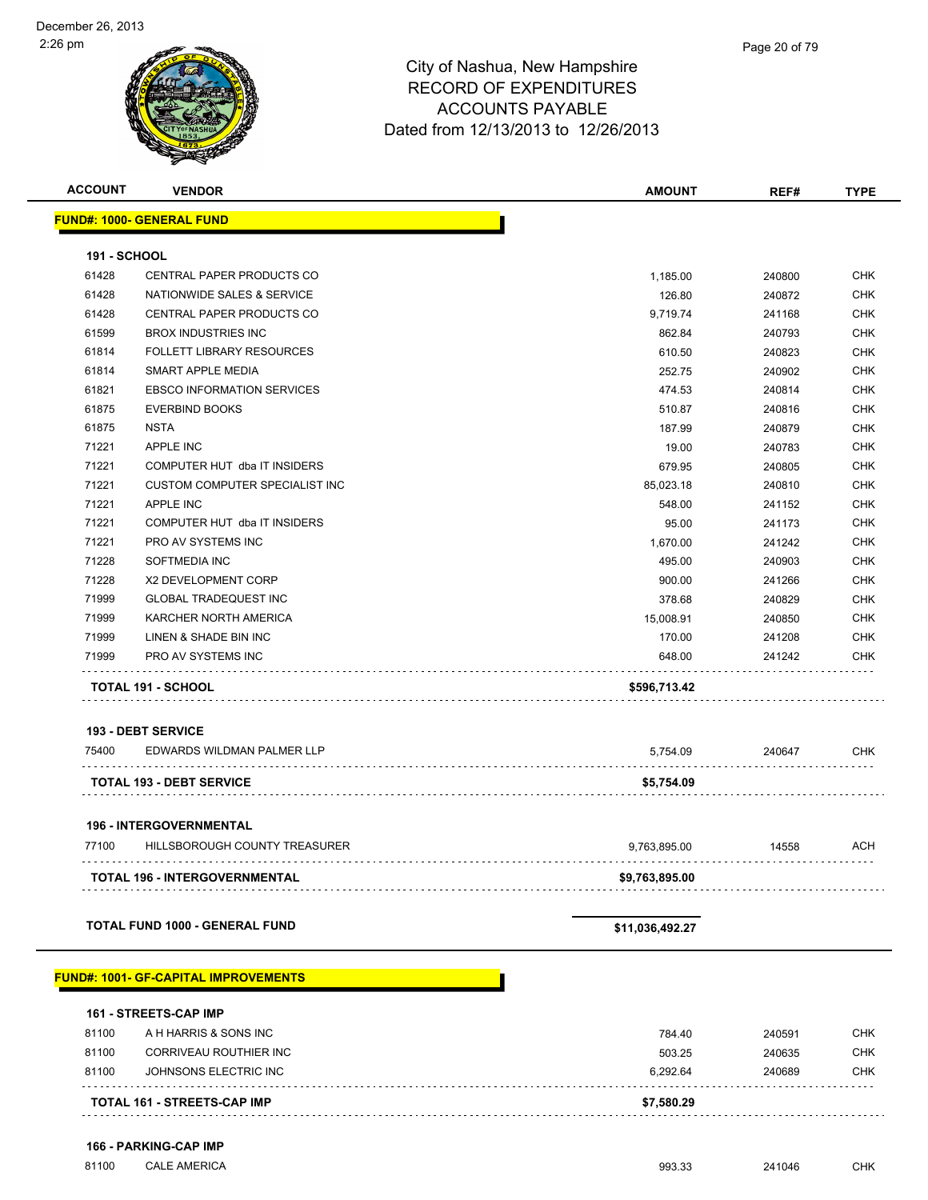| <b>ACCOUNT</b>      | <b>VENDOR</b>                               | <b>AMOUNT</b>   | REF#   | <b>TYPE</b> |
|---------------------|---------------------------------------------|-----------------|--------|-------------|
|                     | <b>FUND#: 1000- GENERAL FUND</b>            |                 |        |             |
|                     |                                             |                 |        |             |
| <b>191 - SCHOOL</b> |                                             |                 |        |             |
| 61428               | CENTRAL PAPER PRODUCTS CO                   | 1,185.00        | 240800 | <b>CHK</b>  |
| 61428               | NATIONWIDE SALES & SERVICE                  | 126.80          | 240872 | <b>CHK</b>  |
| 61428               | CENTRAL PAPER PRODUCTS CO                   | 9,719.74        | 241168 | <b>CHK</b>  |
| 61599               | <b>BROX INDUSTRIES INC</b>                  | 862.84          | 240793 | <b>CHK</b>  |
| 61814               | <b>FOLLETT LIBRARY RESOURCES</b>            | 610.50          | 240823 | <b>CHK</b>  |
| 61814               | SMART APPLE MEDIA                           | 252.75          | 240902 | <b>CHK</b>  |
| 61821               | <b>EBSCO INFORMATION SERVICES</b>           | 474.53          | 240814 | <b>CHK</b>  |
| 61875               | <b>EVERBIND BOOKS</b>                       | 510.87          | 240816 | <b>CHK</b>  |
| 61875               | <b>NSTA</b>                                 | 187.99          | 240879 | <b>CHK</b>  |
| 71221               | <b>APPLE INC</b>                            | 19.00           | 240783 | <b>CHK</b>  |
| 71221               | COMPUTER HUT dba IT INSIDERS                | 679.95          | 240805 | <b>CHK</b>  |
| 71221               | <b>CUSTOM COMPUTER SPECIALIST INC</b>       | 85,023.18       | 240810 | <b>CHK</b>  |
| 71221               | <b>APPLE INC</b>                            | 548.00          | 241152 | <b>CHK</b>  |
| 71221               | COMPUTER HUT dba IT INSIDERS                | 95.00           | 241173 | <b>CHK</b>  |
| 71221               | PRO AV SYSTEMS INC                          | 1,670.00        | 241242 | <b>CHK</b>  |
| 71228               | <b>SOFTMEDIA INC</b>                        | 495.00          | 240903 | <b>CHK</b>  |
| 71228               | <b>X2 DEVELOPMENT CORP</b>                  | 900.00          | 241266 | <b>CHK</b>  |
| 71999               | <b>GLOBAL TRADEQUEST INC</b>                | 378.68          | 240829 | <b>CHK</b>  |
| 71999               | KARCHER NORTH AMERICA                       | 15,008.91       | 240850 | <b>CHK</b>  |
| 71999               | LINEN & SHADE BIN INC                       | 170.00          | 241208 | <b>CHK</b>  |
| 71999               | PRO AV SYSTEMS INC                          | 648.00          | 241242 | <b>CHK</b>  |
|                     | TOTAL 191 - SCHOOL                          | \$596,713.42    |        |             |
|                     | <b>193 - DEBT SERVICE</b>                   |                 |        |             |
| 75400               | EDWARDS WILDMAN PALMER LLP                  | 5,754.09        | 240647 | CHK         |
|                     |                                             |                 |        |             |
|                     | <b>TOTAL 193 - DEBT SERVICE</b>             | \$5,754.09      |        |             |
|                     | <b>196 - INTERGOVERNMENTAL</b>              |                 |        |             |
| 77100               | HILLSBOROUGH COUNTY TREASURER               | 9,763,895.00    | 14558  | <b>ACH</b>  |
|                     | TOTAL 196 - INTERGOVERNMENTAL               | \$9,763,895.00  |        |             |
|                     |                                             |                 |        |             |
|                     | <b>TOTAL FUND 1000 - GENERAL FUND</b>       | \$11,036,492.27 |        |             |
|                     | <b>FUND#: 1001- GF-CAPITAL IMPROVEMENTS</b> |                 |        |             |
|                     |                                             |                 |        |             |
|                     | <b>161 - STREETS-CAP IMP</b>                |                 |        |             |
| 81100               | A H HARRIS & SONS INC                       | 784.40          | 240591 | <b>CHK</b>  |
| 81100               | CORRIVEAU ROUTHIER INC                      | 503.25          | 240635 | <b>CHK</b>  |
| 81100               | JOHNSONS ELECTRIC INC                       | 6,292.64        | 240689 | <b>CHK</b>  |
|                     | TOTAL 161 - STREETS-CAP IMP                 | \$7,580.29      |        |             |
|                     |                                             |                 |        |             |
|                     | 166 - PARKING-CAP IMP                       |                 |        |             |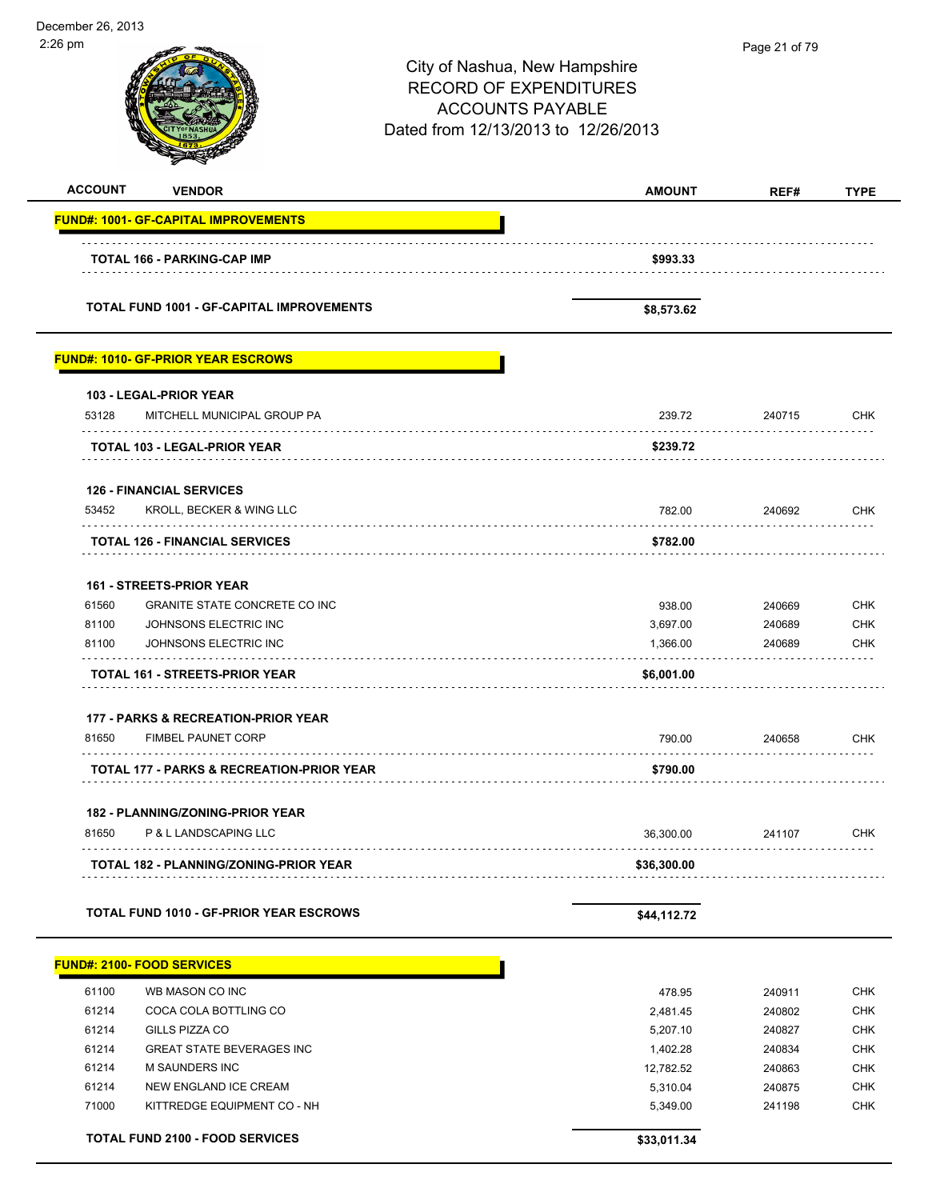December 26, 2013 2:26 pm Page 21 of 79City of Nashua, New Hampshire RECORD OF EXPENDITURES ACCOUNTS PAYABLE Dated from 12/13/2013 to 12/26/2013 **ACCOUNT VENDOR AMOUNT REF# TYPE FUND#: 1001- GF-CAPITAL IMPROVEMENTS TOTAL 166 - PARKING-CAP IMP \$993.33 TOTAL FUND 1001 - GF-CAPITAL IMPROVEMENTS \$8,573.62 FUND#: 1010- GF-PRIOR YEAR ESCROWS 103 - LEGAL-PRIOR YEAR** 53128 MITCHELL MUNICIPAL GROUP PA 239.72 240715 CHK . . . . . . . . . . . . **TOTAL 103 - LEGAL-PRIOR YEAR \$239.72 126 - FINANCIAL SERVICES** 53452 KROLL, BECKER & WING LLC 782.00 240692 CHK . . . . . . . . . . . . . . . . . .  $\alpha$  ,  $\alpha$  ,  $\alpha$  ,  $\alpha$  ,  $\alpha$  ,  $\alpha$ **TOTAL 126 - FINANCIAL SERVICES \$782.00 161 - STREETS-PRIOR YEAR** 61560 GRANITE STATE CONCRETE CO INC 938.00 240669 CHK 81100 JOHNSONS ELECTRIC INC 3,697.00 240689 CHK 81100 JOHNSONS ELECTRIC INC 1,366.00 240689 CHK a a a a a a a a a **TOTAL 161 - STREETS-PRIOR YEAR \$6,001.00 177 - PARKS & RECREATION-PRIOR YEAR** 81650 FIMBEL PAUNET CORP 790.00 240658 CHK . . . . . . . . . . . . . . **TOTAL 177 - PARKS & RECREATION-PRIOR YEAR \$790.00 182 - PLANNING/ZONING-PRIOR YEAR** 81650 P & L LANDSCAPING LLC 36,300.00 241107 CHK . . . . . **TOTAL 182 - PLANNING/ZONING-PRIOR YEAR \$36,300.00** TOTAL FUND 1010 - GF-PRIOR YEAR ESCROWS **\$44,112.72 FUND#: 2100- FOOD SERVICES**

| 61100 | WB MASON CO INC                        | 478.95      | 240911 | <b>CHK</b> |
|-------|----------------------------------------|-------------|--------|------------|
| 61214 | COCA COLA BOTTLING CO                  | 2,481.45    | 240802 | <b>CHK</b> |
| 61214 | GILLS PIZZA CO                         | 5.207.10    | 240827 | <b>CHK</b> |
| 61214 | <b>GREAT STATE BEVERAGES INC</b>       | 1.402.28    | 240834 | <b>CHK</b> |
| 61214 | <b>M SAUNDERS INC</b>                  | 12.782.52   | 240863 | <b>CHK</b> |
| 61214 | NEW ENGLAND ICE CREAM                  | 5.310.04    | 240875 | <b>CHK</b> |
| 71000 | KITTREDGE EQUIPMENT CO - NH            | 5.349.00    | 241198 | <b>CHK</b> |
|       |                                        |             |        |            |
|       | <b>TOTAL FUND 2100 - FOOD SERVICES</b> | \$33.011.34 |        |            |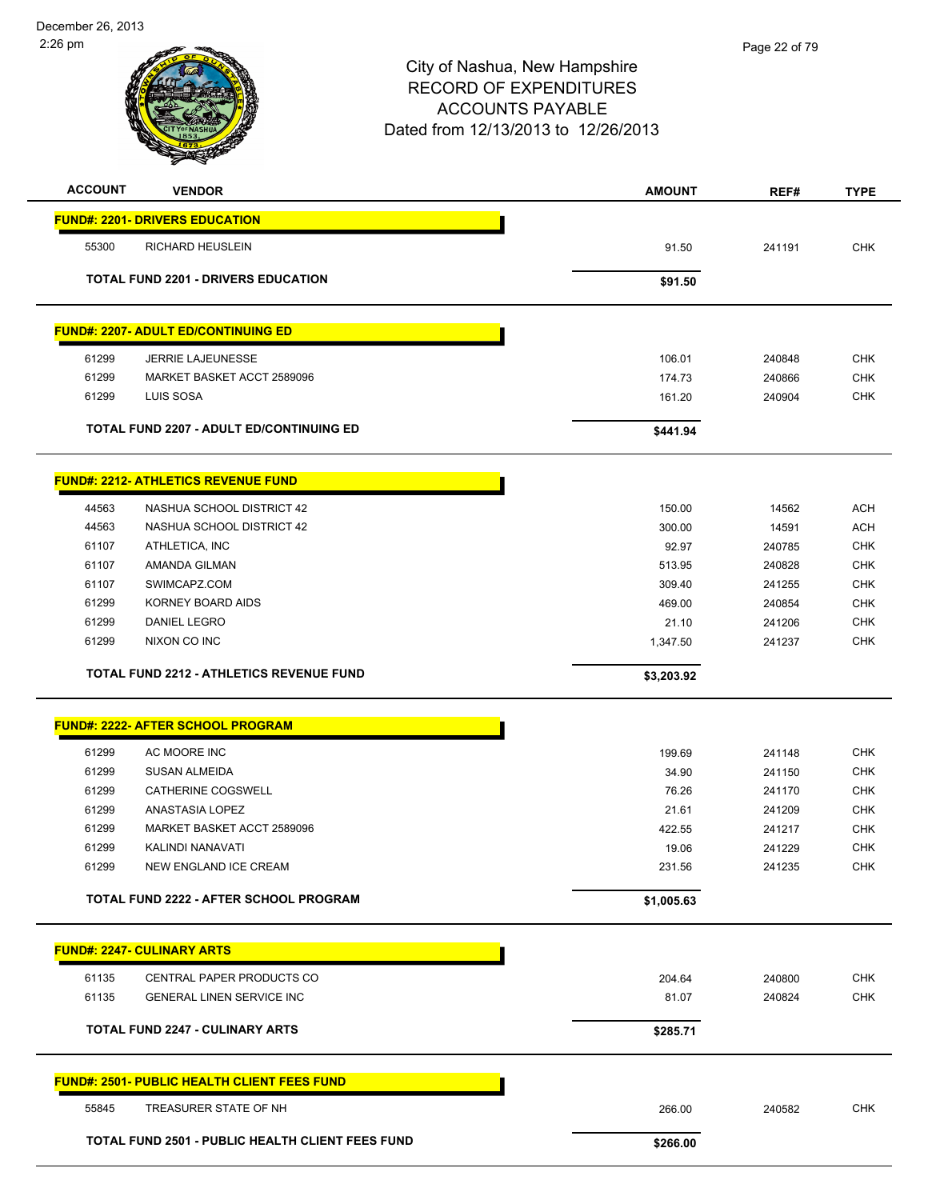

| <b>ACCOUNT</b> | <b>VENDOR</b>                                           | <b>AMOUNT</b>    | REF#             | <b>TYPE</b>              |
|----------------|---------------------------------------------------------|------------------|------------------|--------------------------|
|                | <b>FUND#: 2201- DRIVERS EDUCATION</b>                   |                  |                  |                          |
| 55300          | <b>RICHARD HEUSLEIN</b>                                 | 91.50            | 241191           | <b>CHK</b>               |
|                |                                                         |                  |                  |                          |
|                | <b>TOTAL FUND 2201 - DRIVERS EDUCATION</b>              | \$91.50          |                  |                          |
|                | <b>FUND#: 2207- ADULT ED/CONTINUING ED</b>              |                  |                  |                          |
| 61299          | <b>JERRIE LAJEUNESSE</b>                                |                  |                  | <b>CHK</b>               |
| 61299          | MARKET BASKET ACCT 2589096                              | 106.01<br>174.73 | 240848<br>240866 | <b>CHK</b>               |
| 61299          | LUIS SOSA                                               | 161.20           | 240904           | <b>CHK</b>               |
|                | <b>TOTAL FUND 2207 - ADULT ED/CONTINUING ED</b>         | \$441.94         |                  |                          |
|                |                                                         |                  |                  |                          |
|                | <b>FUND#: 2212- ATHLETICS REVENUE FUND</b>              |                  |                  |                          |
| 44563          | NASHUA SCHOOL DISTRICT 42                               | 150.00           | 14562            | <b>ACH</b>               |
| 44563          | NASHUA SCHOOL DISTRICT 42                               | 300.00           | 14591            | <b>ACH</b>               |
| 61107          | ATHLETICA, INC                                          | 92.97            | 240785           | <b>CHK</b>               |
| 61107          | AMANDA GILMAN                                           | 513.95           | 240828           | <b>CHK</b>               |
| 61107          | SWIMCAPZ.COM                                            | 309.40           | 241255           | <b>CHK</b>               |
| 61299          | KORNEY BOARD AIDS                                       | 469.00           | 240854           | <b>CHK</b>               |
| 61299          | <b>DANIEL LEGRO</b>                                     | 21.10            | 241206           | <b>CHK</b>               |
| 61299          | NIXON CO INC                                            | 1,347.50         | 241237           | <b>CHK</b>               |
|                | <b>TOTAL FUND 2212 - ATHLETICS REVENUE FUND</b>         | \$3,203.92       |                  |                          |
|                |                                                         |                  |                  |                          |
|                | <b>FUND#: 2222- AFTER SCHOOL PROGRAM</b>                |                  |                  |                          |
| 61299          | AC MOORE INC                                            | 199.69           | 241148           | <b>CHK</b>               |
| 61299          | <b>SUSAN ALMEIDA</b>                                    | 34.90            | 241150           | <b>CHK</b>               |
| 61299          | CATHERINE COGSWELL                                      | 76.26            | 241170           | <b>CHK</b>               |
| 61299          | ANASTASIA LOPEZ                                         | 21.61            | 241209           | <b>CHK</b>               |
| 61299          | MARKET BASKET ACCT 2589096                              | 422.55           | 241217           | <b>CHK</b>               |
| 61299          | KALINDI NANAVATI                                        | 19.06            | 241229           | <b>CHK</b>               |
| 61299          | NEW ENGLAND ICE CREAM                                   | 231.56           | 241235           | <b>CHK</b>               |
|                | TOTAL FUND 2222 - AFTER SCHOOL PROGRAM                  | \$1,005.63       |                  |                          |
|                | <b>FUND#: 2247- CULINARY ARTS</b>                       |                  |                  |                          |
|                |                                                         |                  |                  |                          |
| 61135<br>61135 | CENTRAL PAPER PRODUCTS CO<br>GENERAL LINEN SERVICE INC  | 204.64           | 240800           | <b>CHK</b><br><b>CHK</b> |
|                |                                                         | 81.07            | 240824           |                          |
|                | <b>TOTAL FUND 2247 - CULINARY ARTS</b>                  | \$285.71         |                  |                          |
|                | <b>FUND#: 2501- PUBLIC HEALTH CLIENT FEES FUND</b>      |                  |                  |                          |
| 55845          | TREASURER STATE OF NH                                   | 266.00           | 240582           | <b>CHK</b>               |
|                | <b>TOTAL FUND 2501 - PUBLIC HEALTH CLIENT FEES FUND</b> | \$266.00         |                  |                          |
|                |                                                         |                  |                  |                          |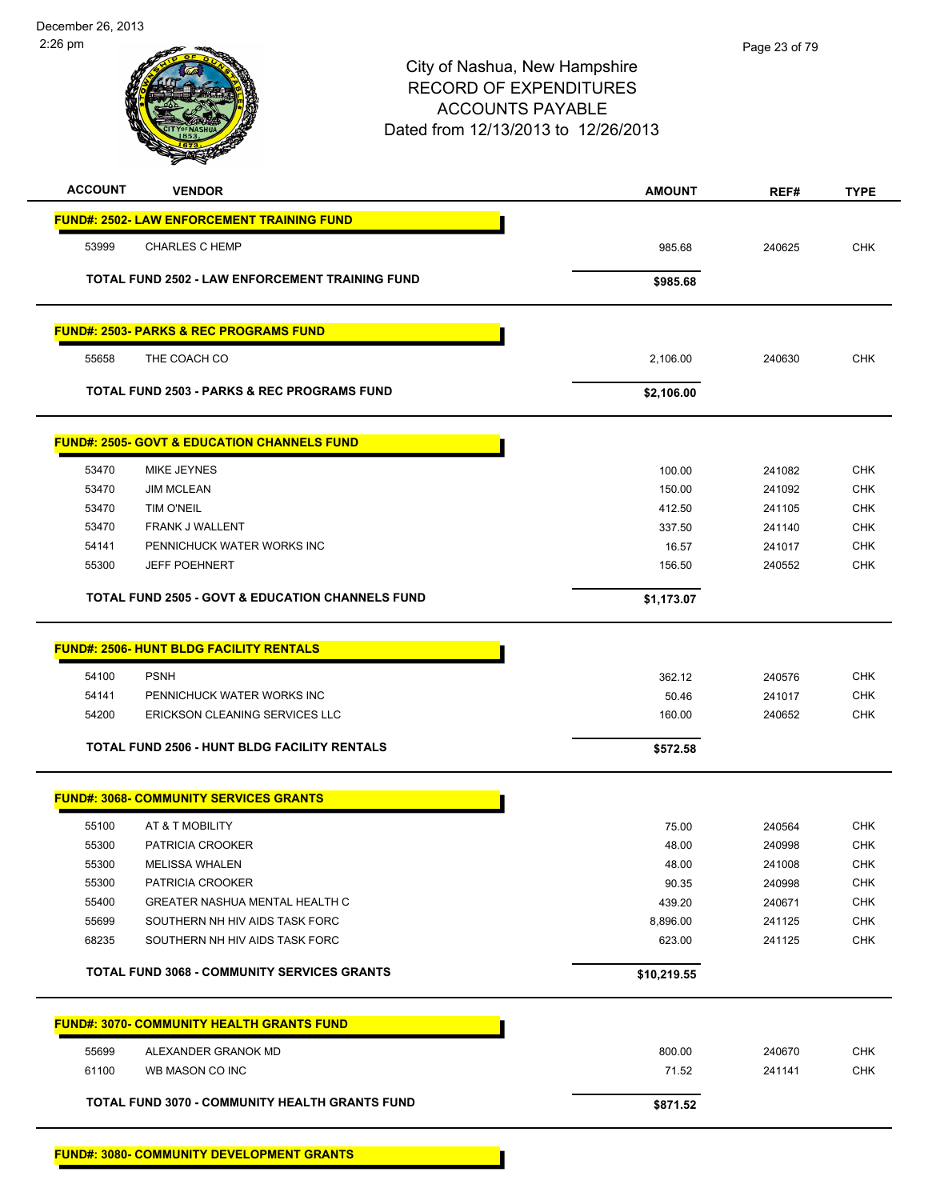

| <b>ACCOUNT</b><br><b>VENDOR</b>                             | <b>AMOUNT</b> | REF#   | <b>TYPE</b> |
|-------------------------------------------------------------|---------------|--------|-------------|
| <b>FUND#: 2502- LAW ENFORCEMENT TRAINING FUND</b>           |               |        |             |
| 53999<br><b>CHARLES C HEMP</b>                              | 985.68        | 240625 | <b>CHK</b>  |
| <b>TOTAL FUND 2502 - LAW ENFORCEMENT TRAINING FUND</b>      | \$985.68      |        |             |
| <b>FUND#: 2503- PARKS &amp; REC PROGRAMS FUND</b>           |               |        |             |
| 55658<br>THE COACH CO                                       | 2,106.00      | 240630 | <b>CHK</b>  |
| TOTAL FUND 2503 - PARKS & REC PROGRAMS FUND                 | \$2,106.00    |        |             |
| <b>FUND#: 2505- GOVT &amp; EDUCATION CHANNELS FUND</b>      |               |        |             |
| 53470<br>MIKE JEYNES                                        | 100.00        | 241082 | <b>CHK</b>  |
| 53470<br><b>JIM MCLEAN</b>                                  | 150.00        | 241092 | <b>CHK</b>  |
| 53470<br><b>TIM O'NEIL</b>                                  | 412.50        | 241105 | <b>CHK</b>  |
| <b>FRANK J WALLENT</b><br>53470                             | 337.50        | 241140 | <b>CHK</b>  |
| 54141<br>PENNICHUCK WATER WORKS INC                         | 16.57         | 241017 | <b>CHK</b>  |
| <b>JEFF POEHNERT</b><br>55300                               | 156.50        | 240552 | <b>CHK</b>  |
| <b>TOTAL FUND 2505 - GOVT &amp; EDUCATION CHANNELS FUND</b> | \$1,173.07    |        |             |
| <b>FUND#: 2506- HUNT BLDG FACILITY RENTALS</b>              |               |        |             |
| 54100<br><b>PSNH</b>                                        | 362.12        | 240576 | <b>CHK</b>  |
| 54141<br>PENNICHUCK WATER WORKS INC                         | 50.46         | 241017 | <b>CHK</b>  |
| ERICKSON CLEANING SERVICES LLC<br>54200                     | 160.00        | 240652 | <b>CHK</b>  |
| TOTAL FUND 2506 - HUNT BLDG FACILITY RENTALS                | \$572.58      |        |             |
| <b>FUND#: 3068- COMMUNITY SERVICES GRANTS</b>               |               |        |             |
| 55100<br>AT & T MOBILITY                                    | 75.00         | 240564 | <b>CHK</b>  |
| 55300<br>PATRICIA CROOKER                                   | 48.00         | 240998 | <b>CHK</b>  |
| 55300<br><b>MELISSA WHALEN</b>                              | 48.00         | 241008 | <b>CHK</b>  |
| 55300<br>PATRICIA CROOKER                                   | 90.35         | 240998 | <b>CHK</b>  |
| 55400<br><b>GREATER NASHUA MENTAL HEALTH C</b>              | 439.20        | 240671 | <b>CHK</b>  |
| 55699<br>SOUTHERN NH HIV AIDS TASK FORC                     | 8,896.00      | 241125 | <b>CHK</b>  |
| 68235<br>SOUTHERN NH HIV AIDS TASK FORC                     | 623.00        | 241125 | <b>CHK</b>  |
| <b>TOTAL FUND 3068 - COMMUNITY SERVICES GRANTS</b>          | \$10,219.55   |        |             |
| <b>FUND#: 3070- COMMUNITY HEALTH GRANTS FUND</b>            |               |        |             |
| 55699<br>ALEXANDER GRANOK MD                                | 800.00        | 240670 | <b>CHK</b>  |
| 61100<br>WB MASON CO INC                                    | 71.52         | 241141 | CHK         |
| TOTAL FUND 3070 - COMMUNITY HEALTH GRANTS FUND              | \$871.52      |        |             |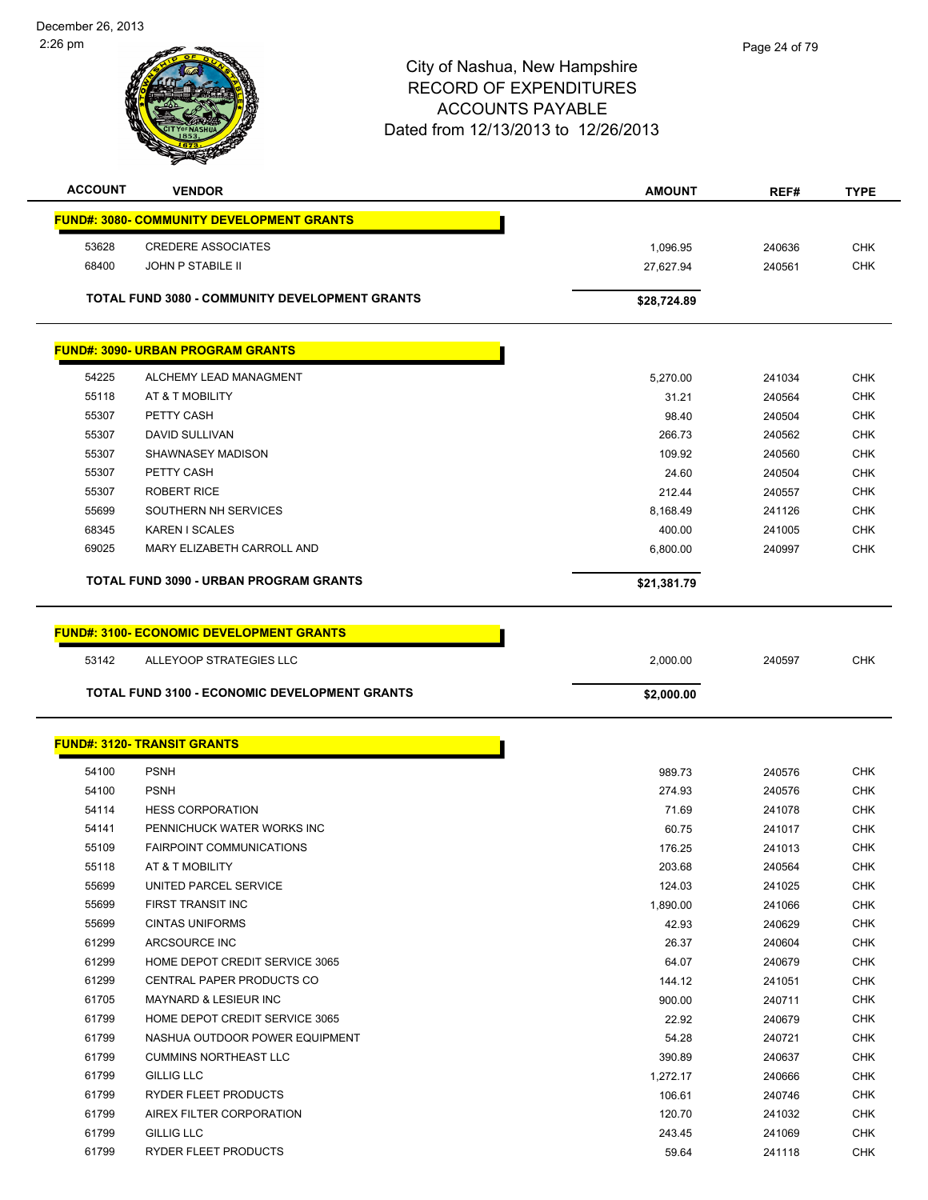

| <b>ACCOUNT</b> | <b>VENDOR</b>                                         | <b>AMOUNT</b>   | REF#             | <b>TYPE</b>              |
|----------------|-------------------------------------------------------|-----------------|------------------|--------------------------|
|                | <b>FUND#: 3080- COMMUNITY DEVELOPMENT GRANTS</b>      |                 |                  |                          |
| 53628          | <b>CREDERE ASSOCIATES</b>                             | 1,096.95        | 240636           | <b>CHK</b>               |
| 68400          | <b>JOHN P STABILE II</b>                              | 27,627.94       | 240561           | <b>CHK</b>               |
|                |                                                       |                 |                  |                          |
|                | <b>TOTAL FUND 3080 - COMMUNITY DEVELOPMENT GRANTS</b> | \$28,724.89     |                  |                          |
|                | <b>FUND#: 3090- URBAN PROGRAM GRANTS</b>              |                 |                  |                          |
|                |                                                       |                 |                  |                          |
| 54225<br>55118 | ALCHEMY LEAD MANAGMENT<br>AT & T MOBILITY             | 5,270.00        | 241034           | <b>CHK</b><br><b>CHK</b> |
| 55307          | PETTY CASH                                            | 31.21<br>98.40  | 240564           | <b>CHK</b>               |
| 55307          | DAVID SULLIVAN                                        | 266.73          | 240504<br>240562 | <b>CHK</b>               |
| 55307          | SHAWNASEY MADISON                                     | 109.92          | 240560           | <b>CHK</b>               |
| 55307          | PETTY CASH                                            | 24.60           | 240504           | <b>CHK</b>               |
| 55307          | <b>ROBERT RICE</b>                                    | 212.44          | 240557           | <b>CHK</b>               |
| 55699          | SOUTHERN NH SERVICES                                  | 8,168.49        | 241126           | <b>CHK</b>               |
| 68345          | <b>KAREN I SCALES</b>                                 | 400.00          | 241005           | <b>CHK</b>               |
| 69025          | MARY ELIZABETH CARROLL AND                            | 6,800.00        | 240997           | <b>CHK</b>               |
|                |                                                       |                 |                  |                          |
|                | <b>TOTAL FUND 3090 - URBAN PROGRAM GRANTS</b>         | \$21,381.79     |                  |                          |
|                | <b>FUND#: 3100- ECONOMIC DEVELOPMENT GRANTS</b>       |                 |                  |                          |
|                |                                                       |                 |                  |                          |
| 53142          | ALLEYOOP STRATEGIES LLC                               | 2,000.00        | 240597           | <b>CHK</b>               |
|                |                                                       |                 |                  |                          |
|                | <b>TOTAL FUND 3100 - ECONOMIC DEVELOPMENT GRANTS</b>  | \$2,000.00      |                  |                          |
|                |                                                       |                 |                  |                          |
|                | <b>FUND#: 3120- TRANSIT GRANTS</b>                    |                 |                  |                          |
| 54100          | <b>PSNH</b>                                           | 989.73          | 240576           | <b>CHK</b>               |
| 54100          | <b>PSNH</b>                                           | 274.93          | 240576           | <b>CHK</b>               |
| 54114          | <b>HESS CORPORATION</b>                               | 71.69           | 241078           | <b>CHK</b>               |
| 54141          | PENNICHUCK WATER WORKS INC                            | 60.75           | 241017           | <b>CHK</b>               |
| 55109          | <b>FAIRPOINT COMMUNICATIONS</b>                       | 176.25          | 241013           | <b>CHK</b>               |
| 55118          | AT & T MOBILITY                                       | 203.68          | 240564           | <b>CHK</b>               |
| 55699          | UNITED PARCEL SERVICE                                 | 124.03          | 241025           | <b>CHK</b>               |
| 55699          | FIRST TRANSIT INC                                     | 1,890.00        | 241066           | <b>CHK</b>               |
| 55699          | <b>CINTAS UNIFORMS</b>                                | 42.93           | 240629           | <b>CHK</b>               |
| 61299          | ARCSOURCE INC                                         | 26.37           | 240604           | <b>CHK</b>               |
| 61299          | HOME DEPOT CREDIT SERVICE 3065                        | 64.07           | 240679           | <b>CHK</b>               |
| 61299          | CENTRAL PAPER PRODUCTS CO                             | 144.12          | 241051           | <b>CHK</b>               |
| 61705          | MAYNARD & LESIEUR INC                                 | 900.00          | 240711           | <b>CHK</b>               |
| 61799          | HOME DEPOT CREDIT SERVICE 3065                        | 22.92           | 240679           | <b>CHK</b>               |
| 61799          | NASHUA OUTDOOR POWER EQUIPMENT                        | 54.28           | 240721           | <b>CHK</b>               |
| 61799          | <b>CUMMINS NORTHEAST LLC</b>                          | 390.89          | 240637           | <b>CHK</b>               |
| 61799          | <b>GILLIG LLC</b>                                     | 1,272.17        | 240666           | <b>CHK</b>               |
| 61799          | RYDER FLEET PRODUCTS                                  | 106.61          | 240746           | <b>CHK</b>               |
| 61799          | AIREX FILTER CORPORATION                              | 120.70          | 241032           | <b>CHK</b>               |
| 61799<br>61799 | <b>GILLIG LLC</b><br>RYDER FLEET PRODUCTS             | 243.45<br>59.64 | 241069<br>241118 | <b>CHK</b><br><b>CHK</b> |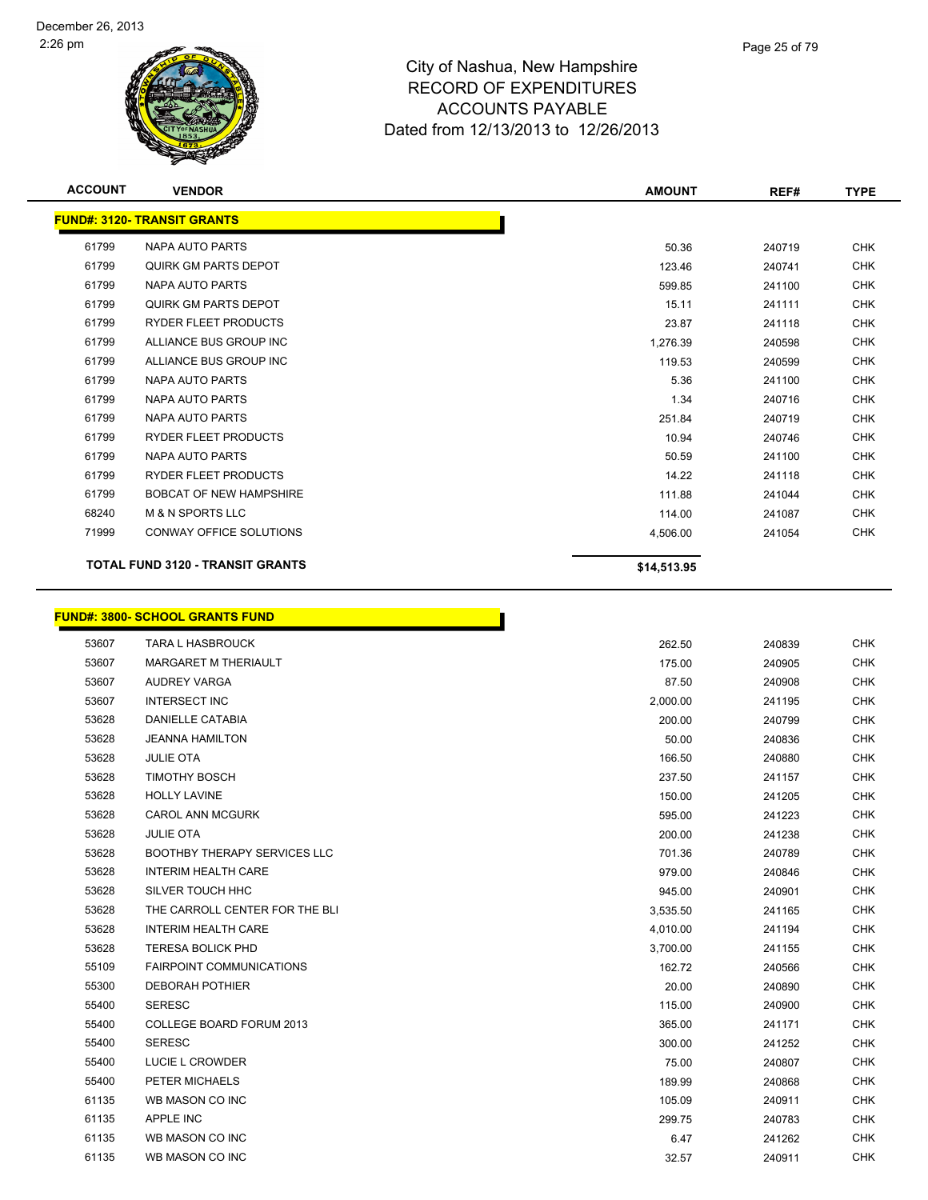

| <b>ACCOUNT</b> | <b>VENDOR</b>                           | <b>AMOUNT</b> | REF#   | <b>TYPE</b> |
|----------------|-----------------------------------------|---------------|--------|-------------|
|                | <b>FUND#: 3120- TRANSIT GRANTS</b>      |               |        |             |
| 61799          | <b>NAPA AUTO PARTS</b>                  | 50.36         | 240719 | <b>CHK</b>  |
| 61799          | QUIRK GM PARTS DEPOT                    | 123.46        | 240741 | <b>CHK</b>  |
| 61799          | <b>NAPA AUTO PARTS</b>                  | 599.85        | 241100 | <b>CHK</b>  |
| 61799          | QUIRK GM PARTS DEPOT                    | 15.11         | 241111 | <b>CHK</b>  |
| 61799          | RYDER FLEET PRODUCTS                    | 23.87         | 241118 | <b>CHK</b>  |
| 61799          | ALLIANCE BUS GROUP INC                  | 1,276.39      | 240598 | <b>CHK</b>  |
| 61799          | ALLIANCE BUS GROUP INC                  | 119.53        | 240599 | <b>CHK</b>  |
| 61799          | <b>NAPA AUTO PARTS</b>                  | 5.36          | 241100 | <b>CHK</b>  |
| 61799          | NAPA AUTO PARTS                         | 1.34          | 240716 | <b>CHK</b>  |
| 61799          | NAPA AUTO PARTS                         | 251.84        | 240719 | <b>CHK</b>  |
| 61799          | RYDER FLEET PRODUCTS                    | 10.94         | 240746 | <b>CHK</b>  |
| 61799          | <b>NAPA AUTO PARTS</b>                  | 50.59         | 241100 | <b>CHK</b>  |
| 61799          | RYDER FLEET PRODUCTS                    | 14.22         | 241118 | <b>CHK</b>  |
| 61799          | <b>BOBCAT OF NEW HAMPSHIRE</b>          | 111.88        | 241044 | <b>CHK</b>  |
| 68240          | <b>M &amp; N SPORTS LLC</b>             | 114.00        | 241087 | <b>CHK</b>  |
| 71999          | CONWAY OFFICE SOLUTIONS                 | 4,506.00      | 241054 | <b>CHK</b>  |
|                | <b>TOTAL FUND 3120 - TRANSIT GRANTS</b> | \$14,513.95   |        |             |
|                | <b>FUND#: 3800- SCHOOL GRANTS FUND</b>  |               |        |             |
| 53607          | <b>TARA L HASBROUCK</b>                 | 262.50        | 240839 | <b>CHK</b>  |
| 53607          | MARGARET M THERIAULT                    | 175.00        | 240905 | <b>CHK</b>  |
| 53607          | <b>AUDREY VARGA</b>                     | 87.50         | 240908 | <b>CHK</b>  |
| 53607          | <b>INTERSECT INC</b>                    | 2,000.00      | 241195 | <b>CHK</b>  |
| 53628          | <b>DANIELLE CATABIA</b>                 | 200.00        | 240799 | <b>CHK</b>  |
| 53628          | <b>JEANNA HAMILTON</b>                  | 50.00         | 240836 | <b>CHK</b>  |
| 53628          | JULIE OTA                               | 166.50        | 240880 | CHK         |

| 53628 | <b>JULIE OTA</b>                    | 166.50   | 240880 | CHK        |
|-------|-------------------------------------|----------|--------|------------|
| 53628 | <b>TIMOTHY BOSCH</b>                | 237.50   | 241157 | <b>CHK</b> |
| 53628 | <b>HOLLY LAVINE</b>                 | 150.00   | 241205 | <b>CHK</b> |
| 53628 | <b>CAROL ANN MCGURK</b>             | 595.00   | 241223 | <b>CHK</b> |
| 53628 | <b>JULIE OTA</b>                    | 200.00   | 241238 | <b>CHK</b> |
| 53628 | <b>BOOTHBY THERAPY SERVICES LLC</b> | 701.36   | 240789 | <b>CHK</b> |
| 53628 | <b>INTERIM HEALTH CARE</b>          | 979.00   | 240846 | <b>CHK</b> |
| 53628 | SILVER TOUCH HHC                    | 945.00   | 240901 | <b>CHK</b> |
| 53628 | THE CARROLL CENTER FOR THE BLI      | 3,535.50 | 241165 | <b>CHK</b> |
| 53628 | <b>INTERIM HEALTH CARE</b>          | 4,010.00 | 241194 | <b>CHK</b> |
| 53628 | <b>TERESA BOLICK PHD</b>            | 3,700.00 | 241155 | <b>CHK</b> |
| 55109 | <b>FAIRPOINT COMMUNICATIONS</b>     | 162.72   | 240566 | <b>CHK</b> |
| 55300 | <b>DEBORAH POTHIER</b>              | 20.00    | 240890 | <b>CHK</b> |
| 55400 | <b>SERESC</b>                       | 115.00   | 240900 | <b>CHK</b> |
| 55400 | <b>COLLEGE BOARD FORUM 2013</b>     | 365.00   | 241171 | <b>CHK</b> |
| 55400 | <b>SERESC</b>                       | 300.00   | 241252 | <b>CHK</b> |
| 55400 | LUCIE L CROWDER                     | 75.00    | 240807 | <b>CHK</b> |
| 55400 | PETER MICHAELS                      | 189.99   | 240868 | <b>CHK</b> |
| 61135 | WB MASON CO INC                     | 105.09   | 240911 | <b>CHK</b> |
| 61135 | APPLE INC                           | 299.75   | 240783 | <b>CHK</b> |
| 61135 | WB MASON CO INC                     | 6.47     | 241262 | <b>CHK</b> |
| 61135 | WB MASON CO INC                     | 32.57    | 240911 | <b>CHK</b> |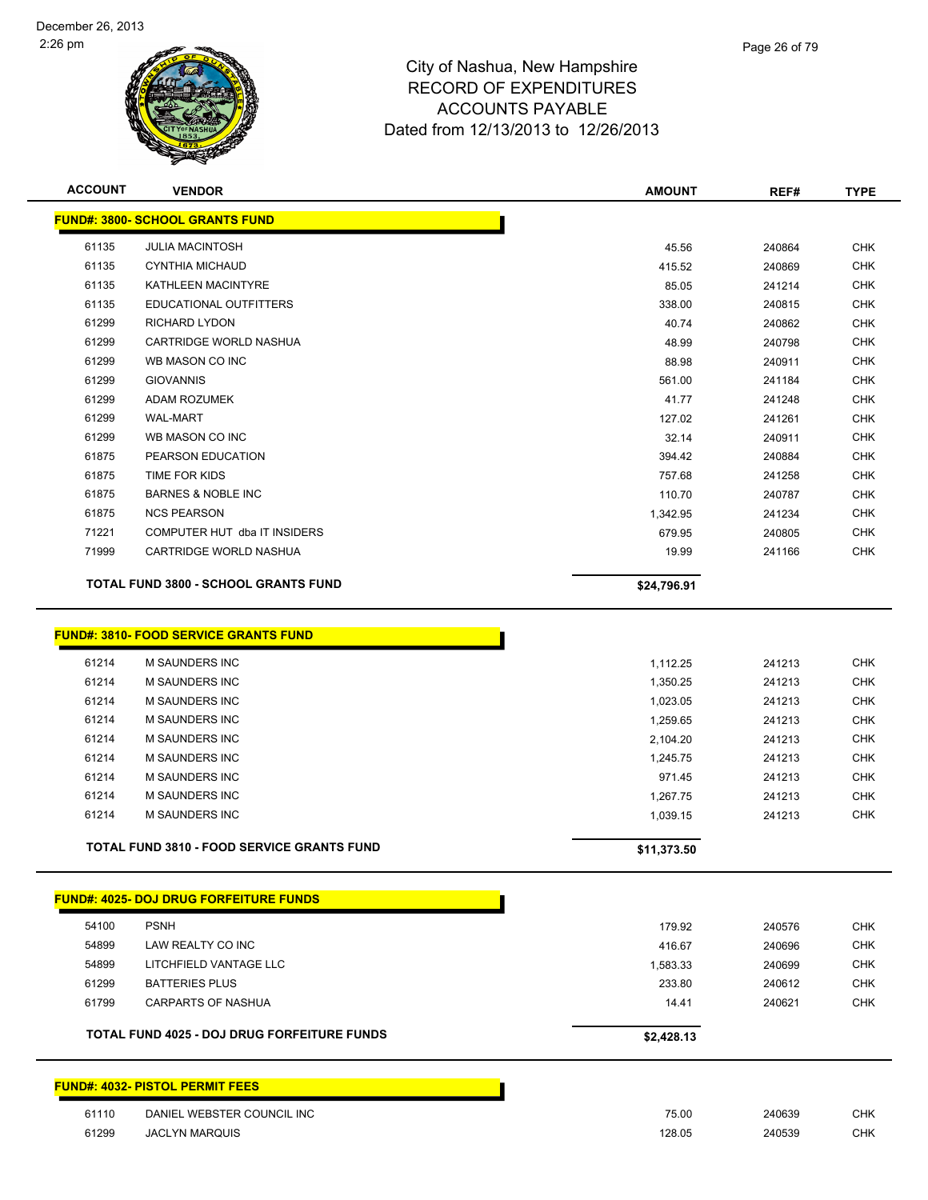

| <b>ACCOUNT</b> | <b>VENDOR</b>                                                  | <b>AMOUNT</b> | REF#   | <b>TYPE</b> |
|----------------|----------------------------------------------------------------|---------------|--------|-------------|
|                | <b>FUND#: 3800- SCHOOL GRANTS FUND</b>                         |               |        |             |
| 61135          | <b>JULIA MACINTOSH</b>                                         | 45.56         | 240864 | <b>CHK</b>  |
| 61135          | <b>CYNTHIA MICHAUD</b>                                         | 415.52        | 240869 | <b>CHK</b>  |
| 61135          | KATHLEEN MACINTYRE                                             | 85.05         | 241214 | <b>CHK</b>  |
| 61135          | EDUCATIONAL OUTFITTERS                                         | 338.00        | 240815 | CHK         |
| 61299          | <b>RICHARD LYDON</b>                                           | 40.74         | 240862 | <b>CHK</b>  |
| 61299          | CARTRIDGE WORLD NASHUA                                         | 48.99         | 240798 | CHK         |
| 61299          | WB MASON CO INC                                                | 88.98         | 240911 | <b>CHK</b>  |
| 61299          | <b>GIOVANNIS</b>                                               | 561.00        | 241184 | <b>CHK</b>  |
| 61299          | <b>ADAM ROZUMEK</b>                                            | 41.77         | 241248 | <b>CHK</b>  |
| 61299          | <b>WAL-MART</b>                                                | 127.02        | 241261 | <b>CHK</b>  |
| 61299          | WB MASON CO INC                                                | 32.14         | 240911 | <b>CHK</b>  |
| 61875          | PEARSON EDUCATION                                              | 394.42        | 240884 | <b>CHK</b>  |
| 61875          | TIME FOR KIDS                                                  | 757.68        | 241258 | <b>CHK</b>  |
| 61875          | <b>BARNES &amp; NOBLE INC</b>                                  | 110.70        | 240787 | <b>CHK</b>  |
| 61875          | <b>NCS PEARSON</b>                                             | 1,342.95      | 241234 | <b>CHK</b>  |
| 71221          | COMPUTER HUT dba IT INSIDERS                                   | 679.95        | 240805 | <b>CHK</b>  |
| 71999          | CARTRIDGE WORLD NASHUA                                         | 19.99         | 241166 | <b>CHK</b>  |
|                | <b>TOTAL FUND 3800 - SCHOOL GRANTS FUND</b>                    | \$24,796.91   |        |             |
| 61214          | <b>FUND#: 3810- FOOD SERVICE GRANTS FUND</b><br>M SAUNDERS INC | 1,112.25      | 241213 | <b>CHK</b>  |
| 61214          | <b>M SAUNDERS INC</b>                                          | 1,350.25      | 241213 | <b>CHK</b>  |
| 61214          | M SAUNDERS INC                                                 | 1,023.05      | 241213 | <b>CHK</b>  |
| 61214          | M SAUNDERS INC                                                 | 1,259.65      | 241213 | <b>CHK</b>  |
| 61214          | <b>M SAUNDERS INC</b>                                          | 2,104.20      | 241213 | <b>CHK</b>  |
| 61214          | <b>M SAUNDERS INC</b>                                          | 1,245.75      | 241213 | <b>CHK</b>  |
| 61214          | <b>M SAUNDERS INC</b>                                          | 971.45        | 241213 | <b>CHK</b>  |
| 61214          | M SAUNDERS INC                                                 | 1,267.75      | 241213 | <b>CHK</b>  |
| 61214          | <b>M SAUNDERS INC</b>                                          | 1,039.15      | 241213 | <b>CHK</b>  |
|                | <b>TOTAL FUND 3810 - FOOD SERVICE GRANTS FUND</b>              | \$11,373.50   |        |             |
|                |                                                                |               |        |             |
|                | <u> FUND#: 4025- DOJ DRUG FORFEITURE FUNDS</u>                 |               |        |             |
| 54100          | <b>PSNH</b>                                                    | 179.92        | 240576 | <b>CHK</b>  |
| 54899          | LAW REALTY CO INC                                              | 416.67        | 240696 | <b>CHK</b>  |
| 54899          | LITCHFIELD VANTAGE LLC                                         | 1,583.33      | 240699 | <b>CHK</b>  |
| 61299          | <b>BATTERIES PLUS</b>                                          | 233.80        | 240612 | <b>CHK</b>  |
| 61799          | <b>CARPARTS OF NASHUA</b>                                      | 14.41         | 240621 | <b>CHK</b>  |
|                | <b>TOTAL FUND 4025 - DOJ DRUG FORFEITURE FUNDS</b>             | \$2,428.13    |        |             |
|                | <b>FUND#: 4032- PISTOL PERMIT FEES</b>                         |               |        |             |
|                |                                                                |               |        |             |
| 61110          | DANIEL WEBSTER COUNCIL INC                                     | 75.00         | 240639 | <b>CHK</b>  |
| 61299          | <b>JACLYN MARQUIS</b>                                          | 128.05        | 240539 | <b>CHK</b>  |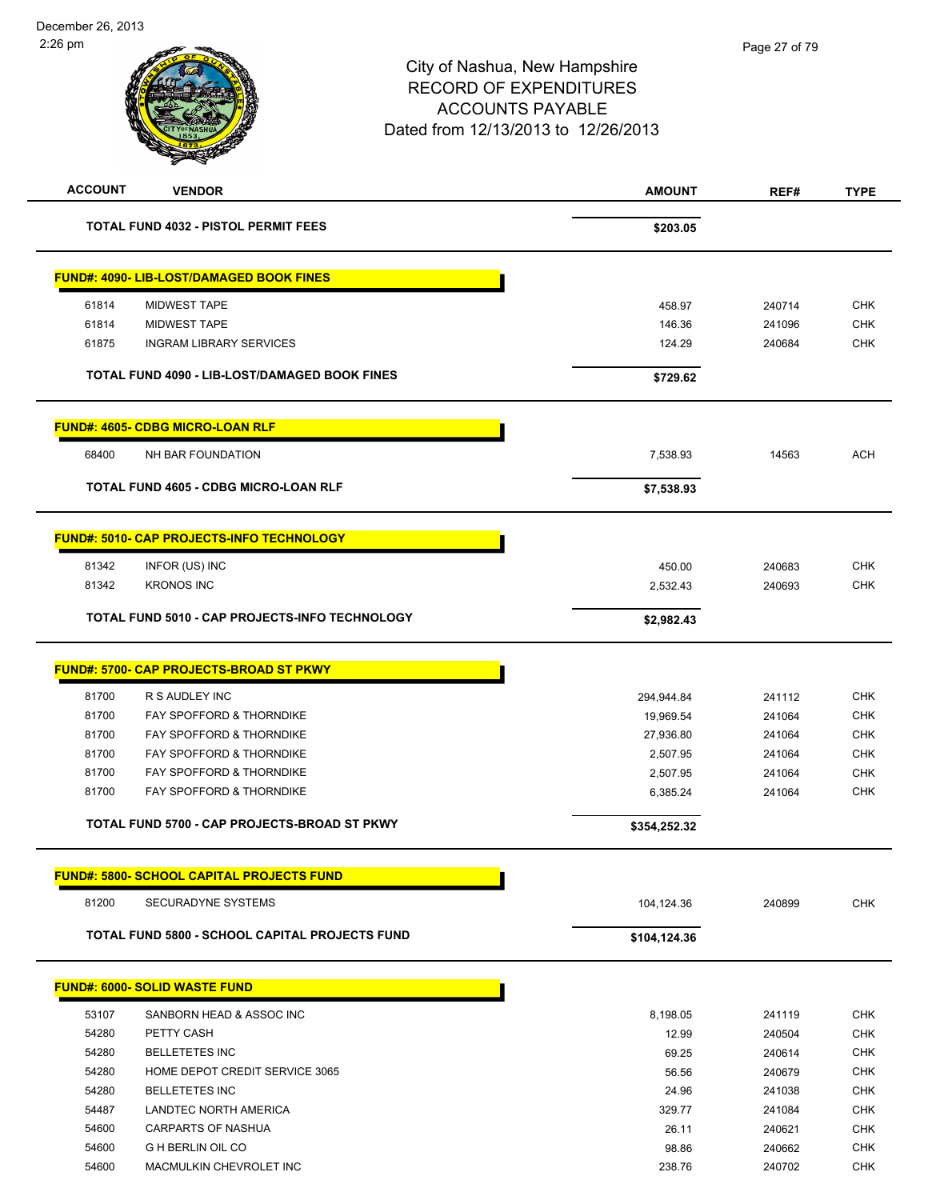## City of Nashua, New Hampshire RECORD OF EXPENDITURES ACCOUNTS PAYABLE Dated from 12/13/2013 to 12/26/2013 **ACCOUNT VENDOR AMOUNT REF# TYPE** Page 27 of 79

| <b>TOTAL FUND 4032 - PISTOL PERMIT FEES</b>              | \$203.05          |                  |            |
|----------------------------------------------------------|-------------------|------------------|------------|
|                                                          |                   |                  |            |
| <b>FUND#: 4090- LIB-LOST/DAMAGED BOOK FINES</b>          |                   |                  |            |
| 61814<br><b>MIDWEST TAPE</b>                             | 458.97            | 240714           | <b>CHK</b> |
| 61814<br><b>MIDWEST TAPE</b>                             | 146.36            | 241096           | <b>CHK</b> |
| 61875<br><b>INGRAM LIBRARY SERVICES</b>                  | 124.29            | 240684           | <b>CHK</b> |
| TOTAL FUND 4090 - LIB-LOST/DAMAGED BOOK FINES            | \$729.62          |                  |            |
| <b>FUND#: 4605- CDBG MICRO-LOAN RLF</b>                  |                   |                  |            |
| 68400<br>NH BAR FOUNDATION                               | 7,538.93          | 14563            | <b>ACH</b> |
| <b>TOTAL FUND 4605 - CDBG MICRO-LOAN RLF</b>             | \$7,538.93        |                  |            |
| <b>FUND#: 5010- CAP PROJECTS-INFO TECHNOLOGY</b>         |                   |                  |            |
| 81342<br>INFOR (US) INC                                  | 450.00            | 240683           | <b>CHK</b> |
| 81342<br><b>KRONOS INC</b>                               | 2,532.43          | 240693           | <b>CHK</b> |
| TOTAL FUND 5010 - CAP PROJECTS-INFO TECHNOLOGY           | \$2,982.43        |                  |            |
| <b>FUND#: 5700- CAP PROJECTS-BROAD ST PKWY</b>           |                   |                  |            |
| 81700<br>R S AUDLEY INC                                  | 294,944.84        | 241112           | <b>CHK</b> |
| 81700<br>FAY SPOFFORD & THORNDIKE                        | 19,969.54         | 241064           | <b>CHK</b> |
| 81700<br>FAY SPOFFORD & THORNDIKE                        | 27,936.80         | 241064           | <b>CHK</b> |
| 81700<br>FAY SPOFFORD & THORNDIKE                        | 2,507.95          | 241064           | <b>CHK</b> |
| 81700<br>FAY SPOFFORD & THORNDIKE                        | 2,507.95          | 241064           | <b>CHK</b> |
| 81700<br>FAY SPOFFORD & THORNDIKE                        | 6,385.24          | 241064           | <b>CHK</b> |
| TOTAL FUND 5700 - CAP PROJECTS-BROAD ST PKWY             | \$354,252.32      |                  |            |
| <b>FUND#: 5800- SCHOOL CAPITAL PROJECTS FUND</b>         |                   |                  |            |
| 81200<br>SECURADYNE SYSTEMS                              | 104,124.36        | 240899           | <b>CHK</b> |
| TOTAL FUND 5800 - SCHOOL CAPITAL PROJECTS FUND           | \$104,124.36      |                  |            |
| <b>FUND#: 6000- SOLID WASTE FUND</b>                     |                   |                  |            |
|                                                          |                   |                  | <b>CHK</b> |
| 53107<br>SANBORN HEAD & ASSOC INC<br>54280<br>PETTY CASH | 8,198.05<br>12.99 | 241119<br>240504 | <b>CHK</b> |
| 54280<br><b>BELLETETES INC</b>                           | 69.25             | 240614           | <b>CHK</b> |
| 54280<br>HOME DEPOT CREDIT SERVICE 3065                  | 56.56             | 240679           | <b>CHK</b> |
| 54280<br><b>BELLETETES INC</b>                           | 24.96             | 241038           | <b>CHK</b> |
| 54487<br>LANDTEC NORTH AMERICA                           | 329.77            | 241084           | <b>CHK</b> |
| 54600<br>CARPARTS OF NASHUA                              | 26.11             | 240621           | <b>CHK</b> |
| 54600<br>G H BERLIN OIL CO                               | 98.86             | 240662           | <b>CHK</b> |

54600 MACMULKIN CHEVROLET INC 238.76 240702 CHK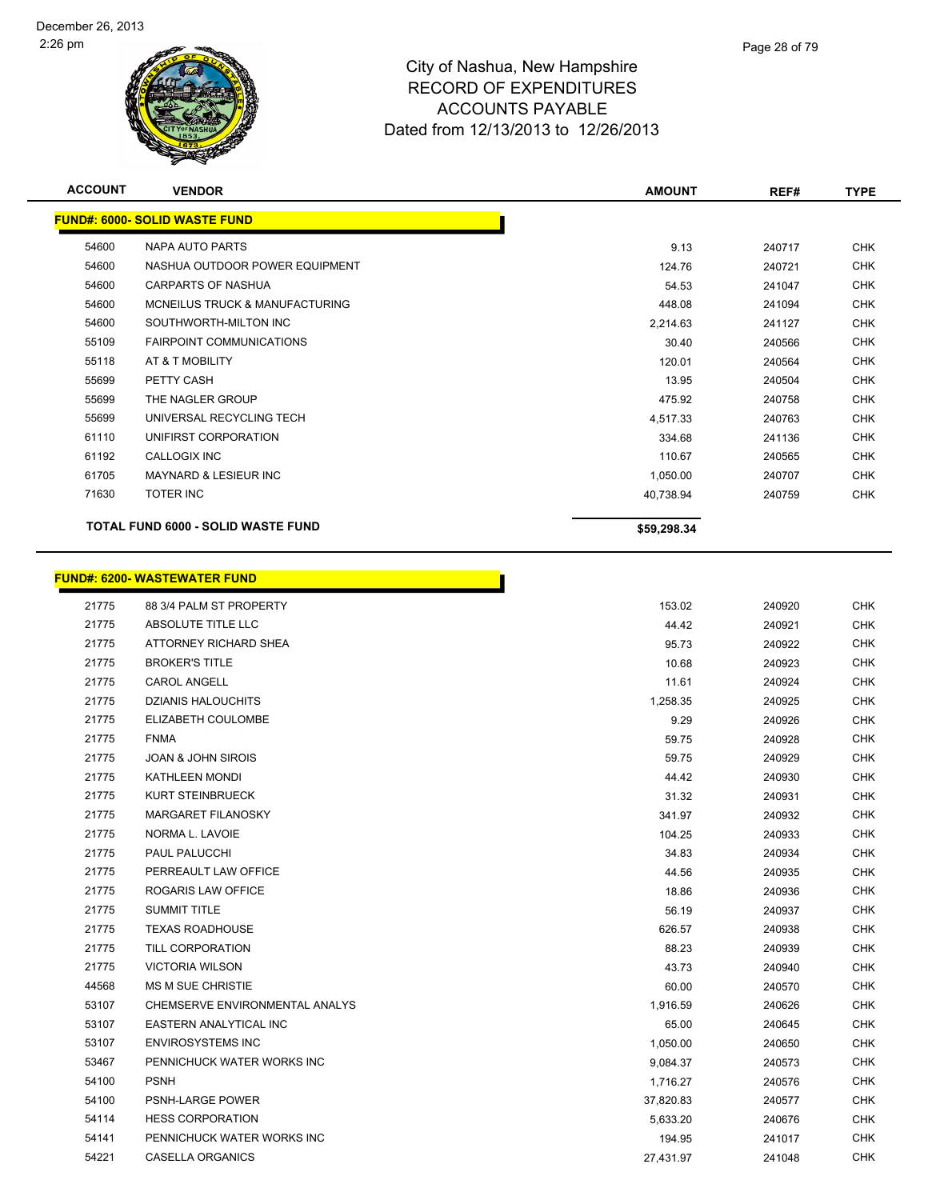

| <b>ACCOUNT</b> | <b>VENDOR</b>                        | <b>AMOUNT</b> | REF#   | <b>TYPE</b> |
|----------------|--------------------------------------|---------------|--------|-------------|
|                | <b>FUND#: 6000- SOLID WASTE FUND</b> |               |        |             |
| 54600          | NAPA AUTO PARTS                      | 9.13          | 240717 | <b>CHK</b>  |
| 54600          | NASHUA OUTDOOR POWER EQUIPMENT       | 124.76        | 240721 | <b>CHK</b>  |
| 54600          | <b>CARPARTS OF NASHUA</b>            | 54.53         | 241047 | <b>CHK</b>  |
| 54600          | MCNEILUS TRUCK & MANUFACTURING       | 448.08        | 241094 | <b>CHK</b>  |
| 54600          | SOUTHWORTH-MILTON INC                | 2,214.63      | 241127 | <b>CHK</b>  |
| 55109          | <b>FAIRPOINT COMMUNICATIONS</b>      | 30.40         | 240566 | <b>CHK</b>  |
| 55118          | AT & T MOBILITY                      | 120.01        | 240564 | <b>CHK</b>  |
| 55699          | PETTY CASH                           | 13.95         | 240504 | <b>CHK</b>  |
| 55699          | THE NAGLER GROUP                     | 475.92        | 240758 | <b>CHK</b>  |
| 55699          | UNIVERSAL RECYCLING TECH             | 4,517.33      | 240763 | <b>CHK</b>  |
| 61110          | UNIFIRST CORPORATION                 | 334.68        | 241136 | <b>CHK</b>  |
| 61192          | <b>CALLOGIX INC</b>                  | 110.67        | 240565 | <b>CHK</b>  |
| 61705          | <b>MAYNARD &amp; LESIEUR INC</b>     | 1,050.00      | 240707 | <b>CHK</b>  |
| 71630          | <b>TOTER INC</b>                     | 40,738.94     | 240759 | <b>CHK</b>  |
|                | TOTAL FUND 6000 - SOLID WASTE FUND   | \$59,298.34   |        |             |

h

## **FUND#: 6200- WASTEWATER FUND**

| 21775 | 88 3/4 PALM ST PROPERTY        | 153.02    | 240920 | <b>CHK</b> |
|-------|--------------------------------|-----------|--------|------------|
| 21775 | <b>ABSOLUTE TITLE LLC</b>      | 44.42     | 240921 | <b>CHK</b> |
| 21775 | ATTORNEY RICHARD SHEA          | 95.73     | 240922 | <b>CHK</b> |
| 21775 | <b>BROKER'S TITLE</b>          | 10.68     | 240923 | <b>CHK</b> |
| 21775 | <b>CAROL ANGELL</b>            | 11.61     | 240924 | <b>CHK</b> |
| 21775 | <b>DZIANIS HALOUCHITS</b>      | 1,258.35  | 240925 | <b>CHK</b> |
| 21775 | ELIZABETH COULOMBE             | 9.29      | 240926 | <b>CHK</b> |
| 21775 | <b>FNMA</b>                    | 59.75     | 240928 | <b>CHK</b> |
| 21775 | <b>JOAN &amp; JOHN SIROIS</b>  | 59.75     | 240929 | <b>CHK</b> |
| 21775 | <b>KATHLEEN MONDI</b>          | 44.42     | 240930 | <b>CHK</b> |
| 21775 | <b>KURT STEINBRUECK</b>        | 31.32     | 240931 | <b>CHK</b> |
| 21775 | MARGARET FILANOSKY             | 341.97    | 240932 | <b>CHK</b> |
| 21775 | NORMA L. LAVOIE                | 104.25    | 240933 | <b>CHK</b> |
| 21775 | PAUL PALUCCHI                  | 34.83     | 240934 | <b>CHK</b> |
| 21775 | PERREAULT LAW OFFICE           | 44.56     | 240935 | <b>CHK</b> |
| 21775 | ROGARIS LAW OFFICE             | 18.86     | 240936 | <b>CHK</b> |
| 21775 | <b>SUMMIT TITLE</b>            | 56.19     | 240937 | <b>CHK</b> |
| 21775 | <b>TEXAS ROADHOUSE</b>         | 626.57    | 240938 | <b>CHK</b> |
| 21775 | TILL CORPORATION               | 88.23     | 240939 | <b>CHK</b> |
| 21775 | <b>VICTORIA WILSON</b>         | 43.73     | 240940 | <b>CHK</b> |
| 44568 | MS M SUE CHRISTIE              | 60.00     | 240570 | <b>CHK</b> |
| 53107 | CHEMSERVE ENVIRONMENTAL ANALYS | 1,916.59  | 240626 | <b>CHK</b> |
| 53107 | EASTERN ANALYTICAL INC         | 65.00     | 240645 | <b>CHK</b> |
| 53107 | <b>ENVIROSYSTEMS INC</b>       | 1,050.00  | 240650 | <b>CHK</b> |
| 53467 | PENNICHUCK WATER WORKS INC     | 9,084.37  | 240573 | <b>CHK</b> |
| 54100 | <b>PSNH</b>                    | 1,716.27  | 240576 | <b>CHK</b> |
| 54100 | PSNH-LARGE POWER               | 37,820.83 | 240577 | <b>CHK</b> |
| 54114 | <b>HESS CORPORATION</b>        | 5,633.20  | 240676 | <b>CHK</b> |
| 54141 | PENNICHUCK WATER WORKS INC     | 194.95    | 241017 | <b>CHK</b> |
| 54221 | <b>CASELLA ORGANICS</b>        | 27,431.97 | 241048 | <b>CHK</b> |
|       |                                |           |        |            |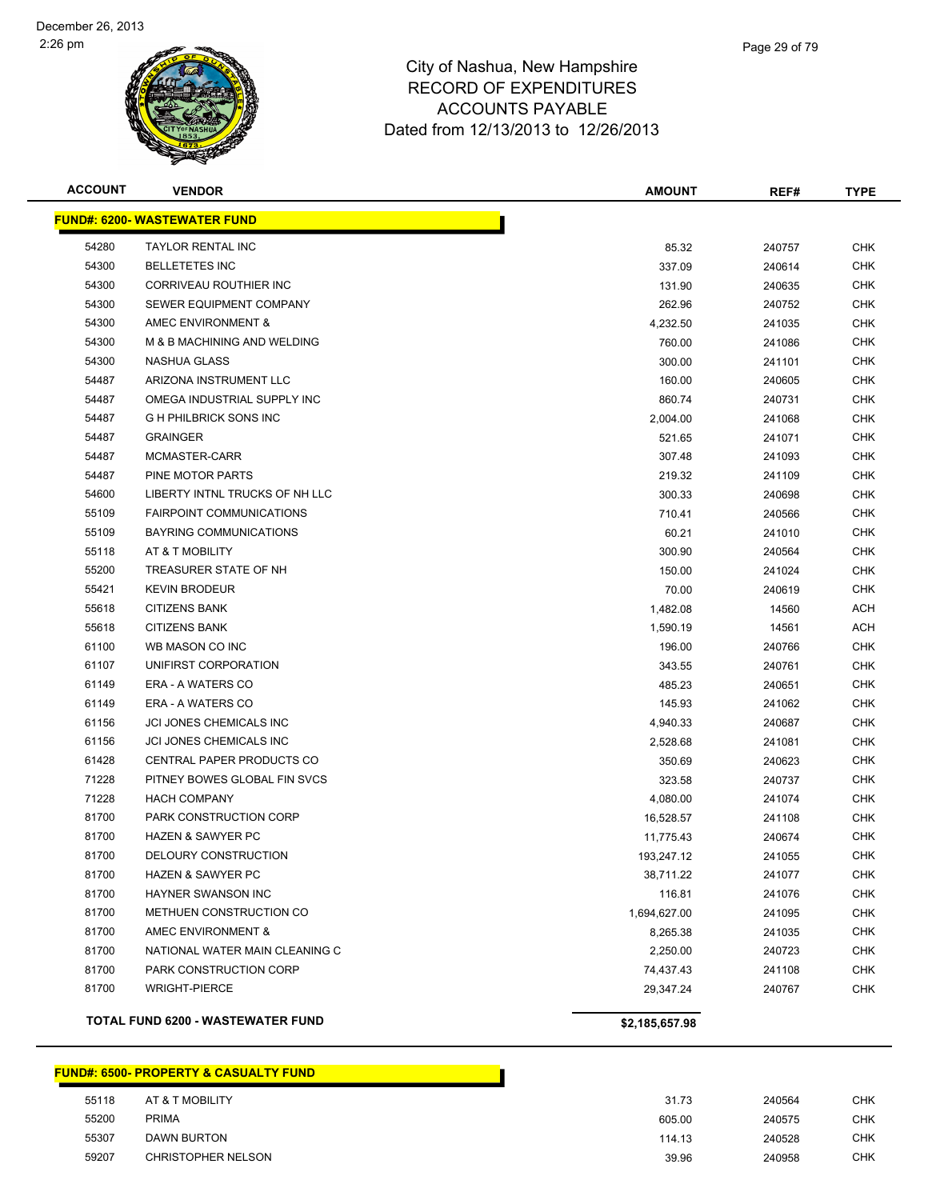

|   | Page 29 of 79 |
|---|---------------|
| е |               |
|   |               |

| <b>ACCOUNT</b> | <b>VENDOR</b>                            | <b>AMOUNT</b>  | REF#   | <b>TYPE</b> |
|----------------|------------------------------------------|----------------|--------|-------------|
|                | <b>FUND#: 6200- WASTEWATER FUND</b>      |                |        |             |
| 54280          | <b>TAYLOR RENTAL INC</b>                 | 85.32          | 240757 | <b>CHK</b>  |
| 54300          | <b>BELLETETES INC</b>                    | 337.09         | 240614 | <b>CHK</b>  |
| 54300          | CORRIVEAU ROUTHIER INC                   | 131.90         | 240635 | <b>CHK</b>  |
| 54300          | SEWER EQUIPMENT COMPANY                  | 262.96         | 240752 | <b>CHK</b>  |
| 54300          | AMEC ENVIRONMENT &                       | 4,232.50       | 241035 | CHK         |
| 54300          | M & B MACHINING AND WELDING              | 760.00         | 241086 | <b>CHK</b>  |
| 54300          | NASHUA GLASS                             | 300.00         | 241101 | <b>CHK</b>  |
| 54487          | ARIZONA INSTRUMENT LLC                   | 160.00         | 240605 | CHK         |
| 54487          | OMEGA INDUSTRIAL SUPPLY INC              | 860.74         | 240731 | <b>CHK</b>  |
| 54487          | <b>G H PHILBRICK SONS INC</b>            | 2,004.00       | 241068 | <b>CHK</b>  |
| 54487          | <b>GRAINGER</b>                          | 521.65         | 241071 | CHK         |
| 54487          | MCMASTER-CARR                            | 307.48         | 241093 | CHK         |
| 54487          | PINE MOTOR PARTS                         | 219.32         | 241109 | <b>CHK</b>  |
| 54600          | LIBERTY INTNL TRUCKS OF NH LLC           | 300.33         | 240698 | <b>CHK</b>  |
| 55109          | <b>FAIRPOINT COMMUNICATIONS</b>          | 710.41         | 240566 | <b>CHK</b>  |
| 55109          | BAYRING COMMUNICATIONS                   | 60.21          | 241010 | <b>CHK</b>  |
| 55118          | AT & T MOBILITY                          | 300.90         | 240564 | <b>CHK</b>  |
| 55200          | TREASURER STATE OF NH                    | 150.00         | 241024 | CHK         |
| 55421          | <b>KEVIN BRODEUR</b>                     | 70.00          | 240619 | <b>CHK</b>  |
| 55618          | <b>CITIZENS BANK</b>                     | 1,482.08       | 14560  | ACH         |
| 55618          | <b>CITIZENS BANK</b>                     | 1,590.19       | 14561  | ACH         |
| 61100          | WB MASON CO INC                          | 196.00         | 240766 | CHK         |
| 61107          | UNIFIRST CORPORATION                     | 343.55         | 240761 | <b>CHK</b>  |
| 61149          | <b>ERA - A WATERS CO</b>                 | 485.23         | 240651 | <b>CHK</b>  |
| 61149          | <b>ERA - A WATERS CO</b>                 | 145.93         | 241062 | CHK         |
| 61156          | <b>JCI JONES CHEMICALS INC</b>           | 4,940.33       | 240687 | <b>CHK</b>  |
| 61156          | JCI JONES CHEMICALS INC                  | 2,528.68       | 241081 | <b>CHK</b>  |
| 61428          | CENTRAL PAPER PRODUCTS CO                | 350.69         | 240623 | <b>CHK</b>  |
| 71228          | PITNEY BOWES GLOBAL FIN SVCS             | 323.58         | 240737 | CHK         |
| 71228          | <b>HACH COMPANY</b>                      | 4,080.00       | 241074 | CHK         |
| 81700          | PARK CONSTRUCTION CORP                   | 16,528.57      | 241108 | CHK         |
| 81700          | <b>HAZEN &amp; SAWYER PC</b>             | 11,775.43      | 240674 | CHK         |
| 81700          | DELOURY CONSTRUCTION                     | 193,247.12     | 241055 | CHK         |
| 81700          | HAZEN & SAWYER PC                        | 38,711.22      | 241077 | <b>CHK</b>  |
| 81700          | HAYNER SWANSON INC                       | 116.81         | 241076 | <b>CHK</b>  |
| 81700          | METHUEN CONSTRUCTION CO                  | 1,694,627.00   | 241095 | <b>CHK</b>  |
| 81700          | AMEC ENVIRONMENT &                       | 8,265.38       | 241035 | <b>CHK</b>  |
| 81700          | NATIONAL WATER MAIN CLEANING C           | 2,250.00       | 240723 | <b>CHK</b>  |
| 81700          | PARK CONSTRUCTION CORP                   | 74,437.43      | 241108 | <b>CHK</b>  |
| 81700          | <b>WRIGHT-PIERCE</b>                     | 29,347.24      | 240767 | <b>CHK</b>  |
|                | <b>TOTAL FUND 6200 - WASTEWATER FUND</b> | \$2,185,657.98 |        |             |

#### **FUND#: 6500- PROPERTY & CASUALTY FUND**

| 55118 | AT & T MOBILITY           | 31.73  | 240564 | <b>CHK</b> |
|-------|---------------------------|--------|--------|------------|
| 55200 | <b>PRIMA</b>              | 605.00 | 240575 | <b>CHK</b> |
| 55307 | <b>DAWN BURTON</b>        | 114.13 | 240528 | <b>CHK</b> |
| 59207 | <b>CHRISTOPHER NELSON</b> | 39.96  | 240958 | <b>CHK</b> |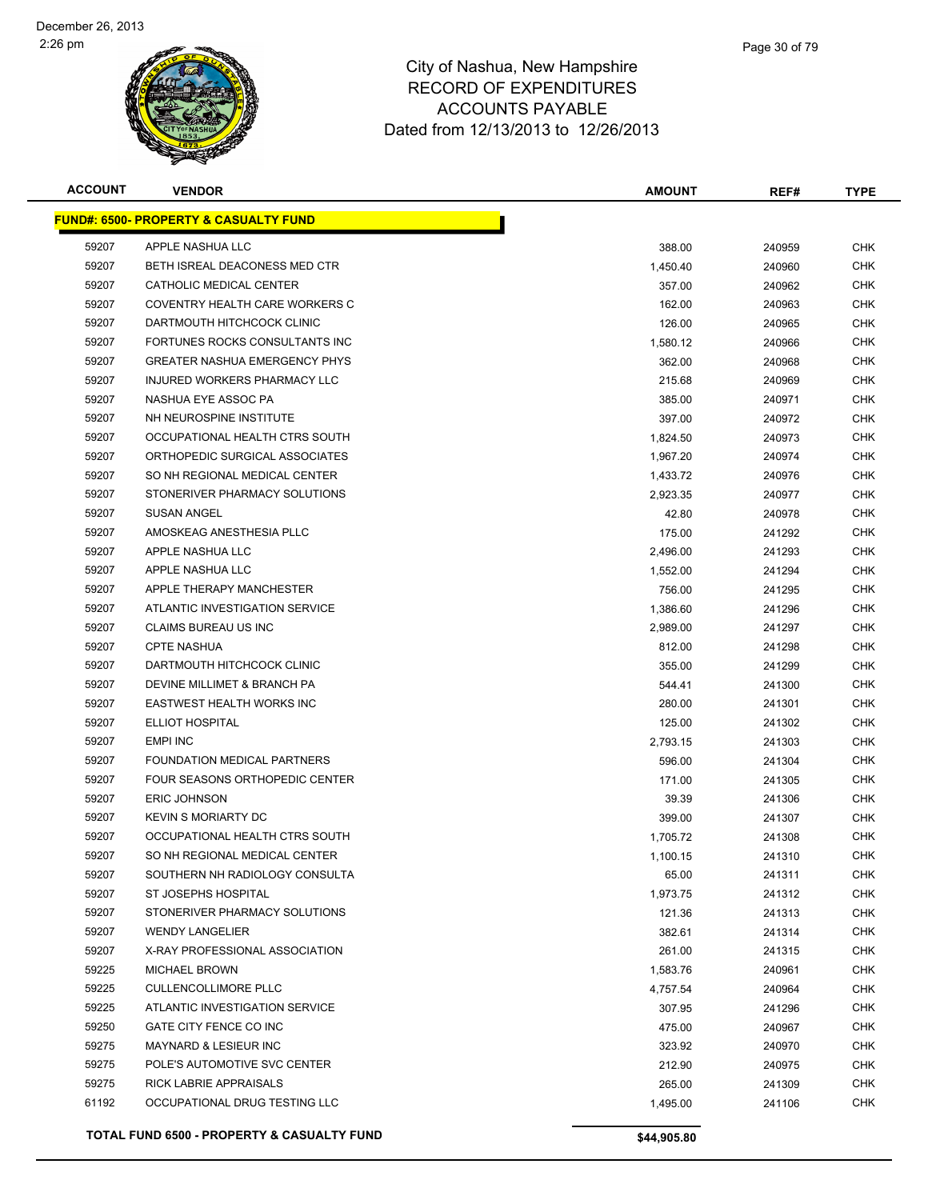

| <b>ACCOUNT</b> | <b>VENDOR</b>                                    | <b>AMOUNT</b> | REF#   | <b>TYPE</b> |
|----------------|--------------------------------------------------|---------------|--------|-------------|
|                | <b>FUND#: 6500- PROPERTY &amp; CASUALTY FUND</b> |               |        |             |
| 59207          | APPLE NASHUA LLC                                 | 388.00        | 240959 | CHK         |
| 59207          | BETH ISREAL DEACONESS MED CTR                    | 1,450.40      | 240960 | <b>CHK</b>  |
| 59207          | CATHOLIC MEDICAL CENTER                          | 357.00        | 240962 | CHK         |
| 59207          | COVENTRY HEALTH CARE WORKERS C                   | 162.00        | 240963 | <b>CHK</b>  |
| 59207          | DARTMOUTH HITCHCOCK CLINIC                       | 126.00        | 240965 | CHK         |
| 59207          | FORTUNES ROCKS CONSULTANTS INC                   | 1,580.12      | 240966 | CHK         |
| 59207          | <b>GREATER NASHUA EMERGENCY PHYS</b>             | 362.00        | 240968 | CHK         |
| 59207          | <b>INJURED WORKERS PHARMACY LLC</b>              | 215.68        | 240969 | CHK         |
| 59207          | NASHUA EYE ASSOC PA                              | 385.00        | 240971 | CHK         |
| 59207          | NH NEUROSPINE INSTITUTE                          | 397.00        | 240972 | CHK         |
| 59207          | OCCUPATIONAL HEALTH CTRS SOUTH                   | 1,824.50      | 240973 | CHK         |
| 59207          | ORTHOPEDIC SURGICAL ASSOCIATES                   | 1,967.20      | 240974 | CHK         |
| 59207          | SO NH REGIONAL MEDICAL CENTER                    | 1,433.72      | 240976 | CHK         |
| 59207          | STONERIVER PHARMACY SOLUTIONS                    | 2,923.35      | 240977 | CHK         |
| 59207          | <b>SUSAN ANGEL</b>                               | 42.80         | 240978 | <b>CHK</b>  |
| 59207          | AMOSKEAG ANESTHESIA PLLC                         | 175.00        | 241292 | CHK         |
| 59207          | APPLE NASHUA LLC                                 | 2,496.00      | 241293 | <b>CHK</b>  |
| 59207          | APPLE NASHUA LLC                                 | 1,552.00      | 241294 | <b>CHK</b>  |
| 59207          | APPLE THERAPY MANCHESTER                         | 756.00        | 241295 | CHK         |
| 59207          | ATLANTIC INVESTIGATION SERVICE                   | 1,386.60      | 241296 | CHK         |
| 59207          | CLAIMS BUREAU US INC                             | 2,989.00      | 241297 | CHK         |
| 59207          | <b>CPTE NASHUA</b>                               | 812.00        | 241298 | <b>CHK</b>  |
| 59207          | DARTMOUTH HITCHCOCK CLINIC                       | 355.00        | 241299 | CHK         |
| 59207          | DEVINE MILLIMET & BRANCH PA                      | 544.41        | 241300 | CHK         |
| 59207          | EASTWEST HEALTH WORKS INC                        | 280.00        | 241301 | <b>CHK</b>  |
| 59207          | ELLIOT HOSPITAL                                  | 125.00        | 241302 | <b>CHK</b>  |
| 59207          | <b>EMPI INC</b>                                  | 2,793.15      | 241303 | CHK         |
| 59207          | FOUNDATION MEDICAL PARTNERS                      | 596.00        | 241304 | CHK         |
| 59207          | FOUR SEASONS ORTHOPEDIC CENTER                   | 171.00        | 241305 | CHK         |
| 59207          | <b>ERIC JOHNSON</b>                              | 39.39         | 241306 | CHK         |
| 59207          | <b>KEVIN S MORIARTY DC</b>                       | 399.00        | 241307 | CHK         |
| 59207          | OCCUPATIONAL HEALTH CTRS SOUTH                   | 1,705.72      | 241308 | <b>CHK</b>  |
| 59207          | SO NH REGIONAL MEDICAL CENTER                    | 1,100.15      | 241310 | CHK         |
| 59207          | SOUTHERN NH RADIOLOGY CONSULTA                   | 65.00         | 241311 | <b>CHK</b>  |
| 59207          | ST JOSEPHS HOSPITAL                              | 1,973.75      | 241312 | CHK         |
| 59207          | STONERIVER PHARMACY SOLUTIONS                    | 121.36        | 241313 | <b>CHK</b>  |
| 59207          | <b>WENDY LANGELIER</b>                           | 382.61        | 241314 | <b>CHK</b>  |
| 59207          | X-RAY PROFESSIONAL ASSOCIATION                   | 261.00        | 241315 | CHK         |
| 59225          | <b>MICHAEL BROWN</b>                             | 1,583.76      | 240961 | <b>CHK</b>  |
| 59225          | <b>CULLENCOLLIMORE PLLC</b>                      | 4,757.54      | 240964 | CHK         |
| 59225          | ATLANTIC INVESTIGATION SERVICE                   | 307.95        | 241296 | <b>CHK</b>  |
| 59250          | GATE CITY FENCE CO INC                           | 475.00        | 240967 | <b>CHK</b>  |
| 59275          | <b>MAYNARD &amp; LESIEUR INC</b>                 | 323.92        | 240970 | <b>CHK</b>  |
| 59275          | POLE'S AUTOMOTIVE SVC CENTER                     | 212.90        | 240975 | <b>CHK</b>  |
| 59275          | RICK LABRIE APPRAISALS                           | 265.00        | 241309 | <b>CHK</b>  |
| 61192          | OCCUPATIONAL DRUG TESTING LLC                    | 1,495.00      | 241106 | CHK         |
|                |                                                  |               |        |             |
|                | TOTAL FUND 6500 - PROPERTY & CASUALTY FUND       | \$44,905.80   |        |             |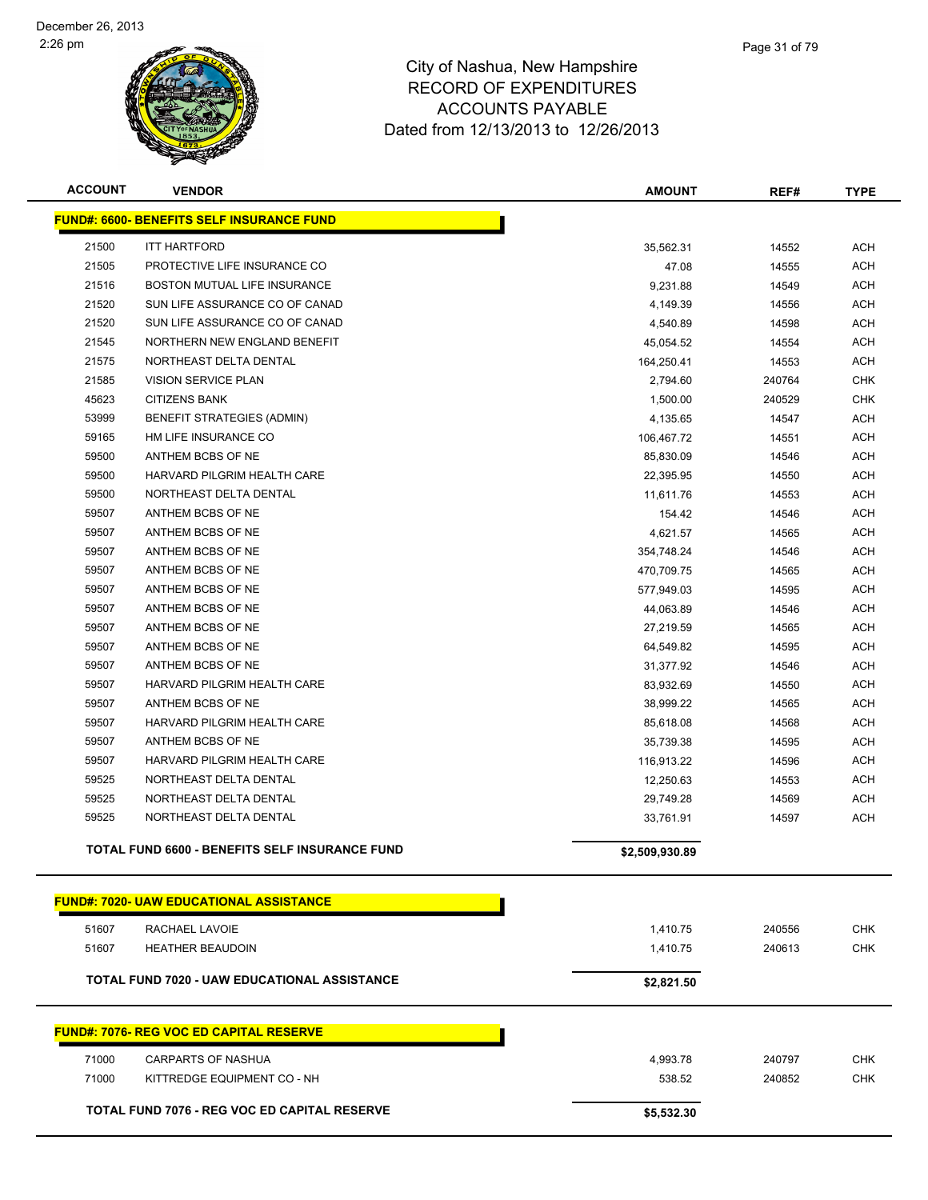

| <b>ACCOUNT</b> | <b>VENDOR</b>                                         | <b>AMOUNT</b>  | REF#   | <b>TYPE</b> |
|----------------|-------------------------------------------------------|----------------|--------|-------------|
|                | <b>FUND#: 6600- BENEFITS SELF INSURANCE FUND</b>      |                |        |             |
| 21500          | <b>ITT HARTFORD</b>                                   | 35,562.31      | 14552  | ACH         |
| 21505          | PROTECTIVE LIFE INSURANCE CO                          | 47.08          | 14555  | ACH         |
| 21516          | BOSTON MUTUAL LIFE INSURANCE                          | 9,231.88       | 14549  | <b>ACH</b>  |
| 21520          | SUN LIFE ASSURANCE CO OF CANAD                        | 4,149.39       | 14556  | ACH         |
| 21520          | SUN LIFE ASSURANCE CO OF CANAD                        | 4,540.89       | 14598  | ACH         |
| 21545          | NORTHERN NEW ENGLAND BENEFIT                          | 45,054.52      | 14554  | ACH         |
| 21575          | NORTHEAST DELTA DENTAL                                | 164,250.41     | 14553  | ACH         |
| 21585          | <b>VISION SERVICE PLAN</b>                            | 2,794.60       | 240764 | <b>CHK</b>  |
| 45623          | <b>CITIZENS BANK</b>                                  | 1,500.00       | 240529 | <b>CHK</b>  |
| 53999          | <b>BENEFIT STRATEGIES (ADMIN)</b>                     | 4,135.65       | 14547  | ACH         |
| 59165          | HM LIFE INSURANCE CO                                  | 106,467.72     | 14551  | ACH         |
| 59500          | ANTHEM BCBS OF NE                                     | 85,830.09      | 14546  | ACH         |
| 59500          | HARVARD PILGRIM HEALTH CARE                           | 22,395.95      | 14550  | ACH         |
| 59500          | NORTHEAST DELTA DENTAL                                | 11,611.76      | 14553  | ACH         |
| 59507          | ANTHEM BCBS OF NE                                     | 154.42         | 14546  | ACH         |
| 59507          | ANTHEM BCBS OF NE                                     | 4,621.57       | 14565  | ACH         |
| 59507          | ANTHEM BCBS OF NE                                     | 354,748.24     | 14546  | ACH         |
| 59507          | ANTHEM BCBS OF NE                                     | 470,709.75     | 14565  | ACH         |
| 59507          | ANTHEM BCBS OF NE                                     | 577,949.03     | 14595  | <b>ACH</b>  |
| 59507          | ANTHEM BCBS OF NE                                     | 44,063.89      | 14546  | <b>ACH</b>  |
| 59507          | ANTHEM BCBS OF NE                                     | 27,219.59      | 14565  | ACH         |
| 59507          | ANTHEM BCBS OF NE                                     | 64,549.82      | 14595  | ACH         |
| 59507          | ANTHEM BCBS OF NE                                     | 31,377.92      | 14546  | ACH         |
| 59507          | HARVARD PILGRIM HEALTH CARE                           | 83,932.69      | 14550  | ACH         |
| 59507          | ANTHEM BCBS OF NE                                     | 38,999.22      | 14565  | ACH         |
| 59507          | HARVARD PILGRIM HEALTH CARE                           | 85,618.08      | 14568  | ACH         |
| 59507          | ANTHEM BCBS OF NE                                     | 35,739.38      | 14595  | ACH         |
| 59507          | HARVARD PILGRIM HEALTH CARE                           | 116,913.22     | 14596  | ACH         |
| 59525          | NORTHEAST DELTA DENTAL                                | 12,250.63      | 14553  | ACH         |
| 59525          | NORTHEAST DELTA DENTAL                                | 29,749.28      | 14569  | <b>ACH</b>  |
| 59525          | NORTHEAST DELTA DENTAL                                | 33,761.91      | 14597  | <b>ACH</b>  |
|                | <b>TOTAL FUND 6600 - BENEFITS SELF INSURANCE FUND</b> | \$2,509,930.89 |        |             |
|                | <u> FUND#: 7020- UAW EDUCATIONAL ASSISTANCE</u>       |                |        |             |
| 51607          | RACHAEL LAVOIE                                        | 1,410.75       | 240556 | <b>CHK</b>  |
| 51607          | <b>HEATHER BEAUDOIN</b>                               | 1,410.75       | 240613 | <b>CHK</b>  |
|                | <b>TOTAL FUND 7020 - UAW EDUCATIONAL ASSISTANCE</b>   | \$2,821.50     |        |             |
|                |                                                       |                |        |             |
|                | <b>FUND#: 7076- REG VOC ED CAPITAL RESERVE</b>        |                |        |             |
| 71000          | <b>CARPARTS OF NASHUA</b>                             | 4,993.78       | 240797 | <b>CHK</b>  |
| 71000          | KITTREDGE EQUIPMENT CO - NH                           | 538.52         | 240852 | <b>CHK</b>  |
|                | <b>TOTAL FUND 7076 - REG VOC ED CAPITAL RESERVE</b>   | \$5,532.30     |        |             |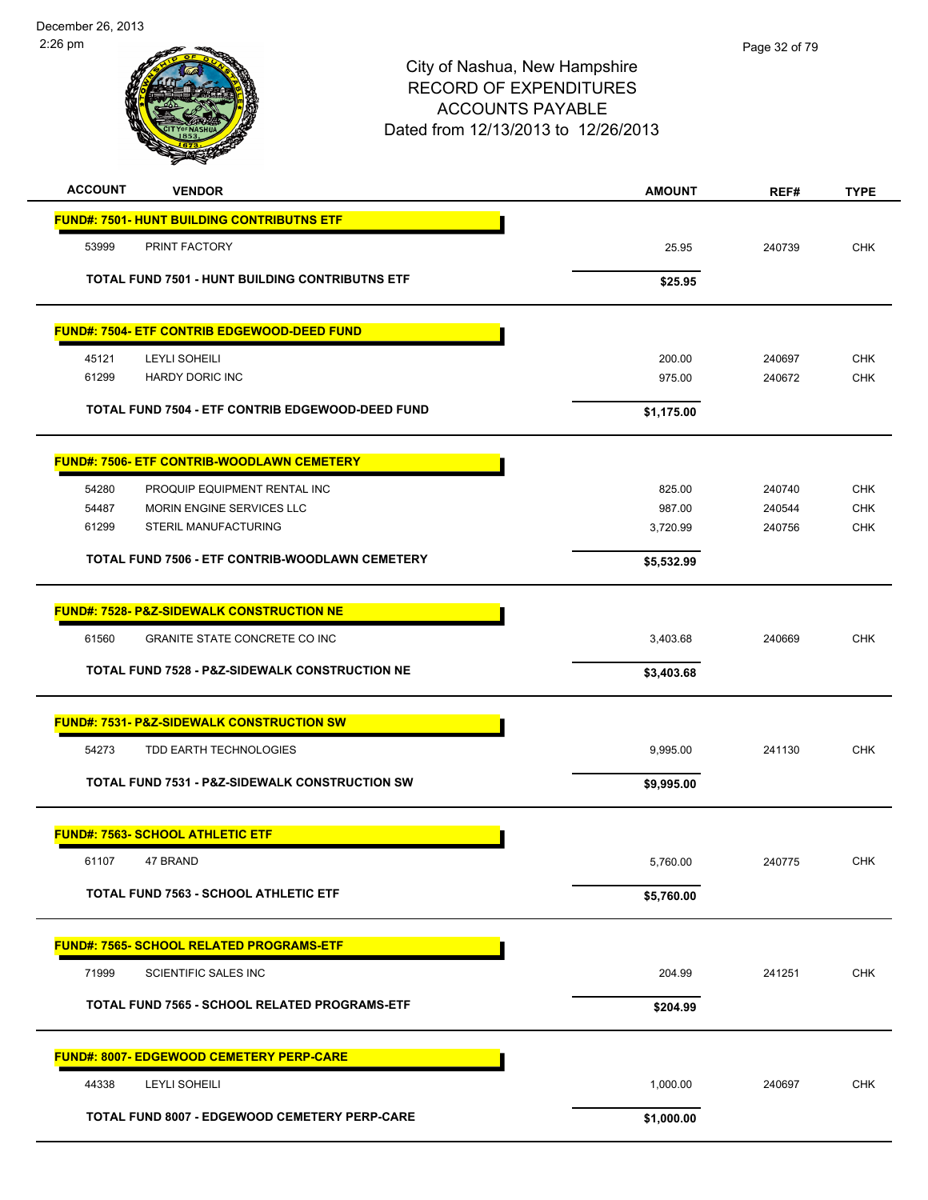| <b>ACCOUNT</b> | <b>VENDOR</b>                                             | <b>AMOUNT</b> | REF#   | <b>TYPE</b> |
|----------------|-----------------------------------------------------------|---------------|--------|-------------|
|                | <b>FUND#: 7501- HUNT BUILDING CONTRIBUTNS ETF</b>         |               |        |             |
| 53999          | PRINT FACTORY                                             | 25.95         | 240739 | <b>CHK</b>  |
|                | <b>TOTAL FUND 7501 - HUNT BUILDING CONTRIBUTNS ETF</b>    | \$25.95       |        |             |
|                |                                                           |               |        |             |
|                | <b>FUND#: 7504- ETF CONTRIB EDGEWOOD-DEED FUND</b>        |               |        |             |
| 45121          | LEYLI SOHEILI                                             | 200.00        | 240697 | <b>CHK</b>  |
| 61299          | <b>HARDY DORIC INC</b>                                    | 975.00        | 240672 | <b>CHK</b>  |
|                | TOTAL FUND 7504 - ETF CONTRIB EDGEWOOD-DEED FUND          | \$1,175.00    |        |             |
|                | <b>FUND#: 7506- ETF CONTRIB-WOODLAWN CEMETERY</b>         |               |        |             |
| 54280          | PROQUIP EQUIPMENT RENTAL INC                              | 825.00        | 240740 | <b>CHK</b>  |
| 54487          | MORIN ENGINE SERVICES LLC                                 | 987.00        | 240544 | <b>CHK</b>  |
| 61299          | STERIL MANUFACTURING                                      | 3,720.99      | 240756 | <b>CHK</b>  |
|                | TOTAL FUND 7506 - ETF CONTRIB-WOODLAWN CEMETERY           | \$5,532.99    |        |             |
|                | <b>FUND#: 7528- P&amp;Z-SIDEWALK CONSTRUCTION NE</b>      |               |        |             |
| 61560          | GRANITE STATE CONCRETE CO INC                             | 3,403.68      | 240669 | <b>CHK</b>  |
|                | TOTAL FUND 7528 - P&Z-SIDEWALK CONSTRUCTION NE            | \$3,403.68    |        |             |
|                | <b>FUND#: 7531- P&amp;Z-SIDEWALK CONSTRUCTION SW</b>      |               |        |             |
| 54273          | TDD EARTH TECHNOLOGIES                                    | 9,995.00      | 241130 | <b>CHK</b>  |
|                | <b>TOTAL FUND 7531 - P&amp;Z-SIDEWALK CONSTRUCTION SW</b> | \$9,995.00    |        |             |
|                | <b>FUND#: 7563- SCHOOL ATHLETIC ETF</b>                   |               |        |             |
|                | 61107 47 BRAND                                            | 5,760.00      | 240775 | <b>CHK</b>  |
|                | <b>TOTAL FUND 7563 - SCHOOL ATHLETIC ETF</b>              | \$5,760.00    |        |             |
|                | FUND#: 7565- SCHOOL RELATED PROGRAMS-ETF                  |               |        |             |
| 71999          | SCIENTIFIC SALES INC                                      | 204.99        | 241251 | <b>CHK</b>  |
|                | TOTAL FUND 7565 - SCHOOL RELATED PROGRAMS-ETF             | \$204.99      |        |             |
|                | <b>FUND#: 8007- EDGEWOOD CEMETERY PERP-CARE</b>           |               |        |             |
| 44338          | <b>LEYLI SOHEILI</b>                                      | 1,000.00      | 240697 | <b>CHK</b>  |
|                | TOTAL FUND 8007 - EDGEWOOD CEMETERY PERP-CARE             | \$1,000.00    |        |             |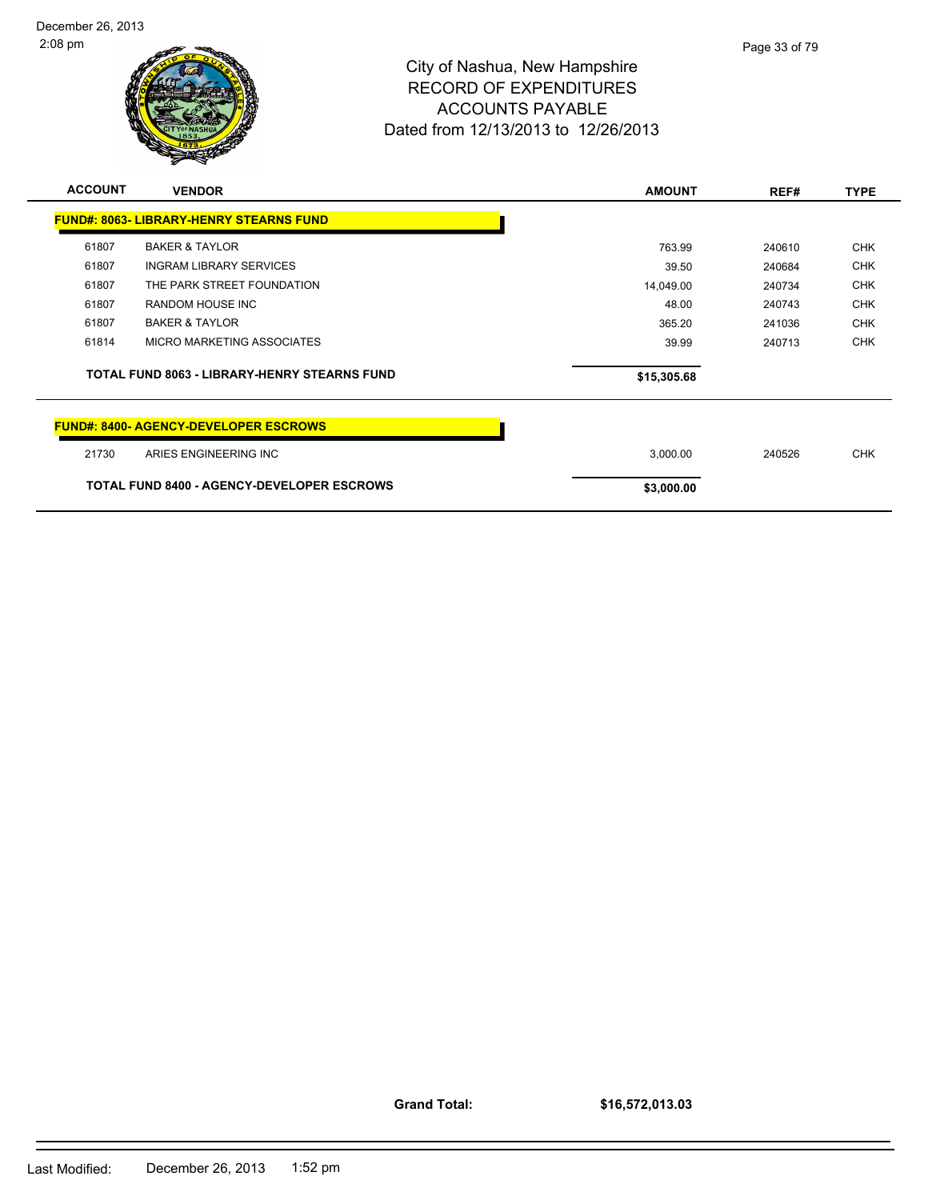

| <b>ACCOUNT</b> | <b>VENDOR</b>                                       | <b>AMOUNT</b> | REF#   | <b>TYPE</b> |
|----------------|-----------------------------------------------------|---------------|--------|-------------|
|                | <b>FUND#: 8063- LIBRARY-HENRY STEARNS FUND</b>      |               |        |             |
| 61807          | <b>BAKER &amp; TAYLOR</b>                           | 763.99        | 240610 | <b>CHK</b>  |
| 61807          | <b>INGRAM LIBRARY SERVICES</b>                      | 39.50         | 240684 | <b>CHK</b>  |
| 61807          | THE PARK STREET FOUNDATION                          | 14,049.00     | 240734 | <b>CHK</b>  |
| 61807          | RANDOM HOUSE INC                                    | 48.00         | 240743 | <b>CHK</b>  |
| 61807          | <b>BAKER &amp; TAYLOR</b>                           | 365.20        | 241036 | <b>CHK</b>  |
| 61814          | MICRO MARKETING ASSOCIATES                          | 39.99         | 240713 | <b>CHK</b>  |
|                | <b>TOTAL FUND 8063 - LIBRARY-HENRY STEARNS FUND</b> | \$15,305.68   |        |             |
|                | <b>FUND#: 8400- AGENCY-DEVELOPER ESCROWS</b>        |               |        |             |
| 21730          | ARIES ENGINEERING INC                               | 3,000.00      | 240526 | <b>CHK</b>  |
|                | <b>TOTAL FUND 8400 - AGENCY-DEVELOPER ESCROWS</b>   | \$3,000.00    |        |             |

**Grand Total:**

**\$16,572,013.03**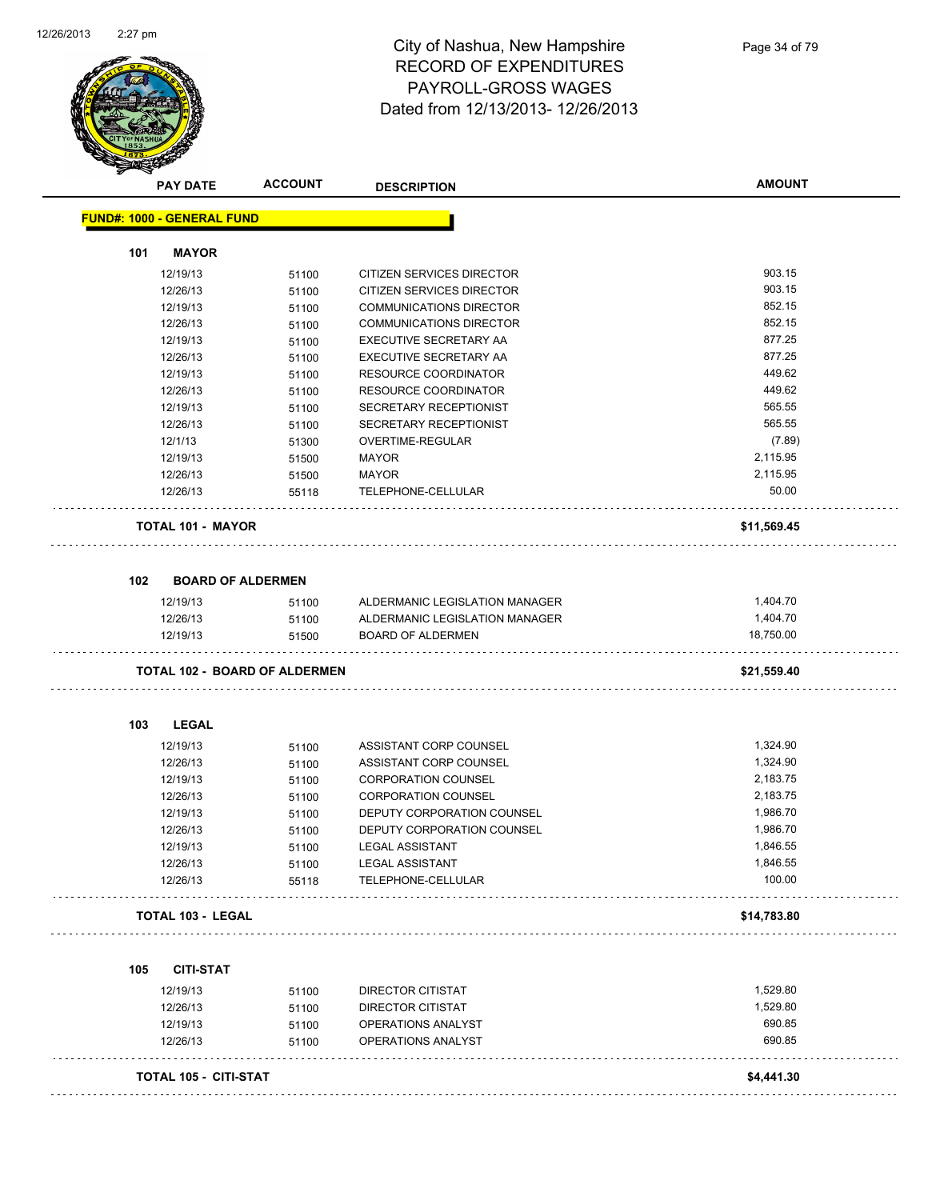

### City of Nashua, New Hampshire RECORD OF EXPENDITURES PAYROLL-GROSS WAGES Dated from 12/13/2013- 12/26/2013

|     | <b>PAY DATE</b>                   | <b>ACCOUNT</b>                       | <b>DESCRIPTION</b>             | <b>AMOUNT</b> |
|-----|-----------------------------------|--------------------------------------|--------------------------------|---------------|
|     | <b>FUND#: 1000 - GENERAL FUND</b> |                                      |                                |               |
| 101 | <b>MAYOR</b>                      |                                      |                                |               |
|     | 12/19/13                          | 51100                                | CITIZEN SERVICES DIRECTOR      | 903.15        |
|     | 12/26/13                          | 51100                                | CITIZEN SERVICES DIRECTOR      | 903.15        |
|     | 12/19/13                          | 51100                                | <b>COMMUNICATIONS DIRECTOR</b> | 852.15        |
|     | 12/26/13                          | 51100                                | <b>COMMUNICATIONS DIRECTOR</b> | 852.15        |
|     | 12/19/13                          | 51100                                | EXECUTIVE SECRETARY AA         | 877.25        |
|     | 12/26/13                          | 51100                                | EXECUTIVE SECRETARY AA         | 877.25        |
|     | 12/19/13                          | 51100                                | <b>RESOURCE COORDINATOR</b>    | 449.62        |
|     | 12/26/13                          | 51100                                | RESOURCE COORDINATOR           | 449.62        |
|     | 12/19/13                          | 51100                                | SECRETARY RECEPTIONIST         | 565.55        |
|     | 12/26/13                          | 51100                                | SECRETARY RECEPTIONIST         | 565.55        |
|     | 12/1/13                           | 51300                                | OVERTIME-REGULAR               | (7.89)        |
|     | 12/19/13                          | 51500                                | <b>MAYOR</b>                   | 2,115.95      |
|     | 12/26/13                          | 51500                                | <b>MAYOR</b>                   | 2,115.95      |
|     | 12/26/13                          | 55118                                | TELEPHONE-CELLULAR             | 50.00         |
|     | <b>TOTAL 101 - MAYOR</b>          |                                      |                                | \$11,569.45   |
| 102 | <b>BOARD OF ALDERMEN</b>          |                                      |                                |               |
|     | 12/19/13                          | 51100                                | ALDERMANIC LEGISLATION MANAGER | 1,404.70      |
|     | 12/26/13                          | 51100                                | ALDERMANIC LEGISLATION MANAGER | 1,404.70      |
|     | 12/19/13                          | 51500                                | <b>BOARD OF ALDERMEN</b>       | 18,750.00     |
|     |                                   | <b>TOTAL 102 - BOARD OF ALDERMEN</b> |                                | \$21,559.40   |
| 103 | <b>LEGAL</b>                      |                                      |                                |               |
|     | 12/19/13                          | 51100                                | ASSISTANT CORP COUNSEL         | 1,324.90      |
|     | 12/26/13                          | 51100                                | ASSISTANT CORP COUNSEL         | 1,324.90      |
|     | 12/19/13                          | 51100                                | <b>CORPORATION COUNSEL</b>     | 2,183.75      |
|     | 12/26/13                          | 51100                                | <b>CORPORATION COUNSEL</b>     | 2,183.75      |
|     | 12/19/13                          | 51100                                | DEPUTY CORPORATION COUNSEL     | 1,986.70      |
|     | 12/26/13                          | 51100                                | DEPUTY CORPORATION COUNSEL     | 1,986.70      |
|     | 12/19/13                          | 51100                                | LEGAL ASSISTANT                | 1,846.55      |
|     | 12/26/13                          | 51100                                | <b>LEGAL ASSISTANT</b>         | 1,846.55      |
|     | 12/26/13                          | 55118                                | TELEPHONE-CELLULAR             | 100.00        |
|     | <b>TOTAL 103 - LEGAL</b>          |                                      |                                | \$14,783.80   |
|     |                                   |                                      |                                |               |
| 105 | <b>CITI-STAT</b>                  |                                      |                                |               |
|     | 12/19/13                          | 51100                                | DIRECTOR CITISTAT              | 1,529.80      |
|     | 12/26/13                          | 51100                                | <b>DIRECTOR CITISTAT</b>       | 1,529.80      |
|     | 12/19/13                          | 51100                                | OPERATIONS ANALYST             | 690.85        |
|     | 12/26/13                          | 51100                                | OPERATIONS ANALYST             | 690.85        |
|     | <b>TOTAL 105 - CITI-STAT</b>      |                                      |                                | \$4,441.30    |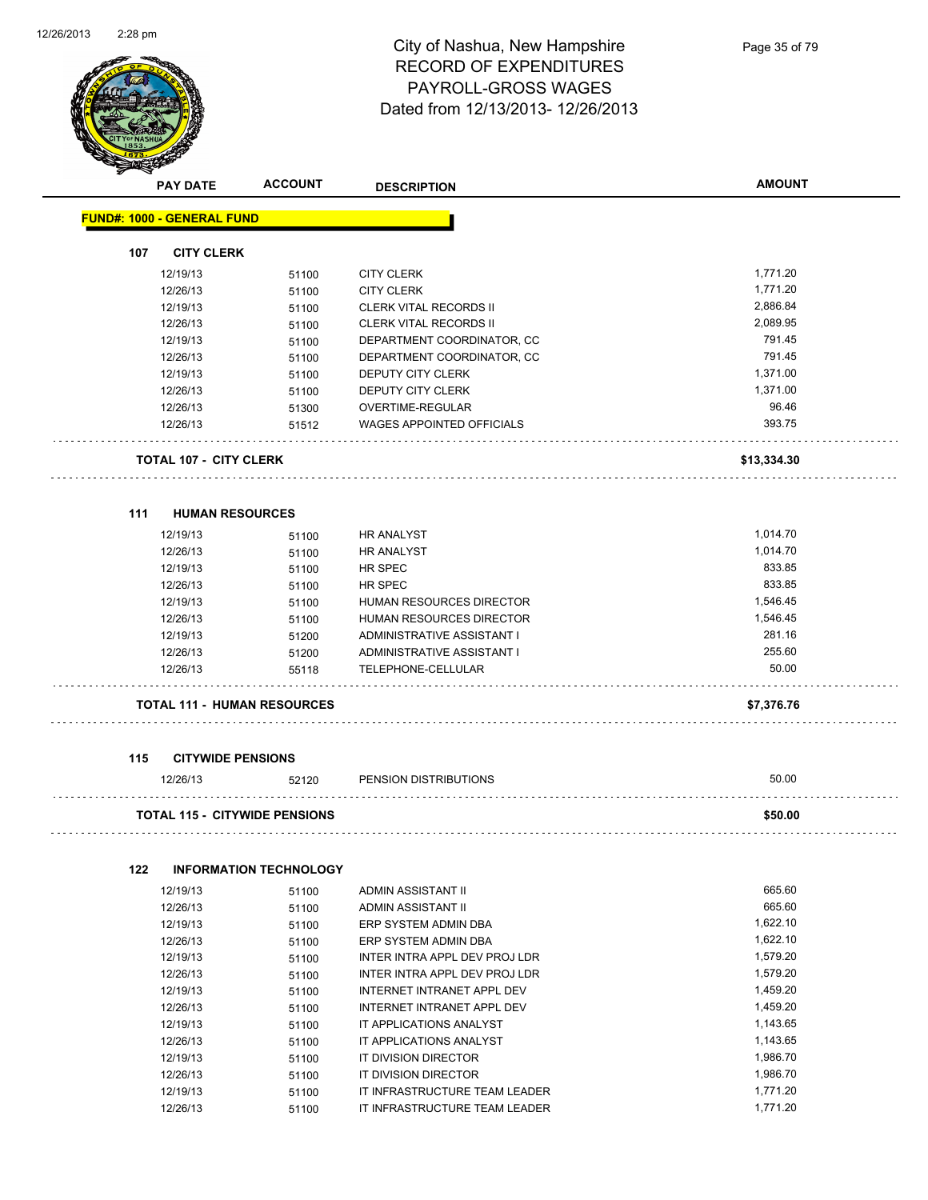

#### City of Nashua, New Hampshire RECORD OF EXPENDITURES PAYROLL-GROSS WAGES Dated from 12/13/2013- 12/26/2013

|     | <b>PAY DATE</b>                      | <b>ACCOUNT</b>                       | <b>DESCRIPTION</b>               | <b>AMOUNT</b> |
|-----|--------------------------------------|--------------------------------------|----------------------------------|---------------|
|     | <b>FUND#: 1000 - GENERAL FUND</b>    |                                      |                                  |               |
| 107 | <b>CITY CLERK</b>                    |                                      |                                  |               |
|     | 12/19/13                             | 51100                                | <b>CITY CLERK</b>                | 1,771.20      |
|     | 12/26/13                             | 51100                                | <b>CITY CLERK</b>                | 1,771.20      |
|     | 12/19/13                             | 51100                                | <b>CLERK VITAL RECORDS II</b>    | 2,886.84      |
|     | 12/26/13                             | 51100                                | CLERK VITAL RECORDS II           | 2,089.95      |
|     | 12/19/13                             | 51100                                | DEPARTMENT COORDINATOR, CC       | 791.45        |
|     | 12/26/13                             | 51100                                | DEPARTMENT COORDINATOR, CC       | 791.45        |
|     | 12/19/13                             | 51100                                | <b>DEPUTY CITY CLERK</b>         | 1,371.00      |
|     | 12/26/13                             | 51100                                | DEPUTY CITY CLERK                | 1,371.00      |
|     | 12/26/13                             | 51300                                | OVERTIME-REGULAR                 | 96.46         |
|     | 12/26/13                             | 51512                                | <b>WAGES APPOINTED OFFICIALS</b> | 393.75        |
|     |                                      |                                      |                                  |               |
|     | <b>TOTAL 107 - CITY CLERK</b>        |                                      |                                  | \$13,334.30   |
| 111 | <b>HUMAN RESOURCES</b>               |                                      |                                  |               |
|     | 12/19/13                             | 51100                                | <b>HR ANALYST</b>                | 1,014.70      |
|     | 12/26/13                             | 51100                                | <b>HR ANALYST</b>                | 1,014.70      |
|     | 12/19/13                             | 51100                                | HR SPEC                          | 833.85        |
|     | 12/26/13                             | 51100                                | HR SPEC                          | 833.85        |
|     | 12/19/13                             | 51100                                | HUMAN RESOURCES DIRECTOR         | 1,546.45      |
|     | 12/26/13                             | 51100                                | HUMAN RESOURCES DIRECTOR         | 1,546.45      |
|     | 12/19/13                             | 51200                                | ADMINISTRATIVE ASSISTANT I       | 281.16        |
|     | 12/26/13                             | 51200                                | ADMINISTRATIVE ASSISTANT I       | 255.60        |
|     | 12/26/13                             | 55118                                | TELEPHONE-CELLULAR               | 50.00         |
|     |                                      | <b>TOTAL 111 - HUMAN RESOURCES</b>   |                                  | \$7,376.76    |
|     |                                      |                                      |                                  |               |
| 115 | <b>CITYWIDE PENSIONS</b><br>12/26/13 | 52120                                | PENSION DISTRIBUTIONS            | 50.00         |
|     |                                      | <b>TOTAL 115 - CITYWIDE PENSIONS</b> |                                  | \$50.00       |
|     |                                      |                                      |                                  |               |
| 122 |                                      | <b>INFORMATION TECHNOLOGY</b>        |                                  |               |
|     | 12/19/13                             | 51100                                | ADMIN ASSISTANT II               | 665.60        |
|     | 12/26/13                             | 51100                                | ADMIN ASSISTANT II               | 665.60        |
|     | 12/19/13                             | 51100                                | ERP SYSTEM ADMIN DBA             | 1,622.10      |
|     | 12/26/13                             | 51100                                | ERP SYSTEM ADMIN DBA             | 1,622.10      |
|     | 12/19/13                             | 51100                                | INTER INTRA APPL DEV PROJ LDR    | 1,579.20      |
|     | 12/26/13                             | 51100                                | INTER INTRA APPL DEV PROJ LDR    | 1,579.20      |
|     | 12/19/13                             | 51100                                | INTERNET INTRANET APPL DEV       | 1,459.20      |
|     | 12/26/13                             | 51100                                | INTERNET INTRANET APPL DEV       | 1,459.20      |
|     | 12/19/13                             | 51100                                | IT APPLICATIONS ANALYST          | 1,143.65      |
|     | 12/26/13                             | 51100                                | IT APPLICATIONS ANALYST          | 1,143.65      |
|     | 12/19/13                             | 51100                                | IT DIVISION DIRECTOR             | 1,986.70      |
|     | 12/26/13                             | 51100                                | IT DIVISION DIRECTOR             | 1,986.70      |

12/19/13 51100 IT INFRASTRUCTURE TEAM LEADER 1,771.20 12/26/13 51100 IT INFRASTRUCTURE TEAM LEADER 1,771.20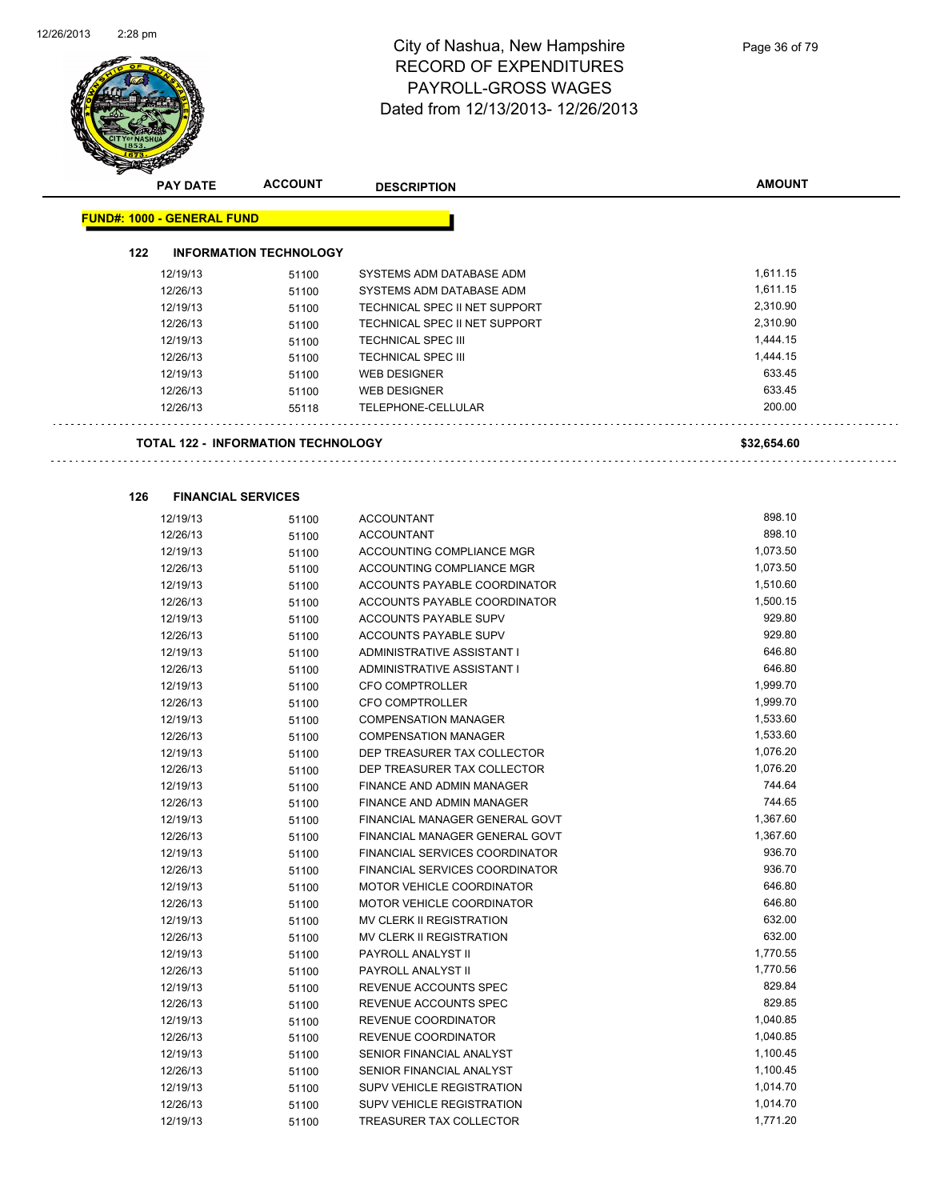

**126 FINANCIAL SERVICES**

### City of Nashua, New Hampshire RECORD OF EXPENDITURES PAYROLL-GROSS WAGES Dated from 12/13/2013- 12/26/2013

|     | <b>PAY DATE</b>                   | <b>ACCOUNT</b>                            | <b>DESCRIPTION</b>            | <b>AMOUNT</b> |
|-----|-----------------------------------|-------------------------------------------|-------------------------------|---------------|
|     | <b>FUND#: 1000 - GENERAL FUND</b> |                                           |                               |               |
| 122 |                                   | <b>INFORMATION TECHNOLOGY</b>             |                               |               |
|     | 12/19/13                          | 51100                                     | SYSTEMS ADM DATABASE ADM      | 1,611.15      |
|     | 12/26/13                          | 51100                                     | SYSTEMS ADM DATABASE ADM      | 1,611.15      |
|     | 12/19/13                          | 51100                                     | TECHNICAL SPEC II NET SUPPORT | 2,310.90      |
|     | 12/26/13                          | 51100                                     | TECHNICAL SPEC II NET SUPPORT | 2,310.90      |
|     | 12/19/13                          | 51100                                     | <b>TECHNICAL SPEC III</b>     | 1,444.15      |
|     | 12/26/13                          | 51100                                     | <b>TECHNICAL SPEC III</b>     | 1,444.15      |
|     | 12/19/13                          | 51100                                     | <b>WEB DESIGNER</b>           | 633.45        |
|     | 12/26/13                          | 51100                                     | <b>WEB DESIGNER</b>           | 633.45        |
|     | 12/26/13                          | 55118                                     | TELEPHONE-CELLULAR            | 200.00        |
|     |                                   | <b>TOTAL 122 - INFORMATION TECHNOLOGY</b> |                               | \$32,654.60   |

| 12/19/13 | 51100 | <b>ACCOUNTANT</b>                     | 898.10   |
|----------|-------|---------------------------------------|----------|
| 12/26/13 | 51100 | <b>ACCOUNTANT</b>                     | 898.10   |
| 12/19/13 | 51100 | <b>ACCOUNTING COMPLIANCE MGR</b>      | 1,073.50 |
| 12/26/13 | 51100 | <b>ACCOUNTING COMPLIANCE MGR</b>      | 1,073.50 |
| 12/19/13 | 51100 | ACCOUNTS PAYABLE COORDINATOR          | 1,510.60 |
| 12/26/13 | 51100 | ACCOUNTS PAYABLE COORDINATOR          | 1,500.15 |
| 12/19/13 | 51100 | <b>ACCOUNTS PAYABLE SUPV</b>          | 929.80   |
| 12/26/13 | 51100 | ACCOUNTS PAYABLE SUPV                 | 929.80   |
| 12/19/13 | 51100 | ADMINISTRATIVE ASSISTANT I            | 646.80   |
| 12/26/13 | 51100 | ADMINISTRATIVE ASSISTANT I            | 646.80   |
| 12/19/13 | 51100 | <b>CFO COMPTROLLER</b>                | 1,999.70 |
| 12/26/13 | 51100 | <b>CFO COMPTROLLER</b>                | 1,999.70 |
| 12/19/13 | 51100 | <b>COMPENSATION MANAGER</b>           | 1,533.60 |
| 12/26/13 | 51100 | <b>COMPENSATION MANAGER</b>           | 1,533.60 |
| 12/19/13 | 51100 | DEP TREASURER TAX COLLECTOR           | 1,076.20 |
| 12/26/13 | 51100 | DEP TREASURER TAX COLLECTOR           | 1,076.20 |
| 12/19/13 | 51100 | <b>FINANCE AND ADMIN MANAGER</b>      | 744.64   |
| 12/26/13 | 51100 | FINANCE AND ADMIN MANAGER             | 744.65   |
| 12/19/13 | 51100 | FINANCIAL MANAGER GENERAL GOVT        | 1,367.60 |
| 12/26/13 | 51100 | FINANCIAL MANAGER GENERAL GOVT        | 1,367.60 |
| 12/19/13 | 51100 | <b>FINANCIAL SERVICES COORDINATOR</b> | 936.70   |
| 12/26/13 | 51100 | <b>FINANCIAL SERVICES COORDINATOR</b> | 936.70   |
| 12/19/13 | 51100 | MOTOR VEHICLE COORDINATOR             | 646.80   |
| 12/26/13 | 51100 | MOTOR VEHICLE COORDINATOR             | 646.80   |
| 12/19/13 | 51100 | <b>MV CLERK II REGISTRATION</b>       | 632.00   |
| 12/26/13 | 51100 | <b>MV CLERK II REGISTRATION</b>       | 632.00   |
| 12/19/13 | 51100 | PAYROLL ANALYST II                    | 1,770.55 |
| 12/26/13 | 51100 | PAYROLL ANALYST II                    | 1,770.56 |
| 12/19/13 | 51100 | REVENUE ACCOUNTS SPEC                 | 829.84   |
| 12/26/13 | 51100 | REVENUE ACCOUNTS SPEC                 | 829.85   |
| 12/19/13 | 51100 | REVENUE COORDINATOR                   | 1,040.85 |
| 12/26/13 | 51100 | REVENUE COORDINATOR                   | 1,040.85 |
| 12/19/13 | 51100 | SENIOR FINANCIAL ANALYST              | 1,100.45 |
| 12/26/13 | 51100 | SENIOR FINANCIAL ANALYST              | 1,100.45 |
| 12/19/13 | 51100 | <b>SUPV VEHICLE REGISTRATION</b>      | 1,014.70 |
| 12/26/13 | 51100 | <b>SUPV VEHICLE REGISTRATION</b>      | 1,014.70 |
| 12/19/13 | 51100 | <b>TREASURER TAX COLLECTOR</b>        | 1,771.20 |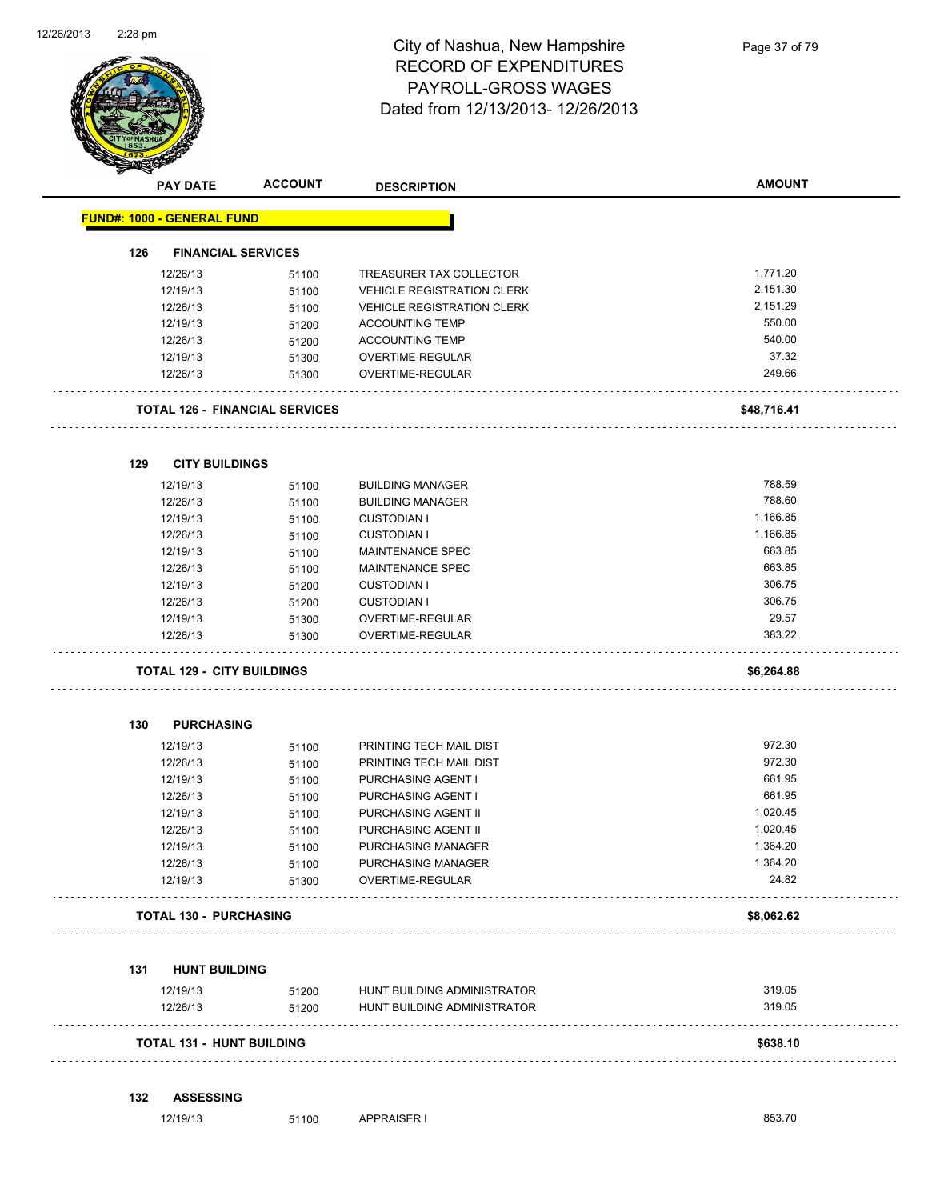

|     | <b>PAY DATE</b>                   | <b>ACCOUNT</b>                        | <b>DESCRIPTION</b>                | <b>AMOUNT</b> |
|-----|-----------------------------------|---------------------------------------|-----------------------------------|---------------|
|     | <b>FUND#: 1000 - GENERAL FUND</b> |                                       |                                   |               |
| 126 |                                   | <b>FINANCIAL SERVICES</b>             |                                   |               |
|     | 12/26/13                          | 51100                                 | TREASURER TAX COLLECTOR           | 1,771.20      |
|     | 12/19/13                          | 51100                                 | <b>VEHICLE REGISTRATION CLERK</b> | 2,151.30      |
|     | 12/26/13                          | 51100                                 | <b>VEHICLE REGISTRATION CLERK</b> | 2,151.29      |
|     | 12/19/13                          | 51200                                 | <b>ACCOUNTING TEMP</b>            | 550.00        |
|     | 12/26/13                          | 51200                                 | <b>ACCOUNTING TEMP</b>            | 540.00        |
|     | 12/19/13                          | 51300                                 | OVERTIME-REGULAR                  | 37.32         |
|     | 12/26/13                          | 51300                                 | OVERTIME-REGULAR                  | 249.66        |
|     |                                   | <b>TOTAL 126 - FINANCIAL SERVICES</b> |                                   | \$48,716.41   |
| 129 |                                   | <b>CITY BUILDINGS</b>                 |                                   |               |
|     | 12/19/13                          | 51100                                 | <b>BUILDING MANAGER</b>           | 788.59        |
|     | 12/26/13                          | 51100                                 | <b>BUILDING MANAGER</b>           | 788.60        |
|     | 12/19/13                          | 51100                                 | <b>CUSTODIAN I</b>                | 1,166.85      |
|     | 12/26/13                          | 51100                                 | <b>CUSTODIAN I</b>                | 1,166.85      |
|     | 12/19/13                          | 51100                                 | MAINTENANCE SPEC                  | 663.85        |
|     | 12/26/13                          | 51100                                 | <b>MAINTENANCE SPEC</b>           | 663.85        |
|     | 12/19/13                          | 51200                                 | <b>CUSTODIAN I</b>                | 306.75        |
|     | 12/26/13                          | 51200                                 | <b>CUSTODIAN I</b>                | 306.75        |
|     | 12/19/13                          | 51300                                 | OVERTIME-REGULAR                  | 29.57         |
|     | 12/26/13                          | 51300                                 | OVERTIME-REGULAR                  | 383.22        |
|     |                                   | <b>TOTAL 129 - CITY BUILDINGS</b>     |                                   | \$6,264.88    |
| 130 | <b>PURCHASING</b>                 |                                       |                                   |               |
|     | 12/19/13                          | 51100                                 | PRINTING TECH MAIL DIST           | 972.30        |
|     | 12/26/13                          | 51100                                 | PRINTING TECH MAIL DIST           | 972.30        |
|     | 12/19/13                          | 51100                                 | PURCHASING AGENT I                | 661.95        |
|     | 12/26/13                          | 51100                                 | PURCHASING AGENT I                | 661.95        |
|     | 12/19/13                          | 51100                                 | PURCHASING AGENT II               | 1,020.45      |
|     | 12/26/13                          | 51100                                 | PURCHASING AGENT II               | 1,020.45      |
|     | 12/19/13                          | 51100                                 | PURCHASING MANAGER                | 1,364.20      |
|     | 12/26/13                          | 51100                                 | PURCHASING MANAGER                | 1,364.20      |
|     | 12/19/13                          | 51300                                 | OVERTIME-REGULAR                  | 24.82         |
|     |                                   | <b>TOTAL 130 - PURCHASING</b>         |                                   | \$8,062.62    |
| 131 |                                   | <b>HUNT BUILDING</b>                  |                                   |               |
|     | 12/19/13                          | 51200                                 | HUNT BUILDING ADMINISTRATOR       | 319.05        |
|     | 12/26/13                          | 51200                                 | HUNT BUILDING ADMINISTRATOR       | 319.05        |
|     |                                   | <b>TOTAL 131 - HUNT BUILDING</b>      |                                   | \$638.10      |

#### **132 ASSESSING**

| 12/19/13 | 51100 | <b>ADDDAICED</b><br>KAISER.<br>nı |  | 853.70<br>. |
|----------|-------|-----------------------------------|--|-------------|
|----------|-------|-----------------------------------|--|-------------|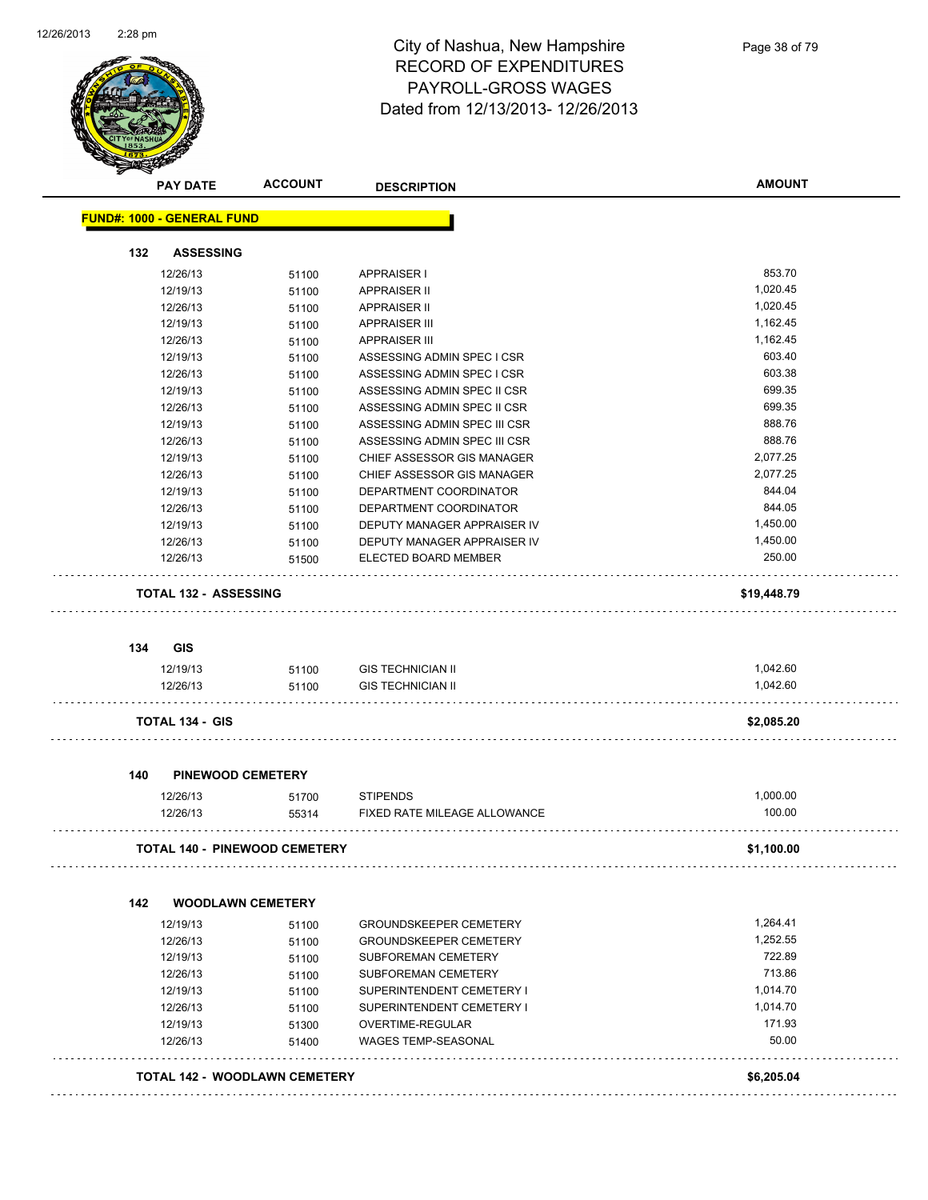

| <b>PAY DATE</b>                   | <b>ACCOUNT</b>                       | <b>DESCRIPTION</b>            | <b>AMOUNT</b> |
|-----------------------------------|--------------------------------------|-------------------------------|---------------|
| <b>FUND#: 1000 - GENERAL FUND</b> |                                      |                               |               |
| 132                               | <b>ASSESSING</b>                     |                               |               |
| 12/26/13                          | 51100                                | <b>APPRAISER I</b>            | 853.70        |
| 12/19/13                          | 51100                                | APPRAISER II                  | 1,020.45      |
| 12/26/13                          | 51100                                | <b>APPRAISER II</b>           | 1,020.45      |
| 12/19/13                          | 51100                                | <b>APPRAISER III</b>          | 1,162.45      |
| 12/26/13                          | 51100                                | <b>APPRAISER III</b>          | 1,162.45      |
| 12/19/13                          | 51100                                | ASSESSING ADMIN SPEC I CSR    | 603.40        |
| 12/26/13                          | 51100                                | ASSESSING ADMIN SPEC I CSR    | 603.38        |
| 12/19/13                          | 51100                                | ASSESSING ADMIN SPEC II CSR   | 699.35        |
| 12/26/13                          | 51100                                | ASSESSING ADMIN SPEC II CSR   | 699.35        |
| 12/19/13                          | 51100                                | ASSESSING ADMIN SPEC III CSR  | 888.76        |
| 12/26/13                          | 51100                                | ASSESSING ADMIN SPEC III CSR  | 888.76        |
| 12/19/13                          | 51100                                | CHIEF ASSESSOR GIS MANAGER    | 2,077.25      |
| 12/26/13                          | 51100                                | CHIEF ASSESSOR GIS MANAGER    | 2,077.25      |
| 12/19/13                          | 51100                                | DEPARTMENT COORDINATOR        | 844.04        |
| 12/26/13                          | 51100                                | DEPARTMENT COORDINATOR        | 844.05        |
| 12/19/13                          | 51100                                | DEPUTY MANAGER APPRAISER IV   | 1,450.00      |
| 12/26/13                          | 51100                                | DEPUTY MANAGER APPRAISER IV   | 1,450.00      |
| 12/26/13                          | 51500                                | ELECTED BOARD MEMBER          | 250.00        |
|                                   | <b>TOTAL 132 - ASSESSING</b>         |                               | \$19,448.79   |
|                                   |                                      |                               |               |
| <b>GIS</b><br>134                 |                                      |                               |               |
| 12/19/13                          | 51100                                | <b>GIS TECHNICIAN II</b>      | 1,042.60      |
| 12/26/13                          | 51100                                | <b>GIS TECHNICIAN II</b>      | 1,042.60      |
| <b>TOTAL 134 - GIS</b>            |                                      |                               | \$2,085.20    |
| 140                               | <b>PINEWOOD CEMETERY</b>             |                               |               |
| 12/26/13                          | 51700                                | <b>STIPENDS</b>               | 1,000.00      |
| 12/26/13                          | 55314                                | FIXED RATE MILEAGE ALLOWANCE  | 100.00        |
|                                   | TOTAL 140 - PINEWOOD CEMETERY        |                               | \$1,100.00    |
|                                   |                                      |                               |               |
| 142                               | <b>WOODLAWN CEMETERY</b>             |                               |               |
| 12/19/13                          | 51100                                | <b>GROUNDSKEEPER CEMETERY</b> | 1,264.41      |
| 12/26/13                          | 51100                                | <b>GROUNDSKEEPER CEMETERY</b> | 1,252.55      |
| 12/19/13                          | 51100                                | SUBFOREMAN CEMETERY           | 722.89        |
| 12/26/13                          | 51100                                | SUBFOREMAN CEMETERY           | 713.86        |
| 12/19/13                          | 51100                                | SUPERINTENDENT CEMETERY I     | 1,014.70      |
| 12/26/13                          | 51100                                | SUPERINTENDENT CEMETERY I     | 1,014.70      |
| 12/19/13                          | 51300                                | OVERTIME-REGULAR              | 171.93        |
| 12/26/13                          | 51400                                | WAGES TEMP-SEASONAL           | 50.00         |
|                                   | <b>TOTAL 142 - WOODLAWN CEMETERY</b> |                               |               |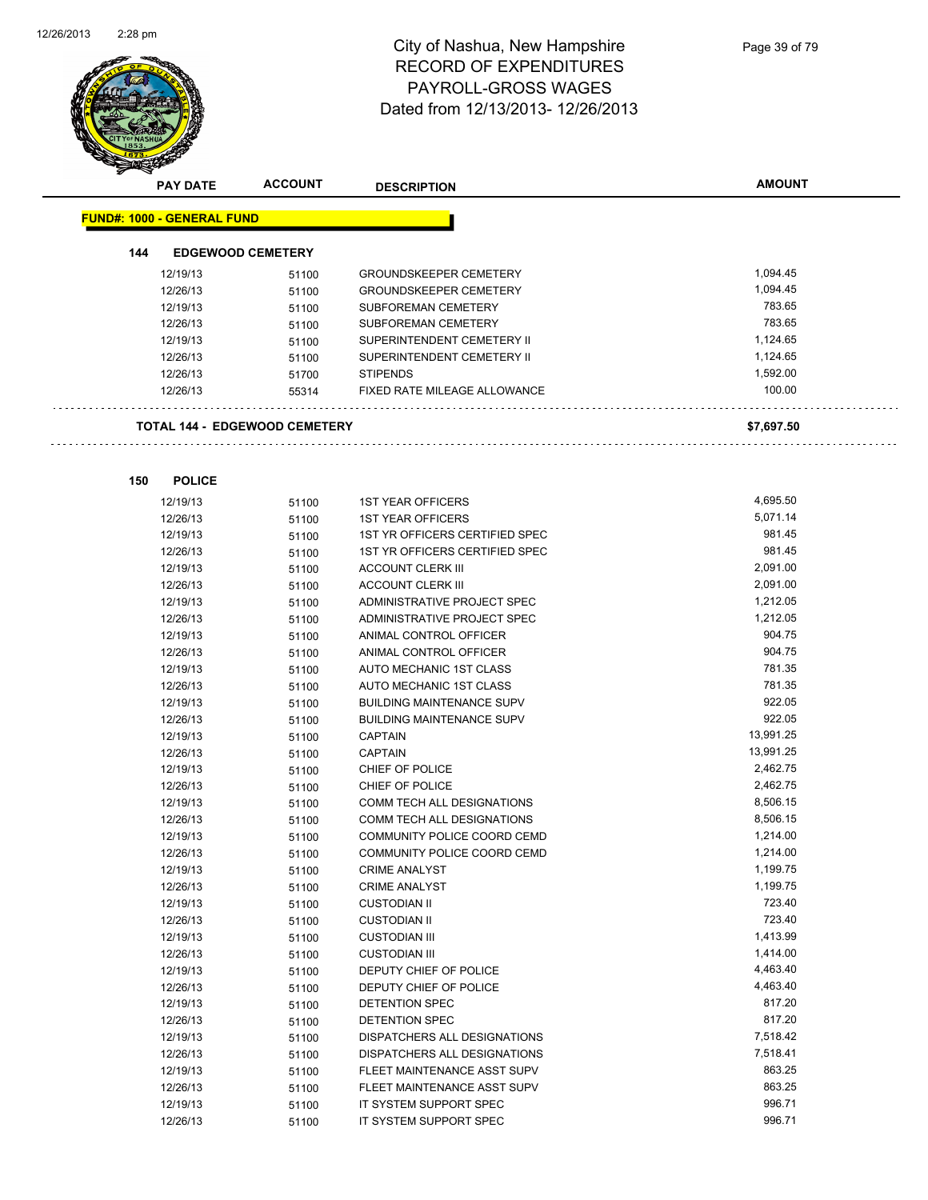

|     | <b>PAY DATE</b>                   | <b>ACCOUNT</b>                       | <b>DESCRIPTION</b>               | <b>AMOUNT</b> |
|-----|-----------------------------------|--------------------------------------|----------------------------------|---------------|
|     | <b>FUND#: 1000 - GENERAL FUND</b> |                                      |                                  |               |
| 144 |                                   | <b>EDGEWOOD CEMETERY</b>             |                                  |               |
|     |                                   |                                      |                                  |               |
|     | 12/19/13                          | 51100                                | <b>GROUNDSKEEPER CEMETERY</b>    | 1,094.45      |
|     | 12/26/13                          | 51100                                | <b>GROUNDSKEEPER CEMETERY</b>    | 1,094.45      |
|     | 12/19/13                          | 51100                                | SUBFOREMAN CEMETERY              | 783.65        |
|     | 12/26/13                          | 51100                                | SUBFOREMAN CEMETERY              | 783.65        |
|     | 12/19/13                          | 51100                                | SUPERINTENDENT CEMETERY II       | 1,124.65      |
|     | 12/26/13                          | 51100                                | SUPERINTENDENT CEMETERY II       | 1,124.65      |
|     | 12/26/13                          | 51700                                | <b>STIPENDS</b>                  | 1,592.00      |
|     | 12/26/13                          | 55314                                | FIXED RATE MILEAGE ALLOWANCE     | 100.00        |
|     |                                   | <b>TOTAL 144 - EDGEWOOD CEMETERY</b> |                                  | \$7,697.50    |
|     |                                   |                                      |                                  |               |
| 150 | <b>POLICE</b><br>12/19/13         | 51100                                | <b>1ST YEAR OFFICERS</b>         | 4,695.50      |
|     | 12/26/13                          | 51100                                | 1ST YEAR OFFICERS                | 5,071.14      |
|     | 12/19/13                          | 51100                                | 1ST YR OFFICERS CERTIFIED SPEC   | 981.45        |
|     | 12/26/13                          | 51100                                | 1ST YR OFFICERS CERTIFIED SPEC   | 981.45        |
|     | 12/19/13                          | 51100                                | <b>ACCOUNT CLERK III</b>         | 2,091.00      |
|     | 12/26/13                          | 51100                                | <b>ACCOUNT CLERK III</b>         | 2,091.00      |
|     | 12/19/13                          | 51100                                | ADMINISTRATIVE PROJECT SPEC      | 1,212.05      |
|     | 12/26/13                          | 51100                                | ADMINISTRATIVE PROJECT SPEC      | 1,212.05      |
|     | 12/19/13                          | 51100                                | ANIMAL CONTROL OFFICER           | 904.75        |
|     | 12/26/13                          | 51100                                | ANIMAL CONTROL OFFICER           | 904.75        |
|     | 12/19/13                          | 51100                                | AUTO MECHANIC 1ST CLASS          | 781.35        |
|     | 12/26/13                          | 51100                                | AUTO MECHANIC 1ST CLASS          | 781.35        |
|     | 12/19/13                          | 51100                                | <b>BUILDING MAINTENANCE SUPV</b> | 922.05        |
|     | 12/26/13                          | 51100                                | <b>BUILDING MAINTENANCE SUPV</b> | 922.05        |
|     | 12/19/13                          | 51100                                | <b>CAPTAIN</b>                   | 13,991.25     |
|     | 12/26/13                          | 51100                                | <b>CAPTAIN</b>                   | 13,991.25     |
|     | 12/19/13                          | 51100                                | CHIEF OF POLICE                  | 2,462.75      |
|     | 12/26/13                          | 51100                                | CHIEF OF POLICE                  | 2,462.75      |
|     | 12/19/13                          | 51100                                | COMM TECH ALL DESIGNATIONS       | 8,506.15      |
|     | 12/26/13                          | 51100                                | COMM TECH ALL DESIGNATIONS       | 8,506.15      |
|     | 12/19/13                          | 51100                                | COMMUNITY POLICE COORD CEMD      | 1,214.00      |
|     | 12/26/13                          | 51100                                | COMMUNITY POLICE COORD CEMD      | 1,214.00      |
|     | 12/19/13                          | 51100                                | <b>CRIME ANALYST</b>             | 1,199.75      |
|     | 12/26/13                          | 51100                                | <b>CRIME ANALYST</b>             | 1,199.75      |
|     | 12/19/13                          | 51100                                | <b>CUSTODIAN II</b>              | 723.40        |
|     | 12/26/13                          | 51100                                | <b>CUSTODIAN II</b>              | 723.40        |
|     | 12/19/13                          | 51100                                | <b>CUSTODIAN III</b>             | 1,413.99      |
|     | 12/26/13                          | 51100                                | <b>CUSTODIAN III</b>             | 1,414.00      |
|     | 12/19/13                          | 51100                                | DEPUTY CHIEF OF POLICE           | 4,463.40      |
|     | 12/26/13                          | 51100                                | DEPUTY CHIEF OF POLICE           | 4,463.40      |
|     | 12/19/13                          | 51100                                | DETENTION SPEC                   | 817.20        |
|     | 12/26/13                          | 51100                                | DETENTION SPEC                   | 817.20        |
|     | 12/19/13                          | 51100                                | DISPATCHERS ALL DESIGNATIONS     | 7,518.42      |
|     | 12/26/13                          | 51100                                | DISPATCHERS ALL DESIGNATIONS     | 7,518.41      |
|     | 12/19/13                          | 51100                                | FLEET MAINTENANCE ASST SUPV      | 863.25        |
|     | 12/26/13                          | 51100                                | FLEET MAINTENANCE ASST SUPV      | 863.25        |
|     |                                   |                                      |                                  |               |

12/19/13 51100 IT SYSTEM SUPPORT SPEC 996.71

12/26/13 51100 IT SYSTEM SUPPORT SPEC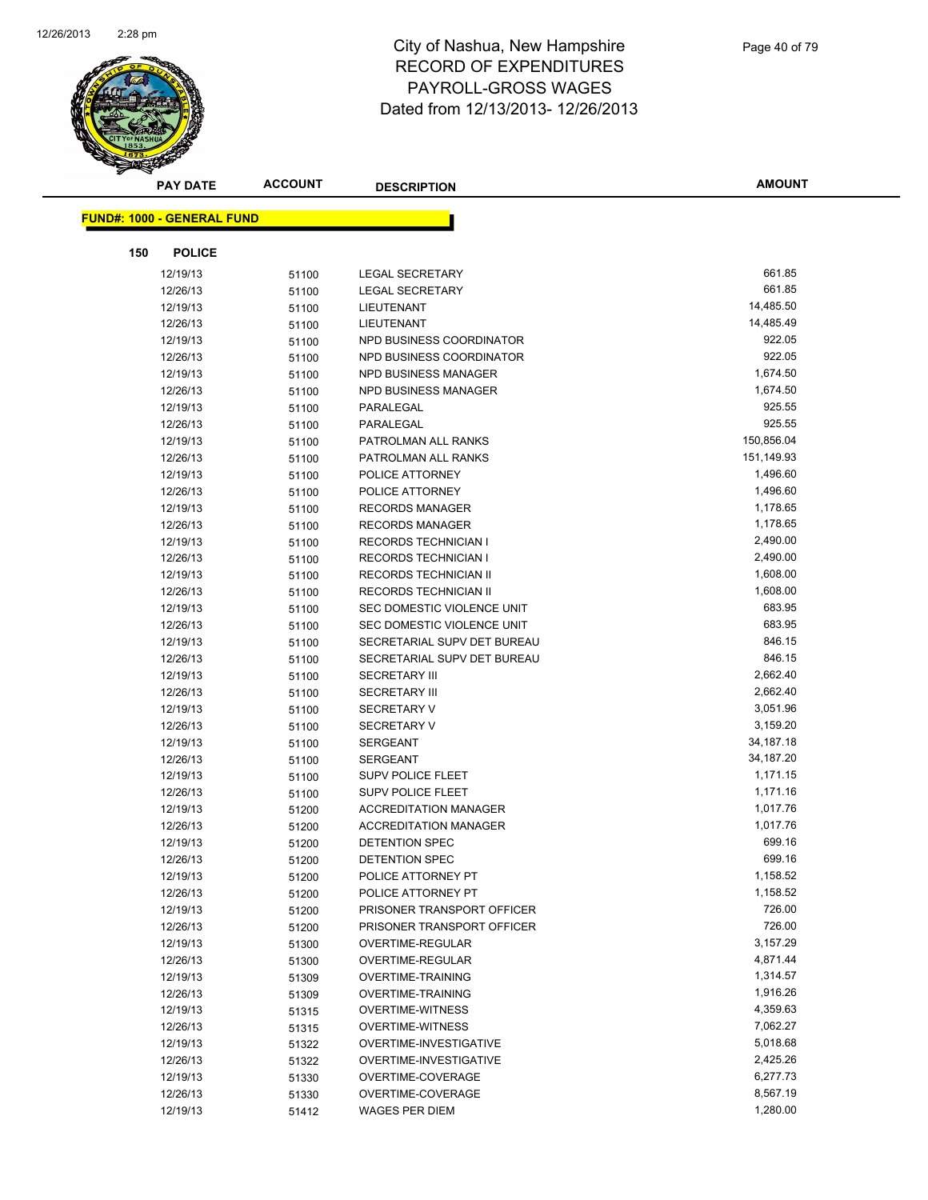

| <b>PAY DATE</b>                   | <b>ACCOUNT</b> | <b>DESCRIPTION</b>                                           | <b>AMOUNT</b>        |
|-----------------------------------|----------------|--------------------------------------------------------------|----------------------|
|                                   |                |                                                              |                      |
| <b>FUND#: 1000 - GENERAL FUND</b> |                |                                                              |                      |
| 150<br><b>POLICE</b>              |                |                                                              |                      |
| 12/19/13                          | 51100          | <b>LEGAL SECRETARY</b>                                       | 661.85               |
| 12/26/13                          | 51100          | <b>LEGAL SECRETARY</b>                                       | 661.85               |
| 12/19/13                          | 51100          | LIEUTENANT                                                   | 14,485.50            |
| 12/26/13                          | 51100          | LIEUTENANT                                                   | 14,485.49            |
| 12/19/13                          | 51100          | NPD BUSINESS COORDINATOR                                     | 922.05               |
| 12/26/13                          | 51100          | NPD BUSINESS COORDINATOR                                     | 922.05               |
| 12/19/13                          | 51100          | <b>NPD BUSINESS MANAGER</b>                                  | 1,674.50             |
| 12/26/13                          | 51100          | NPD BUSINESS MANAGER                                         | 1,674.50             |
| 12/19/13                          | 51100          | PARALEGAL                                                    | 925.55               |
| 12/26/13                          | 51100          | PARALEGAL                                                    | 925.55               |
| 12/19/13                          | 51100          | PATROLMAN ALL RANKS                                          | 150,856.04           |
| 12/26/13                          | 51100          | PATROLMAN ALL RANKS                                          | 151,149.93           |
| 12/19/13                          | 51100          | POLICE ATTORNEY                                              | 1,496.60             |
| 12/26/13                          | 51100          | POLICE ATTORNEY                                              | 1,496.60             |
| 12/19/13                          | 51100          | <b>RECORDS MANAGER</b>                                       | 1,178.65             |
| 12/26/13                          | 51100          | <b>RECORDS MANAGER</b>                                       | 1,178.65             |
| 12/19/13                          | 51100          | RECORDS TECHNICIAN I                                         | 2,490.00             |
| 12/26/13                          | 51100          | <b>RECORDS TECHNICIAN I</b>                                  | 2,490.00             |
| 12/19/13                          | 51100          | RECORDS TECHNICIAN II                                        | 1,608.00             |
| 12/26/13                          | 51100          | <b>RECORDS TECHNICIAN II</b>                                 | 1,608.00             |
| 12/19/13                          | 51100          | SEC DOMESTIC VIOLENCE UNIT                                   | 683.95               |
| 12/26/13                          | 51100          | SEC DOMESTIC VIOLENCE UNIT                                   | 683.95               |
| 12/19/13                          | 51100          | SECRETARIAL SUPV DET BUREAU                                  | 846.15               |
| 12/26/13                          | 51100          | SECRETARIAL SUPV DET BUREAU                                  | 846.15               |
| 12/19/13                          | 51100          | <b>SECRETARY III</b>                                         | 2,662.40             |
| 12/26/13                          | 51100          | <b>SECRETARY III</b>                                         | 2,662.40             |
| 12/19/13                          | 51100          | <b>SECRETARY V</b>                                           | 3,051.96             |
| 12/26/13                          | 51100          | <b>SECRETARY V</b>                                           | 3,159.20             |
| 12/19/13                          | 51100          | <b>SERGEANT</b>                                              | 34, 187. 18          |
| 12/26/13                          | 51100          | SERGEANT                                                     | 34,187.20            |
| 12/19/13                          | 51100          | SUPV POLICE FLEET                                            | 1,171.15             |
| 12/26/13                          | 51100          | <b>SUPV POLICE FLEET</b>                                     | 1,171.16<br>1,017.76 |
| 12/19/13<br>12/26/13              | 51200          | <b>ACCREDITATION MANAGER</b><br><b>ACCREDITATION MANAGER</b> | 1,017.76             |
| 12/19/13                          | 51200<br>51200 | <b>DETENTION SPEC</b>                                        | 699.16               |
| 12/26/13                          | 51200          | DETENTION SPEC                                               | 699.16               |
| 12/19/13                          | 51200          | POLICE ATTORNEY PT                                           | 1,158.52             |
| 12/26/13                          | 51200          | POLICE ATTORNEY PT                                           | 1,158.52             |
| 12/19/13                          | 51200          | PRISONER TRANSPORT OFFICER                                   | 726.00               |
| 12/26/13                          | 51200          | PRISONER TRANSPORT OFFICER                                   | 726.00               |
| 12/19/13                          | 51300          | OVERTIME-REGULAR                                             | 3,157.29             |
| 12/26/13                          | 51300          | OVERTIME-REGULAR                                             | 4,871.44             |
| 12/19/13                          | 51309          | OVERTIME-TRAINING                                            | 1,314.57             |
| 12/26/13                          | 51309          | <b>OVERTIME-TRAINING</b>                                     | 1,916.26             |
| 12/19/13                          | 51315          | <b>OVERTIME-WITNESS</b>                                      | 4,359.63             |
| 12/26/13                          | 51315          | <b>OVERTIME-WITNESS</b>                                      | 7,062.27             |
| 12/19/13                          | 51322          | OVERTIME-INVESTIGATIVE                                       | 5,018.68             |
| 12/26/13                          | 51322          | OVERTIME-INVESTIGATIVE                                       | 2,425.26             |
| 12/19/13                          | 51330          | OVERTIME-COVERAGE                                            | 6,277.73             |
| 12/26/13                          | 51330          | OVERTIME-COVERAGE                                            | 8,567.19             |
| 12/19/13                          | 51412          | <b>WAGES PER DIEM</b>                                        | 1,280.00             |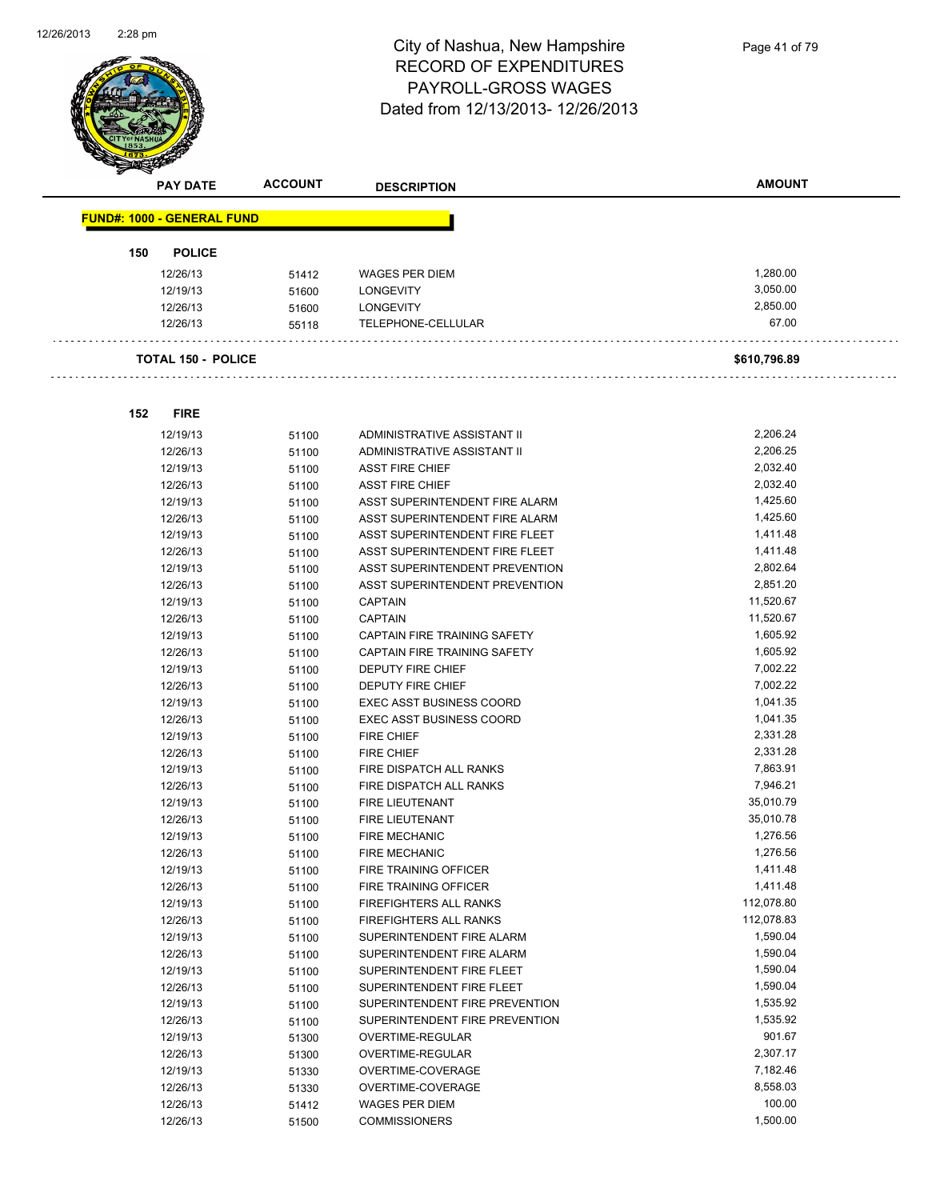

|                                   | <b>PAY DATE</b>           | <b>ACCOUNT</b> | <b>DESCRIPTION</b>                               | <b>AMOUNT</b>        |
|-----------------------------------|---------------------------|----------------|--------------------------------------------------|----------------------|
| <b>FUND#: 1000 - GENERAL FUND</b> |                           |                |                                                  |                      |
|                                   |                           |                |                                                  |                      |
| 150                               | <b>POLICE</b>             |                | <b>WAGES PER DIEM</b>                            | 1,280.00             |
|                                   | 12/26/13<br>12/19/13      | 51412          | <b>LONGEVITY</b>                                 | 3,050.00             |
|                                   | 12/26/13                  | 51600<br>51600 | <b>LONGEVITY</b>                                 | 2,850.00             |
|                                   | 12/26/13                  | 55118          | TELEPHONE-CELLULAR                               | 67.00                |
|                                   |                           |                |                                                  |                      |
|                                   | <b>TOTAL 150 - POLICE</b> |                |                                                  | \$610,796.89         |
| 152                               | <b>FIRE</b>               |                |                                                  |                      |
|                                   |                           |                |                                                  |                      |
|                                   | 12/19/13                  | 51100          | ADMINISTRATIVE ASSISTANT II                      | 2,206.24             |
|                                   | 12/26/13                  | 51100          | ADMINISTRATIVE ASSISTANT II                      | 2,206.25<br>2,032.40 |
|                                   | 12/19/13<br>12/26/13      | 51100          | <b>ASST FIRE CHIEF</b><br><b>ASST FIRE CHIEF</b> | 2,032.40             |
|                                   | 12/19/13                  | 51100          | ASST SUPERINTENDENT FIRE ALARM                   | 1,425.60             |
|                                   | 12/26/13                  | 51100<br>51100 | ASST SUPERINTENDENT FIRE ALARM                   | 1,425.60             |
|                                   | 12/19/13                  | 51100          | ASST SUPERINTENDENT FIRE FLEET                   | 1,411.48             |
|                                   | 12/26/13                  | 51100          | ASST SUPERINTENDENT FIRE FLEET                   | 1,411.48             |
|                                   | 12/19/13                  | 51100          | ASST SUPERINTENDENT PREVENTION                   | 2,802.64             |
|                                   | 12/26/13                  | 51100          | ASST SUPERINTENDENT PREVENTION                   | 2,851.20             |
|                                   | 12/19/13                  | 51100          | <b>CAPTAIN</b>                                   | 11,520.67            |
|                                   | 12/26/13                  | 51100          | <b>CAPTAIN</b>                                   | 11,520.67            |
|                                   | 12/19/13                  | 51100          | CAPTAIN FIRE TRAINING SAFETY                     | 1,605.92             |
|                                   | 12/26/13                  | 51100          | CAPTAIN FIRE TRAINING SAFETY                     | 1,605.92             |
|                                   | 12/19/13                  | 51100          | DEPUTY FIRE CHIEF                                | 7,002.22             |
|                                   | 12/26/13                  | 51100          | DEPUTY FIRE CHIEF                                | 7,002.22             |
|                                   | 12/19/13                  | 51100          | <b>EXEC ASST BUSINESS COORD</b>                  | 1,041.35             |
|                                   | 12/26/13                  | 51100          | <b>EXEC ASST BUSINESS COORD</b>                  | 1,041.35             |
|                                   | 12/19/13                  | 51100          | <b>FIRE CHIEF</b>                                | 2,331.28             |
|                                   | 12/26/13                  | 51100          | <b>FIRE CHIEF</b>                                | 2,331.28             |
|                                   | 12/19/13                  | 51100          | FIRE DISPATCH ALL RANKS                          | 7,863.91             |
|                                   | 12/26/13                  | 51100          | FIRE DISPATCH ALL RANKS                          | 7,946.21             |
|                                   | 12/19/13                  | 51100          | FIRE LIEUTENANT                                  | 35,010.79            |
|                                   | 12/26/13                  | 51100          | <b>FIRE LIEUTENANT</b>                           | 35,010.78            |
|                                   | 12/19/13                  | 51100          | <b>FIRE MECHANIC</b>                             | 1,276.56             |
|                                   | 12/26/13                  | 51100          | <b>FIRE MECHANIC</b>                             | 1,276.56             |
|                                   | 12/19/13                  | 51100          | FIRE TRAINING OFFICER                            | 1,411.48             |
|                                   | 12/26/13                  | 51100          | FIRE TRAINING OFFICER                            | 1,411.48             |
|                                   | 12/19/13                  | 51100          | FIREFIGHTERS ALL RANKS                           | 112,078.80           |
|                                   | 12/26/13                  | 51100          | FIREFIGHTERS ALL RANKS                           | 112,078.83           |
|                                   | 12/19/13                  | 51100          | SUPERINTENDENT FIRE ALARM                        | 1,590.04             |
|                                   | 12/26/13                  | 51100          | SUPERINTENDENT FIRE ALARM                        | 1,590.04             |
|                                   | 12/19/13                  | 51100          | SUPERINTENDENT FIRE FLEET                        | 1,590.04             |
|                                   | 12/26/13                  | 51100          | SUPERINTENDENT FIRE FLEET                        | 1,590.04             |
|                                   | 12/19/13                  | 51100          | SUPERINTENDENT FIRE PREVENTION                   | 1,535.92             |
|                                   | 12/26/13                  | 51100          | SUPERINTENDENT FIRE PREVENTION                   | 1,535.92             |
|                                   | 12/19/13                  | 51300          | OVERTIME-REGULAR                                 | 901.67               |
|                                   | 12/26/13                  | 51300          | OVERTIME-REGULAR                                 | 2,307.17<br>7,182.46 |
|                                   | 12/19/13                  | 51330          | OVERTIME-COVERAGE<br>OVERTIME-COVERAGE           | 8,558.03             |
|                                   | 12/26/13<br>12/26/13      | 51330          | <b>WAGES PER DIEM</b>                            | 100.00               |
|                                   | 12/26/13                  | 51412<br>51500 | <b>COMMISSIONERS</b>                             | 1,500.00             |
|                                   |                           |                |                                                  |                      |

12/26/13 51500 COMMISSIONERS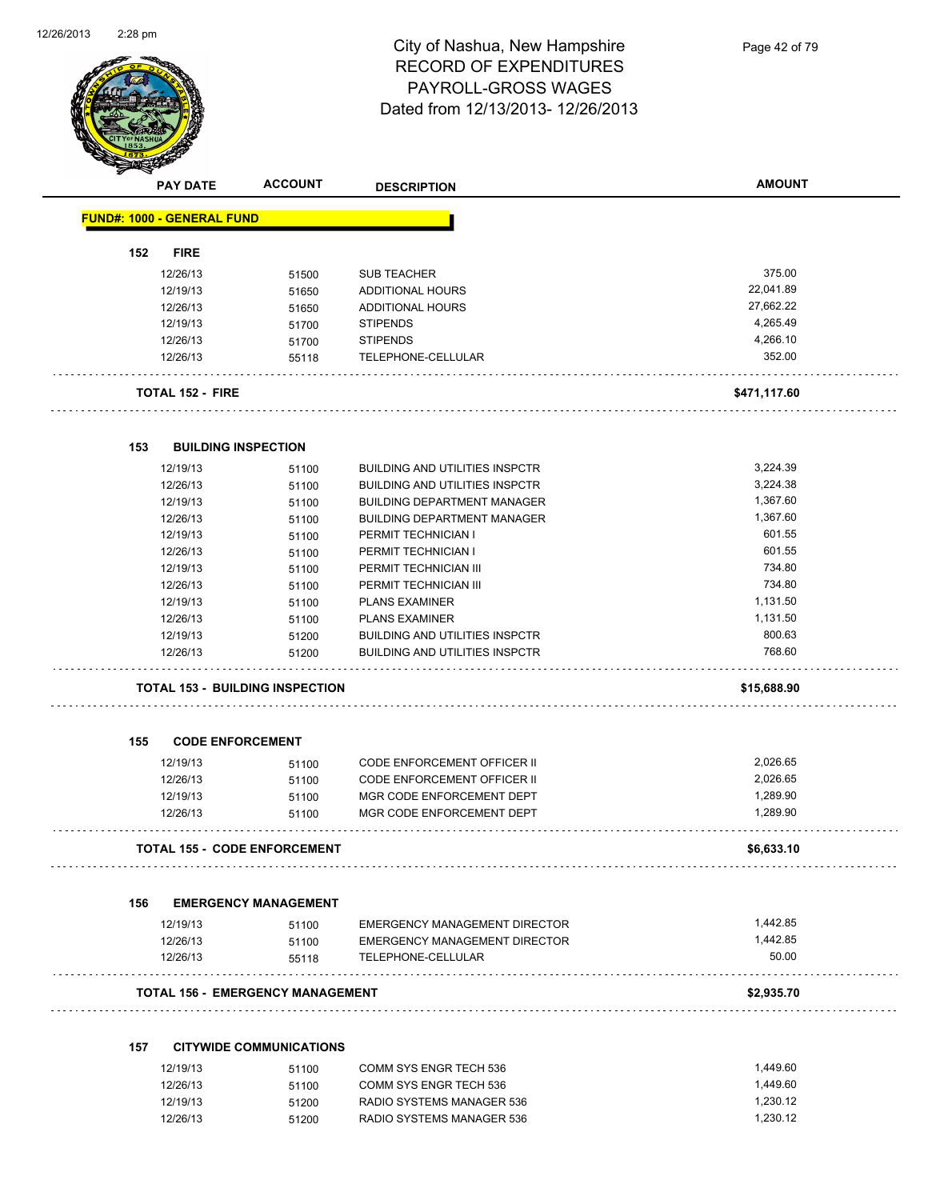

Page 42 of 79

| ❤   | <b>PAY DATE</b>                   | <b>ACCOUNT</b>                          | <b>DESCRIPTION</b>                    | <b>AMOUNT</b> |
|-----|-----------------------------------|-----------------------------------------|---------------------------------------|---------------|
|     | <b>FUND#: 1000 - GENERAL FUND</b> |                                         |                                       |               |
| 152 | <b>FIRE</b>                       |                                         |                                       |               |
|     | 12/26/13                          | 51500                                   | <b>SUB TEACHER</b>                    | 375.00        |
|     | 12/19/13                          | 51650                                   | <b>ADDITIONAL HOURS</b>               | 22,041.89     |
|     | 12/26/13                          | 51650                                   | ADDITIONAL HOURS                      | 27,662.22     |
|     | 12/19/13                          | 51700                                   | <b>STIPENDS</b>                       | 4,265.49      |
|     | 12/26/13                          | 51700                                   | <b>STIPENDS</b>                       | 4,266.10      |
|     | 12/26/13                          | 55118                                   | TELEPHONE-CELLULAR                    | 352.00        |
|     | <b>TOTAL 152 - FIRE</b>           |                                         |                                       | \$471,117.60  |
| 153 | <b>BUILDING INSPECTION</b>        |                                         |                                       |               |
|     | 12/19/13                          | 51100                                   | <b>BUILDING AND UTILITIES INSPCTR</b> | 3,224.39      |
|     | 12/26/13                          | 51100                                   | <b>BUILDING AND UTILITIES INSPCTR</b> | 3,224.38      |
|     | 12/19/13                          | 51100                                   | <b>BUILDING DEPARTMENT MANAGER</b>    | 1,367.60      |
|     | 12/26/13                          | 51100                                   | <b>BUILDING DEPARTMENT MANAGER</b>    | 1,367.60      |
|     | 12/19/13                          | 51100                                   | PERMIT TECHNICIAN I                   | 601.55        |
|     | 12/26/13                          | 51100                                   | PERMIT TECHNICIAN I                   | 601.55        |
|     | 12/19/13                          | 51100                                   | PERMIT TECHNICIAN III                 | 734.80        |
|     | 12/26/13                          | 51100                                   | PERMIT TECHNICIAN III                 | 734.80        |
|     | 12/19/13                          | 51100                                   | <b>PLANS EXAMINER</b>                 | 1,131.50      |
|     | 12/26/13                          | 51100                                   | <b>PLANS EXAMINER</b>                 | 1,131.50      |
|     | 12/19/13                          | 51200                                   | <b>BUILDING AND UTILITIES INSPCTR</b> | 800.63        |
|     | 12/26/13                          | 51200                                   | <b>BUILDING AND UTILITIES INSPCTR</b> | 768.60        |
|     |                                   | <b>TOTAL 153 - BUILDING INSPECTION</b>  |                                       | \$15,688.90   |
| 155 | <b>CODE ENFORCEMENT</b>           |                                         |                                       |               |
|     | 12/19/13                          | 51100                                   | <b>CODE ENFORCEMENT OFFICER II</b>    | 2,026.65      |
|     | 12/26/13                          | 51100                                   | CODE ENFORCEMENT OFFICER II           | 2,026.65      |
|     | 12/19/13                          | 51100                                   | MGR CODE ENFORCEMENT DEPT             | 1,289.90      |
|     | 12/26/13                          | 51100                                   | MGR CODE ENFORCEMENT DEPT             | 1,289.90      |
|     |                                   | <b>TOTAL 155 - CODE ENFORCEMENT</b>     |                                       | \$6,633.10    |
| 156 |                                   | <b>EMERGENCY MANAGEMENT</b>             |                                       |               |
|     | 12/19/13                          | 51100                                   | <b>EMERGENCY MANAGEMENT DIRECTOR</b>  | 1,442.85      |
|     | 12/26/13                          | 51100                                   | EMERGENCY MANAGEMENT DIRECTOR         | 1,442.85      |
|     | 12/26/13                          | 55118                                   | TELEPHONE-CELLULAR                    | 50.00         |
|     |                                   | <b>TOTAL 156 - EMERGENCY MANAGEMENT</b> |                                       | \$2,935.70    |
| 157 |                                   | <b>CITYWIDE COMMUNICATIONS</b>          |                                       |               |
|     | 12/19/13                          | 51100                                   | COMM SYS ENGR TECH 536                | 1,449.60      |
|     | 12/26/13                          | 51100                                   | COMM SYS ENGR TECH 536                | 1,449.60      |
|     | 12/19/13                          | 51200                                   | RADIO SYSTEMS MANAGER 536             | 1,230.12      |
|     | 12/26/13                          | 51200                                   | RADIO SYSTEMS MANAGER 536             | 1,230.12      |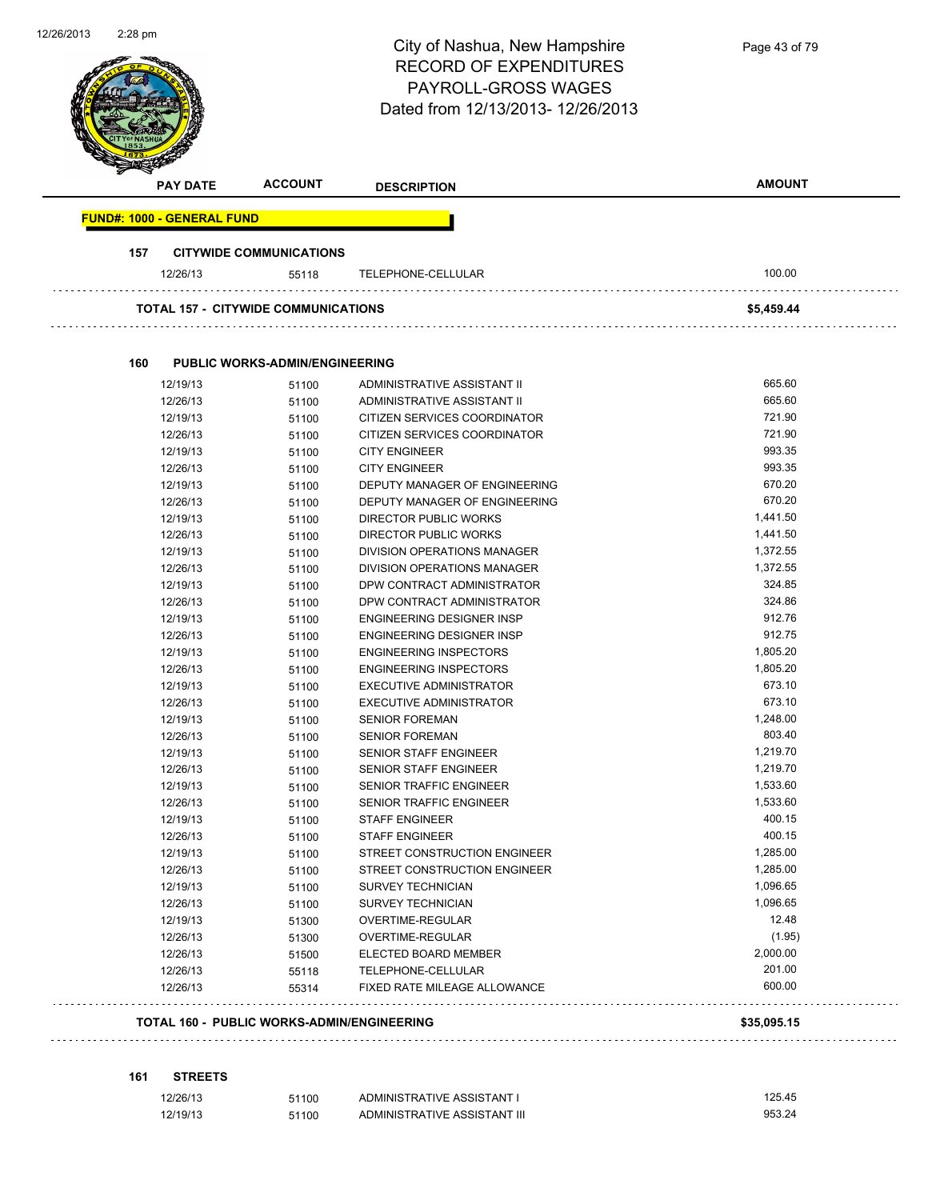|                                   |                                            | City of Nashua, New Hampshire<br><b>RECORD OF EXPENDITURES</b><br>PAYROLL-GROSS WAGES<br>Dated from 12/13/2013-12/26/2013 | Page 43 of 79    |
|-----------------------------------|--------------------------------------------|---------------------------------------------------------------------------------------------------------------------------|------------------|
| <b>PAY DATE</b>                   | <b>ACCOUNT</b>                             | <b>DESCRIPTION</b>                                                                                                        | <b>AMOUNT</b>    |
| <b>FUND#: 1000 - GENERAL FUND</b> |                                            |                                                                                                                           |                  |
| 157                               | <b>CITYWIDE COMMUNICATIONS</b>             |                                                                                                                           |                  |
| 12/26/13                          | 55118                                      | TELEPHONE-CELLULAR                                                                                                        | 100.00           |
|                                   | <b>TOTAL 157 - CITYWIDE COMMUNICATIONS</b> |                                                                                                                           | \$5,459.44       |
| 160                               | <b>PUBLIC WORKS-ADMIN/ENGINEERING</b>      |                                                                                                                           |                  |
| 12/19/13                          | 51100                                      | ADMINISTRATIVE ASSISTANT II                                                                                               | 665.60           |
| 12/26/13                          | 51100                                      | ADMINISTRATIVE ASSISTANT II                                                                                               | 665.60           |
| 12/19/13                          | 51100                                      | CITIZEN SERVICES COORDINATOR                                                                                              | 721.90           |
| 12/26/13                          | 51100                                      | CITIZEN SERVICES COORDINATOR                                                                                              | 721.90           |
| 12/19/13                          | 51100                                      | <b>CITY ENGINEER</b>                                                                                                      | 993.35           |
| 12/26/13                          | 51100                                      | <b>CITY ENGINEER</b>                                                                                                      | 993.35           |
| 12/19/13                          | 51100                                      | DEPUTY MANAGER OF ENGINEERING                                                                                             | 670.20           |
| 12/26/13                          | 51100                                      | DEPUTY MANAGER OF ENGINEERING                                                                                             | 670.20           |
| 12/19/13                          | 51100                                      | DIRECTOR PUBLIC WORKS                                                                                                     | 1,441.50         |
| 12/26/13                          | 51100                                      | <b>DIRECTOR PUBLIC WORKS</b>                                                                                              | 1,441.50         |
| 12/19/13                          | 51100                                      | DIVISION OPERATIONS MANAGER                                                                                               | 1,372.55         |
| 12/26/13                          | 51100                                      | DIVISION OPERATIONS MANAGER                                                                                               | 1,372.55         |
| 12/19/13                          | 51100                                      | DPW CONTRACT ADMINISTRATOR                                                                                                | 324.85           |
| 12/26/13                          | 51100                                      | DPW CONTRACT ADMINISTRATOR                                                                                                | 324.86<br>912.76 |
| 12/19/13                          | 51100                                      | <b>ENGINEERING DESIGNER INSP</b>                                                                                          | 912.75           |
| 12/26/13<br>12/19/13              | 51100                                      | ENGINEERING DESIGNER INSP<br><b>ENGINEERING INSPECTORS</b>                                                                | 1,805.20         |
| 12/26/13                          | 51100                                      | <b>ENGINEERING INSPECTORS</b>                                                                                             | 1,805.20         |
| 12/19/13                          | 51100                                      | <b>EXECUTIVE ADMINISTRATOR</b>                                                                                            | 673.10           |
| 12/26/13                          | 51100<br>51100                             | <b>EXECUTIVE ADMINISTRATOR</b>                                                                                            | 673.10           |
| 12/19/13                          | 51100                                      | <b>SENIOR FOREMAN</b>                                                                                                     | 1,248.00         |
| 12/26/13                          | 51100                                      | <b>SENIOR FOREMAN</b>                                                                                                     | 803.40           |
| 12/19/13                          | 51100                                      | SENIOR STAFF ENGINEER                                                                                                     | 1,219.70         |
| 12/26/13                          | 51100                                      | SENIOR STAFF ENGINEER                                                                                                     | 1,219.70         |
| 12/19/13                          | 51100                                      | SENIOR TRAFFIC ENGINEER                                                                                                   | 1,533.60         |
| 12/26/13                          | 51100                                      | SENIOR TRAFFIC ENGINEER                                                                                                   | 1,533.60         |
| 12/19/13                          | 51100                                      | <b>STAFF ENGINEER</b>                                                                                                     | 400.15           |
| 12/26/13                          | 51100                                      | <b>STAFF ENGINEER</b>                                                                                                     | 400.15           |
| 12/19/13                          | 51100                                      | STREET CONSTRUCTION ENGINEER                                                                                              | 1,285.00         |
| 12/26/13                          | 51100                                      | STREET CONSTRUCTION ENGINEER                                                                                              | 1,285.00         |
| 12/19/13                          | 51100                                      | <b>SURVEY TECHNICIAN</b>                                                                                                  | 1,096.65         |
| 12/26/13                          | 51100                                      | <b>SURVEY TECHNICIAN</b>                                                                                                  | 1,096.65         |
| 12/19/13                          | 51300                                      | OVERTIME-REGULAR                                                                                                          | 12.48            |
| 12/26/13                          | 51300                                      | OVERTIME-REGULAR                                                                                                          | (1.95)           |
| 12/26/13                          | 51500                                      | ELECTED BOARD MEMBER                                                                                                      | 2,000.00         |
| 12/26/13                          | 55118                                      | TELEPHONE-CELLULAR                                                                                                        | 201.00           |
| 12/26/13                          | 55314                                      | FIXED RATE MILEAGE ALLOWANCE                                                                                              | 600.00           |
|                                   | TOTAL 160 - PUBLIC WORKS-ADMIN/ENGINEERING |                                                                                                                           | \$35,095.15      |

12/26/13 51100 ADMINISTRATIVE ASSISTANT I 125.45 12/19/13 51100 ADMINISTRATIVE ASSISTANT III 953.24

**161 STREETS**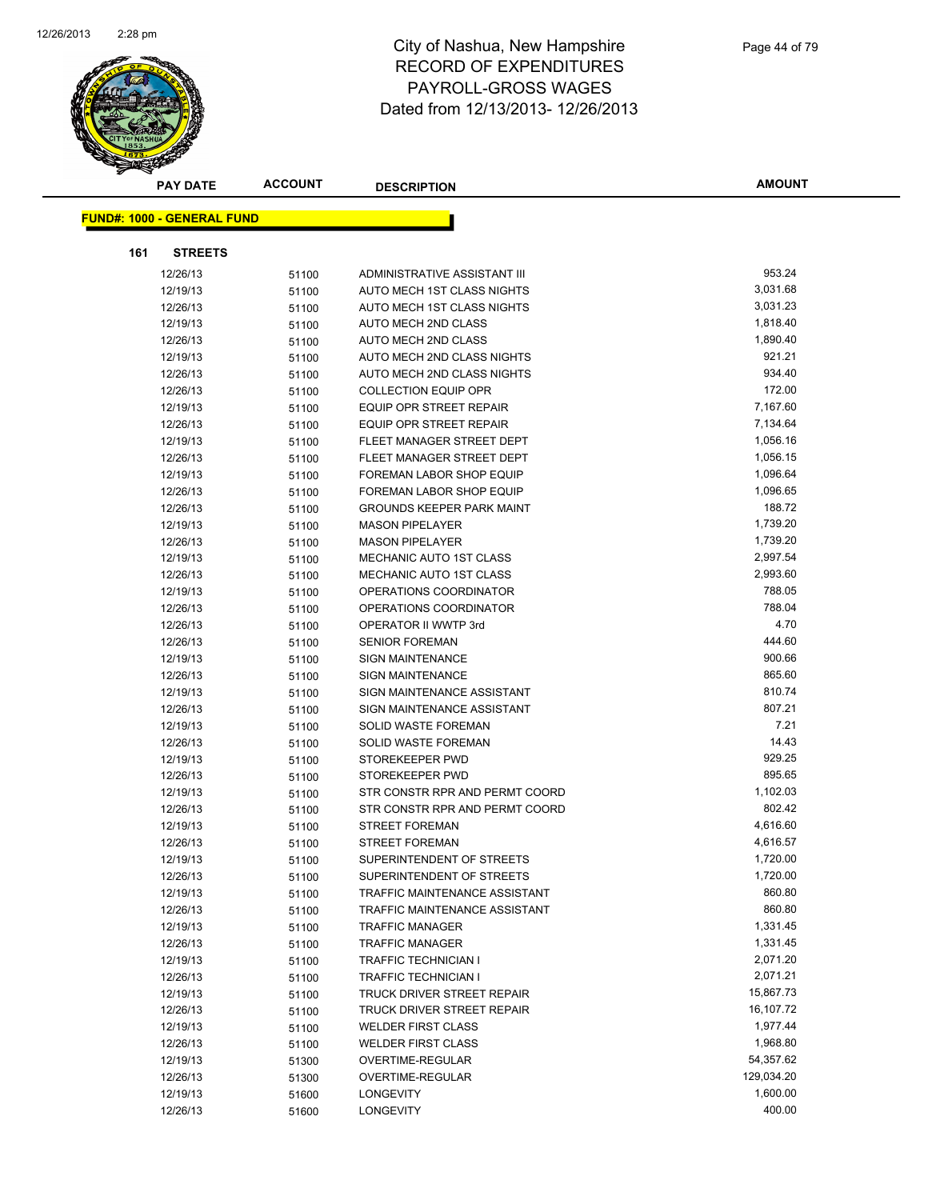

|     | <b>PAY DATE</b>                   | <b>ACCOUNT</b> | <b>DESCRIPTION</b>                   | <b>AMOUNT</b> |
|-----|-----------------------------------|----------------|--------------------------------------|---------------|
|     |                                   |                |                                      |               |
|     | <b>FUND#: 1000 - GENERAL FUND</b> |                |                                      |               |
| 161 | <b>STREETS</b>                    |                |                                      |               |
|     | 12/26/13                          | 51100          | ADMINISTRATIVE ASSISTANT III         | 953.24        |
|     | 12/19/13                          | 51100          | AUTO MECH 1ST CLASS NIGHTS           | 3,031.68      |
|     | 12/26/13                          | 51100          | AUTO MECH 1ST CLASS NIGHTS           | 3,031.23      |
|     | 12/19/13                          | 51100          | AUTO MECH 2ND CLASS                  | 1,818.40      |
|     | 12/26/13                          | 51100          | <b>AUTO MECH 2ND CLASS</b>           | 1,890.40      |
|     | 12/19/13                          | 51100          | AUTO MECH 2ND CLASS NIGHTS           | 921.21        |
|     | 12/26/13                          | 51100          | AUTO MECH 2ND CLASS NIGHTS           | 934.40        |
|     | 12/26/13                          | 51100          | <b>COLLECTION EQUIP OPR</b>          | 172.00        |
|     | 12/19/13                          | 51100          | EQUIP OPR STREET REPAIR              | 7,167.60      |
|     | 12/26/13                          | 51100          | <b>EQUIP OPR STREET REPAIR</b>       | 7,134.64      |
|     | 12/19/13                          | 51100          | FLEET MANAGER STREET DEPT            | 1,056.16      |
|     | 12/26/13                          | 51100          | FLEET MANAGER STREET DEPT            | 1,056.15      |
|     | 12/19/13                          | 51100          | FOREMAN LABOR SHOP EQUIP             | 1,096.64      |
|     | 12/26/13                          | 51100          | FOREMAN LABOR SHOP EQUIP             | 1,096.65      |
|     | 12/26/13                          | 51100          | <b>GROUNDS KEEPER PARK MAINT</b>     | 188.72        |
|     | 12/19/13                          | 51100          | <b>MASON PIPELAYER</b>               | 1,739.20      |
|     | 12/26/13                          | 51100          | <b>MASON PIPELAYER</b>               | 1,739.20      |
|     | 12/19/13                          | 51100          | <b>MECHANIC AUTO 1ST CLASS</b>       | 2,997.54      |
|     | 12/26/13                          | 51100          | MECHANIC AUTO 1ST CLASS              | 2,993.60      |
|     | 12/19/13                          | 51100          | OPERATIONS COORDINATOR               | 788.05        |
|     | 12/26/13                          | 51100          | OPERATIONS COORDINATOR               | 788.04        |
|     | 12/26/13                          | 51100          | OPERATOR II WWTP 3rd                 | 4.70          |
|     | 12/26/13                          | 51100          | <b>SENIOR FOREMAN</b>                | 444.60        |
|     | 12/19/13                          | 51100          | <b>SIGN MAINTENANCE</b>              | 900.66        |
|     | 12/26/13                          | 51100          | <b>SIGN MAINTENANCE</b>              | 865.60        |
|     | 12/19/13                          | 51100          | SIGN MAINTENANCE ASSISTANT           | 810.74        |
|     | 12/26/13                          | 51100          | SIGN MAINTENANCE ASSISTANT           | 807.21        |
|     | 12/19/13                          | 51100          | SOLID WASTE FOREMAN                  | 7.21          |
|     | 12/26/13                          | 51100          | SOLID WASTE FOREMAN                  | 14.43         |
|     | 12/19/13                          | 51100          | STOREKEEPER PWD                      | 929.25        |
|     | 12/26/13                          | 51100          | STOREKEEPER PWD                      | 895.65        |
|     | 12/19/13                          | 51100          | STR CONSTR RPR AND PERMT COORD       | 1,102.03      |
|     | 12/26/13                          | 51100          | STR CONSTR RPR AND PERMT COORD       | 802.42        |
|     | 12/19/13                          | 51100          | <b>STREET FOREMAN</b>                | 4,616.60      |
|     | 12/26/13                          | 51100          | STREET FOREMAN                       | 4,616.57      |
|     | 12/19/13                          | 51100          | SUPERINTENDENT OF STREETS            | 1,720.00      |
|     | 12/26/13                          | 51100          | SUPERINTENDENT OF STREETS            | 1,720.00      |
|     | 12/19/13                          | 51100          | TRAFFIC MAINTENANCE ASSISTANT        | 860.80        |
|     | 12/26/13                          | 51100          | <b>TRAFFIC MAINTENANCE ASSISTANT</b> | 860.80        |
|     | 12/19/13                          | 51100          | <b>TRAFFIC MANAGER</b>               | 1,331.45      |
|     | 12/26/13                          | 51100          | <b>TRAFFIC MANAGER</b>               | 1,331.45      |
|     | 12/19/13                          | 51100          | TRAFFIC TECHNICIAN I                 | 2,071.20      |
|     | 12/26/13                          | 51100          | <b>TRAFFIC TECHNICIAN I</b>          | 2,071.21      |
|     | 12/19/13                          | 51100          | <b>TRUCK DRIVER STREET REPAIR</b>    | 15,867.73     |
|     | 12/26/13                          | 51100          | TRUCK DRIVER STREET REPAIR           | 16,107.72     |
|     | 12/19/13                          | 51100          | <b>WELDER FIRST CLASS</b>            | 1,977.44      |
|     | 12/26/13                          | 51100          | <b>WELDER FIRST CLASS</b>            | 1,968.80      |
|     | 12/19/13                          | 51300          | OVERTIME-REGULAR                     | 54,357.62     |
|     | 12/26/13                          | 51300          | OVERTIME-REGULAR                     | 129,034.20    |
|     | 12/19/13                          | 51600          | <b>LONGEVITY</b>                     | 1,600.00      |
|     | 12/26/13                          | 51600          | LONGEVITY                            | 400.00        |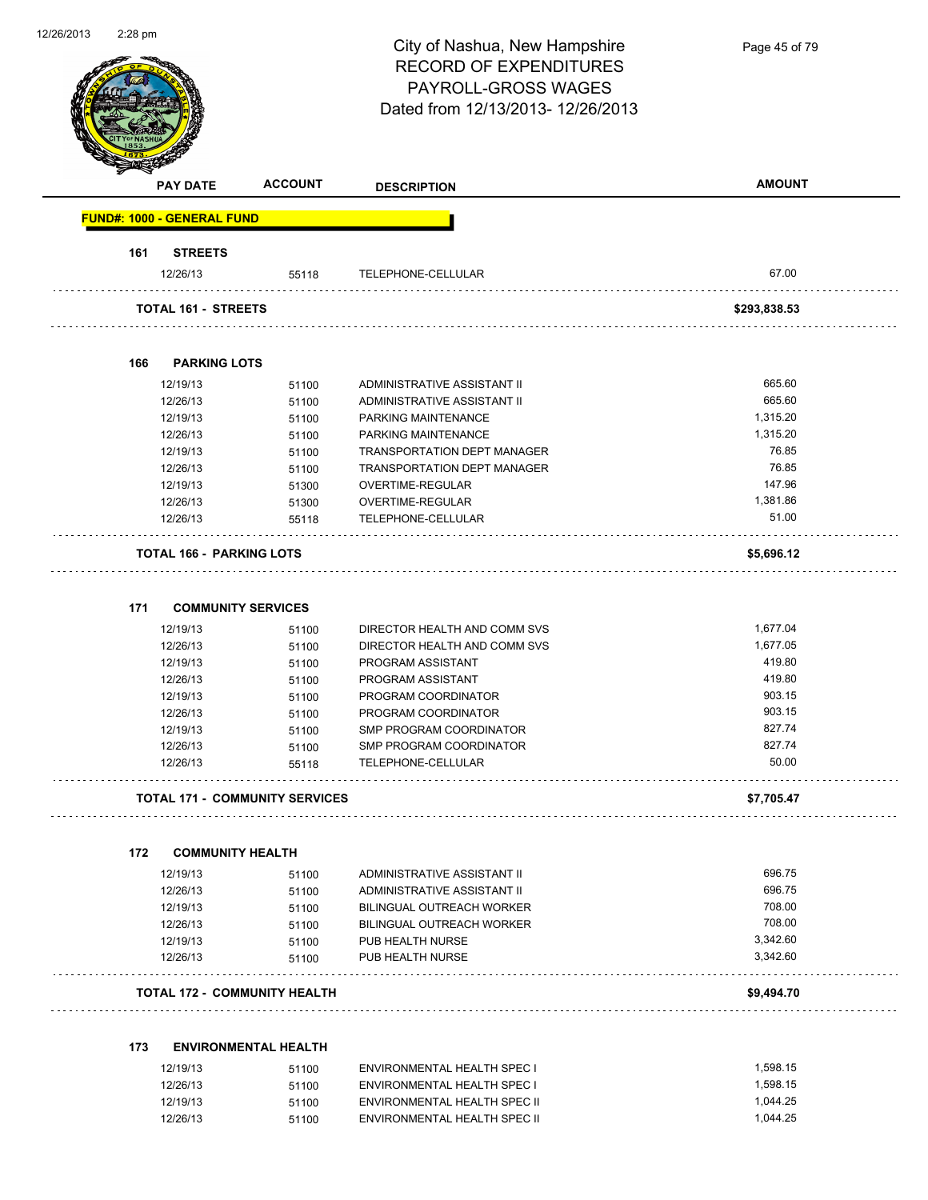| 2/26/2013 | 2:28 pm |                                   |                                       | City of Nashua, New Hampshire<br><b>RECORD OF EXPENDITURES</b><br>PAYROLL-GROSS WAGES<br>Dated from 12/13/2013-12/26/2013 | Page 45 of 79 |
|-----------|---------|-----------------------------------|---------------------------------------|---------------------------------------------------------------------------------------------------------------------------|---------------|
|           |         | <b>PAY DATE</b>                   | <b>ACCOUNT</b>                        | <b>DESCRIPTION</b>                                                                                                        | <b>AMOUNT</b> |
|           |         | <b>FUND#: 1000 - GENERAL FUND</b> |                                       |                                                                                                                           |               |
|           | 161     | <b>STREETS</b>                    |                                       |                                                                                                                           |               |
|           |         | 12/26/13                          | 55118                                 | TELEPHONE-CELLULAR                                                                                                        | 67.00         |
|           |         | <b>TOTAL 161 - STREETS</b>        |                                       |                                                                                                                           | \$293,838.53  |
|           | 166     | <b>PARKING LOTS</b>               |                                       |                                                                                                                           |               |
|           |         | 12/19/13                          |                                       |                                                                                                                           | 665.60        |
|           |         | 12/26/13                          | 51100<br>51100                        | ADMINISTRATIVE ASSISTANT II<br>ADMINISTRATIVE ASSISTANT II                                                                | 665.60        |
|           |         | 12/19/13                          | 51100                                 | PARKING MAINTENANCE                                                                                                       | 1,315.20      |
|           |         | 12/26/13                          | 51100                                 | PARKING MAINTENANCE                                                                                                       | 1,315.20      |
|           |         | 12/19/13                          | 51100                                 | <b>TRANSPORTATION DEPT MANAGER</b>                                                                                        | 76.85         |
|           |         | 12/26/13                          |                                       | <b>TRANSPORTATION DEPT MANAGER</b>                                                                                        | 76.85         |
|           |         | 12/19/13                          | 51100                                 | OVERTIME-REGULAR                                                                                                          | 147.96        |
|           |         | 12/26/13                          | 51300                                 | OVERTIME-REGULAR                                                                                                          | 1,381.86      |
|           |         | 12/26/13                          | 51300<br>55118                        | TELEPHONE-CELLULAR                                                                                                        | 51.00         |
|           |         |                                   |                                       |                                                                                                                           |               |
|           |         | <b>TOTAL 166 - PARKING LOTS</b>   |                                       |                                                                                                                           | \$5,696.12    |
|           | 171     | <b>COMMUNITY SERVICES</b>         |                                       |                                                                                                                           |               |
|           |         | 12/19/13                          | 51100                                 | DIRECTOR HEALTH AND COMM SVS                                                                                              | 1,677.04      |
|           |         | 12/26/13                          | 51100                                 | DIRECTOR HEALTH AND COMM SVS                                                                                              | 1,677.05      |
|           |         | 12/19/13                          | 51100                                 | PROGRAM ASSISTANT                                                                                                         | 419.80        |
|           |         | 12/26/13                          | 51100                                 | PROGRAM ASSISTANT                                                                                                         | 419.80        |
|           |         | 12/19/13                          | 51100                                 | PROGRAM COORDINATOR                                                                                                       | 903.15        |
|           |         | 12/26/13                          | 51100                                 | PROGRAM COORDINATOR                                                                                                       | 903.15        |
|           |         | 12/19/13                          | 51100                                 | SMP PROGRAM COORDINATOR                                                                                                   | 827.74        |
|           |         | 12/26/13                          | 51100                                 | SMP PROGRAM COORDINATOR                                                                                                   | 827.74        |
|           |         | 12/26/13                          | 55118                                 | TELEPHONE-CELLULAR                                                                                                        | 50.00         |
|           |         |                                   |                                       |                                                                                                                           |               |
|           |         |                                   | <b>TOTAL 171 - COMMUNITY SERVICES</b> |                                                                                                                           | \$7,705.47    |
|           | 172     | <b>COMMUNITY HEALTH</b>           |                                       |                                                                                                                           |               |
|           |         | 12/19/13                          |                                       |                                                                                                                           | 696.75        |
|           |         |                                   | 51100                                 | ADMINISTRATIVE ASSISTANT II                                                                                               | 696.75        |
|           |         | 12/26/13                          | 51100                                 | ADMINISTRATIVE ASSISTANT II                                                                                               | 708.00        |
|           |         | 12/19/13                          | 51100                                 | BILINGUAL OUTREACH WORKER                                                                                                 | 708.00        |
|           |         | 12/26/13                          | 51100                                 | BILINGUAL OUTREACH WORKER                                                                                                 | 3,342.60      |
|           |         | 12/19/13<br>12/26/13              | 51100                                 | PUB HEALTH NURSE<br>PUB HEALTH NURSE                                                                                      | 3,342.60      |
|           |         |                                   | 51100                                 |                                                                                                                           |               |
|           |         |                                   | <b>TOTAL 172 - COMMUNITY HEALTH</b>   |                                                                                                                           | \$9,494.70    |
|           |         |                                   |                                       |                                                                                                                           |               |
|           | 173     |                                   | <b>ENVIRONMENTAL HEALTH</b>           |                                                                                                                           |               |
|           |         | 12/19/13                          | 51100                                 | ENVIRONMENTAL HEALTH SPEC I                                                                                               | 1,598.15      |
|           |         | 12/26/13                          | 51100                                 | ENVIRONMENTAL HEALTH SPEC I                                                                                               | 1,598.15      |
|           |         | 12/19/13                          | 51100                                 | ENVIRONMENTAL HEALTH SPEC II                                                                                              | 1,044.25      |
|           |         | 12/26/13                          | 51100                                 | ENVIRONMENTAL HEALTH SPEC II                                                                                              | 1,044.25      |

12/26/2013 2:28 pm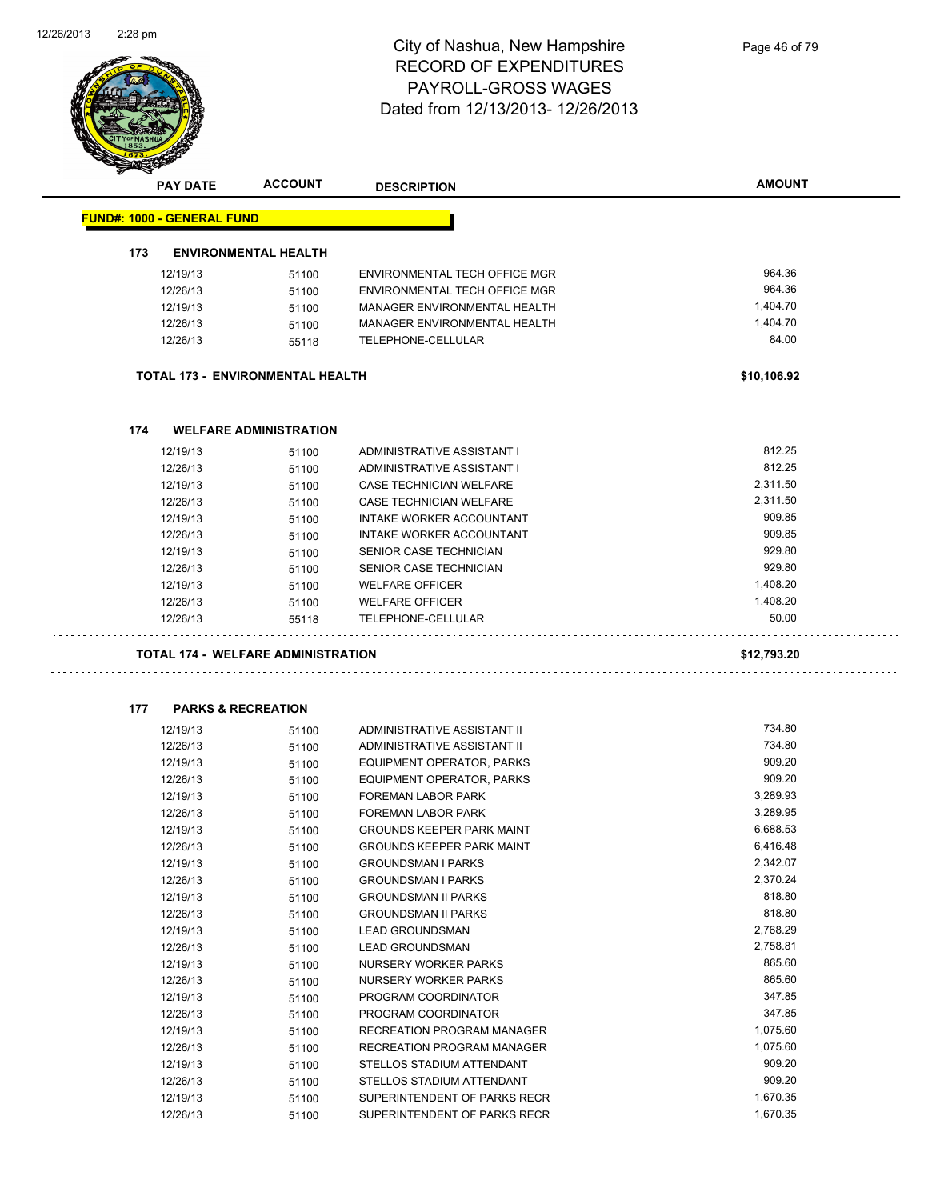

|     | <b>PAY DATE</b>                   | <b>ACCOUNT</b>                            | <b>DESCRIPTION</b>               | <b>AMOUNT</b>     |
|-----|-----------------------------------|-------------------------------------------|----------------------------------|-------------------|
|     | <b>FUND#: 1000 - GENERAL FUND</b> |                                           |                                  |                   |
| 173 |                                   | <b>ENVIRONMENTAL HEALTH</b>               |                                  |                   |
|     |                                   |                                           |                                  |                   |
|     | 12/19/13                          | 51100                                     | ENVIRONMENTAL TECH OFFICE MGR    | 964.36            |
|     | 12/26/13                          | 51100                                     | ENVIRONMENTAL TECH OFFICE MGR    | 964.36            |
|     | 12/19/13                          | 51100                                     | MANAGER ENVIRONMENTAL HEALTH     | 1,404.70          |
|     | 12/26/13                          | 51100                                     | MANAGER ENVIRONMENTAL HEALTH     | 1,404.70<br>84.00 |
|     | 12/26/13                          | 55118                                     | TELEPHONE-CELLULAR               |                   |
|     |                                   | <b>TOTAL 173 - ENVIRONMENTAL HEALTH</b>   |                                  | \$10,106.92       |
| 174 |                                   | <b>WELFARE ADMINISTRATION</b>             |                                  |                   |
|     | 12/19/13                          |                                           | ADMINISTRATIVE ASSISTANT I       | 812.25            |
|     | 12/26/13                          | 51100                                     | ADMINISTRATIVE ASSISTANT I       | 812.25            |
|     | 12/19/13                          | 51100<br>51100                            | CASE TECHNICIAN WELFARE          | 2,311.50          |
|     | 12/26/13                          | 51100                                     | CASE TECHNICIAN WELFARE          | 2,311.50          |
|     | 12/19/13                          | 51100                                     | INTAKE WORKER ACCOUNTANT         | 909.85            |
|     | 12/26/13                          | 51100                                     | INTAKE WORKER ACCOUNTANT         | 909.85            |
|     | 12/19/13                          | 51100                                     | SENIOR CASE TECHNICIAN           | 929.80            |
|     | 12/26/13                          | 51100                                     | SENIOR CASE TECHNICIAN           | 929.80            |
|     | 12/19/13                          | 51100                                     | <b>WELFARE OFFICER</b>           | 1,408.20          |
|     | 12/26/13                          | 51100                                     | <b>WELFARE OFFICER</b>           | 1,408.20          |
|     | 12/26/13                          | 55118                                     | TELEPHONE-CELLULAR               | 50.00             |
|     |                                   |                                           |                                  |                   |
|     |                                   | <b>TOTAL 174 - WELFARE ADMINISTRATION</b> |                                  | \$12,793.20       |
| 177 |                                   | <b>PARKS &amp; RECREATION</b>             |                                  |                   |
|     | 12/19/13                          | 51100                                     | ADMINISTRATIVE ASSISTANT II      | 734.80            |
|     | 12/26/13                          | 51100                                     | ADMINISTRATIVE ASSISTANT II      | 734.80            |
|     | 12/19/13                          | 51100                                     | EQUIPMENT OPERATOR, PARKS        | 909.20            |
|     | 12/26/13                          | 51100                                     | EQUIPMENT OPERATOR, PARKS        | 909.20            |
|     | 12/19/13                          | 51100                                     | <b>FOREMAN LABOR PARK</b>        | 3,289.93          |
|     | 12/26/13                          | 51100                                     | <b>FOREMAN LABOR PARK</b>        | 3,289.95          |
|     | 12/19/13                          | 51100                                     | <b>GROUNDS KEEPER PARK MAINT</b> | 6,688.53          |
|     | 12/26/13                          | 51100                                     | <b>GROUNDS KEEPER PARK MAINT</b> | 6,416.48          |
|     | 12/19/13                          | 51100                                     | <b>GROUNDSMAN I PARKS</b>        | 2,342.07          |
|     | 12/26/13                          | 51100                                     | <b>GROUNDSMAN I PARKS</b>        | 2,370.24          |
|     | 12/19/13                          | 51100                                     | <b>GROUNDSMAN II PARKS</b>       | 818.80            |
|     | 12/26/13                          | 51100                                     | <b>GROUNDSMAN II PARKS</b>       | 818.80            |
|     | 12/19/13                          | 51100                                     | <b>LEAD GROUNDSMAN</b>           | 2,768.29          |
|     | 12/26/13                          | 51100                                     | <b>LEAD GROUNDSMAN</b>           | 2,758.81          |
|     | 12/19/13                          | 51100                                     | NURSERY WORKER PARKS             | 865.60            |
|     | 12/26/13                          | 51100                                     | NURSERY WORKER PARKS             | 865.60            |
|     | 12/19/13                          | 51100                                     | PROGRAM COORDINATOR              | 347.85            |
|     | 12/26/13                          | 51100                                     | PROGRAM COORDINATOR              | 347.85            |
|     | 12/19/13                          | 51100                                     | RECREATION PROGRAM MANAGER       | 1,075.60          |
|     | 12/26/13                          | 51100                                     | RECREATION PROGRAM MANAGER       | 1,075.60          |
|     | 12/19/13                          | 51100                                     | STELLOS STADIUM ATTENDANT        | 909.20            |
|     | 12/26/13                          | 51100                                     | STELLOS STADIUM ATTENDANT        | 909.20            |

12/19/13 51100 SUPERINTENDENT OF PARKS RECR 1,670.35 12/26/13 51100 SUPERINTENDENT OF PARKS RECR 1,670.35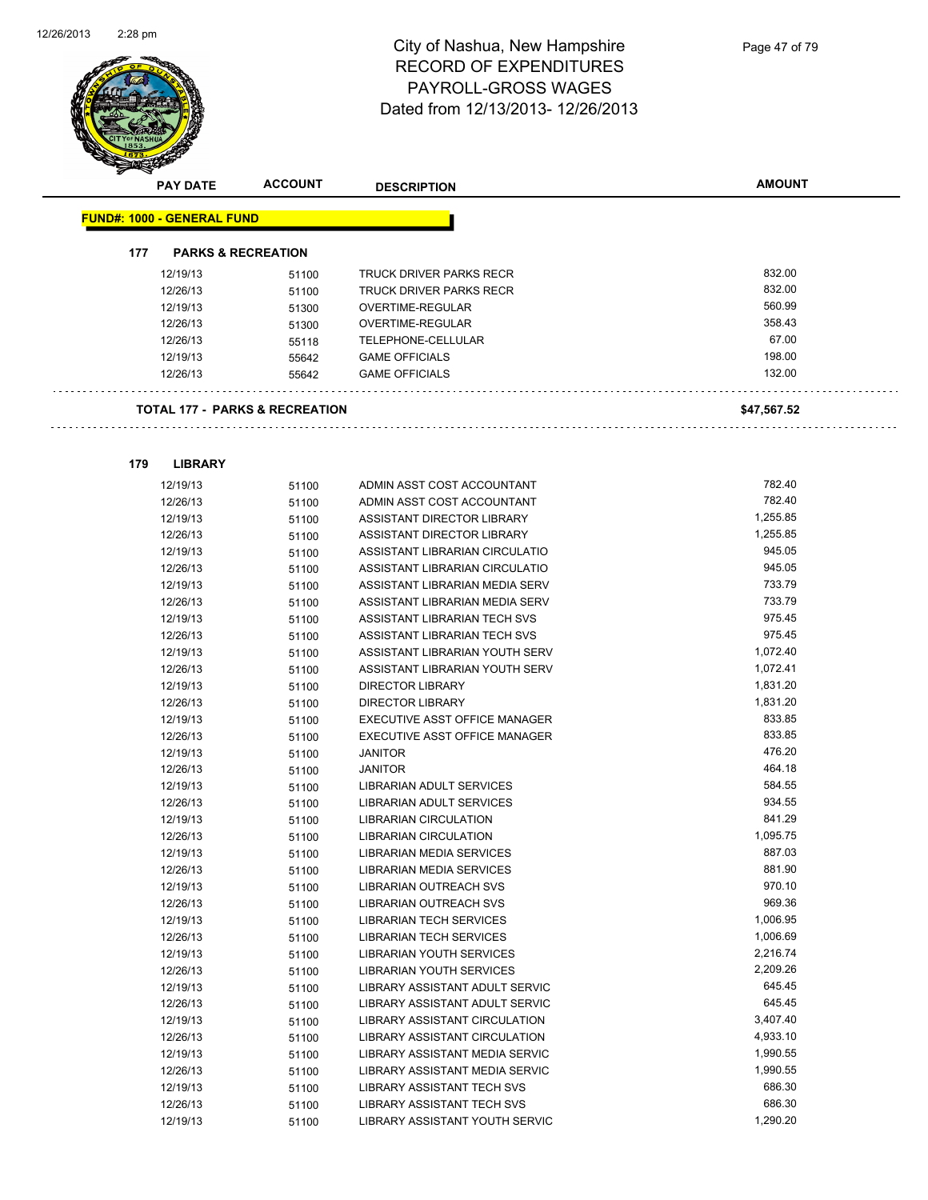

|     | <b>PAY DATE</b>                   | <b>ACCOUNT</b>                            | <b>DESCRIPTION</b>              | <b>AMOUNT</b> |
|-----|-----------------------------------|-------------------------------------------|---------------------------------|---------------|
|     | <b>FUND#: 1000 - GENERAL FUND</b> |                                           |                                 |               |
| 177 |                                   | <b>PARKS &amp; RECREATION</b>             |                                 |               |
|     |                                   |                                           |                                 |               |
|     | 12/19/13                          | 51100                                     | TRUCK DRIVER PARKS RECR         | 832.00        |
|     | 12/26/13                          | 51100                                     | TRUCK DRIVER PARKS RECR         | 832.00        |
|     | 12/19/13                          | 51300                                     | OVERTIME-REGULAR                | 560.99        |
|     | 12/26/13                          | 51300                                     | <b>OVERTIME-REGULAR</b>         | 358.43        |
|     | 12/26/13                          | 55118                                     | TELEPHONE-CELLULAR              | 67.00         |
|     | 12/19/13                          | 55642                                     | <b>GAME OFFICIALS</b>           | 198.00        |
|     | 12/26/13                          | 55642                                     | <b>GAME OFFICIALS</b>           | 132.00        |
|     |                                   | <b>TOTAL 177 - PARKS &amp; RECREATION</b> |                                 | \$47,567.52   |
|     |                                   |                                           |                                 |               |
| 179 | <b>LIBRARY</b>                    |                                           |                                 |               |
|     | 12/19/13                          | 51100                                     | ADMIN ASST COST ACCOUNTANT      | 782.40        |
|     | 12/26/13                          | 51100                                     | ADMIN ASST COST ACCOUNTANT      | 782.40        |
|     | 12/19/13                          | 51100                                     | ASSISTANT DIRECTOR LIBRARY      | 1,255.85      |
|     | 12/26/13                          | 51100                                     | ASSISTANT DIRECTOR LIBRARY      | 1,255.85      |
|     | 12/19/13                          | 51100                                     | ASSISTANT LIBRARIAN CIRCULATIO  | 945.05        |
|     | 12/26/13                          | 51100                                     | ASSISTANT LIBRARIAN CIRCULATIO  | 945.05        |
|     | 12/19/13                          | 51100                                     | ASSISTANT LIBRARIAN MEDIA SERV  | 733.79        |
|     | 12/26/13                          | 51100                                     | ASSISTANT LIBRARIAN MEDIA SERV  | 733.79        |
|     | 12/19/13                          | 51100                                     | ASSISTANT LIBRARIAN TECH SVS    | 975.45        |
|     | 12/26/13                          | 51100                                     | ASSISTANT LIBRARIAN TECH SVS    | 975.45        |
|     | 12/19/13                          | 51100                                     | ASSISTANT LIBRARIAN YOUTH SERV  | 1,072.40      |
|     | 12/26/13                          | 51100                                     | ASSISTANT LIBRARIAN YOUTH SERV  | 1,072.41      |
|     | 12/19/13                          | 51100                                     | <b>DIRECTOR LIBRARY</b>         | 1,831.20      |
|     | 12/26/13                          | 51100                                     | <b>DIRECTOR LIBRARY</b>         | 1,831.20      |
|     | 12/19/13                          | 51100                                     | EXECUTIVE ASST OFFICE MANAGER   | 833.85        |
|     | 12/26/13                          | 51100                                     | EXECUTIVE ASST OFFICE MANAGER   | 833.85        |
|     | 12/19/13                          | 51100                                     | <b>JANITOR</b>                  | 476.20        |
|     | 12/26/13                          | 51100                                     | <b>JANITOR</b>                  | 464.18        |
|     | 12/19/13                          | 51100                                     | LIBRARIAN ADULT SERVICES        | 584.55        |
|     | 12/26/13                          | 51100                                     | LIBRARIAN ADULT SERVICES        | 934.55        |
|     | 12/19/13                          | 51100                                     | <b>LIBRARIAN CIRCULATION</b>    | 841.29        |
|     | 12/26/13                          | 51100                                     | <b>LIBRARIAN CIRCULATION</b>    | 1,095.75      |
|     | 12/19/13                          | 51100                                     | LIBRARIAN MEDIA SERVICES        | 887.03        |
|     | 12/26/13                          | 51100                                     | LIBRARIAN MEDIA SERVICES        | 881.90        |
|     | 12/19/13                          | 51100                                     | <b>LIBRARIAN OUTREACH SVS</b>   | 970.10        |
|     | 12/26/13                          | 51100                                     | <b>LIBRARIAN OUTREACH SVS</b>   | 969.36        |
|     | 12/19/13                          | 51100                                     | <b>LIBRARIAN TECH SERVICES</b>  | 1,006.95      |
|     | 12/26/13                          | 51100                                     | <b>LIBRARIAN TECH SERVICES</b>  | 1,006.69      |
|     | 12/19/13                          | 51100                                     | <b>LIBRARIAN YOUTH SERVICES</b> | 2,216.74      |
|     | 12/26/13                          | 51100                                     | LIBRARIAN YOUTH SERVICES        | 2,209.26      |
|     | 12/19/13                          | 51100                                     | LIBRARY ASSISTANT ADULT SERVIC  | 645.45        |
|     | 12/26/13                          | 51100                                     | LIBRARY ASSISTANT ADULT SERVIC  | 645.45        |
|     | 12/19/13                          | 51100                                     | LIBRARY ASSISTANT CIRCULATION   | 3,407.40      |
|     | 12/26/13                          | 51100                                     | LIBRARY ASSISTANT CIRCULATION   | 4,933.10      |
|     | 12/19/13                          | 51100                                     | LIBRARY ASSISTANT MEDIA SERVIC  | 1,990.55      |
|     | 12/26/13                          | 51100                                     | LIBRARY ASSISTANT MEDIA SERVIC  | 1,990.55      |
|     | 12/19/13                          | 51100                                     | LIBRARY ASSISTANT TECH SVS      | 686.30        |
|     | 12/26/13                          | 51100                                     | LIBRARY ASSISTANT TECH SVS      | 686.30        |

12/19/13 51100 LIBRARY ASSISTANT YOUTH SERVIC<br>
1,290.20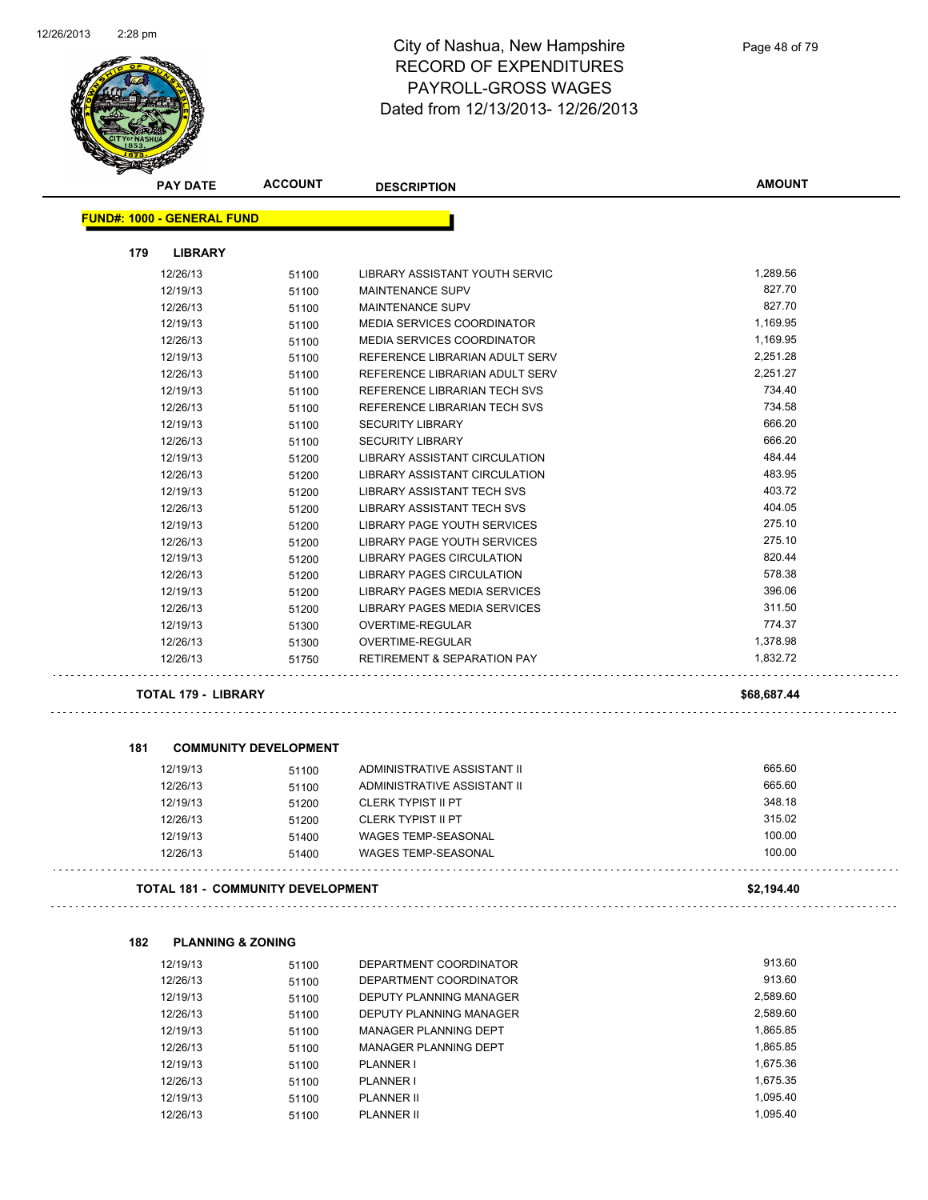

|     | <b>PAY DATE</b>                   | <b>ACCOUNT</b>                           | <b>DESCRIPTION</b>                                         | <b>AMOUNT</b> |
|-----|-----------------------------------|------------------------------------------|------------------------------------------------------------|---------------|
|     | <b>FUND#: 1000 - GENERAL FUND</b> |                                          |                                                            |               |
| 179 | <b>LIBRARY</b>                    |                                          |                                                            |               |
|     | 12/26/13                          | 51100                                    | LIBRARY ASSISTANT YOUTH SERVIC                             | 1,289.56      |
|     | 12/19/13                          | 51100                                    | <b>MAINTENANCE SUPV</b>                                    | 827.70        |
|     | 12/26/13                          | 51100                                    | <b>MAINTENANCE SUPV</b>                                    | 827.70        |
|     | 12/19/13                          | 51100                                    | <b>MEDIA SERVICES COORDINATOR</b>                          | 1,169.95      |
|     | 12/26/13                          | 51100                                    | MEDIA SERVICES COORDINATOR                                 | 1,169.95      |
|     | 12/19/13                          | 51100                                    | REFERENCE LIBRARIAN ADULT SERV                             | 2,251.28      |
|     | 12/26/13                          | 51100                                    | REFERENCE LIBRARIAN ADULT SERV                             | 2,251.27      |
|     | 12/19/13                          | 51100                                    | REFERENCE LIBRARIAN TECH SVS                               | 734.40        |
|     | 12/26/13                          | 51100                                    | REFERENCE LIBRARIAN TECH SVS                               | 734.58        |
|     | 12/19/13                          | 51100                                    | <b>SECURITY LIBRARY</b>                                    | 666.20        |
|     | 12/26/13                          | 51100                                    | <b>SECURITY LIBRARY</b>                                    | 666.20        |
|     | 12/19/13                          | 51200                                    | LIBRARY ASSISTANT CIRCULATION                              | 484.44        |
|     | 12/26/13                          | 51200                                    | <b>LIBRARY ASSISTANT CIRCULATION</b>                       | 483.95        |
|     | 12/19/13                          | 51200                                    | <b>LIBRARY ASSISTANT TECH SVS</b>                          | 403.72        |
|     | 12/26/13                          | 51200                                    | LIBRARY ASSISTANT TECH SVS                                 | 404.05        |
|     | 12/19/13                          | 51200                                    | LIBRARY PAGE YOUTH SERVICES                                | 275.10        |
|     | 12/26/13                          | 51200                                    | LIBRARY PAGE YOUTH SERVICES                                | 275.10        |
|     | 12/19/13                          | 51200                                    | <b>LIBRARY PAGES CIRCULATION</b>                           | 820.44        |
|     | 12/26/13                          |                                          | <b>LIBRARY PAGES CIRCULATION</b>                           | 578.38        |
|     | 12/19/13                          | 51200                                    | LIBRARY PAGES MEDIA SERVICES                               | 396.06        |
|     | 12/26/13                          | 51200                                    | LIBRARY PAGES MEDIA SERVICES                               | 311.50        |
|     |                                   | 51200                                    |                                                            | 774.37        |
|     | 12/19/13                          | 51300                                    | OVERTIME-REGULAR                                           | 1,378.98      |
|     | 12/26/13<br>12/26/13              | 51300<br>51750                           | OVERTIME-REGULAR<br><b>RETIREMENT &amp; SEPARATION PAY</b> | 1,832.72      |
|     | <b>TOTAL 179 - LIBRARY</b>        |                                          |                                                            | \$68,687.44   |
|     |                                   |                                          |                                                            |               |
| 181 |                                   | <b>COMMUNITY DEVELOPMENT</b>             |                                                            |               |
|     | 12/19/13                          | 51100                                    | ADMINISTRATIVE ASSISTANT II                                | 665.60        |
|     | 12/26/13                          | 51100                                    | ADMINISTRATIVE ASSISTANT II                                | 665.60        |
|     | 12/19/13                          | 51200                                    | <b>CLERK TYPIST II PT</b>                                  | 348.18        |
|     | 12/26/13                          | 51200                                    | <b>CLERK TYPIST II PT</b>                                  | 315.02        |
|     | 12/19/13                          | 51400                                    | <b>WAGES TEMP-SEASONAL</b>                                 | 100.00        |
|     | 12/26/13                          | 51400                                    | WAGES TEMP-SEASONAL                                        | 100.00        |
|     |                                   | <b>TOTAL 181 - COMMUNITY DEVELOPMENT</b> |                                                            | \$2,194.40    |
|     |                                   |                                          |                                                            |               |
| 182 | <b>PLANNING &amp; ZONING</b>      |                                          |                                                            |               |
|     | 12/19/13                          | 51100                                    | DEPARTMENT COORDINATOR                                     | 913.60        |
|     | 12/26/13                          | 51100                                    | DEPARTMENT COORDINATOR                                     | 913.60        |
|     | 12/19/13                          | 51100                                    | DEPUTY PLANNING MANAGER                                    | 2,589.60      |
|     | 12/26/13                          | 51100                                    | DEPUTY PLANNING MANAGER                                    | 2,589.60      |
|     | 12/19/13                          | 51100                                    | MANAGER PLANNING DEPT                                      | 1,865.85      |
|     | 12/26/13                          | 51100                                    | MANAGER PLANNING DEPT                                      | 1,865.85      |

12/19/13 51100 PLANNER I 1,675.36 12/26/13 51100 PLANNER I 1,675.35 12/19/13 51100 PLANNER II 1,095.40 12/26/13 51100 PLANNER II 1,095.40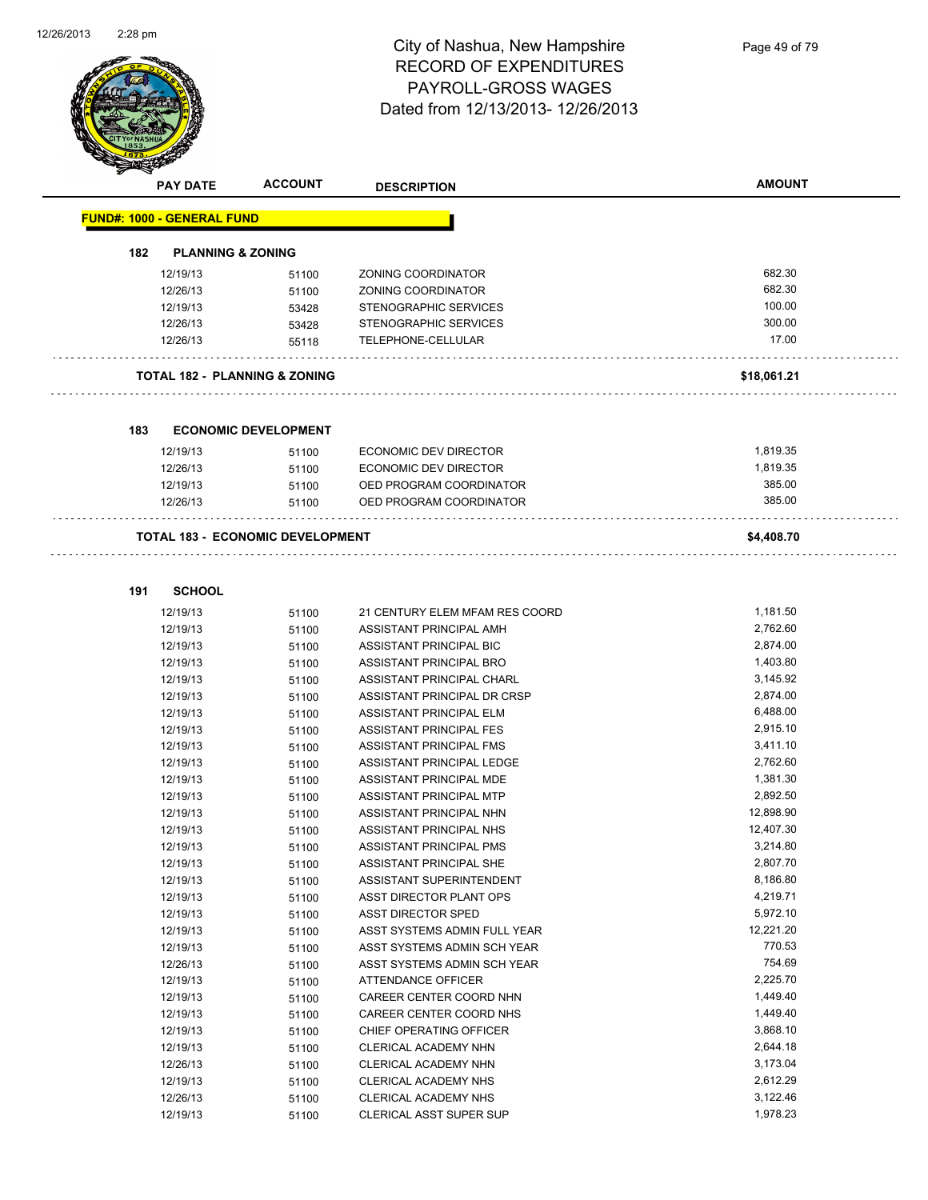

|     | <b>PAY DATE</b>                   | <b>ACCOUNT</b>                           | <b>DESCRIPTION</b>                             | <b>AMOUNT</b>    |
|-----|-----------------------------------|------------------------------------------|------------------------------------------------|------------------|
|     | <b>FUND#: 1000 - GENERAL FUND</b> |                                          |                                                |                  |
|     |                                   |                                          |                                                |                  |
| 182 | <b>PLANNING &amp; ZONING</b>      |                                          |                                                |                  |
|     | 12/19/13                          | 51100                                    | ZONING COORDINATOR                             | 682.30           |
|     | 12/26/13                          | 51100                                    | ZONING COORDINATOR                             | 682.30           |
|     | 12/19/13                          | 53428                                    | STENOGRAPHIC SERVICES<br>STENOGRAPHIC SERVICES | 100.00<br>300.00 |
|     | 12/26/13                          | 53428                                    |                                                | 17.00            |
|     | 12/26/13                          | 55118                                    | TELEPHONE-CELLULAR                             |                  |
|     |                                   | <b>TOTAL 182 - PLANNING &amp; ZONING</b> |                                                | \$18,061.21      |
|     |                                   |                                          |                                                |                  |
| 183 |                                   | <b>ECONOMIC DEVELOPMENT</b>              |                                                |                  |
|     | 12/19/13                          | 51100                                    | ECONOMIC DEV DIRECTOR                          | 1,819.35         |
|     | 12/26/13                          | 51100                                    | ECONOMIC DEV DIRECTOR                          | 1,819.35         |
|     | 12/19/13                          | 51100                                    | OED PROGRAM COORDINATOR                        | 385.00           |
|     | 12/26/13                          | 51100                                    | OED PROGRAM COORDINATOR                        | 385.00           |
|     |                                   | <b>TOTAL 183 - ECONOMIC DEVELOPMENT</b>  |                                                |                  |
|     |                                   |                                          |                                                | \$4,408.70       |
|     |                                   |                                          |                                                |                  |
| 191 | <b>SCHOOL</b>                     |                                          |                                                |                  |
|     | 12/19/13                          | 51100                                    | 21 CENTURY ELEM MFAM RES COORD                 | 1,181.50         |
|     | 12/19/13                          | 51100                                    | ASSISTANT PRINCIPAL AMH                        | 2,762.60         |
|     | 12/19/13                          | 51100                                    | ASSISTANT PRINCIPAL BIC                        | 2,874.00         |
|     | 12/19/13                          | 51100                                    | ASSISTANT PRINCIPAL BRO                        | 1,403.80         |
|     | 12/19/13                          | 51100                                    | ASSISTANT PRINCIPAL CHARL                      | 3,145.92         |
|     | 12/19/13                          | 51100                                    | ASSISTANT PRINCIPAL DR CRSP                    | 2,874.00         |
|     | 12/19/13                          | 51100                                    | ASSISTANT PRINCIPAL ELM                        | 6,488.00         |
|     | 12/19/13                          | 51100                                    | ASSISTANT PRINCIPAL FES                        | 2,915.10         |
|     | 12/19/13                          | 51100                                    | ASSISTANT PRINCIPAL FMS                        | 3,411.10         |
|     | 12/19/13                          | 51100                                    | ASSISTANT PRINCIPAL LEDGE                      | 2,762.60         |
|     | 12/19/13                          | 51100                                    | ASSISTANT PRINCIPAL MDE                        | 1,381.30         |
|     | 12/19/13                          | 51100                                    | ASSISTANT PRINCIPAL MTP                        | 2,892.50         |
|     | 12/19/13                          | 51100                                    | ASSISTANT PRINCIPAL NHN                        | 12,898.90        |
|     | 12/19/13                          | 51100                                    | ASSISTANT PRINCIPAL NHS                        | 12,407.30        |
|     | 12/19/13                          | 51100                                    | ASSISTANT PRINCIPAL PMS                        | 3,214.80         |
|     | 12/19/13                          | 51100                                    | ASSISTANT PRINCIPAL SHE                        | 2,807.70         |
|     | 12/19/13                          | 51100                                    | ASSISTANT SUPERINTENDENT                       | 8,186.80         |
|     | 12/19/13                          | 51100                                    | ASST DIRECTOR PLANT OPS                        | 4,219.71         |
|     | 12/19/13                          | 51100                                    | <b>ASST DIRECTOR SPED</b>                      | 5,972.10         |
|     | 12/19/13                          | 51100                                    | ASST SYSTEMS ADMIN FULL YEAR                   | 12,221.20        |
|     | 12/19/13                          | 51100                                    | ASST SYSTEMS ADMIN SCH YEAR                    | 770.53           |
|     | 12/26/13                          | 51100                                    | ASST SYSTEMS ADMIN SCH YEAR                    | 754.69           |
|     | 12/19/13                          | 51100                                    | ATTENDANCE OFFICER                             | 2,225.70         |
|     | 12/19/13                          | 51100                                    | CAREER CENTER COORD NHN                        | 1,449.40         |
|     | 12/19/13                          | 51100                                    | CAREER CENTER COORD NHS                        | 1,449.40         |
|     | 12/19/13                          | 51100                                    | CHIEF OPERATING OFFICER                        | 3,868.10         |
|     | 12/19/13                          | 51100                                    | CLERICAL ACADEMY NHN                           | 2,644.18         |
|     | 12/26/13                          | 51100                                    | CLERICAL ACADEMY NHN                           | 3,173.04         |
|     | 12/19/13                          | 51100                                    | CLERICAL ACADEMY NHS                           | 2,612.29         |
|     | 12/26/13                          | 51100                                    | CLERICAL ACADEMY NHS                           | 3,122.46         |
|     |                                   |                                          |                                                |                  |

12/19/13 51100 CLERICAL ASST SUPER SUP 1,978.23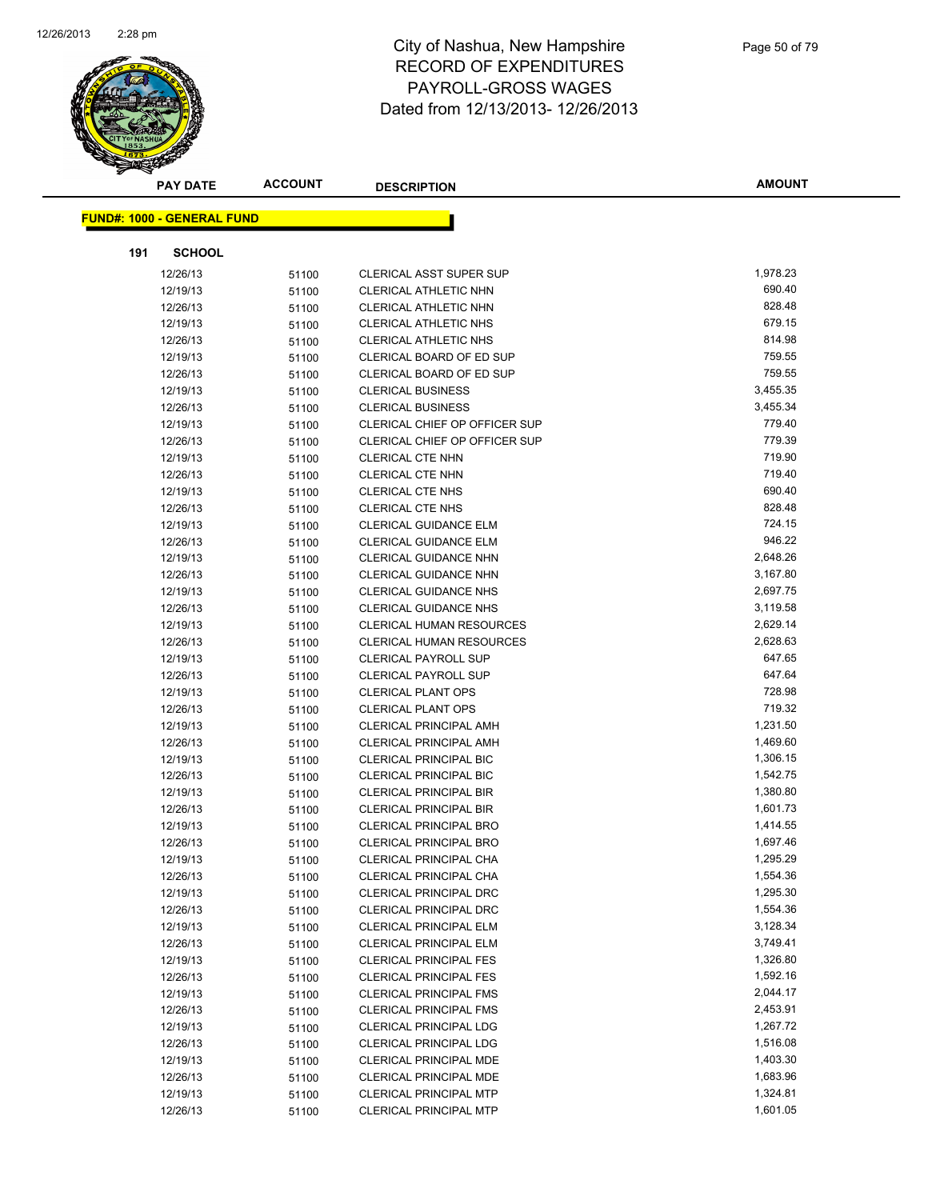

|     | PAY DATE                          | <b>ACCOUNT</b> | <b>DESCRIPTION</b>                                             | <b>AMOUNT</b>        |
|-----|-----------------------------------|----------------|----------------------------------------------------------------|----------------------|
|     | <b>FUND#: 1000 - GENERAL FUND</b> |                |                                                                |                      |
|     |                                   |                |                                                                |                      |
| 191 | <b>SCHOOL</b>                     |                |                                                                |                      |
|     | 12/26/13                          | 51100          | <b>CLERICAL ASST SUPER SUP</b>                                 | 1,978.23             |
|     | 12/19/13                          | 51100          | CLERICAL ATHLETIC NHN                                          | 690.40               |
|     | 12/26/13                          | 51100          | CLERICAL ATHLETIC NHN                                          | 828.48               |
|     | 12/19/13                          | 51100          | CLERICAL ATHLETIC NHS                                          | 679.15               |
|     | 12/26/13                          | 51100          | CLERICAL ATHLETIC NHS                                          | 814.98               |
|     | 12/19/13                          | 51100          | CLERICAL BOARD OF ED SUP                                       | 759.55               |
|     | 12/26/13                          | 51100          | CLERICAL BOARD OF ED SUP                                       | 759.55               |
|     | 12/19/13                          | 51100          | <b>CLERICAL BUSINESS</b>                                       | 3,455.35             |
|     | 12/26/13                          | 51100          | <b>CLERICAL BUSINESS</b>                                       | 3,455.34             |
|     | 12/19/13                          | 51100          | CLERICAL CHIEF OP OFFICER SUP                                  | 779.40               |
|     | 12/26/13                          | 51100          | CLERICAL CHIEF OP OFFICER SUP                                  | 779.39               |
|     | 12/19/13                          | 51100          | <b>CLERICAL CTE NHN</b>                                        | 719.90               |
|     | 12/26/13                          | 51100          | <b>CLERICAL CTE NHN</b>                                        | 719.40               |
|     | 12/19/13                          | 51100          | <b>CLERICAL CTE NHS</b>                                        | 690.40               |
|     | 12/26/13                          | 51100          | <b>CLERICAL CTE NHS</b>                                        | 828.48               |
|     | 12/19/13                          | 51100          | <b>CLERICAL GUIDANCE ELM</b>                                   | 724.15               |
|     | 12/26/13                          | 51100          | <b>CLERICAL GUIDANCE ELM</b>                                   | 946.22               |
|     | 12/19/13                          | 51100          | <b>CLERICAL GUIDANCE NHN</b>                                   | 2,648.26             |
|     | 12/26/13                          | 51100          | <b>CLERICAL GUIDANCE NHN</b>                                   | 3,167.80             |
|     | 12/19/13                          | 51100          | <b>CLERICAL GUIDANCE NHS</b>                                   | 2,697.75             |
|     | 12/26/13                          | 51100          | <b>CLERICAL GUIDANCE NHS</b>                                   | 3,119.58             |
|     | 12/19/13                          | 51100          | <b>CLERICAL HUMAN RESOURCES</b>                                | 2,629.14             |
|     | 12/26/13                          | 51100          | CLERICAL HUMAN RESOURCES                                       | 2,628.63             |
|     | 12/19/13                          | 51100          | <b>CLERICAL PAYROLL SUP</b>                                    | 647.65               |
|     | 12/26/13                          | 51100          | <b>CLERICAL PAYROLL SUP</b>                                    | 647.64               |
|     | 12/19/13                          | 51100          | <b>CLERICAL PLANT OPS</b>                                      | 728.98               |
|     | 12/26/13                          | 51100          | <b>CLERICAL PLANT OPS</b>                                      | 719.32               |
|     | 12/19/13                          | 51100          | <b>CLERICAL PRINCIPAL AMH</b>                                  | 1,231.50             |
|     | 12/26/13                          | 51100          | <b>CLERICAL PRINCIPAL AMH</b>                                  | 1,469.60             |
|     | 12/19/13                          | 51100          | <b>CLERICAL PRINCIPAL BIC</b>                                  | 1,306.15             |
|     | 12/26/13                          | 51100          | <b>CLERICAL PRINCIPAL BIC</b>                                  | 1,542.75             |
|     | 12/19/13                          | 51100          | <b>CLERICAL PRINCIPAL BIR</b>                                  | 1,380.80             |
|     | 12/26/13                          | 51100          | <b>CLERICAL PRINCIPAL BIR</b>                                  | 1,601.73             |
|     | 12/19/13                          | 51100          | <b>CLERICAL PRINCIPAL BRO</b>                                  | 1,414.55             |
|     | 12/26/13                          | 51100          | <b>CLERICAL PRINCIPAL BRO</b>                                  | 1,697.46             |
|     | 12/19/13                          | 51100          | <b>CLERICAL PRINCIPAL CHA</b>                                  | 1,295.29             |
|     | 12/26/13                          | 51100          | CLERICAL PRINCIPAL CHA                                         | 1,554.36             |
|     | 12/19/13                          | 51100          | <b>CLERICAL PRINCIPAL DRC</b>                                  | 1,295.30             |
|     | 12/26/13                          | 51100          | <b>CLERICAL PRINCIPAL DRC</b>                                  | 1,554.36             |
|     | 12/19/13                          | 51100          | <b>CLERICAL PRINCIPAL ELM</b>                                  | 3,128.34             |
|     | 12/26/13                          | 51100          | <b>CLERICAL PRINCIPAL ELM</b>                                  | 3,749.41             |
|     | 12/19/13                          | 51100          | <b>CLERICAL PRINCIPAL FES</b>                                  | 1,326.80             |
|     | 12/26/13                          | 51100          | <b>CLERICAL PRINCIPAL FES</b>                                  | 1,592.16             |
|     | 12/19/13                          | 51100          | <b>CLERICAL PRINCIPAL FMS</b><br><b>CLERICAL PRINCIPAL FMS</b> | 2,044.17             |
|     | 12/26/13                          | 51100          |                                                                | 2,453.91<br>1,267.72 |
|     | 12/19/13                          | 51100          | <b>CLERICAL PRINCIPAL LDG</b>                                  | 1,516.08             |
|     | 12/26/13                          | 51100          | <b>CLERICAL PRINCIPAL LDG</b>                                  | 1,403.30             |
|     | 12/19/13<br>12/26/13              | 51100          | CLERICAL PRINCIPAL MDE<br>CLERICAL PRINCIPAL MDE               | 1,683.96             |
|     | 12/19/13                          | 51100          | <b>CLERICAL PRINCIPAL MTP</b>                                  | 1,324.81             |
|     | 12/26/13                          | 51100          | CLERICAL PRINCIPAL MTP                                         | 1,601.05             |
|     |                                   | 51100          |                                                                |                      |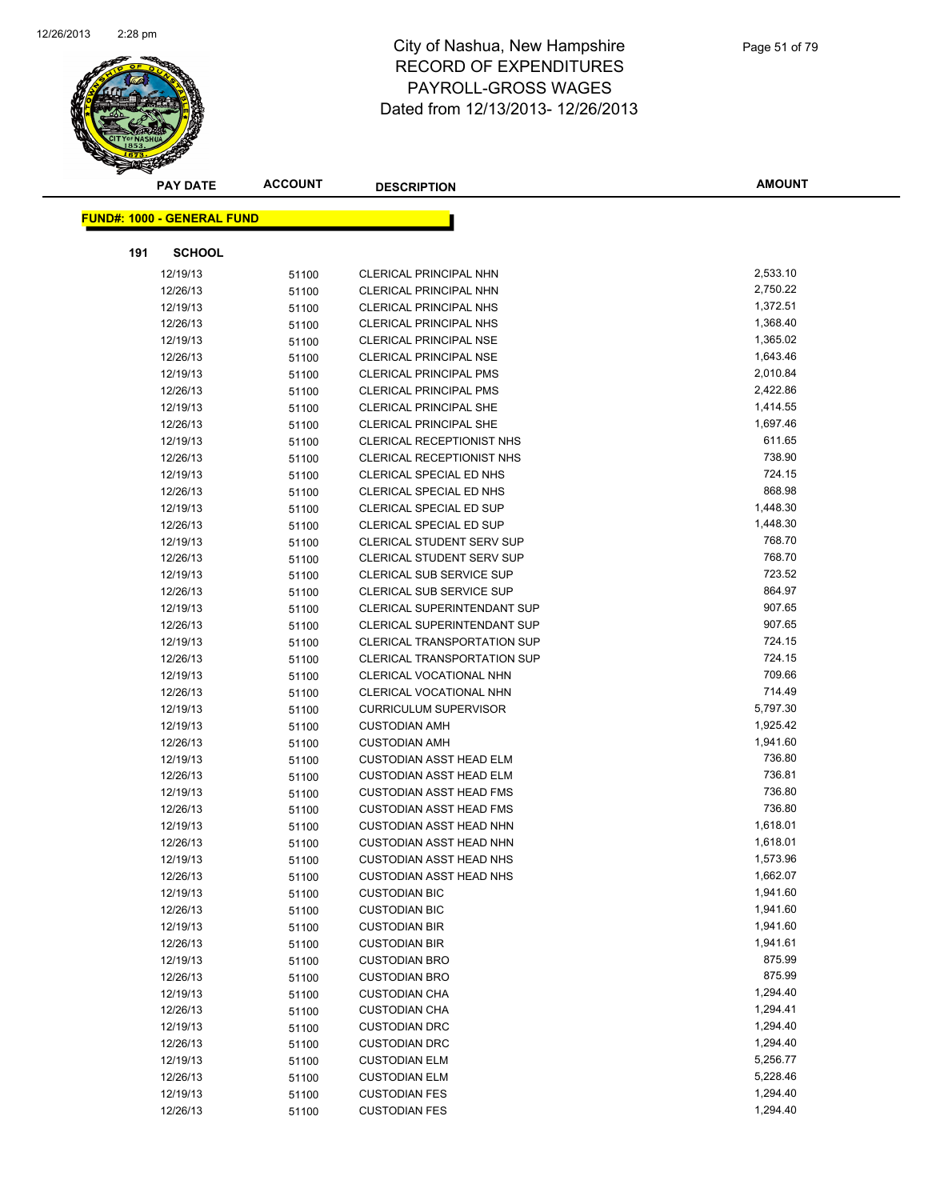

|     | <b>PAY DATE</b>                   | <b>ACCOUNT</b> | <b>DESCRIPTION</b>                           | <b>AMOUNT</b>        |
|-----|-----------------------------------|----------------|----------------------------------------------|----------------------|
|     | <b>FUND#: 1000 - GENERAL FUND</b> |                |                                              |                      |
|     |                                   |                |                                              |                      |
| 191 | <b>SCHOOL</b>                     |                |                                              |                      |
|     | 12/19/13                          | 51100          | <b>CLERICAL PRINCIPAL NHN</b>                | 2,533.10             |
|     | 12/26/13                          | 51100          | <b>CLERICAL PRINCIPAL NHN</b>                | 2,750.22             |
|     | 12/19/13                          | 51100          | <b>CLERICAL PRINCIPAL NHS</b>                | 1,372.51             |
|     | 12/26/13                          | 51100          | <b>CLERICAL PRINCIPAL NHS</b>                | 1,368.40             |
|     | 12/19/13                          | 51100          | <b>CLERICAL PRINCIPAL NSE</b>                | 1,365.02             |
|     | 12/26/13                          | 51100          | <b>CLERICAL PRINCIPAL NSE</b>                | 1,643.46             |
|     | 12/19/13                          | 51100          | <b>CLERICAL PRINCIPAL PMS</b>                | 2,010.84             |
|     | 12/26/13                          | 51100          | <b>CLERICAL PRINCIPAL PMS</b>                | 2,422.86             |
|     | 12/19/13                          | 51100          | <b>CLERICAL PRINCIPAL SHE</b>                | 1,414.55             |
|     | 12/26/13                          | 51100          | <b>CLERICAL PRINCIPAL SHE</b>                | 1,697.46             |
|     | 12/19/13                          | 51100          | <b>CLERICAL RECEPTIONIST NHS</b>             | 611.65               |
|     | 12/26/13                          | 51100          | <b>CLERICAL RECEPTIONIST NHS</b>             | 738.90               |
|     | 12/19/13                          | 51100          | <b>CLERICAL SPECIAL ED NHS</b>               | 724.15               |
|     | 12/26/13                          | 51100          | CLERICAL SPECIAL ED NHS                      | 868.98               |
|     | 12/19/13                          | 51100          | <b>CLERICAL SPECIAL ED SUP</b>               | 1,448.30             |
|     | 12/26/13                          | 51100          | CLERICAL SPECIAL ED SUP                      | 1,448.30             |
|     | 12/19/13                          | 51100          | <b>CLERICAL STUDENT SERV SUP</b>             | 768.70               |
|     | 12/26/13                          | 51100          | <b>CLERICAL STUDENT SERV SUP</b>             | 768.70               |
|     | 12/19/13                          | 51100          | <b>CLERICAL SUB SERVICE SUP</b>              | 723.52               |
|     | 12/26/13                          | 51100          | <b>CLERICAL SUB SERVICE SUP</b>              | 864.97               |
|     | 12/19/13                          | 51100          | <b>CLERICAL SUPERINTENDANT SUP</b>           | 907.65               |
|     | 12/26/13                          | 51100          | <b>CLERICAL SUPERINTENDANT SUP</b>           | 907.65               |
|     | 12/19/13                          | 51100          | <b>CLERICAL TRANSPORTATION SUP</b>           | 724.15               |
|     | 12/26/13                          | 51100          | <b>CLERICAL TRANSPORTATION SUP</b>           | 724.15               |
|     | 12/19/13                          | 51100          | CLERICAL VOCATIONAL NHN                      | 709.66               |
|     | 12/26/13                          | 51100          | CLERICAL VOCATIONAL NHN                      | 714.49               |
|     | 12/19/13                          | 51100          | <b>CURRICULUM SUPERVISOR</b>                 | 5,797.30             |
|     | 12/19/13                          | 51100          | <b>CUSTODIAN AMH</b>                         | 1,925.42             |
|     | 12/26/13                          | 51100          | <b>CUSTODIAN AMH</b>                         | 1,941.60             |
|     | 12/19/13                          | 51100          | <b>CUSTODIAN ASST HEAD ELM</b>               | 736.80               |
|     | 12/26/13                          | 51100          | <b>CUSTODIAN ASST HEAD ELM</b>               | 736.81               |
|     | 12/19/13                          | 51100          | <b>CUSTODIAN ASST HEAD FMS</b>               | 736.80               |
|     | 12/26/13                          | 51100          | <b>CUSTODIAN ASST HEAD FMS</b>               | 736.80               |
|     | 12/19/13                          | 51100          | <b>CUSTODIAN ASST HEAD NHN</b>               | 1,618.01             |
|     | 12/26/13                          | 51100          | <b>CUSTODIAN ASST HEAD NHN</b>               | 1,618.01             |
|     | 12/19/13                          | 51100          | CUSTODIAN ASST HEAD NHS                      | 1,573.96             |
|     | 12/26/13                          | 51100          | <b>CUSTODIAN ASST HEAD NHS</b>               | 1,662.07             |
|     | 12/19/13                          | 51100          | <b>CUSTODIAN BIC</b>                         | 1,941.60             |
|     | 12/26/13                          | 51100          | <b>CUSTODIAN BIC</b>                         | 1,941.60             |
|     | 12/19/13                          | 51100          | <b>CUSTODIAN BIR</b>                         | 1,941.60             |
|     | 12/26/13                          | 51100          | <b>CUSTODIAN BIR</b>                         | 1,941.61             |
|     | 12/19/13                          | 51100          | <b>CUSTODIAN BRO</b>                         | 875.99               |
|     | 12/26/13                          | 51100          | <b>CUSTODIAN BRO</b>                         | 875.99               |
|     | 12/19/13<br>12/26/13              | 51100          | <b>CUSTODIAN CHA</b>                         | 1,294.40             |
|     |                                   | 51100          | <b>CUSTODIAN CHA</b>                         | 1,294.41<br>1,294.40 |
|     | 12/19/13                          | 51100          | <b>CUSTODIAN DRC</b>                         |                      |
|     | 12/26/13                          | 51100          | <b>CUSTODIAN DRC</b>                         | 1,294.40<br>5,256.77 |
|     | 12/19/13<br>12/26/13              | 51100          | <b>CUSTODIAN ELM</b><br><b>CUSTODIAN ELM</b> | 5,228.46             |
|     |                                   | 51100          | <b>CUSTODIAN FES</b>                         | 1,294.40             |
|     | 12/19/13<br>12/26/13              | 51100          | <b>CUSTODIAN FES</b>                         | 1,294.40             |
|     |                                   | 51100          |                                              |                      |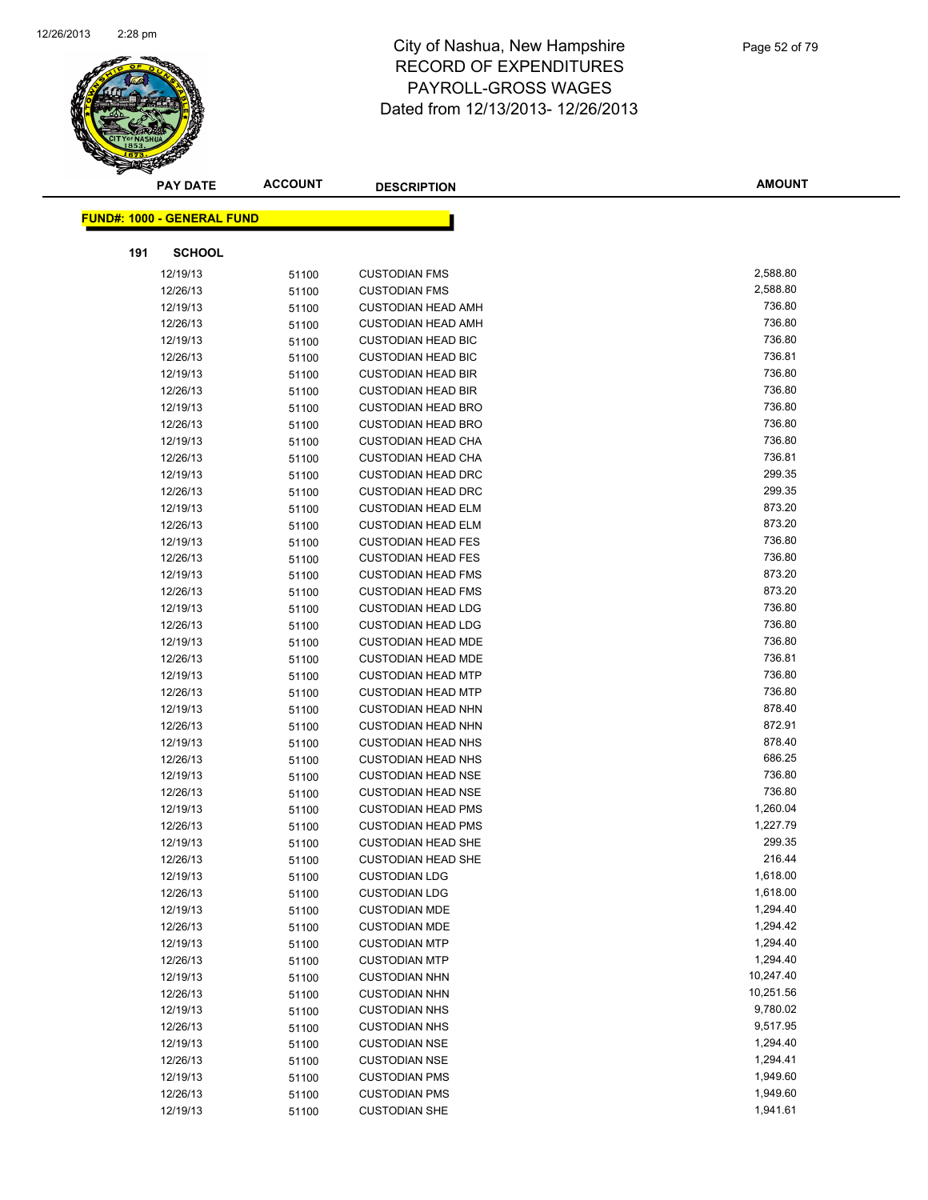

| <b>PAY DATE</b>                   | <b>ACCOUNT</b> | <b>DESCRIPTION</b>        | <b>AMOUNT</b> |
|-----------------------------------|----------------|---------------------------|---------------|
| <b>FUND#: 1000 - GENERAL FUND</b> |                |                           |               |
|                                   |                |                           |               |
| <b>SCHOOL</b><br>191              |                |                           |               |
| 12/19/13                          | 51100          | <b>CUSTODIAN FMS</b>      | 2,588.80      |
| 12/26/13                          | 51100          | <b>CUSTODIAN FMS</b>      | 2,588.80      |
| 12/19/13                          | 51100          | <b>CUSTODIAN HEAD AMH</b> | 736.80        |
| 12/26/13                          | 51100          | <b>CUSTODIAN HEAD AMH</b> | 736.80        |
| 12/19/13                          | 51100          | <b>CUSTODIAN HEAD BIC</b> | 736.80        |
| 12/26/13                          | 51100          | <b>CUSTODIAN HEAD BIC</b> | 736.81        |
| 12/19/13                          | 51100          | <b>CUSTODIAN HEAD BIR</b> | 736.80        |
| 12/26/13                          | 51100          | <b>CUSTODIAN HEAD BIR</b> | 736.80        |
| 12/19/13                          | 51100          | <b>CUSTODIAN HEAD BRO</b> | 736.80        |
| 12/26/13                          | 51100          | <b>CUSTODIAN HEAD BRO</b> | 736.80        |
| 12/19/13                          | 51100          | <b>CUSTODIAN HEAD CHA</b> | 736.80        |
| 12/26/13                          | 51100          | <b>CUSTODIAN HEAD CHA</b> | 736.81        |
| 12/19/13                          | 51100          | <b>CUSTODIAN HEAD DRC</b> | 299.35        |
| 12/26/13                          | 51100          | <b>CUSTODIAN HEAD DRC</b> | 299.35        |
| 12/19/13                          | 51100          | <b>CUSTODIAN HEAD ELM</b> | 873.20        |
| 12/26/13                          | 51100          | <b>CUSTODIAN HEAD ELM</b> | 873.20        |
| 12/19/13                          | 51100          | <b>CUSTODIAN HEAD FES</b> | 736.80        |
| 12/26/13                          | 51100          | <b>CUSTODIAN HEAD FES</b> | 736.80        |
| 12/19/13                          | 51100          | <b>CUSTODIAN HEAD FMS</b> | 873.20        |
| 12/26/13                          | 51100          | <b>CUSTODIAN HEAD FMS</b> | 873.20        |
| 12/19/13                          | 51100          | <b>CUSTODIAN HEAD LDG</b> | 736.80        |
| 12/26/13                          | 51100          | <b>CUSTODIAN HEAD LDG</b> | 736.80        |
| 12/19/13                          | 51100          | <b>CUSTODIAN HEAD MDE</b> | 736.80        |
| 12/26/13                          | 51100          | <b>CUSTODIAN HEAD MDE</b> | 736.81        |
| 12/19/13                          | 51100          | <b>CUSTODIAN HEAD MTP</b> | 736.80        |
| 12/26/13                          | 51100          | <b>CUSTODIAN HEAD MTP</b> | 736.80        |
| 12/19/13                          | 51100          | <b>CUSTODIAN HEAD NHN</b> | 878.40        |
| 12/26/13                          | 51100          | <b>CUSTODIAN HEAD NHN</b> | 872.91        |
| 12/19/13                          | 51100          | <b>CUSTODIAN HEAD NHS</b> | 878.40        |
| 12/26/13                          | 51100          | <b>CUSTODIAN HEAD NHS</b> | 686.25        |
| 12/19/13                          | 51100          | <b>CUSTODIAN HEAD NSE</b> | 736.80        |
| 12/26/13                          | 51100          | <b>CUSTODIAN HEAD NSE</b> | 736.80        |
| 12/19/13                          | 51100          | <b>CUSTODIAN HEAD PMS</b> | 1,260.04      |
| 12/26/13                          | 51100          | <b>CUSTODIAN HEAD PMS</b> | 1,227.79      |
| 12/19/13                          | 51100          | <b>CUSTODIAN HEAD SHE</b> | 299.35        |
| 12/26/13                          | 51100          | <b>CUSTODIAN HEAD SHE</b> | 216.44        |
| 12/19/13                          | 51100          | <b>CUSTODIAN LDG</b>      | 1,618.00      |
| 12/26/13                          | 51100          | <b>CUSTODIAN LDG</b>      | 1,618.00      |
| 12/19/13                          | 51100          | <b>CUSTODIAN MDE</b>      | 1,294.40      |
| 12/26/13                          | 51100          | <b>CUSTODIAN MDE</b>      | 1,294.42      |
| 12/19/13                          | 51100          | <b>CUSTODIAN MTP</b>      | 1,294.40      |
| 12/26/13                          | 51100          | <b>CUSTODIAN MTP</b>      | 1,294.40      |
| 12/19/13                          | 51100          | <b>CUSTODIAN NHN</b>      | 10,247.40     |
| 12/26/13                          | 51100          | <b>CUSTODIAN NHN</b>      | 10,251.56     |
| 12/19/13                          | 51100          | <b>CUSTODIAN NHS</b>      | 9,780.02      |
| 12/26/13                          | 51100          | <b>CUSTODIAN NHS</b>      | 9,517.95      |
| 12/19/13                          | 51100          | <b>CUSTODIAN NSE</b>      | 1,294.40      |
| 12/26/13                          | 51100          | <b>CUSTODIAN NSE</b>      | 1,294.41      |
| 12/19/13                          | 51100          | <b>CUSTODIAN PMS</b>      | 1,949.60      |
| 12/26/13                          | 51100          | <b>CUSTODIAN PMS</b>      | 1,949.60      |
| 12/19/13                          | 51100          | <b>CUSTODIAN SHE</b>      | 1,941.61      |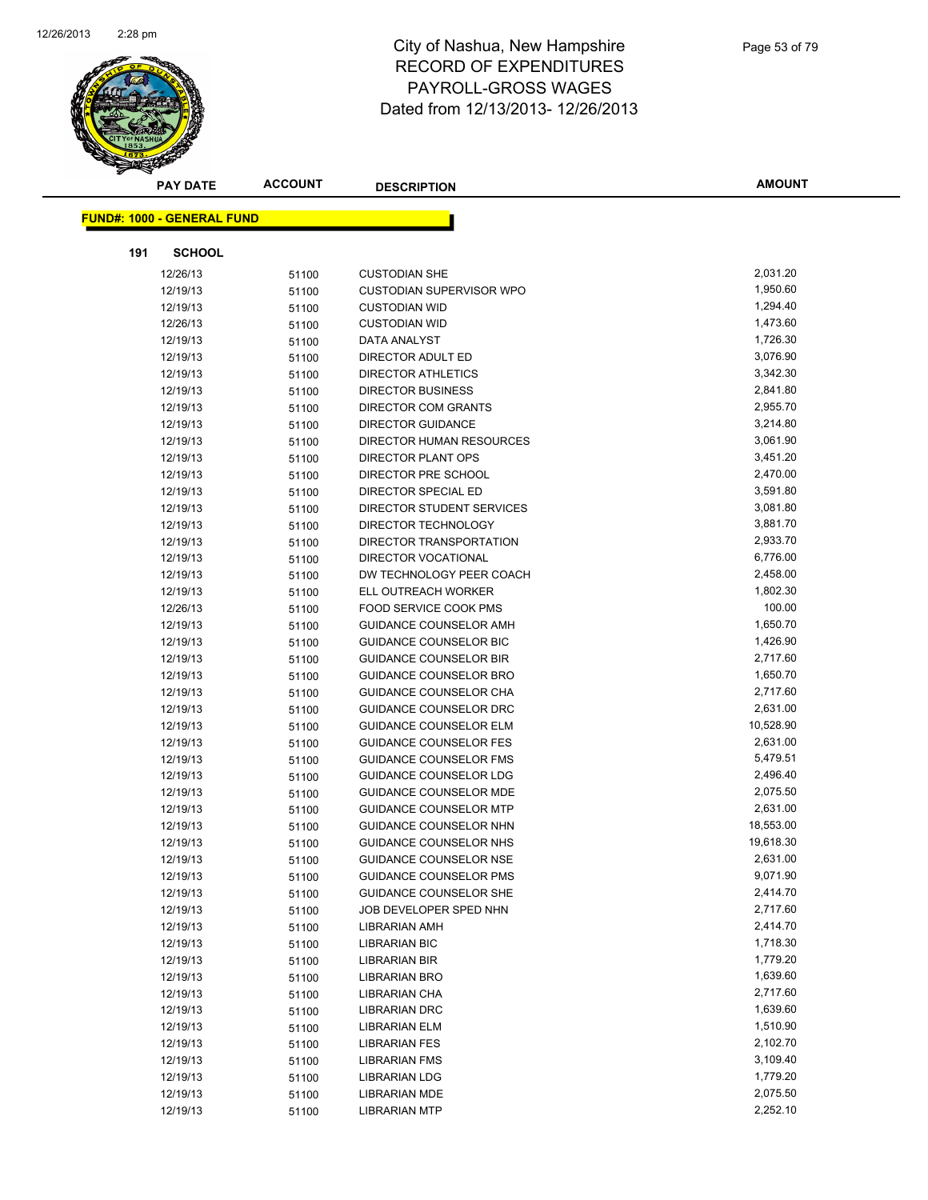

| <b>PAY DATE</b>                   | <b>ACCOUNT</b> | <b>DESCRIPTION</b>                           | <b>AMOUNT</b>        |
|-----------------------------------|----------------|----------------------------------------------|----------------------|
|                                   |                |                                              |                      |
| <b>FUND#: 1000 - GENERAL FUND</b> |                |                                              |                      |
| 191<br><b>SCHOOL</b>              |                |                                              |                      |
| 12/26/13                          | 51100          | <b>CUSTODIAN SHE</b>                         | 2,031.20             |
| 12/19/13                          | 51100          | <b>CUSTODIAN SUPERVISOR WPO</b>              | 1,950.60             |
| 12/19/13                          | 51100          | <b>CUSTODIAN WID</b>                         | 1,294.40             |
| 12/26/13                          | 51100          | <b>CUSTODIAN WID</b>                         | 1,473.60             |
| 12/19/13                          | 51100          | DATA ANALYST                                 | 1,726.30             |
| 12/19/13                          | 51100          | DIRECTOR ADULT ED                            | 3,076.90             |
| 12/19/13                          | 51100          | <b>DIRECTOR ATHLETICS</b>                    | 3,342.30             |
| 12/19/13                          | 51100          | <b>DIRECTOR BUSINESS</b>                     | 2,841.80             |
| 12/19/13                          | 51100          | <b>DIRECTOR COM GRANTS</b>                   | 2,955.70             |
| 12/19/13                          | 51100          | <b>DIRECTOR GUIDANCE</b>                     | 3,214.80             |
| 12/19/13                          | 51100          | DIRECTOR HUMAN RESOURCES                     | 3,061.90             |
| 12/19/13                          | 51100          | DIRECTOR PLANT OPS                           | 3,451.20             |
| 12/19/13                          | 51100          | DIRECTOR PRE SCHOOL                          | 2,470.00             |
| 12/19/13                          | 51100          | DIRECTOR SPECIAL ED                          | 3,591.80             |
| 12/19/13                          | 51100          | DIRECTOR STUDENT SERVICES                    | 3,081.80             |
| 12/19/13                          | 51100          | DIRECTOR TECHNOLOGY                          | 3,881.70             |
| 12/19/13                          | 51100          | DIRECTOR TRANSPORTATION                      | 2,933.70             |
| 12/19/13                          | 51100          | DIRECTOR VOCATIONAL                          | 6,776.00             |
| 12/19/13                          | 51100          | DW TECHNOLOGY PEER COACH                     | 2,458.00             |
| 12/19/13                          | 51100          | ELL OUTREACH WORKER                          | 1,802.30             |
| 12/26/13                          | 51100          | FOOD SERVICE COOK PMS                        | 100.00               |
| 12/19/13                          | 51100          | <b>GUIDANCE COUNSELOR AMH</b>                | 1,650.70             |
| 12/19/13                          | 51100          | <b>GUIDANCE COUNSELOR BIC</b>                | 1,426.90             |
| 12/19/13                          | 51100          | <b>GUIDANCE COUNSELOR BIR</b>                | 2,717.60             |
| 12/19/13                          | 51100          | <b>GUIDANCE COUNSELOR BRO</b>                | 1,650.70             |
| 12/19/13                          | 51100          | GUIDANCE COUNSELOR CHA                       | 2,717.60             |
| 12/19/13                          | 51100          | <b>GUIDANCE COUNSELOR DRC</b>                | 2,631.00             |
| 12/19/13                          | 51100          | <b>GUIDANCE COUNSELOR ELM</b>                | 10,528.90            |
| 12/19/13                          | 51100          | <b>GUIDANCE COUNSELOR FES</b>                | 2,631.00             |
| 12/19/13                          | 51100          | <b>GUIDANCE COUNSELOR FMS</b>                | 5,479.51             |
| 12/19/13                          | 51100          | <b>GUIDANCE COUNSELOR LDG</b>                | 2,496.40             |
| 12/19/13                          | 51100          | <b>GUIDANCE COUNSELOR MDE</b>                | 2,075.50             |
| 12/19/13                          | 51100          | <b>GUIDANCE COUNSELOR MTP</b>                | 2,631.00             |
| 12/19/13                          | 51100          | GUIDANCE COUNSELOR NHN                       | 18,553.00            |
| 12/19/13                          | 51100          | GUIDANCE COUNSELOR NHS                       | 19,618.30            |
| 12/19/13                          | 51100          | GUIDANCE COUNSELOR NSE                       | 2,631.00             |
| 12/19/13                          | 51100          | <b>GUIDANCE COUNSELOR PMS</b>                | 9,071.90             |
| 12/19/13                          | 51100          | <b>GUIDANCE COUNSELOR SHE</b>                | 2,414.70             |
| 12/19/13                          | 51100          | JOB DEVELOPER SPED NHN                       | 2,717.60             |
| 12/19/13                          | 51100          | <b>LIBRARIAN AMH</b>                         | 2,414.70             |
| 12/19/13                          | 51100          | <b>LIBRARIAN BIC</b>                         | 1,718.30             |
| 12/19/13                          | 51100          | <b>LIBRARIAN BIR</b>                         | 1,779.20             |
| 12/19/13                          | 51100          | <b>LIBRARIAN BRO</b>                         | 1,639.60<br>2,717.60 |
| 12/19/13                          | 51100          | LIBRARIAN CHA                                |                      |
| 12/19/13                          | 51100          | <b>LIBRARIAN DRC</b>                         | 1,639.60<br>1,510.90 |
| 12/19/13<br>12/19/13              | 51100          | <b>LIBRARIAN ELM</b>                         | 2,102.70             |
|                                   | 51100          | <b>LIBRARIAN FES</b>                         | 3,109.40             |
| 12/19/13                          | 51100          | <b>LIBRARIAN FMS</b>                         | 1,779.20             |
| 12/19/13                          | 51100          | <b>LIBRARIAN LDG</b><br><b>LIBRARIAN MDE</b> | 2,075.50             |
| 12/19/13<br>12/19/13              | 51100          | <b>LIBRARIAN MTP</b>                         | 2,252.10             |
|                                   | 51100          |                                              |                      |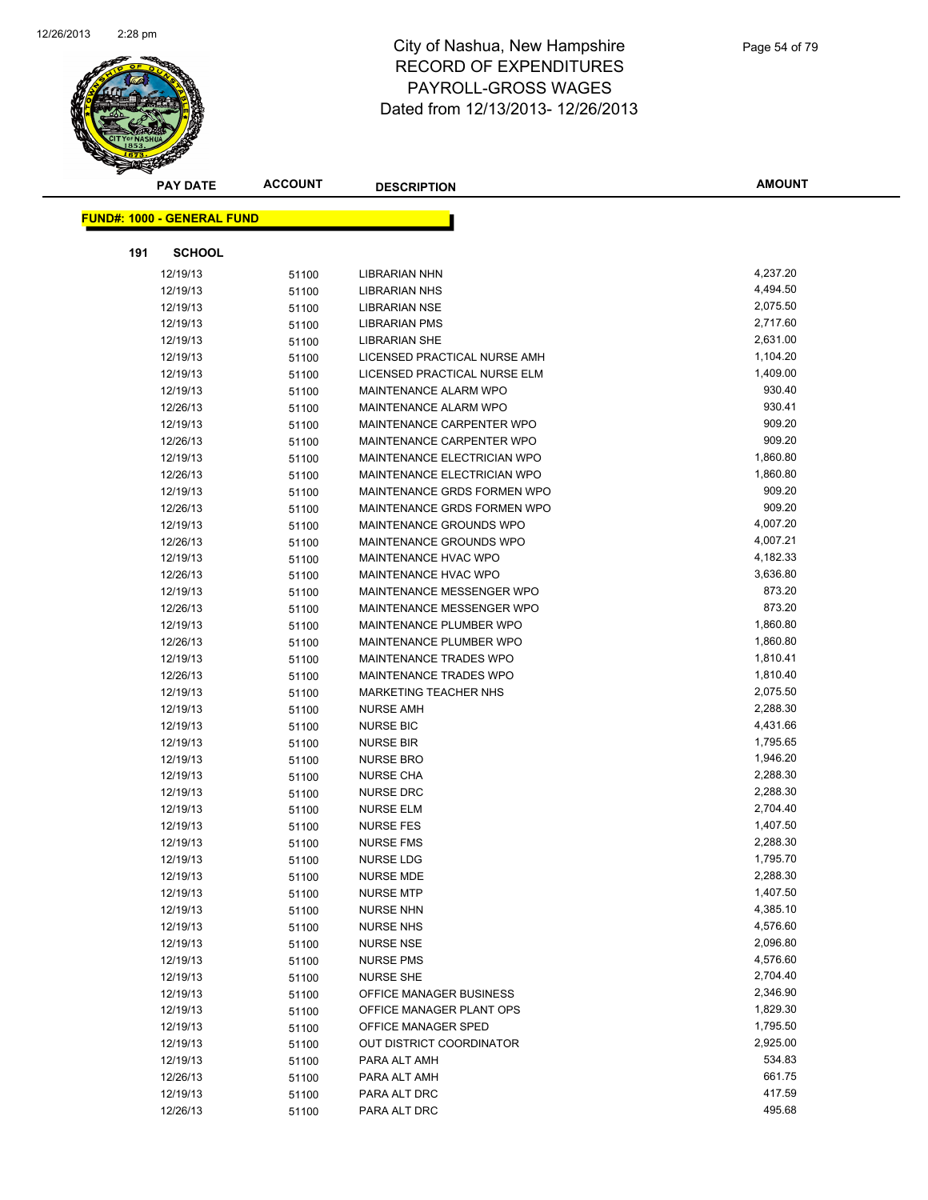

|     | <b>PAY DATE</b>                   | <b>ACCOUNT</b> | <b>DESCRIPTION</b>           | <b>AMOUNT</b> |
|-----|-----------------------------------|----------------|------------------------------|---------------|
|     |                                   |                |                              |               |
|     | <b>FUND#: 1000 - GENERAL FUND</b> |                |                              |               |
| 191 | <b>SCHOOL</b>                     |                |                              |               |
|     | 12/19/13                          | 51100          | <b>LIBRARIAN NHN</b>         | 4,237.20      |
|     | 12/19/13                          | 51100          | <b>LIBRARIAN NHS</b>         | 4,494.50      |
|     | 12/19/13                          | 51100          | <b>LIBRARIAN NSE</b>         | 2,075.50      |
|     | 12/19/13                          | 51100          | <b>LIBRARIAN PMS</b>         | 2,717.60      |
|     | 12/19/13                          | 51100          | <b>LIBRARIAN SHE</b>         | 2,631.00      |
|     | 12/19/13                          | 51100          | LICENSED PRACTICAL NURSE AMH | 1,104.20      |
|     | 12/19/13                          | 51100          | LICENSED PRACTICAL NURSE ELM | 1,409.00      |
|     | 12/19/13                          | 51100          | MAINTENANCE ALARM WPO        | 930.40        |
|     | 12/26/13                          | 51100          | MAINTENANCE ALARM WPO        | 930.41        |
|     | 12/19/13                          | 51100          | MAINTENANCE CARPENTER WPO    | 909.20        |
|     | 12/26/13                          | 51100          | MAINTENANCE CARPENTER WPO    | 909.20        |
|     | 12/19/13                          | 51100          | MAINTENANCE ELECTRICIAN WPO  | 1,860.80      |
|     | 12/26/13                          | 51100          | MAINTENANCE ELECTRICIAN WPO  | 1,860.80      |
|     | 12/19/13                          | 51100          | MAINTENANCE GRDS FORMEN WPO  | 909.20        |
|     | 12/26/13                          | 51100          | MAINTENANCE GRDS FORMEN WPO  | 909.20        |
|     | 12/19/13                          | 51100          | MAINTENANCE GROUNDS WPO      | 4,007.20      |
|     | 12/26/13                          | 51100          | MAINTENANCE GROUNDS WPO      | 4,007.21      |
|     | 12/19/13                          | 51100          | MAINTENANCE HVAC WPO         | 4,182.33      |
|     | 12/26/13                          | 51100          | MAINTENANCE HVAC WPO         | 3,636.80      |
|     | 12/19/13                          | 51100          | MAINTENANCE MESSENGER WPO    | 873.20        |
|     | 12/26/13                          | 51100          | MAINTENANCE MESSENGER WPO    | 873.20        |
|     | 12/19/13                          | 51100          | MAINTENANCE PLUMBER WPO      | 1,860.80      |
|     | 12/26/13                          | 51100          | MAINTENANCE PLUMBER WPO      | 1,860.80      |
|     | 12/19/13                          | 51100          | MAINTENANCE TRADES WPO       | 1,810.41      |
|     | 12/26/13                          | 51100          | MAINTENANCE TRADES WPO       | 1,810.40      |
|     | 12/19/13                          | 51100          | MARKETING TEACHER NHS        | 2,075.50      |
|     | 12/19/13                          | 51100          | <b>NURSE AMH</b>             | 2,288.30      |
|     | 12/19/13                          | 51100          | <b>NURSE BIC</b>             | 4,431.66      |
|     | 12/19/13                          | 51100          | <b>NURSE BIR</b>             | 1,795.65      |
|     | 12/19/13                          | 51100          | <b>NURSE BRO</b>             | 1,946.20      |
|     | 12/19/13                          | 51100          | <b>NURSE CHA</b>             | 2,288.30      |
|     | 12/19/13                          | 51100          | <b>NURSE DRC</b>             | 2,288.30      |
|     | 12/19/13                          | 51100          | <b>NURSE ELM</b>             | 2,704.40      |
|     | 12/19/13                          | 51100          | <b>NURSE FES</b>             | 1,407.50      |
|     | 12/19/13                          | 51100          | <b>NURSE FMS</b>             | 2,288.30      |
|     | 12/19/13                          | 51100          | <b>NURSE LDG</b>             | 1,795.70      |
|     | 12/19/13                          | 51100          | <b>NURSE MDE</b>             | 2,288.30      |
|     | 12/19/13                          | 51100          | <b>NURSE MTP</b>             | 1,407.50      |
|     | 12/19/13                          | 51100          | <b>NURSE NHN</b>             | 4,385.10      |
|     | 12/19/13                          | 51100          | <b>NURSE NHS</b>             | 4,576.60      |
|     | 12/19/13                          | 51100          | <b>NURSE NSE</b>             | 2,096.80      |
|     | 12/19/13                          | 51100          | <b>NURSE PMS</b>             | 4,576.60      |
|     | 12/19/13                          | 51100          | <b>NURSE SHE</b>             | 2,704.40      |
|     | 12/19/13                          | 51100          | OFFICE MANAGER BUSINESS      | 2,346.90      |
|     | 12/19/13                          | 51100          | OFFICE MANAGER PLANT OPS     | 1,829.30      |
|     | 12/19/13                          | 51100          | OFFICE MANAGER SPED          | 1,795.50      |
|     | 12/19/13                          | 51100          | OUT DISTRICT COORDINATOR     | 2,925.00      |
|     | 12/19/13                          | 51100          | PARA ALT AMH                 | 534.83        |
|     | 12/26/13                          | 51100          | PARA ALT AMH                 | 661.75        |
|     | 12/19/13                          | 51100          | PARA ALT DRC                 | 417.59        |
|     | 12/26/13                          | 51100          | PARA ALT DRC                 | 495.68        |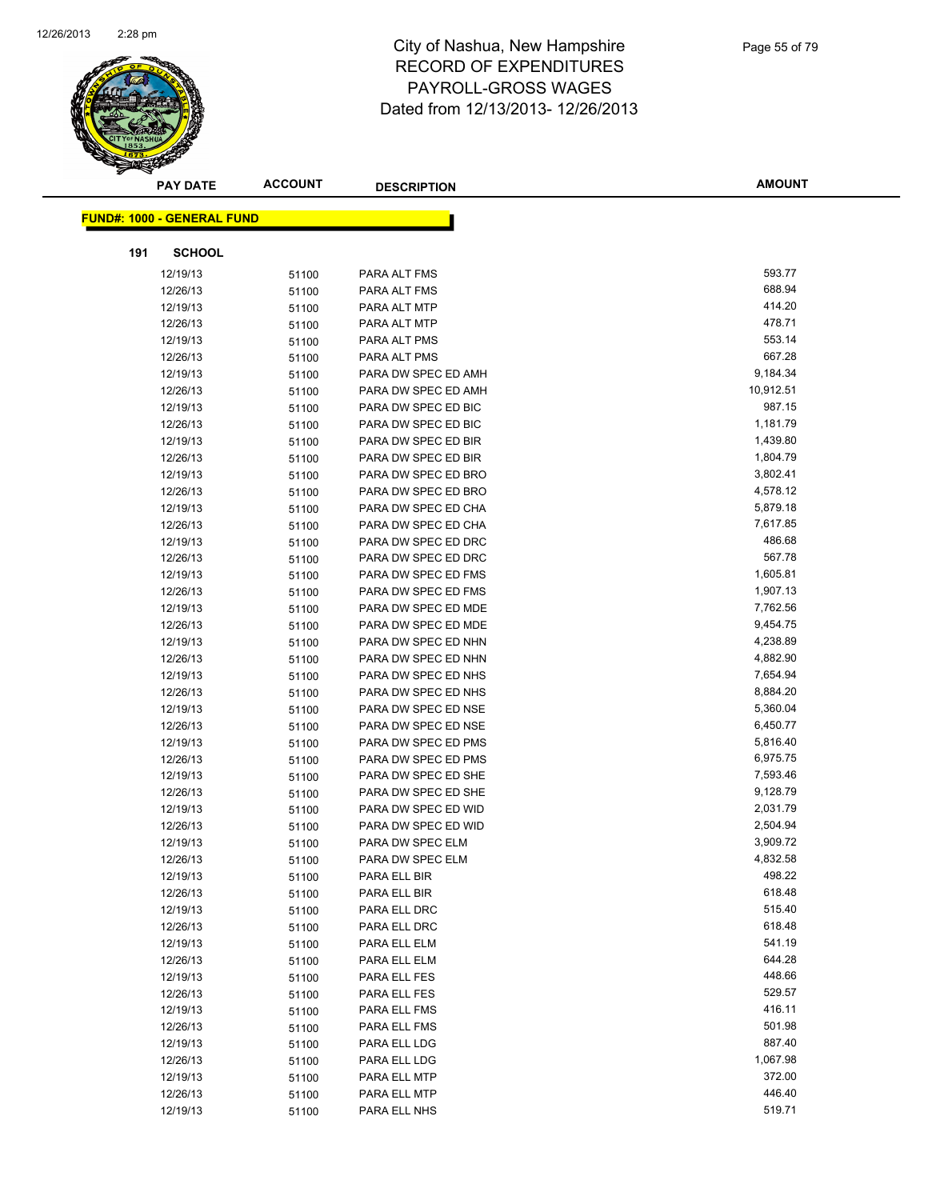

|     | <b>PAY DATE</b>                   | <b>ACCOUNT</b> | <b>DESCRIPTION</b>  | <b>AMOUNT</b> |
|-----|-----------------------------------|----------------|---------------------|---------------|
|     |                                   |                |                     |               |
|     | <b>FUND#: 1000 - GENERAL FUND</b> |                |                     |               |
| 191 | <b>SCHOOL</b>                     |                |                     |               |
|     | 12/19/13                          | 51100          | PARA ALT FMS        | 593.77        |
|     | 12/26/13                          | 51100          | PARA ALT FMS        | 688.94        |
|     | 12/19/13                          | 51100          | PARA ALT MTP        | 414.20        |
|     | 12/26/13                          | 51100          | PARA ALT MTP        | 478.71        |
|     | 12/19/13                          | 51100          | PARA ALT PMS        | 553.14        |
|     | 12/26/13                          | 51100          | PARA ALT PMS        | 667.28        |
|     | 12/19/13                          | 51100          | PARA DW SPEC ED AMH | 9,184.34      |
|     | 12/26/13                          | 51100          | PARA DW SPEC ED AMH | 10,912.51     |
|     | 12/19/13                          | 51100          | PARA DW SPEC ED BIC | 987.15        |
|     | 12/26/13                          | 51100          | PARA DW SPEC ED BIC | 1,181.79      |
|     | 12/19/13                          | 51100          | PARA DW SPEC ED BIR | 1,439.80      |
|     | 12/26/13                          | 51100          | PARA DW SPEC ED BIR | 1,804.79      |
|     | 12/19/13                          | 51100          | PARA DW SPEC ED BRO | 3,802.41      |
|     | 12/26/13                          | 51100          | PARA DW SPEC ED BRO | 4,578.12      |
|     | 12/19/13                          | 51100          | PARA DW SPEC ED CHA | 5,879.18      |
|     | 12/26/13                          | 51100          | PARA DW SPEC ED CHA | 7,617.85      |
|     | 12/19/13                          | 51100          | PARA DW SPEC ED DRC | 486.68        |
|     | 12/26/13                          | 51100          | PARA DW SPEC ED DRC | 567.78        |
|     | 12/19/13                          | 51100          | PARA DW SPEC ED FMS | 1,605.81      |
|     | 12/26/13                          | 51100          | PARA DW SPEC ED FMS | 1,907.13      |
|     | 12/19/13                          | 51100          | PARA DW SPEC ED MDE | 7,762.56      |
|     | 12/26/13                          | 51100          | PARA DW SPEC ED MDE | 9,454.75      |
|     | 12/19/13                          | 51100          | PARA DW SPEC ED NHN | 4,238.89      |
|     | 12/26/13                          | 51100          | PARA DW SPEC ED NHN | 4,882.90      |
|     | 12/19/13                          | 51100          | PARA DW SPEC ED NHS | 7,654.94      |
|     | 12/26/13                          | 51100          | PARA DW SPEC ED NHS | 8,884.20      |
|     | 12/19/13                          | 51100          | PARA DW SPEC ED NSE | 5,360.04      |
|     | 12/26/13                          | 51100          | PARA DW SPEC ED NSE | 6,450.77      |
|     | 12/19/13                          | 51100          | PARA DW SPEC ED PMS | 5,816.40      |
|     | 12/26/13                          | 51100          | PARA DW SPEC ED PMS | 6,975.75      |
|     | 12/19/13                          | 51100          | PARA DW SPEC ED SHE | 7,593.46      |
|     | 12/26/13                          | 51100          | PARA DW SPEC ED SHE | 9,128.79      |
|     | 12/19/13                          | 51100          | PARA DW SPEC ED WID | 2,031.79      |
|     | 12/26/13                          | 51100          | PARA DW SPEC ED WID | 2,504.94      |
|     | 12/19/13                          | 51100          | PARA DW SPEC ELM    | 3,909.72      |
|     | 12/26/13                          | 51100          | PARA DW SPEC ELM    | 4,832.58      |
|     | 12/19/13                          | 51100          | PARA ELL BIR        | 498.22        |
|     | 12/26/13                          | 51100          | PARA ELL BIR        | 618.48        |
|     | 12/19/13                          | 51100          | PARA ELL DRC        | 515.40        |
|     | 12/26/13                          | 51100          | PARA ELL DRC        | 618.48        |
|     | 12/19/13                          | 51100          | PARA ELL ELM        | 541.19        |
|     | 12/26/13                          | 51100          | PARA ELL ELM        | 644.28        |
|     | 12/19/13                          | 51100          | PARA ELL FES        | 448.66        |
|     | 12/26/13                          | 51100          | PARA ELL FES        | 529.57        |
|     | 12/19/13                          | 51100          | PARA ELL FMS        | 416.11        |
|     | 12/26/13                          | 51100          | PARA ELL FMS        | 501.98        |
|     | 12/19/13                          | 51100          | PARA ELL LDG        | 887.40        |
|     | 12/26/13                          | 51100          | PARA ELL LDG        | 1,067.98      |
|     | 12/19/13                          | 51100          | PARA ELL MTP        | 372.00        |
|     | 12/26/13                          | 51100          | PARA ELL MTP        | 446.40        |
|     | 12/19/13                          | 51100          | PARA ELL NHS        | 519.71        |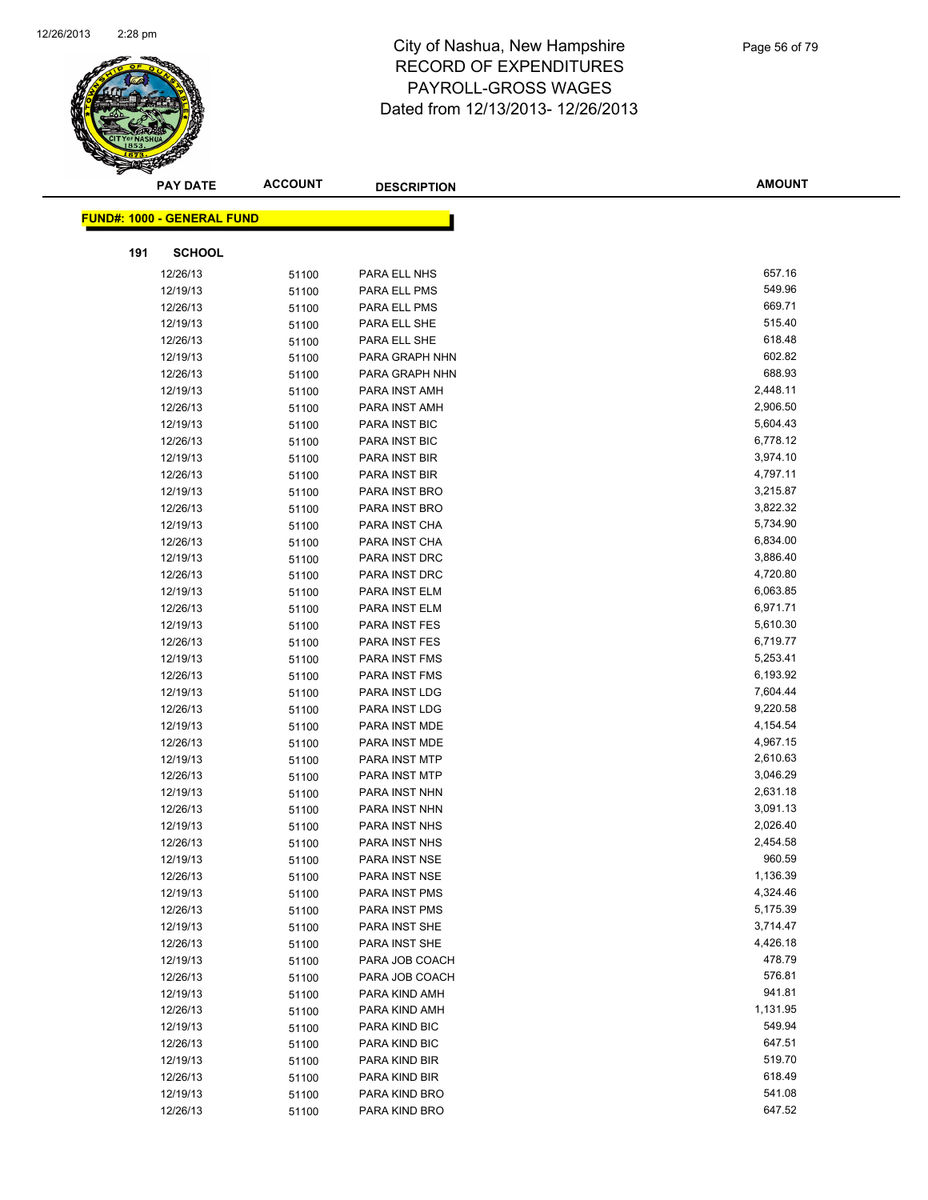

| <b>PAY DATE</b>                   | <b>ACCOUNT</b> | <b>DESCRIPTION</b> | <b>AMOUNT</b> |
|-----------------------------------|----------------|--------------------|---------------|
| <b>FUND#: 1000 - GENERAL FUND</b> |                |                    |               |
|                                   |                |                    |               |
| 191<br><b>SCHOOL</b>              |                |                    |               |
| 12/26/13                          | 51100          | PARA ELL NHS       | 657.16        |
| 12/19/13                          | 51100          | PARA ELL PMS       | 549.96        |
| 12/26/13                          | 51100          | PARA ELL PMS       | 669.71        |
| 12/19/13                          | 51100          | PARA ELL SHE       | 515.40        |
| 12/26/13                          | 51100          | PARA ELL SHE       | 618.48        |
| 12/19/13                          | 51100          | PARA GRAPH NHN     | 602.82        |
| 12/26/13                          | 51100          | PARA GRAPH NHN     | 688.93        |
| 12/19/13                          | 51100          | PARA INST AMH      | 2,448.11      |
| 12/26/13                          | 51100          | PARA INST AMH      | 2,906.50      |
| 12/19/13                          | 51100          | PARA INST BIC      | 5,604.43      |
| 12/26/13                          | 51100          | PARA INST BIC      | 6,778.12      |
| 12/19/13                          | 51100          | PARA INST BIR      | 3,974.10      |
| 12/26/13                          | 51100          | PARA INST BIR      | 4,797.11      |
| 12/19/13                          | 51100          | PARA INST BRO      | 3,215.87      |
| 12/26/13                          | 51100          | PARA INST BRO      | 3,822.32      |
| 12/19/13                          | 51100          | PARA INST CHA      | 5,734.90      |
| 12/26/13                          | 51100          | PARA INST CHA      | 6,834.00      |
| 12/19/13                          | 51100          | PARA INST DRC      | 3,886.40      |
| 12/26/13                          | 51100          | PARA INST DRC      | 4,720.80      |
| 12/19/13                          | 51100          | PARA INST ELM      | 6,063.85      |
| 12/26/13                          | 51100          | PARA INST ELM      | 6,971.71      |
| 12/19/13                          | 51100          | PARA INST FES      | 5,610.30      |
| 12/26/13                          | 51100          | PARA INST FES      | 6,719.77      |
| 12/19/13                          | 51100          | PARA INST FMS      | 5,253.41      |
| 12/26/13                          | 51100          | PARA INST FMS      | 6,193.92      |
| 12/19/13                          | 51100          | PARA INST LDG      | 7,604.44      |
| 12/26/13                          | 51100          | PARA INST LDG      | 9,220.58      |
| 12/19/13                          | 51100          | PARA INST MDE      | 4,154.54      |
| 12/26/13                          | 51100          | PARA INST MDE      | 4,967.15      |
| 12/19/13                          | 51100          | PARA INST MTP      | 2,610.63      |
| 12/26/13                          | 51100          | PARA INST MTP      | 3,046.29      |
| 12/19/13                          | 51100          | PARA INST NHN      | 2,631.18      |
| 12/26/13                          | 51100          | PARA INST NHN      | 3,091.13      |
| 12/19/13                          | 51100          | PARA INST NHS      | 2,026.40      |
| 12/26/13                          | 51100          | PARA INST NHS      | 2,454.58      |
| 12/19/13                          | 51100          | PARA INST NSE      | 960.59        |
| 12/26/13                          | 51100          | PARA INST NSE      | 1,136.39      |
| 12/19/13                          | 51100          | PARA INST PMS      | 4,324.46      |
| 12/26/13                          | 51100          | PARA INST PMS      | 5,175.39      |
| 12/19/13                          | 51100          | PARA INST SHE      | 3,714.47      |
| 12/26/13                          | 51100          | PARA INST SHE      | 4,426.18      |
| 12/19/13                          | 51100          | PARA JOB COACH     | 478.79        |
| 12/26/13                          | 51100          | PARA JOB COACH     | 576.81        |
| 12/19/13                          | 51100          | PARA KIND AMH      | 941.81        |
| 12/26/13                          | 51100          | PARA KIND AMH      | 1,131.95      |
| 12/19/13                          | 51100          | PARA KIND BIC      | 549.94        |
| 12/26/13                          | 51100          | PARA KIND BIC      | 647.51        |
| 12/19/13                          | 51100          | PARA KIND BIR      | 519.70        |
| 12/26/13                          | 51100          | PARA KIND BIR      | 618.49        |
| 12/19/13                          | 51100          | PARA KIND BRO      | 541.08        |
| 12/26/13                          | 51100          | PARA KIND BRO      | 647.52        |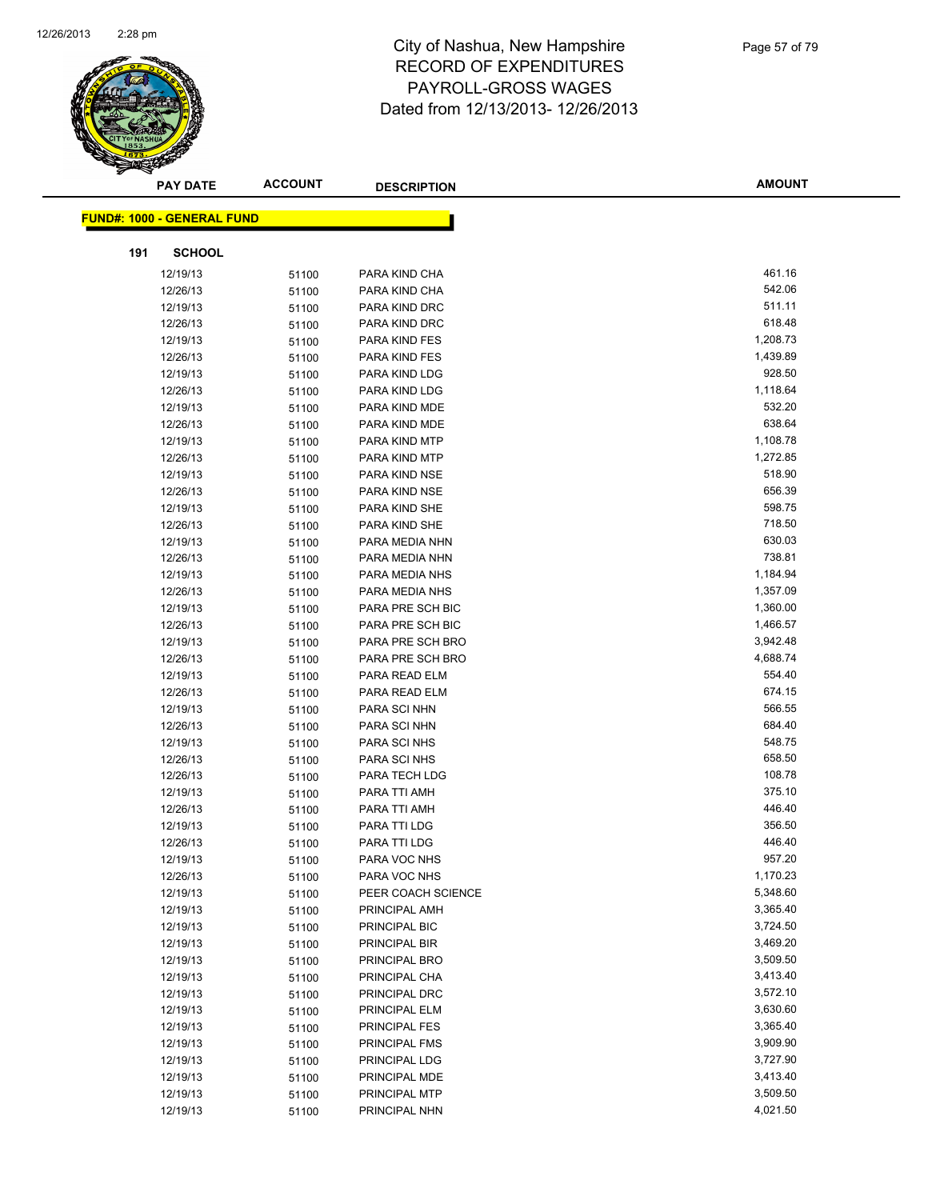

| <b>PAY DATE</b>                   | <b>ACCOUNT</b> | <b>DESCRIPTION</b>                 | <b>AMOUNT</b>    |
|-----------------------------------|----------------|------------------------------------|------------------|
| <b>FUND#: 1000 - GENERAL FUND</b> |                |                                    |                  |
|                                   |                |                                    |                  |
| <b>SCHOOL</b><br>191              |                |                                    |                  |
| 12/19/13                          | 51100          | PARA KIND CHA                      | 461.16           |
| 12/26/13                          | 51100          | PARA KIND CHA                      | 542.06           |
| 12/19/13                          | 51100          | PARA KIND DRC                      | 511.11           |
| 12/26/13                          | 51100          | PARA KIND DRC                      | 618.48           |
| 12/19/13                          | 51100          | PARA KIND FES                      | 1,208.73         |
| 12/26/13                          | 51100          | PARA KIND FES                      | 1,439.89         |
| 12/19/13                          | 51100          | PARA KIND LDG                      | 928.50           |
| 12/26/13                          | 51100          | PARA KIND LDG                      | 1,118.64         |
| 12/19/13                          | 51100          | PARA KIND MDE                      | 532.20           |
| 12/26/13                          | 51100          | PARA KIND MDE                      | 638.64           |
| 12/19/13                          | 51100          | PARA KIND MTP                      | 1,108.78         |
| 12/26/13                          | 51100          | PARA KIND MTP                      | 1,272.85         |
| 12/19/13                          | 51100          | PARA KIND NSE                      | 518.90           |
| 12/26/13                          | 51100          | PARA KIND NSE                      | 656.39           |
| 12/19/13                          | 51100          | PARA KIND SHE                      | 598.75           |
| 12/26/13                          | 51100          | PARA KIND SHE                      | 718.50           |
| 12/19/13                          | 51100          | PARA MEDIA NHN                     | 630.03           |
| 12/26/13                          | 51100          | PARA MEDIA NHN                     | 738.81           |
| 12/19/13                          | 51100          | PARA MEDIA NHS                     | 1,184.94         |
| 12/26/13                          | 51100          | PARA MEDIA NHS                     | 1,357.09         |
| 12/19/13                          | 51100          | PARA PRE SCH BIC                   | 1,360.00         |
| 12/26/13                          | 51100          | PARA PRE SCH BIC                   | 1,466.57         |
| 12/19/13                          | 51100          | PARA PRE SCH BRO                   | 3,942.48         |
| 12/26/13                          | 51100          | PARA PRE SCH BRO                   | 4,688.74         |
| 12/19/13                          | 51100          | PARA READ ELM                      | 554.40           |
| 12/26/13                          | 51100          | PARA READ ELM                      | 674.15           |
| 12/19/13                          | 51100          | PARA SCI NHN                       | 566.55           |
| 12/26/13                          | 51100          | PARA SCI NHN                       | 684.40           |
| 12/19/13                          | 51100          | PARA SCI NHS                       | 548.75           |
| 12/26/13                          | 51100          | PARA SCI NHS                       | 658.50           |
| 12/26/13                          | 51100          | PARA TECH LDG                      | 108.78           |
| 12/19/13                          | 51100          | PARA TTI AMH                       | 375.10           |
| 12/26/13                          | 51100          | PARA TTI AMH                       | 446.40           |
| 12/19/13                          | 51100          | PARA TTI LDG                       | 356.50<br>446.40 |
| 12/26/13                          | 51100          | PARA TTI LDG<br>PARA VOC NHS       | 957.20           |
| 12/19/13                          | 51100          |                                    | 1,170.23         |
| 12/26/13                          | 51100          | PARA VOC NHS<br>PEER COACH SCIENCE | 5,348.60         |
| 12/19/13<br>12/19/13              | 51100          |                                    | 3,365.40         |
| 12/19/13                          | 51100          | PRINCIPAL AMH<br>PRINCIPAL BIC     | 3,724.50         |
| 12/19/13                          | 51100          | PRINCIPAL BIR                      | 3,469.20         |
| 12/19/13                          | 51100          | PRINCIPAL BRO                      | 3,509.50         |
| 12/19/13                          | 51100          | PRINCIPAL CHA                      | 3,413.40         |
| 12/19/13                          | 51100<br>51100 | PRINCIPAL DRC                      | 3,572.10         |
| 12/19/13                          | 51100          | PRINCIPAL ELM                      | 3,630.60         |
| 12/19/13                          | 51100          | PRINCIPAL FES                      | 3,365.40         |
| 12/19/13                          | 51100          | PRINCIPAL FMS                      | 3,909.90         |
| 12/19/13                          | 51100          | PRINCIPAL LDG                      | 3,727.90         |
| 12/19/13                          | 51100          | PRINCIPAL MDE                      | 3,413.40         |
| 12/19/13                          | 51100          | PRINCIPAL MTP                      | 3,509.50         |
| 12/19/13                          | 51100          | PRINCIPAL NHN                      | 4,021.50         |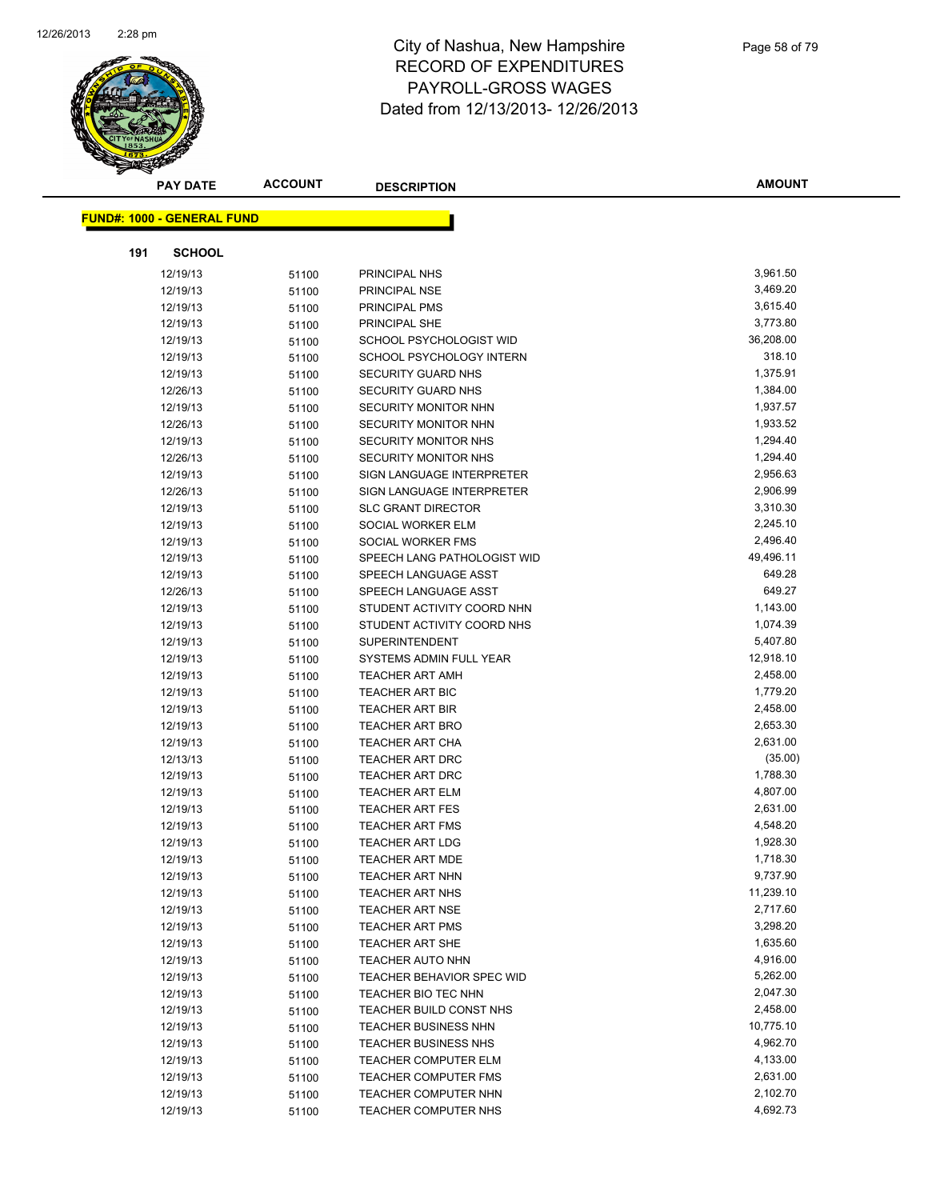

| <b>PAY DATE</b>                   | <b>ACCOUNT</b> | <b>DESCRIPTION</b>                                  | <b>AMOUNT</b>        |
|-----------------------------------|----------------|-----------------------------------------------------|----------------------|
|                                   |                |                                                     |                      |
| <b>FUND#: 1000 - GENERAL FUND</b> |                |                                                     |                      |
| 191<br><b>SCHOOL</b>              |                |                                                     |                      |
| 12/19/13                          | 51100          | PRINCIPAL NHS                                       | 3,961.50             |
| 12/19/13                          | 51100          | PRINCIPAL NSE                                       | 3,469.20             |
| 12/19/13                          | 51100          | PRINCIPAL PMS                                       | 3,615.40             |
| 12/19/13                          | 51100          | PRINCIPAL SHE                                       | 3,773.80             |
| 12/19/13                          | 51100          | SCHOOL PSYCHOLOGIST WID                             | 36,208.00            |
| 12/19/13                          | 51100          | SCHOOL PSYCHOLOGY INTERN                            | 318.10               |
| 12/19/13                          | 51100          | <b>SECURITY GUARD NHS</b>                           | 1,375.91             |
| 12/26/13                          | 51100          | <b>SECURITY GUARD NHS</b>                           | 1,384.00             |
| 12/19/13                          | 51100          | SECURITY MONITOR NHN                                | 1,937.57             |
| 12/26/13                          | 51100          | SECURITY MONITOR NHN                                | 1,933.52             |
| 12/19/13                          | 51100          | <b>SECURITY MONITOR NHS</b>                         | 1,294.40             |
| 12/26/13                          | 51100          | <b>SECURITY MONITOR NHS</b>                         | 1,294.40             |
| 12/19/13                          | 51100          | SIGN LANGUAGE INTERPRETER                           | 2,956.63             |
| 12/26/13                          | 51100          | SIGN LANGUAGE INTERPRETER                           | 2,906.99             |
| 12/19/13                          | 51100          | <b>SLC GRANT DIRECTOR</b>                           | 3,310.30             |
| 12/19/13                          | 51100          | SOCIAL WORKER ELM                                   | 2,245.10             |
| 12/19/13                          | 51100          | SOCIAL WORKER FMS                                   | 2,496.40             |
| 12/19/13                          | 51100          | SPEECH LANG PATHOLOGIST WID                         | 49,496.11            |
| 12/19/13                          | 51100          | SPEECH LANGUAGE ASST                                | 649.28               |
| 12/26/13                          | 51100          | SPEECH LANGUAGE ASST                                | 649.27               |
| 12/19/13                          | 51100          | STUDENT ACTIVITY COORD NHN                          | 1,143.00             |
| 12/19/13                          | 51100          | STUDENT ACTIVITY COORD NHS                          | 1,074.39             |
| 12/19/13                          | 51100          | <b>SUPERINTENDENT</b>                               | 5,407.80             |
| 12/19/13                          | 51100          | SYSTEMS ADMIN FULL YEAR                             | 12,918.10            |
| 12/19/13                          | 51100          | TEACHER ART AMH                                     | 2,458.00             |
| 12/19/13                          | 51100          | <b>TEACHER ART BIC</b>                              | 1,779.20             |
| 12/19/13                          | 51100          | <b>TEACHER ART BIR</b>                              | 2,458.00             |
| 12/19/13                          | 51100          | <b>TEACHER ART BRO</b>                              | 2,653.30             |
| 12/19/13                          | 51100          | <b>TEACHER ART CHA</b>                              | 2,631.00             |
| 12/13/13                          | 51100          | TEACHER ART DRC                                     | (35.00)              |
| 12/19/13                          | 51100          | TEACHER ART DRC                                     | 1,788.30             |
| 12/19/13                          | 51100          | <b>TEACHER ART ELM</b>                              | 4,807.00             |
| 12/19/13                          | 51100          | <b>TEACHER ART FES</b>                              | 2,631.00             |
| 12/19/13                          | 51100          | <b>TEACHER ART FMS</b>                              | 4,548.20             |
| 12/19/13                          | 51100          | <b>TEACHER ART LDG</b>                              | 1,928.30             |
| 12/19/13                          | 51100          | TEACHER ART MDE                                     | 1,718.30             |
| 12/19/13                          | 51100          | TEACHER ART NHN                                     | 9,737.90             |
| 12/19/13                          | 51100          | <b>TEACHER ART NHS</b>                              | 11,239.10            |
| 12/19/13                          | 51100          | <b>TEACHER ART NSE</b>                              | 2,717.60             |
| 12/19/13                          | 51100          | <b>TEACHER ART PMS</b>                              | 3,298.20             |
| 12/19/13                          | 51100          | TEACHER ART SHE                                     | 1,635.60             |
| 12/19/13                          | 51100          | <b>TEACHER AUTO NHN</b>                             | 4,916.00             |
| 12/19/13                          | 51100          | TEACHER BEHAVIOR SPEC WID                           | 5,262.00             |
| 12/19/13                          | 51100          | TEACHER BIO TEC NHN                                 | 2,047.30             |
| 12/19/13                          | 51100          | TEACHER BUILD CONST NHS                             | 2,458.00             |
| 12/19/13                          | 51100          | <b>TEACHER BUSINESS NHN</b>                         | 10,775.10            |
| 12/19/13                          | 51100          | <b>TEACHER BUSINESS NHS</b>                         | 4,962.70<br>4,133.00 |
| 12/19/13                          | 51100          | TEACHER COMPUTER ELM                                | 2,631.00             |
| 12/19/13                          | 51100          | <b>TEACHER COMPUTER FMS</b>                         | 2,102.70             |
| 12/19/13<br>12/19/13              | 51100          | <b>TEACHER COMPUTER NHN</b><br>TEACHER COMPUTER NHS | 4,692.73             |
|                                   | 51100          |                                                     |                      |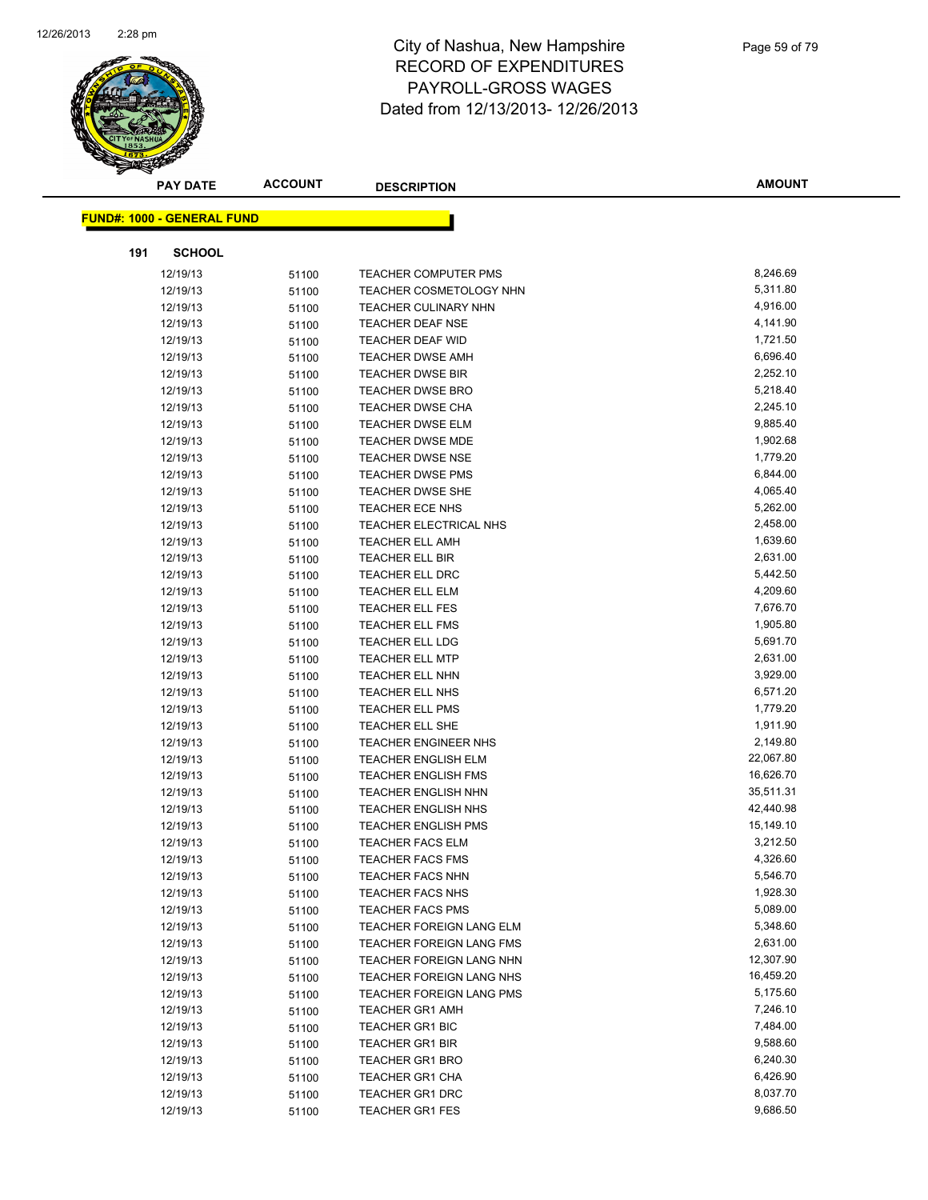

|     | <b>PAY DATE</b>                   | <b>ACCOUNT</b> | <b>DESCRIPTION</b>              | <b>AMOUNT</b> |
|-----|-----------------------------------|----------------|---------------------------------|---------------|
|     | <b>FUND#: 1000 - GENERAL FUND</b> |                |                                 |               |
|     |                                   |                |                                 |               |
| 191 | <b>SCHOOL</b>                     |                |                                 |               |
|     | 12/19/13                          | 51100          | <b>TEACHER COMPUTER PMS</b>     | 8,246.69      |
|     | 12/19/13                          | 51100          | <b>TEACHER COSMETOLOGY NHN</b>  | 5,311.80      |
|     | 12/19/13                          | 51100          | <b>TEACHER CULINARY NHN</b>     | 4,916.00      |
|     | 12/19/13                          | 51100          | <b>TEACHER DEAF NSE</b>         | 4,141.90      |
|     | 12/19/13                          | 51100          | TEACHER DEAF WID                | 1,721.50      |
|     | 12/19/13                          | 51100          | <b>TEACHER DWSE AMH</b>         | 6,696.40      |
|     | 12/19/13                          | 51100          | <b>TEACHER DWSE BIR</b>         | 2,252.10      |
|     | 12/19/13                          | 51100          | <b>TEACHER DWSE BRO</b>         | 5,218.40      |
|     | 12/19/13                          | 51100          | <b>TEACHER DWSE CHA</b>         | 2,245.10      |
|     | 12/19/13                          | 51100          | <b>TEACHER DWSE ELM</b>         | 9,885.40      |
|     | 12/19/13                          | 51100          | <b>TEACHER DWSE MDE</b>         | 1,902.68      |
|     | 12/19/13                          | 51100          | <b>TEACHER DWSE NSE</b>         | 1,779.20      |
|     | 12/19/13                          | 51100          | <b>TEACHER DWSE PMS</b>         | 6,844.00      |
|     | 12/19/13                          | 51100          | <b>TEACHER DWSE SHE</b>         | 4,065.40      |
|     | 12/19/13                          | 51100          | TEACHER ECE NHS                 | 5,262.00      |
|     | 12/19/13                          | 51100          | TEACHER ELECTRICAL NHS          | 2,458.00      |
|     | 12/19/13                          | 51100          | <b>TEACHER ELL AMH</b>          | 1,639.60      |
|     | 12/19/13                          | 51100          | TEACHER ELL BIR                 | 2,631.00      |
|     | 12/19/13                          | 51100          | <b>TEACHER ELL DRC</b>          | 5,442.50      |
|     | 12/19/13                          | 51100          | <b>TEACHER ELL ELM</b>          | 4,209.60      |
|     | 12/19/13                          | 51100          | <b>TEACHER ELL FES</b>          | 7,676.70      |
|     | 12/19/13                          | 51100          | <b>TEACHER ELL FMS</b>          | 1,905.80      |
|     | 12/19/13                          | 51100          | TEACHER ELL LDG                 | 5,691.70      |
|     | 12/19/13                          | 51100          | <b>TEACHER ELL MTP</b>          | 2,631.00      |
|     | 12/19/13                          | 51100          | TEACHER ELL NHN                 | 3,929.00      |
|     | 12/19/13                          | 51100          | TEACHER ELL NHS                 | 6,571.20      |
|     | 12/19/13                          | 51100          | <b>TEACHER ELL PMS</b>          | 1,779.20      |
|     | 12/19/13                          | 51100          | <b>TEACHER ELL SHE</b>          | 1,911.90      |
|     | 12/19/13                          | 51100          | <b>TEACHER ENGINEER NHS</b>     | 2,149.80      |
|     | 12/19/13                          | 51100          | <b>TEACHER ENGLISH ELM</b>      | 22,067.80     |
|     | 12/19/13                          | 51100          | <b>TEACHER ENGLISH FMS</b>      | 16,626.70     |
|     | 12/19/13                          | 51100          | <b>TEACHER ENGLISH NHN</b>      | 35,511.31     |
|     | 12/19/13                          | 51100          | <b>TEACHER ENGLISH NHS</b>      | 42,440.98     |
|     | 12/19/13                          | 51100          | <b>TEACHER ENGLISH PMS</b>      | 15,149.10     |
|     | 12/19/13                          | 51100          | <b>TEACHER FACS ELM</b>         | 3,212.50      |
|     | 12/19/13                          | 51100          | <b>TEACHER FACS FMS</b>         | 4,326.60      |
|     | 12/19/13                          | 51100          | <b>TEACHER FACS NHN</b>         | 5,546.70      |
|     | 12/19/13                          | 51100          | <b>TEACHER FACS NHS</b>         | 1,928.30      |
|     | 12/19/13                          | 51100          | <b>TEACHER FACS PMS</b>         | 5,089.00      |
|     | 12/19/13                          | 51100          | <b>TEACHER FOREIGN LANG ELM</b> | 5,348.60      |
|     | 12/19/13                          | 51100          | TEACHER FOREIGN LANG FMS        | 2,631.00      |
|     | 12/19/13                          | 51100          | TEACHER FOREIGN LANG NHN        | 12,307.90     |
|     | 12/19/13                          | 51100          | <b>TEACHER FOREIGN LANG NHS</b> | 16,459.20     |
|     | 12/19/13                          | 51100          | TEACHER FOREIGN LANG PMS        | 5,175.60      |
|     | 12/19/13                          | 51100          | <b>TEACHER GR1 AMH</b>          | 7,246.10      |
|     | 12/19/13                          | 51100          | <b>TEACHER GR1 BIC</b>          | 7,484.00      |
|     | 12/19/13                          | 51100          | <b>TEACHER GR1 BIR</b>          | 9,588.60      |
|     | 12/19/13                          | 51100          | <b>TEACHER GR1 BRO</b>          | 6,240.30      |
|     | 12/19/13                          | 51100          | <b>TEACHER GR1 CHA</b>          | 6,426.90      |
|     | 12/19/13                          | 51100          | TEACHER GR1 DRC                 | 8,037.70      |
|     | 12/19/13                          | 51100          | <b>TEACHER GR1 FES</b>          | 9,686.50      |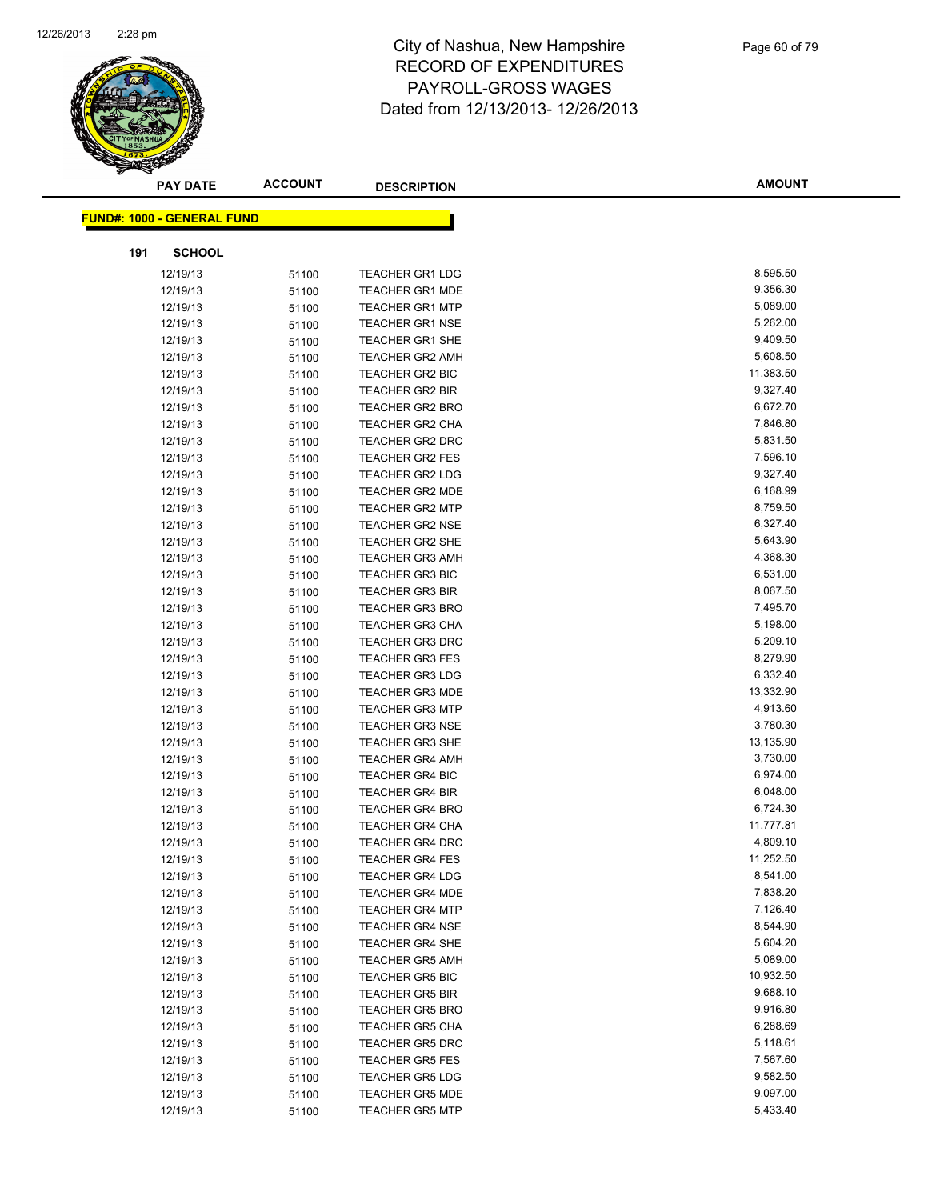

| <b>FUND#: 1000 - GENERAL FUND</b><br><b>SCHOOL</b><br>191<br>8,595.50<br><b>TEACHER GR1 LDG</b><br>12/19/13<br>51100<br>12/19/13<br><b>TEACHER GR1 MDE</b><br>9,356.30<br>51100<br>5,089.00<br><b>TEACHER GR1 MTP</b><br>12/19/13<br>51100<br>12/19/13<br><b>TEACHER GR1 NSE</b><br>5,262.00<br>51100<br>9,409.50<br><b>TEACHER GR1 SHE</b><br>12/19/13<br>51100<br><b>TEACHER GR2 AMH</b><br>5,608.50<br>12/19/13<br>51100<br>11,383.50<br>12/19/13<br>TEACHER GR2 BIC<br>51100<br>9,327.40<br>12/19/13<br><b>TEACHER GR2 BIR</b><br>51100<br>6,672.70<br>12/19/13<br>51100<br><b>TEACHER GR2 BRO</b><br>7,846.80<br>12/19/13<br><b>TEACHER GR2 CHA</b><br>51100<br>5,831.50<br>12/19/13<br><b>TEACHER GR2 DRC</b><br>51100<br>7,596.10<br>12/19/13<br><b>TEACHER GR2 FES</b><br>51100<br>9,327.40<br>12/19/13<br><b>TEACHER GR2 LDG</b><br>51100<br>6,168.99<br>12/19/13<br>51100<br><b>TEACHER GR2 MDE</b><br>8,759.50<br>12/19/13<br><b>TEACHER GR2 MTP</b><br>51100<br>6,327.40<br>12/19/13<br><b>TEACHER GR2 NSE</b><br>51100<br>5,643.90<br>12/19/13<br><b>TEACHER GR2 SHE</b><br>51100<br>4,368.30<br>12/19/13<br><b>TEACHER GR3 AMH</b><br>51100<br>6,531.00<br>12/19/13<br><b>TEACHER GR3 BIC</b><br>51100<br>8,067.50<br>12/19/13<br>51100<br><b>TEACHER GR3 BIR</b><br>7,495.70<br>12/19/13<br><b>TEACHER GR3 BRO</b><br>51100<br>5,198.00<br>12/19/13<br>51100<br>TEACHER GR3 CHA<br>5,209.10<br>12/19/13<br><b>TEACHER GR3 DRC</b><br>51100<br>8,279.90<br><b>TEACHER GR3 FES</b><br>12/19/13<br>51100<br>6,332.40<br><b>TEACHER GR3 LDG</b><br>12/19/13<br>51100<br>13,332.90<br>12/19/13<br><b>TEACHER GR3 MDE</b><br>51100<br>4,913.60<br><b>TEACHER GR3 MTP</b><br>12/19/13<br>51100<br>3,780.30<br>12/19/13<br><b>TEACHER GR3 NSE</b><br>51100<br>13,135.90<br>12/19/13<br><b>TEACHER GR3 SHE</b><br>51100<br>3,730.00<br>12/19/13<br><b>TEACHER GR4 AMH</b><br>51100<br>6,974.00<br>12/19/13<br>51100<br><b>TEACHER GR4 BIC</b><br>6,048.00<br>12/19/13<br><b>TEACHER GR4 BIR</b><br>51100<br>6,724.30<br>12/19/13<br>51100<br><b>TEACHER GR4 BRO</b><br>11,777.81<br>12/19/13<br><b>TEACHER GR4 CHA</b><br>51100<br>4,809.10<br>12/19/13<br><b>TEACHER GR4 DRC</b><br>51100<br>11,252.50<br>12/19/13<br><b>TEACHER GR4 FES</b><br>51100<br>8,541.00<br>12/19/13<br><b>TEACHER GR4 LDG</b><br>51100<br>7,838.20<br>12/19/13<br><b>TEACHER GR4 MDE</b><br>51100<br>7,126.40<br>12/19/13<br><b>TEACHER GR4 MTP</b><br>51100<br>8,544.90<br>12/19/13<br><b>TEACHER GR4 NSE</b><br>51100<br>5,604.20<br>12/19/13<br><b>TEACHER GR4 SHE</b><br>51100<br>5,089.00<br>12/19/13<br><b>TEACHER GR5 AMH</b><br>51100<br>12/19/13<br><b>TEACHER GR5 BIC</b><br>10,932.50<br>51100<br>9,688.10<br><b>TEACHER GR5 BIR</b><br>12/19/13<br>51100<br><b>TEACHER GR5 BRO</b><br>9,916.80<br>12/19/13<br>51100<br>6,288.69<br><b>TEACHER GR5 CHA</b><br>12/19/13<br>51100<br>5,118.61<br>12/19/13<br><b>TEACHER GR5 DRC</b><br>51100<br>7,567.60<br>12/19/13<br><b>TEACHER GR5 FES</b><br>51100<br>9,582.50<br>12/19/13<br><b>TEACHER GR5 LDG</b><br>51100<br>9,097.00<br><b>TEACHER GR5 MDE</b><br>12/19/13<br>51100<br>5,433.40<br>12/19/13<br><b>TEACHER GR5 MTP</b> | <b>PAY DATE</b> | <b>ACCOUNT</b> | <b>DESCRIPTION</b> | <b>AMOUNT</b> |
|---------------------------------------------------------------------------------------------------------------------------------------------------------------------------------------------------------------------------------------------------------------------------------------------------------------------------------------------------------------------------------------------------------------------------------------------------------------------------------------------------------------------------------------------------------------------------------------------------------------------------------------------------------------------------------------------------------------------------------------------------------------------------------------------------------------------------------------------------------------------------------------------------------------------------------------------------------------------------------------------------------------------------------------------------------------------------------------------------------------------------------------------------------------------------------------------------------------------------------------------------------------------------------------------------------------------------------------------------------------------------------------------------------------------------------------------------------------------------------------------------------------------------------------------------------------------------------------------------------------------------------------------------------------------------------------------------------------------------------------------------------------------------------------------------------------------------------------------------------------------------------------------------------------------------------------------------------------------------------------------------------------------------------------------------------------------------------------------------------------------------------------------------------------------------------------------------------------------------------------------------------------------------------------------------------------------------------------------------------------------------------------------------------------------------------------------------------------------------------------------------------------------------------------------------------------------------------------------------------------------------------------------------------------------------------------------------------------------------------------------------------------------------------------------------------------------------------------------------------------------------------------------------------------------------------------------------------------------------------------------------------------------------------------------------------------------------------------------------------------------------------------------------------------------------|-----------------|----------------|--------------------|---------------|
|                                                                                                                                                                                                                                                                                                                                                                                                                                                                                                                                                                                                                                                                                                                                                                                                                                                                                                                                                                                                                                                                                                                                                                                                                                                                                                                                                                                                                                                                                                                                                                                                                                                                                                                                                                                                                                                                                                                                                                                                                                                                                                                                                                                                                                                                                                                                                                                                                                                                                                                                                                                                                                                                                                                                                                                                                                                                                                                                                                                                                                                                                                                                                                           |                 |                |                    |               |
|                                                                                                                                                                                                                                                                                                                                                                                                                                                                                                                                                                                                                                                                                                                                                                                                                                                                                                                                                                                                                                                                                                                                                                                                                                                                                                                                                                                                                                                                                                                                                                                                                                                                                                                                                                                                                                                                                                                                                                                                                                                                                                                                                                                                                                                                                                                                                                                                                                                                                                                                                                                                                                                                                                                                                                                                                                                                                                                                                                                                                                                                                                                                                                           |                 |                |                    |               |
|                                                                                                                                                                                                                                                                                                                                                                                                                                                                                                                                                                                                                                                                                                                                                                                                                                                                                                                                                                                                                                                                                                                                                                                                                                                                                                                                                                                                                                                                                                                                                                                                                                                                                                                                                                                                                                                                                                                                                                                                                                                                                                                                                                                                                                                                                                                                                                                                                                                                                                                                                                                                                                                                                                                                                                                                                                                                                                                                                                                                                                                                                                                                                                           |                 |                |                    |               |
|                                                                                                                                                                                                                                                                                                                                                                                                                                                                                                                                                                                                                                                                                                                                                                                                                                                                                                                                                                                                                                                                                                                                                                                                                                                                                                                                                                                                                                                                                                                                                                                                                                                                                                                                                                                                                                                                                                                                                                                                                                                                                                                                                                                                                                                                                                                                                                                                                                                                                                                                                                                                                                                                                                                                                                                                                                                                                                                                                                                                                                                                                                                                                                           |                 |                |                    |               |
|                                                                                                                                                                                                                                                                                                                                                                                                                                                                                                                                                                                                                                                                                                                                                                                                                                                                                                                                                                                                                                                                                                                                                                                                                                                                                                                                                                                                                                                                                                                                                                                                                                                                                                                                                                                                                                                                                                                                                                                                                                                                                                                                                                                                                                                                                                                                                                                                                                                                                                                                                                                                                                                                                                                                                                                                                                                                                                                                                                                                                                                                                                                                                                           |                 |                |                    |               |
|                                                                                                                                                                                                                                                                                                                                                                                                                                                                                                                                                                                                                                                                                                                                                                                                                                                                                                                                                                                                                                                                                                                                                                                                                                                                                                                                                                                                                                                                                                                                                                                                                                                                                                                                                                                                                                                                                                                                                                                                                                                                                                                                                                                                                                                                                                                                                                                                                                                                                                                                                                                                                                                                                                                                                                                                                                                                                                                                                                                                                                                                                                                                                                           |                 |                |                    |               |
|                                                                                                                                                                                                                                                                                                                                                                                                                                                                                                                                                                                                                                                                                                                                                                                                                                                                                                                                                                                                                                                                                                                                                                                                                                                                                                                                                                                                                                                                                                                                                                                                                                                                                                                                                                                                                                                                                                                                                                                                                                                                                                                                                                                                                                                                                                                                                                                                                                                                                                                                                                                                                                                                                                                                                                                                                                                                                                                                                                                                                                                                                                                                                                           |                 |                |                    |               |
|                                                                                                                                                                                                                                                                                                                                                                                                                                                                                                                                                                                                                                                                                                                                                                                                                                                                                                                                                                                                                                                                                                                                                                                                                                                                                                                                                                                                                                                                                                                                                                                                                                                                                                                                                                                                                                                                                                                                                                                                                                                                                                                                                                                                                                                                                                                                                                                                                                                                                                                                                                                                                                                                                                                                                                                                                                                                                                                                                                                                                                                                                                                                                                           |                 |                |                    |               |
|                                                                                                                                                                                                                                                                                                                                                                                                                                                                                                                                                                                                                                                                                                                                                                                                                                                                                                                                                                                                                                                                                                                                                                                                                                                                                                                                                                                                                                                                                                                                                                                                                                                                                                                                                                                                                                                                                                                                                                                                                                                                                                                                                                                                                                                                                                                                                                                                                                                                                                                                                                                                                                                                                                                                                                                                                                                                                                                                                                                                                                                                                                                                                                           |                 |                |                    |               |
|                                                                                                                                                                                                                                                                                                                                                                                                                                                                                                                                                                                                                                                                                                                                                                                                                                                                                                                                                                                                                                                                                                                                                                                                                                                                                                                                                                                                                                                                                                                                                                                                                                                                                                                                                                                                                                                                                                                                                                                                                                                                                                                                                                                                                                                                                                                                                                                                                                                                                                                                                                                                                                                                                                                                                                                                                                                                                                                                                                                                                                                                                                                                                                           |                 |                |                    |               |
|                                                                                                                                                                                                                                                                                                                                                                                                                                                                                                                                                                                                                                                                                                                                                                                                                                                                                                                                                                                                                                                                                                                                                                                                                                                                                                                                                                                                                                                                                                                                                                                                                                                                                                                                                                                                                                                                                                                                                                                                                                                                                                                                                                                                                                                                                                                                                                                                                                                                                                                                                                                                                                                                                                                                                                                                                                                                                                                                                                                                                                                                                                                                                                           |                 |                |                    |               |
|                                                                                                                                                                                                                                                                                                                                                                                                                                                                                                                                                                                                                                                                                                                                                                                                                                                                                                                                                                                                                                                                                                                                                                                                                                                                                                                                                                                                                                                                                                                                                                                                                                                                                                                                                                                                                                                                                                                                                                                                                                                                                                                                                                                                                                                                                                                                                                                                                                                                                                                                                                                                                                                                                                                                                                                                                                                                                                                                                                                                                                                                                                                                                                           |                 |                |                    |               |
|                                                                                                                                                                                                                                                                                                                                                                                                                                                                                                                                                                                                                                                                                                                                                                                                                                                                                                                                                                                                                                                                                                                                                                                                                                                                                                                                                                                                                                                                                                                                                                                                                                                                                                                                                                                                                                                                                                                                                                                                                                                                                                                                                                                                                                                                                                                                                                                                                                                                                                                                                                                                                                                                                                                                                                                                                                                                                                                                                                                                                                                                                                                                                                           |                 |                |                    |               |
|                                                                                                                                                                                                                                                                                                                                                                                                                                                                                                                                                                                                                                                                                                                                                                                                                                                                                                                                                                                                                                                                                                                                                                                                                                                                                                                                                                                                                                                                                                                                                                                                                                                                                                                                                                                                                                                                                                                                                                                                                                                                                                                                                                                                                                                                                                                                                                                                                                                                                                                                                                                                                                                                                                                                                                                                                                                                                                                                                                                                                                                                                                                                                                           |                 |                |                    |               |
|                                                                                                                                                                                                                                                                                                                                                                                                                                                                                                                                                                                                                                                                                                                                                                                                                                                                                                                                                                                                                                                                                                                                                                                                                                                                                                                                                                                                                                                                                                                                                                                                                                                                                                                                                                                                                                                                                                                                                                                                                                                                                                                                                                                                                                                                                                                                                                                                                                                                                                                                                                                                                                                                                                                                                                                                                                                                                                                                                                                                                                                                                                                                                                           |                 |                |                    |               |
|                                                                                                                                                                                                                                                                                                                                                                                                                                                                                                                                                                                                                                                                                                                                                                                                                                                                                                                                                                                                                                                                                                                                                                                                                                                                                                                                                                                                                                                                                                                                                                                                                                                                                                                                                                                                                                                                                                                                                                                                                                                                                                                                                                                                                                                                                                                                                                                                                                                                                                                                                                                                                                                                                                                                                                                                                                                                                                                                                                                                                                                                                                                                                                           |                 |                |                    |               |
|                                                                                                                                                                                                                                                                                                                                                                                                                                                                                                                                                                                                                                                                                                                                                                                                                                                                                                                                                                                                                                                                                                                                                                                                                                                                                                                                                                                                                                                                                                                                                                                                                                                                                                                                                                                                                                                                                                                                                                                                                                                                                                                                                                                                                                                                                                                                                                                                                                                                                                                                                                                                                                                                                                                                                                                                                                                                                                                                                                                                                                                                                                                                                                           |                 |                |                    |               |
|                                                                                                                                                                                                                                                                                                                                                                                                                                                                                                                                                                                                                                                                                                                                                                                                                                                                                                                                                                                                                                                                                                                                                                                                                                                                                                                                                                                                                                                                                                                                                                                                                                                                                                                                                                                                                                                                                                                                                                                                                                                                                                                                                                                                                                                                                                                                                                                                                                                                                                                                                                                                                                                                                                                                                                                                                                                                                                                                                                                                                                                                                                                                                                           |                 |                |                    |               |
|                                                                                                                                                                                                                                                                                                                                                                                                                                                                                                                                                                                                                                                                                                                                                                                                                                                                                                                                                                                                                                                                                                                                                                                                                                                                                                                                                                                                                                                                                                                                                                                                                                                                                                                                                                                                                                                                                                                                                                                                                                                                                                                                                                                                                                                                                                                                                                                                                                                                                                                                                                                                                                                                                                                                                                                                                                                                                                                                                                                                                                                                                                                                                                           |                 |                |                    |               |
|                                                                                                                                                                                                                                                                                                                                                                                                                                                                                                                                                                                                                                                                                                                                                                                                                                                                                                                                                                                                                                                                                                                                                                                                                                                                                                                                                                                                                                                                                                                                                                                                                                                                                                                                                                                                                                                                                                                                                                                                                                                                                                                                                                                                                                                                                                                                                                                                                                                                                                                                                                                                                                                                                                                                                                                                                                                                                                                                                                                                                                                                                                                                                                           |                 |                |                    |               |
|                                                                                                                                                                                                                                                                                                                                                                                                                                                                                                                                                                                                                                                                                                                                                                                                                                                                                                                                                                                                                                                                                                                                                                                                                                                                                                                                                                                                                                                                                                                                                                                                                                                                                                                                                                                                                                                                                                                                                                                                                                                                                                                                                                                                                                                                                                                                                                                                                                                                                                                                                                                                                                                                                                                                                                                                                                                                                                                                                                                                                                                                                                                                                                           |                 |                |                    |               |
|                                                                                                                                                                                                                                                                                                                                                                                                                                                                                                                                                                                                                                                                                                                                                                                                                                                                                                                                                                                                                                                                                                                                                                                                                                                                                                                                                                                                                                                                                                                                                                                                                                                                                                                                                                                                                                                                                                                                                                                                                                                                                                                                                                                                                                                                                                                                                                                                                                                                                                                                                                                                                                                                                                                                                                                                                                                                                                                                                                                                                                                                                                                                                                           |                 |                |                    |               |
|                                                                                                                                                                                                                                                                                                                                                                                                                                                                                                                                                                                                                                                                                                                                                                                                                                                                                                                                                                                                                                                                                                                                                                                                                                                                                                                                                                                                                                                                                                                                                                                                                                                                                                                                                                                                                                                                                                                                                                                                                                                                                                                                                                                                                                                                                                                                                                                                                                                                                                                                                                                                                                                                                                                                                                                                                                                                                                                                                                                                                                                                                                                                                                           |                 |                |                    |               |
|                                                                                                                                                                                                                                                                                                                                                                                                                                                                                                                                                                                                                                                                                                                                                                                                                                                                                                                                                                                                                                                                                                                                                                                                                                                                                                                                                                                                                                                                                                                                                                                                                                                                                                                                                                                                                                                                                                                                                                                                                                                                                                                                                                                                                                                                                                                                                                                                                                                                                                                                                                                                                                                                                                                                                                                                                                                                                                                                                                                                                                                                                                                                                                           |                 |                |                    |               |
|                                                                                                                                                                                                                                                                                                                                                                                                                                                                                                                                                                                                                                                                                                                                                                                                                                                                                                                                                                                                                                                                                                                                                                                                                                                                                                                                                                                                                                                                                                                                                                                                                                                                                                                                                                                                                                                                                                                                                                                                                                                                                                                                                                                                                                                                                                                                                                                                                                                                                                                                                                                                                                                                                                                                                                                                                                                                                                                                                                                                                                                                                                                                                                           |                 |                |                    |               |
|                                                                                                                                                                                                                                                                                                                                                                                                                                                                                                                                                                                                                                                                                                                                                                                                                                                                                                                                                                                                                                                                                                                                                                                                                                                                                                                                                                                                                                                                                                                                                                                                                                                                                                                                                                                                                                                                                                                                                                                                                                                                                                                                                                                                                                                                                                                                                                                                                                                                                                                                                                                                                                                                                                                                                                                                                                                                                                                                                                                                                                                                                                                                                                           |                 |                |                    |               |
|                                                                                                                                                                                                                                                                                                                                                                                                                                                                                                                                                                                                                                                                                                                                                                                                                                                                                                                                                                                                                                                                                                                                                                                                                                                                                                                                                                                                                                                                                                                                                                                                                                                                                                                                                                                                                                                                                                                                                                                                                                                                                                                                                                                                                                                                                                                                                                                                                                                                                                                                                                                                                                                                                                                                                                                                                                                                                                                                                                                                                                                                                                                                                                           |                 |                |                    |               |
|                                                                                                                                                                                                                                                                                                                                                                                                                                                                                                                                                                                                                                                                                                                                                                                                                                                                                                                                                                                                                                                                                                                                                                                                                                                                                                                                                                                                                                                                                                                                                                                                                                                                                                                                                                                                                                                                                                                                                                                                                                                                                                                                                                                                                                                                                                                                                                                                                                                                                                                                                                                                                                                                                                                                                                                                                                                                                                                                                                                                                                                                                                                                                                           |                 |                |                    |               |
|                                                                                                                                                                                                                                                                                                                                                                                                                                                                                                                                                                                                                                                                                                                                                                                                                                                                                                                                                                                                                                                                                                                                                                                                                                                                                                                                                                                                                                                                                                                                                                                                                                                                                                                                                                                                                                                                                                                                                                                                                                                                                                                                                                                                                                                                                                                                                                                                                                                                                                                                                                                                                                                                                                                                                                                                                                                                                                                                                                                                                                                                                                                                                                           |                 |                |                    |               |
|                                                                                                                                                                                                                                                                                                                                                                                                                                                                                                                                                                                                                                                                                                                                                                                                                                                                                                                                                                                                                                                                                                                                                                                                                                                                                                                                                                                                                                                                                                                                                                                                                                                                                                                                                                                                                                                                                                                                                                                                                                                                                                                                                                                                                                                                                                                                                                                                                                                                                                                                                                                                                                                                                                                                                                                                                                                                                                                                                                                                                                                                                                                                                                           |                 |                |                    |               |
|                                                                                                                                                                                                                                                                                                                                                                                                                                                                                                                                                                                                                                                                                                                                                                                                                                                                                                                                                                                                                                                                                                                                                                                                                                                                                                                                                                                                                                                                                                                                                                                                                                                                                                                                                                                                                                                                                                                                                                                                                                                                                                                                                                                                                                                                                                                                                                                                                                                                                                                                                                                                                                                                                                                                                                                                                                                                                                                                                                                                                                                                                                                                                                           |                 |                |                    |               |
|                                                                                                                                                                                                                                                                                                                                                                                                                                                                                                                                                                                                                                                                                                                                                                                                                                                                                                                                                                                                                                                                                                                                                                                                                                                                                                                                                                                                                                                                                                                                                                                                                                                                                                                                                                                                                                                                                                                                                                                                                                                                                                                                                                                                                                                                                                                                                                                                                                                                                                                                                                                                                                                                                                                                                                                                                                                                                                                                                                                                                                                                                                                                                                           |                 |                |                    |               |
|                                                                                                                                                                                                                                                                                                                                                                                                                                                                                                                                                                                                                                                                                                                                                                                                                                                                                                                                                                                                                                                                                                                                                                                                                                                                                                                                                                                                                                                                                                                                                                                                                                                                                                                                                                                                                                                                                                                                                                                                                                                                                                                                                                                                                                                                                                                                                                                                                                                                                                                                                                                                                                                                                                                                                                                                                                                                                                                                                                                                                                                                                                                                                                           |                 |                |                    |               |
|                                                                                                                                                                                                                                                                                                                                                                                                                                                                                                                                                                                                                                                                                                                                                                                                                                                                                                                                                                                                                                                                                                                                                                                                                                                                                                                                                                                                                                                                                                                                                                                                                                                                                                                                                                                                                                                                                                                                                                                                                                                                                                                                                                                                                                                                                                                                                                                                                                                                                                                                                                                                                                                                                                                                                                                                                                                                                                                                                                                                                                                                                                                                                                           |                 |                |                    |               |
|                                                                                                                                                                                                                                                                                                                                                                                                                                                                                                                                                                                                                                                                                                                                                                                                                                                                                                                                                                                                                                                                                                                                                                                                                                                                                                                                                                                                                                                                                                                                                                                                                                                                                                                                                                                                                                                                                                                                                                                                                                                                                                                                                                                                                                                                                                                                                                                                                                                                                                                                                                                                                                                                                                                                                                                                                                                                                                                                                                                                                                                                                                                                                                           |                 |                |                    |               |
|                                                                                                                                                                                                                                                                                                                                                                                                                                                                                                                                                                                                                                                                                                                                                                                                                                                                                                                                                                                                                                                                                                                                                                                                                                                                                                                                                                                                                                                                                                                                                                                                                                                                                                                                                                                                                                                                                                                                                                                                                                                                                                                                                                                                                                                                                                                                                                                                                                                                                                                                                                                                                                                                                                                                                                                                                                                                                                                                                                                                                                                                                                                                                                           |                 |                |                    |               |
|                                                                                                                                                                                                                                                                                                                                                                                                                                                                                                                                                                                                                                                                                                                                                                                                                                                                                                                                                                                                                                                                                                                                                                                                                                                                                                                                                                                                                                                                                                                                                                                                                                                                                                                                                                                                                                                                                                                                                                                                                                                                                                                                                                                                                                                                                                                                                                                                                                                                                                                                                                                                                                                                                                                                                                                                                                                                                                                                                                                                                                                                                                                                                                           |                 |                |                    |               |
|                                                                                                                                                                                                                                                                                                                                                                                                                                                                                                                                                                                                                                                                                                                                                                                                                                                                                                                                                                                                                                                                                                                                                                                                                                                                                                                                                                                                                                                                                                                                                                                                                                                                                                                                                                                                                                                                                                                                                                                                                                                                                                                                                                                                                                                                                                                                                                                                                                                                                                                                                                                                                                                                                                                                                                                                                                                                                                                                                                                                                                                                                                                                                                           |                 |                |                    |               |
|                                                                                                                                                                                                                                                                                                                                                                                                                                                                                                                                                                                                                                                                                                                                                                                                                                                                                                                                                                                                                                                                                                                                                                                                                                                                                                                                                                                                                                                                                                                                                                                                                                                                                                                                                                                                                                                                                                                                                                                                                                                                                                                                                                                                                                                                                                                                                                                                                                                                                                                                                                                                                                                                                                                                                                                                                                                                                                                                                                                                                                                                                                                                                                           |                 |                |                    |               |
|                                                                                                                                                                                                                                                                                                                                                                                                                                                                                                                                                                                                                                                                                                                                                                                                                                                                                                                                                                                                                                                                                                                                                                                                                                                                                                                                                                                                                                                                                                                                                                                                                                                                                                                                                                                                                                                                                                                                                                                                                                                                                                                                                                                                                                                                                                                                                                                                                                                                                                                                                                                                                                                                                                                                                                                                                                                                                                                                                                                                                                                                                                                                                                           |                 |                |                    |               |
|                                                                                                                                                                                                                                                                                                                                                                                                                                                                                                                                                                                                                                                                                                                                                                                                                                                                                                                                                                                                                                                                                                                                                                                                                                                                                                                                                                                                                                                                                                                                                                                                                                                                                                                                                                                                                                                                                                                                                                                                                                                                                                                                                                                                                                                                                                                                                                                                                                                                                                                                                                                                                                                                                                                                                                                                                                                                                                                                                                                                                                                                                                                                                                           |                 |                |                    |               |
|                                                                                                                                                                                                                                                                                                                                                                                                                                                                                                                                                                                                                                                                                                                                                                                                                                                                                                                                                                                                                                                                                                                                                                                                                                                                                                                                                                                                                                                                                                                                                                                                                                                                                                                                                                                                                                                                                                                                                                                                                                                                                                                                                                                                                                                                                                                                                                                                                                                                                                                                                                                                                                                                                                                                                                                                                                                                                                                                                                                                                                                                                                                                                                           |                 |                |                    |               |
|                                                                                                                                                                                                                                                                                                                                                                                                                                                                                                                                                                                                                                                                                                                                                                                                                                                                                                                                                                                                                                                                                                                                                                                                                                                                                                                                                                                                                                                                                                                                                                                                                                                                                                                                                                                                                                                                                                                                                                                                                                                                                                                                                                                                                                                                                                                                                                                                                                                                                                                                                                                                                                                                                                                                                                                                                                                                                                                                                                                                                                                                                                                                                                           |                 |                |                    |               |
|                                                                                                                                                                                                                                                                                                                                                                                                                                                                                                                                                                                                                                                                                                                                                                                                                                                                                                                                                                                                                                                                                                                                                                                                                                                                                                                                                                                                                                                                                                                                                                                                                                                                                                                                                                                                                                                                                                                                                                                                                                                                                                                                                                                                                                                                                                                                                                                                                                                                                                                                                                                                                                                                                                                                                                                                                                                                                                                                                                                                                                                                                                                                                                           |                 |                |                    |               |
|                                                                                                                                                                                                                                                                                                                                                                                                                                                                                                                                                                                                                                                                                                                                                                                                                                                                                                                                                                                                                                                                                                                                                                                                                                                                                                                                                                                                                                                                                                                                                                                                                                                                                                                                                                                                                                                                                                                                                                                                                                                                                                                                                                                                                                                                                                                                                                                                                                                                                                                                                                                                                                                                                                                                                                                                                                                                                                                                                                                                                                                                                                                                                                           |                 |                |                    |               |
|                                                                                                                                                                                                                                                                                                                                                                                                                                                                                                                                                                                                                                                                                                                                                                                                                                                                                                                                                                                                                                                                                                                                                                                                                                                                                                                                                                                                                                                                                                                                                                                                                                                                                                                                                                                                                                                                                                                                                                                                                                                                                                                                                                                                                                                                                                                                                                                                                                                                                                                                                                                                                                                                                                                                                                                                                                                                                                                                                                                                                                                                                                                                                                           |                 |                |                    |               |
|                                                                                                                                                                                                                                                                                                                                                                                                                                                                                                                                                                                                                                                                                                                                                                                                                                                                                                                                                                                                                                                                                                                                                                                                                                                                                                                                                                                                                                                                                                                                                                                                                                                                                                                                                                                                                                                                                                                                                                                                                                                                                                                                                                                                                                                                                                                                                                                                                                                                                                                                                                                                                                                                                                                                                                                                                                                                                                                                                                                                                                                                                                                                                                           |                 |                |                    |               |
|                                                                                                                                                                                                                                                                                                                                                                                                                                                                                                                                                                                                                                                                                                                                                                                                                                                                                                                                                                                                                                                                                                                                                                                                                                                                                                                                                                                                                                                                                                                                                                                                                                                                                                                                                                                                                                                                                                                                                                                                                                                                                                                                                                                                                                                                                                                                                                                                                                                                                                                                                                                                                                                                                                                                                                                                                                                                                                                                                                                                                                                                                                                                                                           |                 |                |                    |               |
|                                                                                                                                                                                                                                                                                                                                                                                                                                                                                                                                                                                                                                                                                                                                                                                                                                                                                                                                                                                                                                                                                                                                                                                                                                                                                                                                                                                                                                                                                                                                                                                                                                                                                                                                                                                                                                                                                                                                                                                                                                                                                                                                                                                                                                                                                                                                                                                                                                                                                                                                                                                                                                                                                                                                                                                                                                                                                                                                                                                                                                                                                                                                                                           |                 |                |                    |               |
|                                                                                                                                                                                                                                                                                                                                                                                                                                                                                                                                                                                                                                                                                                                                                                                                                                                                                                                                                                                                                                                                                                                                                                                                                                                                                                                                                                                                                                                                                                                                                                                                                                                                                                                                                                                                                                                                                                                                                                                                                                                                                                                                                                                                                                                                                                                                                                                                                                                                                                                                                                                                                                                                                                                                                                                                                                                                                                                                                                                                                                                                                                                                                                           |                 |                |                    |               |
|                                                                                                                                                                                                                                                                                                                                                                                                                                                                                                                                                                                                                                                                                                                                                                                                                                                                                                                                                                                                                                                                                                                                                                                                                                                                                                                                                                                                                                                                                                                                                                                                                                                                                                                                                                                                                                                                                                                                                                                                                                                                                                                                                                                                                                                                                                                                                                                                                                                                                                                                                                                                                                                                                                                                                                                                                                                                                                                                                                                                                                                                                                                                                                           |                 |                |                    |               |
|                                                                                                                                                                                                                                                                                                                                                                                                                                                                                                                                                                                                                                                                                                                                                                                                                                                                                                                                                                                                                                                                                                                                                                                                                                                                                                                                                                                                                                                                                                                                                                                                                                                                                                                                                                                                                                                                                                                                                                                                                                                                                                                                                                                                                                                                                                                                                                                                                                                                                                                                                                                                                                                                                                                                                                                                                                                                                                                                                                                                                                                                                                                                                                           |                 |                |                    |               |
|                                                                                                                                                                                                                                                                                                                                                                                                                                                                                                                                                                                                                                                                                                                                                                                                                                                                                                                                                                                                                                                                                                                                                                                                                                                                                                                                                                                                                                                                                                                                                                                                                                                                                                                                                                                                                                                                                                                                                                                                                                                                                                                                                                                                                                                                                                                                                                                                                                                                                                                                                                                                                                                                                                                                                                                                                                                                                                                                                                                                                                                                                                                                                                           |                 | 51100          |                    |               |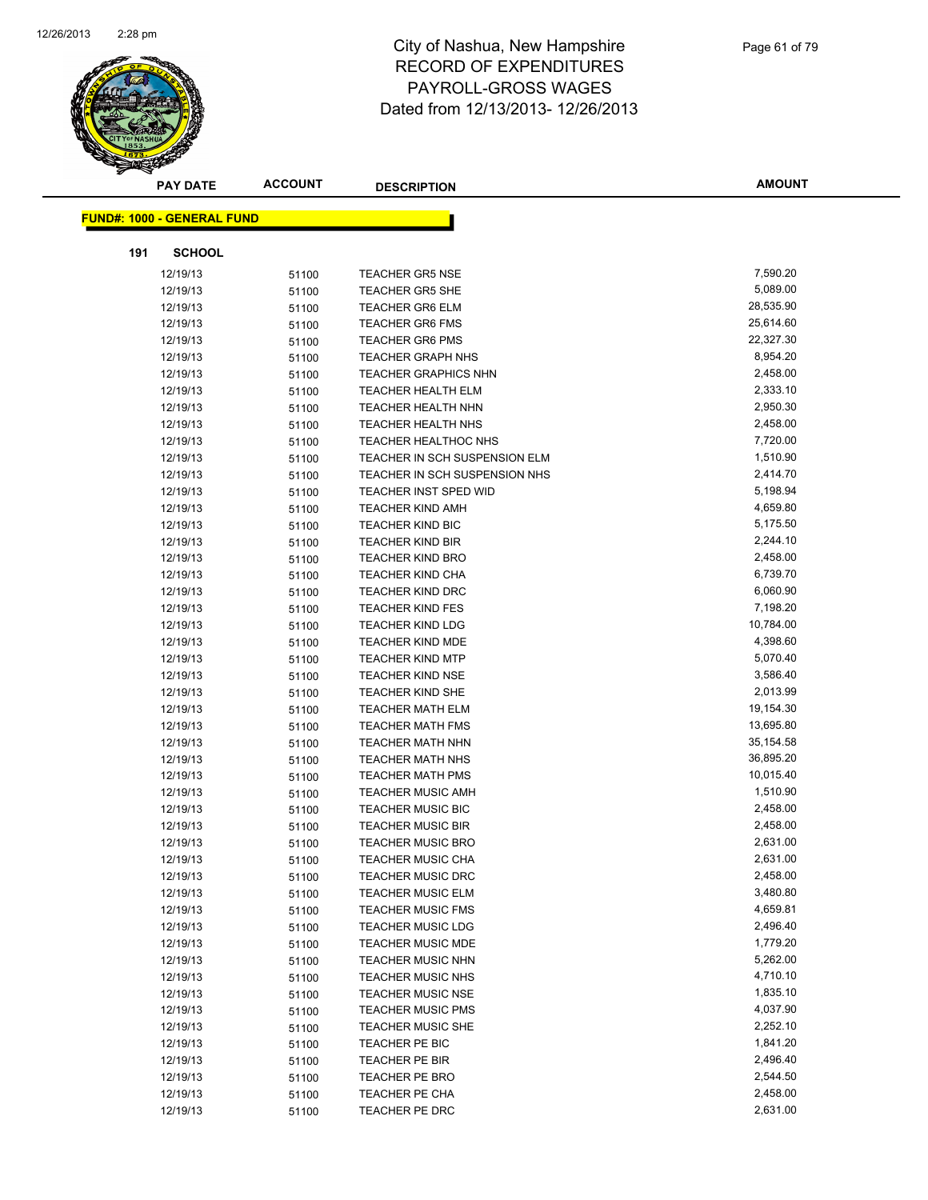

|     | <b>PAY DATE</b>                   | <b>ACCOUNT</b> | <b>DESCRIPTION</b>            | <b>AMOUNT</b> |
|-----|-----------------------------------|----------------|-------------------------------|---------------|
|     |                                   |                |                               |               |
|     | <b>FUND#: 1000 - GENERAL FUND</b> |                |                               |               |
| 191 | <b>SCHOOL</b>                     |                |                               |               |
|     | 12/19/13                          | 51100          | <b>TEACHER GR5 NSE</b>        | 7,590.20      |
|     | 12/19/13                          | 51100          | <b>TEACHER GR5 SHE</b>        | 5,089.00      |
|     | 12/19/13                          | 51100          | <b>TEACHER GR6 ELM</b>        | 28,535.90     |
|     | 12/19/13                          | 51100          | <b>TEACHER GR6 FMS</b>        | 25,614.60     |
|     | 12/19/13                          | 51100          | <b>TEACHER GR6 PMS</b>        | 22,327.30     |
|     | 12/19/13                          | 51100          | <b>TEACHER GRAPH NHS</b>      | 8,954.20      |
|     | 12/19/13                          | 51100          | <b>TEACHER GRAPHICS NHN</b>   | 2,458.00      |
|     | 12/19/13                          | 51100          | <b>TEACHER HEALTH ELM</b>     | 2,333.10      |
|     | 12/19/13                          | 51100          | <b>TEACHER HEALTH NHN</b>     | 2,950.30      |
|     | 12/19/13                          | 51100          | <b>TEACHER HEALTH NHS</b>     | 2,458.00      |
|     | 12/19/13                          | 51100          | <b>TEACHER HEALTHOC NHS</b>   | 7,720.00      |
|     | 12/19/13                          | 51100          | TEACHER IN SCH SUSPENSION ELM | 1,510.90      |
|     | 12/19/13                          | 51100          | TEACHER IN SCH SUSPENSION NHS | 2,414.70      |
|     | 12/19/13                          | 51100          | <b>TEACHER INST SPED WID</b>  | 5,198.94      |
|     | 12/19/13                          | 51100          | <b>TEACHER KIND AMH</b>       | 4,659.80      |
|     | 12/19/13                          | 51100          | TEACHER KIND BIC              | 5,175.50      |
|     | 12/19/13                          | 51100          | <b>TEACHER KIND BIR</b>       | 2,244.10      |
|     | 12/19/13                          | 51100          | <b>TEACHER KIND BRO</b>       | 2,458.00      |
|     | 12/19/13                          | 51100          | <b>TEACHER KIND CHA</b>       | 6,739.70      |
|     | 12/19/13                          | 51100          | <b>TEACHER KIND DRC</b>       | 6,060.90      |
|     | 12/19/13                          | 51100          | <b>TEACHER KIND FES</b>       | 7,198.20      |
|     | 12/19/13                          | 51100          | <b>TEACHER KIND LDG</b>       | 10,784.00     |
|     | 12/19/13                          | 51100          | <b>TEACHER KIND MDE</b>       | 4,398.60      |
|     | 12/19/13                          | 51100          | <b>TEACHER KIND MTP</b>       | 5,070.40      |
|     | 12/19/13                          | 51100          | <b>TEACHER KIND NSE</b>       | 3,586.40      |
|     | 12/19/13                          | 51100          | <b>TEACHER KIND SHE</b>       | 2,013.99      |
|     | 12/19/13                          | 51100          | <b>TEACHER MATH ELM</b>       | 19,154.30     |
|     | 12/19/13                          | 51100          | <b>TEACHER MATH FMS</b>       | 13,695.80     |
|     | 12/19/13                          | 51100          | <b>TEACHER MATH NHN</b>       | 35, 154. 58   |
|     | 12/19/13                          | 51100          | <b>TEACHER MATH NHS</b>       | 36,895.20     |
|     | 12/19/13                          | 51100          | <b>TEACHER MATH PMS</b>       | 10,015.40     |
|     | 12/19/13                          | 51100          | <b>TEACHER MUSIC AMH</b>      | 1,510.90      |
|     | 12/19/13                          | 51100          | <b>TEACHER MUSIC BIC</b>      | 2,458.00      |
|     | 12/19/13                          | 51100          | <b>TEACHER MUSIC BIR</b>      | 2,458.00      |
|     | 12/19/13                          | 51100          | <b>TEACHER MUSIC BRO</b>      | 2,631.00      |
|     | 12/19/13                          | 51100          | <b>TEACHER MUSIC CHA</b>      | 2,631.00      |
|     | 12/19/13                          | 51100          | <b>TEACHER MUSIC DRC</b>      | 2,458.00      |
|     | 12/19/13                          | 51100          | <b>TEACHER MUSIC ELM</b>      | 3,480.80      |
|     | 12/19/13                          | 51100          | <b>TEACHER MUSIC FMS</b>      | 4,659.81      |
|     | 12/19/13                          | 51100          | <b>TEACHER MUSIC LDG</b>      | 2,496.40      |
|     | 12/19/13                          | 51100          | <b>TEACHER MUSIC MDE</b>      | 1,779.20      |
|     | 12/19/13                          | 51100          | <b>TEACHER MUSIC NHN</b>      | 5,262.00      |
|     | 12/19/13                          | 51100          | <b>TEACHER MUSIC NHS</b>      | 4,710.10      |
|     | 12/19/13                          | 51100          | <b>TEACHER MUSIC NSE</b>      | 1,835.10      |
|     | 12/19/13                          | 51100          | <b>TEACHER MUSIC PMS</b>      | 4,037.90      |
|     | 12/19/13                          | 51100          | <b>TEACHER MUSIC SHE</b>      | 2,252.10      |
|     | 12/19/13                          | 51100          | TEACHER PE BIC                | 1,841.20      |
|     | 12/19/13                          | 51100          | TEACHER PE BIR                | 2,496.40      |
|     | 12/19/13                          | 51100          | TEACHER PE BRO                | 2,544.50      |
|     | 12/19/13                          | 51100          | TEACHER PE CHA                | 2,458.00      |
|     | 12/19/13                          | 51100          | TEACHER PE DRC                | 2,631.00      |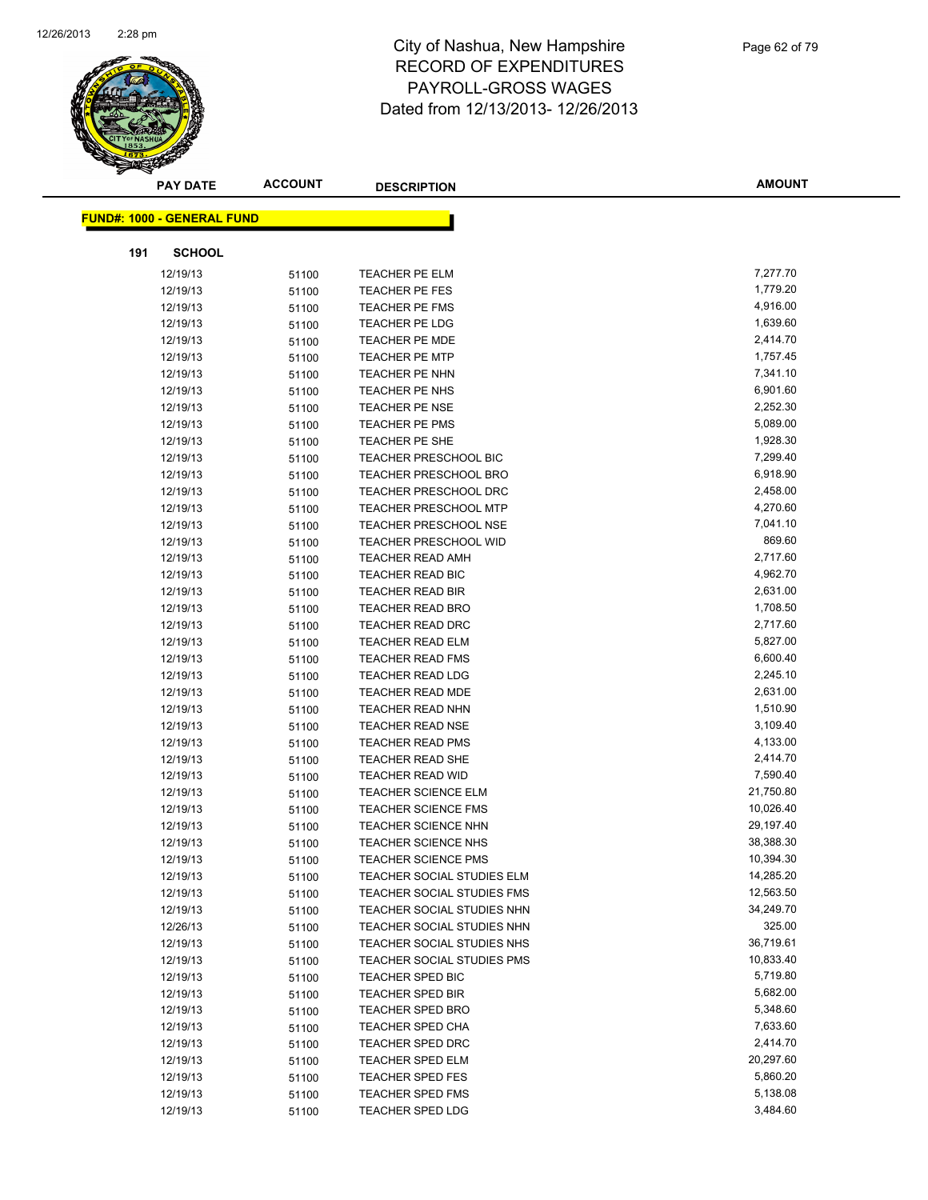

|     | <b>PAY DATE</b>                   | <b>ACCOUNT</b> | <b>DESCRIPTION</b>                | <b>AMOUNT</b> |
|-----|-----------------------------------|----------------|-----------------------------------|---------------|
|     | <b>FUND#: 1000 - GENERAL FUND</b> |                |                                   |               |
|     |                                   |                |                                   |               |
| 191 | <b>SCHOOL</b>                     |                |                                   |               |
|     | 12/19/13                          | 51100          | <b>TEACHER PE ELM</b>             | 7,277.70      |
|     | 12/19/13                          | 51100          | TEACHER PE FES                    | 1,779.20      |
|     | 12/19/13                          | 51100          | TEACHER PE FMS                    | 4,916.00      |
|     | 12/19/13                          | 51100          | <b>TEACHER PE LDG</b>             | 1,639.60      |
|     | 12/19/13                          | 51100          | <b>TEACHER PE MDE</b>             | 2,414.70      |
|     | 12/19/13                          | 51100          | <b>TEACHER PE MTP</b>             | 1,757.45      |
|     | 12/19/13                          | 51100          | TEACHER PE NHN                    | 7,341.10      |
|     | 12/19/13                          | 51100          | TEACHER PE NHS                    | 6,901.60      |
|     | 12/19/13                          | 51100          | <b>TEACHER PE NSE</b>             | 2,252.30      |
|     | 12/19/13                          | 51100          | <b>TEACHER PE PMS</b>             | 5,089.00      |
|     | 12/19/13                          | 51100          | TEACHER PE SHE                    | 1,928.30      |
|     | 12/19/13                          | 51100          | <b>TEACHER PRESCHOOL BIC</b>      | 7,299.40      |
|     | 12/19/13                          | 51100          | <b>TEACHER PRESCHOOL BRO</b>      | 6,918.90      |
|     | 12/19/13                          | 51100          | TEACHER PRESCHOOL DRC             | 2,458.00      |
|     | 12/19/13                          | 51100          | <b>TEACHER PRESCHOOL MTP</b>      | 4,270.60      |
|     | 12/19/13                          | 51100          | <b>TEACHER PRESCHOOL NSE</b>      | 7,041.10      |
|     | 12/19/13                          | 51100          | <b>TEACHER PRESCHOOL WID</b>      | 869.60        |
|     | 12/19/13                          | 51100          | <b>TEACHER READ AMH</b>           | 2,717.60      |
|     | 12/19/13                          | 51100          | TEACHER READ BIC                  | 4,962.70      |
|     | 12/19/13                          | 51100          | <b>TEACHER READ BIR</b>           | 2,631.00      |
|     | 12/19/13                          | 51100          | <b>TEACHER READ BRO</b>           | 1,708.50      |
|     | 12/19/13                          | 51100          | <b>TEACHER READ DRC</b>           | 2,717.60      |
|     | 12/19/13                          | 51100          | <b>TEACHER READ ELM</b>           | 5,827.00      |
|     | 12/19/13                          | 51100          | <b>TEACHER READ FMS</b>           | 6,600.40      |
|     | 12/19/13                          | 51100          | <b>TEACHER READ LDG</b>           | 2,245.10      |
|     | 12/19/13                          | 51100          | <b>TEACHER READ MDE</b>           | 2,631.00      |
|     | 12/19/13                          | 51100          | TEACHER READ NHN                  | 1,510.90      |
|     | 12/19/13                          | 51100          | <b>TEACHER READ NSE</b>           | 3,109.40      |
|     | 12/19/13                          | 51100          | <b>TEACHER READ PMS</b>           | 4,133.00      |
|     | 12/19/13                          | 51100          | <b>TEACHER READ SHE</b>           | 2,414.70      |
|     | 12/19/13                          | 51100          | <b>TEACHER READ WID</b>           | 7,590.40      |
|     | 12/19/13                          | 51100          | <b>TEACHER SCIENCE ELM</b>        | 21,750.80     |
|     | 12/19/13                          | 51100          | <b>TEACHER SCIENCE FMS</b>        | 10,026.40     |
|     | 12/19/13                          | 51100          | <b>TEACHER SCIENCE NHN</b>        | 29,197.40     |
|     | 12/19/13                          | 51100          | <b>TEACHER SCIENCE NHS</b>        | 38,388.30     |
|     | 12/19/13                          | 51100          | TEACHER SCIENCE PMS               | 10,394.30     |
|     | 12/19/13                          | 51100          | TEACHER SOCIAL STUDIES ELM        | 14,285.20     |
|     | 12/19/13                          | 51100          | <b>TEACHER SOCIAL STUDIES FMS</b> | 12,563.50     |
|     | 12/19/13                          | 51100          | TEACHER SOCIAL STUDIES NHN        | 34,249.70     |
|     | 12/26/13                          | 51100          | TEACHER SOCIAL STUDIES NHN        | 325.00        |
|     | 12/19/13                          | 51100          | TEACHER SOCIAL STUDIES NHS        | 36,719.61     |
|     | 12/19/13                          | 51100          | TEACHER SOCIAL STUDIES PMS        | 10,833.40     |
|     | 12/19/13                          | 51100          | <b>TEACHER SPED BIC</b>           | 5,719.80      |
|     | 12/19/13                          | 51100          | TEACHER SPED BIR                  | 5,682.00      |
|     | 12/19/13                          | 51100          | <b>TEACHER SPED BRO</b>           | 5,348.60      |
|     | 12/19/13                          | 51100          | <b>TEACHER SPED CHA</b>           | 7,633.60      |
|     | 12/19/13                          | 51100          | <b>TEACHER SPED DRC</b>           | 2,414.70      |
|     | 12/19/13                          | 51100          | <b>TEACHER SPED ELM</b>           | 20,297.60     |
|     | 12/19/13                          | 51100          | <b>TEACHER SPED FES</b>           | 5,860.20      |
|     | 12/19/13                          | 51100          | <b>TEACHER SPED FMS</b>           | 5,138.08      |
|     | 12/19/13                          | 51100          | TEACHER SPED LDG                  | 3,484.60      |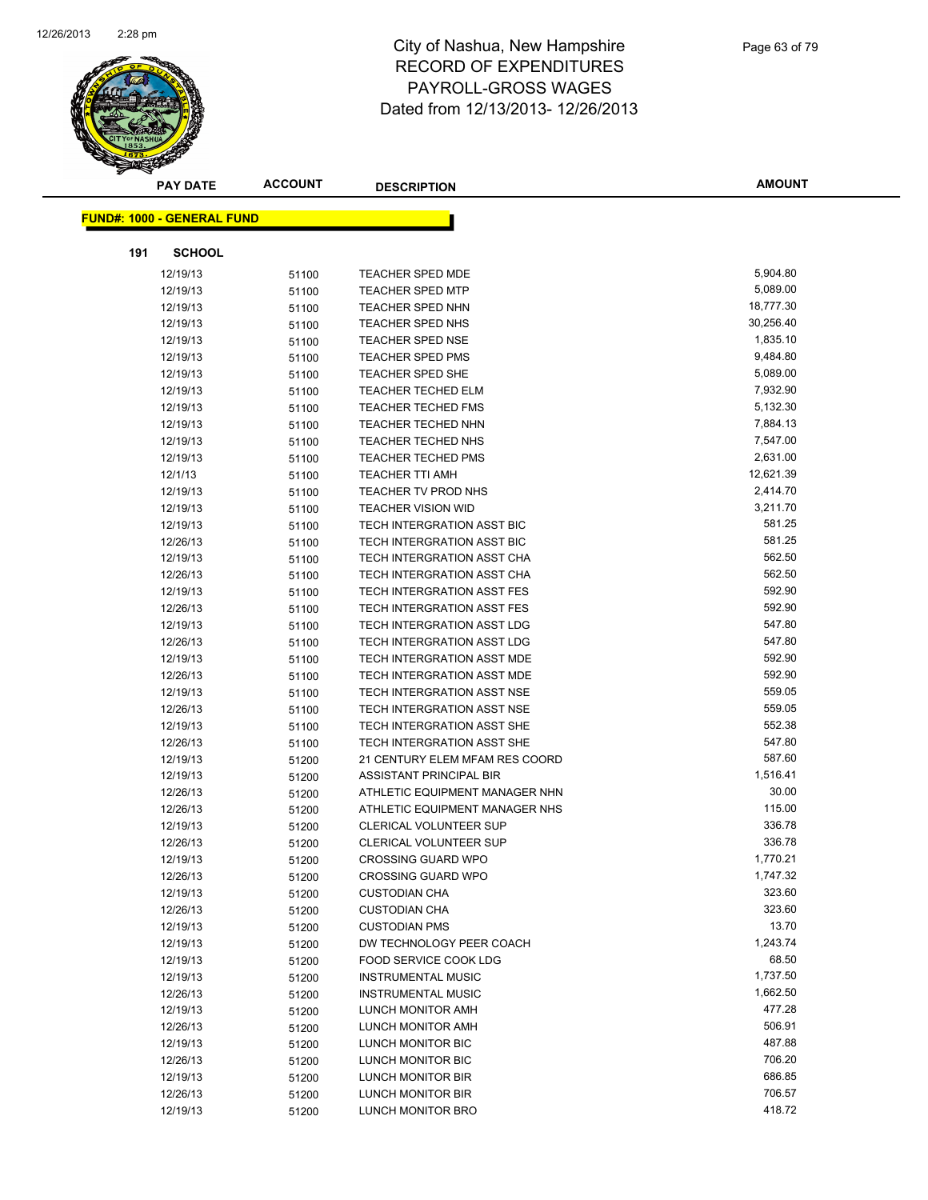

|     | <b>PAY DATE</b>                   | <b>ACCOUNT</b> | <b>DESCRIPTION</b>                     | <b>AMOUNT</b>    |
|-----|-----------------------------------|----------------|----------------------------------------|------------------|
|     |                                   |                |                                        |                  |
|     | <b>FUND#: 1000 - GENERAL FUND</b> |                |                                        |                  |
| 191 | <b>SCHOOL</b>                     |                |                                        |                  |
|     | 12/19/13                          | 51100          | <b>TEACHER SPED MDE</b>                | 5,904.80         |
|     | 12/19/13                          | 51100          | <b>TEACHER SPED MTP</b>                | 5,089.00         |
|     | 12/19/13                          | 51100          | <b>TEACHER SPED NHN</b>                | 18,777.30        |
|     | 12/19/13                          | 51100          | TEACHER SPED NHS                       | 30,256.40        |
|     | 12/19/13                          | 51100          | <b>TEACHER SPED NSE</b>                | 1,835.10         |
|     | 12/19/13                          | 51100          | <b>TEACHER SPED PMS</b>                | 9,484.80         |
|     | 12/19/13                          | 51100          | TEACHER SPED SHE                       | 5,089.00         |
|     | 12/19/13                          | 51100          | <b>TEACHER TECHED ELM</b>              | 7,932.90         |
|     | 12/19/13                          | 51100          | <b>TEACHER TECHED FMS</b>              | 5,132.30         |
|     | 12/19/13                          | 51100          | <b>TEACHER TECHED NHN</b>              | 7,884.13         |
|     | 12/19/13                          | 51100          | <b>TEACHER TECHED NHS</b>              | 7,547.00         |
|     | 12/19/13                          | 51100          | <b>TEACHER TECHED PMS</b>              | 2,631.00         |
|     | 12/1/13                           | 51100          | <b>TEACHER TTI AMH</b>                 | 12,621.39        |
|     | 12/19/13                          | 51100          | TEACHER TV PROD NHS                    | 2,414.70         |
|     | 12/19/13                          | 51100          | <b>TEACHER VISION WID</b>              | 3,211.70         |
|     | 12/19/13                          | 51100          | TECH INTERGRATION ASST BIC             | 581.25           |
|     | 12/26/13                          | 51100          | TECH INTERGRATION ASST BIC             | 581.25           |
|     | 12/19/13                          | 51100          | TECH INTERGRATION ASST CHA             | 562.50           |
|     | 12/26/13                          | 51100          | TECH INTERGRATION ASST CHA             | 562.50           |
|     | 12/19/13                          | 51100          | TECH INTERGRATION ASST FES             | 592.90           |
|     | 12/26/13                          | 51100          | TECH INTERGRATION ASST FES             | 592.90           |
|     | 12/19/13                          | 51100          | TECH INTERGRATION ASST LDG             | 547.80           |
|     | 12/26/13                          | 51100          | TECH INTERGRATION ASST LDG             | 547.80           |
|     | 12/19/13                          | 51100          | TECH INTERGRATION ASST MDE             | 592.90           |
|     | 12/26/13                          | 51100          | TECH INTERGRATION ASST MDE             | 592.90           |
|     | 12/19/13                          | 51100          | TECH INTERGRATION ASST NSE             | 559.05           |
|     | 12/26/13                          | 51100          | TECH INTERGRATION ASST NSE             | 559.05           |
|     | 12/19/13                          | 51100          | TECH INTERGRATION ASST SHE             | 552.38           |
|     | 12/26/13                          | 51100          | TECH INTERGRATION ASST SHE             | 547.80           |
|     | 12/19/13                          | 51200          | 21 CENTURY ELEM MFAM RES COORD         | 587.60           |
|     | 12/19/13                          | 51200          | ASSISTANT PRINCIPAL BIR                | 1,516.41         |
|     | 12/26/13                          | 51200          | ATHLETIC EQUIPMENT MANAGER NHN         | 30.00            |
|     | 12/26/13                          | 51200          | ATHLETIC EQUIPMENT MANAGER NHS         | 115.00           |
|     | 12/19/13                          | 51200          | CLERICAL VOLUNTEER SUP                 | 336.78           |
|     | 12/26/13                          | 51200          | <b>CLERICAL VOLUNTEER SUP</b>          | 336.78           |
|     | 12/19/13                          | 51200          | <b>CROSSING GUARD WPO</b>              | 1,770.21         |
|     | 12/26/13                          | 51200          | <b>CROSSING GUARD WPO</b>              | 1,747.32         |
|     | 12/19/13                          | 51200          | <b>CUSTODIAN CHA</b>                   | 323.60           |
|     | 12/26/13                          | 51200          | <b>CUSTODIAN CHA</b>                   | 323.60           |
|     | 12/19/13                          | 51200          | <b>CUSTODIAN PMS</b>                   | 13.70            |
|     | 12/19/13                          | 51200          | DW TECHNOLOGY PEER COACH               | 1,243.74         |
|     | 12/19/13                          | 51200          | FOOD SERVICE COOK LDG                  | 68.50            |
|     | 12/19/13                          | 51200          | <b>INSTRUMENTAL MUSIC</b>              | 1,737.50         |
|     | 12/26/13                          | 51200          | <b>INSTRUMENTAL MUSIC</b>              | 1,662.50         |
|     | 12/19/13                          | 51200          | LUNCH MONITOR AMH                      | 477.28           |
|     | 12/26/13                          | 51200          | LUNCH MONITOR AMH                      | 506.91           |
|     | 12/19/13                          | 51200          | LUNCH MONITOR BIC                      | 487.88<br>706.20 |
|     | 12/26/13                          | 51200          | LUNCH MONITOR BIC                      |                  |
|     | 12/19/13                          | 51200          | LUNCH MONITOR BIR                      | 686.85<br>706.57 |
|     | 12/26/13<br>12/19/13              | 51200<br>51200 | LUNCH MONITOR BIR<br>LUNCH MONITOR BRO | 418.72           |
|     |                                   |                |                                        |                  |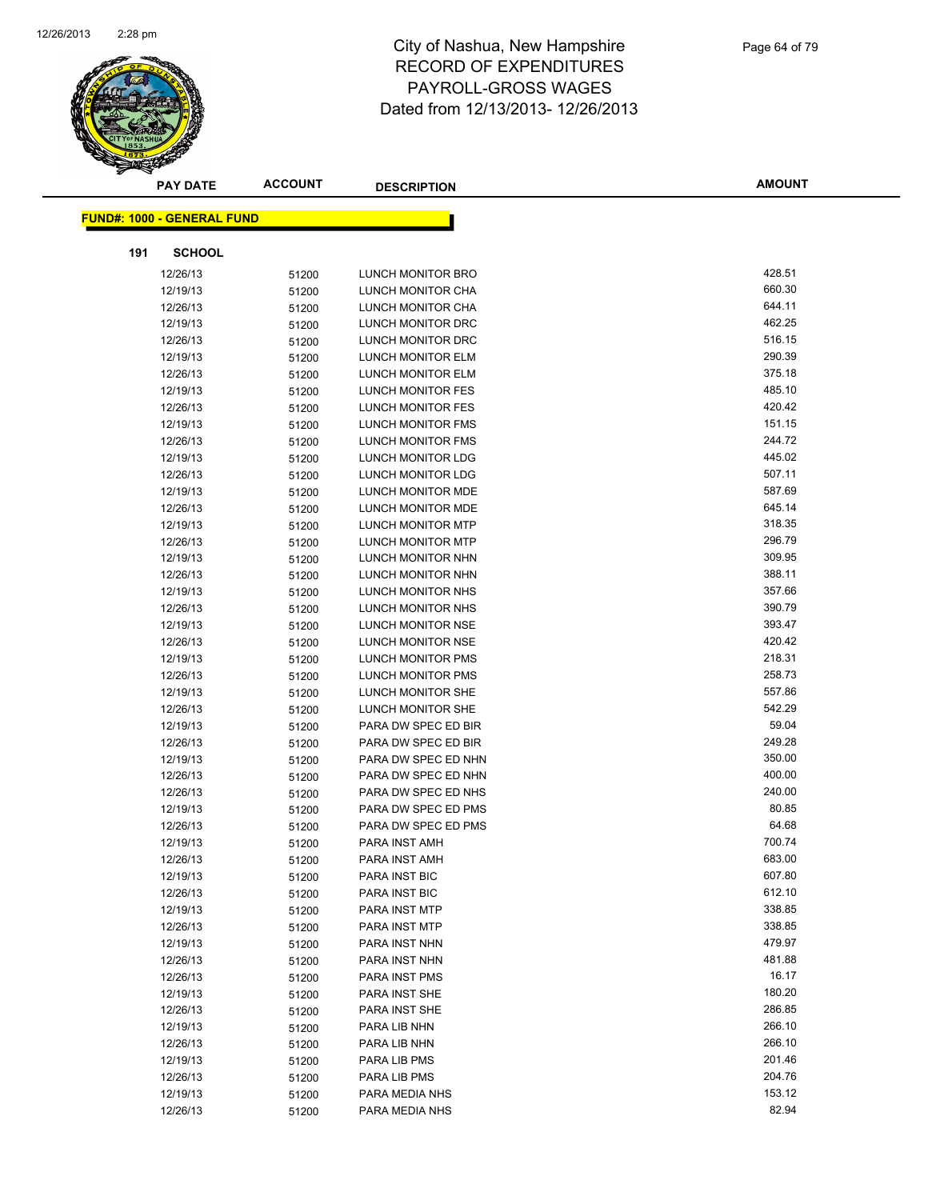

| <b>PAY DATE</b>                   | <b>ACCOUNT</b> | <b>DESCRIPTION</b>       | <b>AMOUNT</b> |
|-----------------------------------|----------------|--------------------------|---------------|
| <b>FUND#: 1000 - GENERAL FUND</b> |                |                          |               |
|                                   |                |                          |               |
| 191                               | <b>SCHOOL</b>  |                          |               |
| 12/26/13                          | 51200          | <b>LUNCH MONITOR BRO</b> | 428.51        |
| 12/19/13                          | 51200          | LUNCH MONITOR CHA        | 660.30        |
| 12/26/13                          | 51200          | LUNCH MONITOR CHA        | 644.11        |
| 12/19/13                          | 51200          | LUNCH MONITOR DRC        | 462.25        |
| 12/26/13                          | 51200          | LUNCH MONITOR DRC        | 516.15        |
| 12/19/13                          | 51200          | <b>LUNCH MONITOR ELM</b> | 290.39        |
| 12/26/13                          | 51200          | <b>LUNCH MONITOR ELM</b> | 375.18        |
| 12/19/13                          | 51200          | LUNCH MONITOR FES        | 485.10        |
| 12/26/13                          | 51200          | LUNCH MONITOR FES        | 420.42        |
| 12/19/13                          | 51200          | LUNCH MONITOR FMS        | 151.15        |
| 12/26/13                          | 51200          | LUNCH MONITOR FMS        | 244.72        |
| 12/19/13                          | 51200          | <b>LUNCH MONITOR LDG</b> | 445.02        |
| 12/26/13                          | 51200          | <b>LUNCH MONITOR LDG</b> | 507.11        |
| 12/19/13                          | 51200          | LUNCH MONITOR MDE        | 587.69        |
| 12/26/13                          | 51200          | <b>LUNCH MONITOR MDE</b> | 645.14        |
| 12/19/13                          | 51200          | <b>LUNCH MONITOR MTP</b> | 318.35        |
| 12/26/13                          | 51200          | LUNCH MONITOR MTP        | 296.79        |
| 12/19/13                          | 51200          | LUNCH MONITOR NHN        | 309.95        |
| 12/26/13                          | 51200          | LUNCH MONITOR NHN        | 388.11        |
| 12/19/13                          | 51200          | LUNCH MONITOR NHS        | 357.66        |
| 12/26/13                          | 51200          | LUNCH MONITOR NHS        | 390.79        |
| 12/19/13                          | 51200          | LUNCH MONITOR NSE        | 393.47        |
| 12/26/13                          | 51200          | LUNCH MONITOR NSE        | 420.42        |
| 12/19/13                          | 51200          | LUNCH MONITOR PMS        | 218.31        |
| 12/26/13                          | 51200          | LUNCH MONITOR PMS        | 258.73        |
| 12/19/13                          | 51200          | LUNCH MONITOR SHE        | 557.86        |
| 12/26/13                          | 51200          | LUNCH MONITOR SHE        | 542.29        |
| 12/19/13                          | 51200          | PARA DW SPEC ED BIR      | 59.04         |
| 12/26/13                          | 51200          | PARA DW SPEC ED BIR      | 249.28        |
| 12/19/13                          | 51200          | PARA DW SPEC ED NHN      | 350.00        |
| 12/26/13                          | 51200          | PARA DW SPEC ED NHN      | 400.00        |
| 12/26/13                          | 51200          | PARA DW SPEC ED NHS      | 240.00        |
| 12/19/13                          | 51200          | PARA DW SPEC ED PMS      | 80.85         |
| 12/26/13                          | 51200          | PARA DW SPEC ED PMS      | 64.68         |
| 12/19/13                          | 51200          | PARA INST AMH            | 700.74        |
| 12/26/13                          | 51200          | PARA INST AMH            | 683.00        |
| 12/19/13                          | 51200          | PARA INST BIC            | 607.80        |
| 12/26/13                          | 51200          | PARA INST BIC            | 612.10        |
| 12/19/13                          | 51200          | PARA INST MTP            | 338.85        |
| 12/26/13                          | 51200          | PARA INST MTP            | 338.85        |
| 12/19/13                          | 51200          | PARA INST NHN            | 479.97        |
| 12/26/13                          | 51200          | PARA INST NHN            | 481.88        |
| 12/26/13                          | 51200          | PARA INST PMS            | 16.17         |
| 12/19/13                          | 51200          | PARA INST SHE            | 180.20        |
| 12/26/13                          | 51200          | PARA INST SHE            | 286.85        |
| 12/19/13                          | 51200          | PARA LIB NHN             | 266.10        |
| 12/26/13                          | 51200          | PARA LIB NHN             | 266.10        |
| 12/19/13                          | 51200          | PARA LIB PMS             | 201.46        |
| 12/26/13                          | 51200          | PARA LIB PMS             | 204.76        |
| 12/19/13                          | 51200          | PARA MEDIA NHS           | 153.12        |
| 12/26/13                          | 51200          | PARA MEDIA NHS           | 82.94         |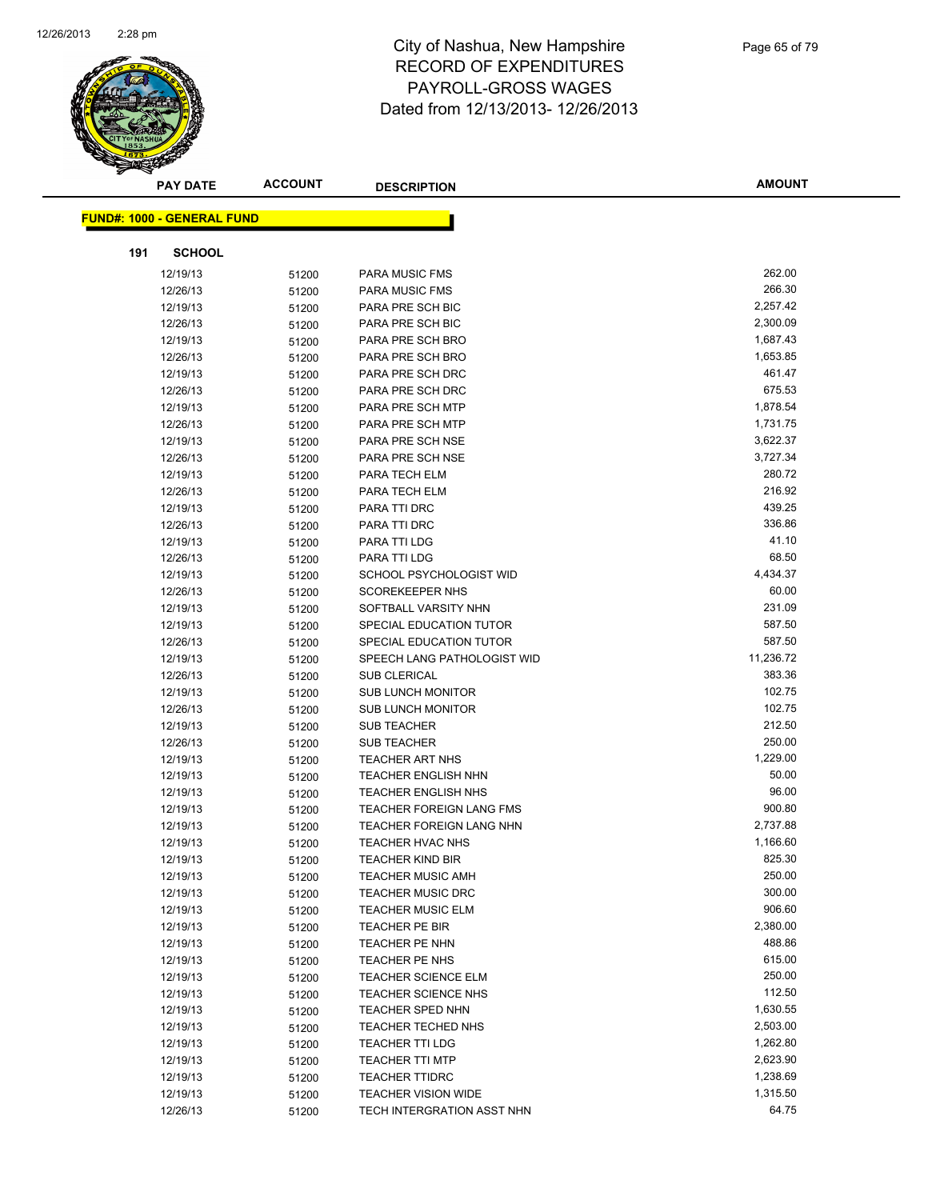

| <b>PAY DATE</b>                   | <b>ACCOUNT</b> | <b>DESCRIPTION</b>              | <b>AMOUNT</b> |
|-----------------------------------|----------------|---------------------------------|---------------|
|                                   |                |                                 |               |
| <b>FUND#: 1000 - GENERAL FUND</b> |                |                                 |               |
| 191<br><b>SCHOOL</b>              |                |                                 |               |
| 12/19/13                          | 51200          | <b>PARA MUSIC FMS</b>           | 262.00        |
| 12/26/13                          | 51200          | PARA MUSIC FMS                  | 266.30        |
| 12/19/13                          | 51200          | PARA PRE SCH BIC                | 2,257.42      |
| 12/26/13                          | 51200          | PARA PRE SCH BIC                | 2,300.09      |
| 12/19/13                          | 51200          | PARA PRE SCH BRO                | 1,687.43      |
| 12/26/13                          | 51200          | PARA PRE SCH BRO                | 1,653.85      |
| 12/19/13                          | 51200          | PARA PRE SCH DRC                | 461.47        |
| 12/26/13                          | 51200          | PARA PRE SCH DRC                | 675.53        |
| 12/19/13                          | 51200          | PARA PRE SCH MTP                | 1,878.54      |
| 12/26/13                          | 51200          | PARA PRE SCH MTP                | 1,731.75      |
| 12/19/13                          | 51200          | PARA PRE SCH NSE                | 3,622.37      |
| 12/26/13                          | 51200          | PARA PRE SCH NSE                | 3,727.34      |
| 12/19/13                          | 51200          | PARA TECH ELM                   | 280.72        |
| 12/26/13                          | 51200          | PARA TECH ELM                   | 216.92        |
| 12/19/13                          | 51200          | PARA TTI DRC                    | 439.25        |
| 12/26/13                          | 51200          | PARA TTI DRC                    | 336.86        |
| 12/19/13                          | 51200          | PARA TTI LDG                    | 41.10         |
| 12/26/13                          | 51200          | PARA TTI LDG                    | 68.50         |
| 12/19/13                          | 51200          | SCHOOL PSYCHOLOGIST WID         | 4,434.37      |
| 12/26/13                          | 51200          | <b>SCOREKEEPER NHS</b>          | 60.00         |
| 12/19/13                          | 51200          | SOFTBALL VARSITY NHN            | 231.09        |
| 12/19/13                          | 51200          | SPECIAL EDUCATION TUTOR         | 587.50        |
| 12/26/13                          | 51200          | SPECIAL EDUCATION TUTOR         | 587.50        |
| 12/19/13                          | 51200          | SPEECH LANG PATHOLOGIST WID     | 11,236.72     |
| 12/26/13                          | 51200          | <b>SUB CLERICAL</b>             | 383.36        |
| 12/19/13                          | 51200          | <b>SUB LUNCH MONITOR</b>        | 102.75        |
| 12/26/13                          | 51200          | <b>SUB LUNCH MONITOR</b>        | 102.75        |
| 12/19/13                          | 51200          | <b>SUB TEACHER</b>              | 212.50        |
| 12/26/13                          | 51200          | <b>SUB TEACHER</b>              | 250.00        |
| 12/19/13                          | 51200          | <b>TEACHER ART NHS</b>          | 1,229.00      |
| 12/19/13                          | 51200          | <b>TEACHER ENGLISH NHN</b>      | 50.00         |
| 12/19/13                          | 51200          | <b>TEACHER ENGLISH NHS</b>      | 96.00         |
| 12/19/13                          | 51200          | <b>TEACHER FOREIGN LANG FMS</b> | 900.80        |
| 12/19/13                          | 51200          | TEACHER FOREIGN LANG NHN        | 2,737.88      |
| 12/19/13                          | 51200          | <b>TEACHER HVAC NHS</b>         | 1,166.60      |
| 12/19/13                          | 51200          | TEACHER KIND BIR                | 825.30        |
| 12/19/13                          | 51200          | <b>TEACHER MUSIC AMH</b>        | 250.00        |
| 12/19/13                          | 51200          | TEACHER MUSIC DRC               | 300.00        |
| 12/19/13                          | 51200          | <b>TEACHER MUSIC ELM</b>        | 906.60        |
| 12/19/13                          | 51200          | TEACHER PE BIR                  | 2,380.00      |
| 12/19/13                          | 51200          | TEACHER PE NHN                  | 488.86        |
| 12/19/13                          | 51200          | TEACHER PE NHS                  | 615.00        |
| 12/19/13                          | 51200          | TEACHER SCIENCE ELM             | 250.00        |
| 12/19/13                          | 51200          | TEACHER SCIENCE NHS             | 112.50        |
| 12/19/13                          | 51200          | <b>TEACHER SPED NHN</b>         | 1,630.55      |
| 12/19/13                          | 51200          | TEACHER TECHED NHS              | 2,503.00      |
| 12/19/13                          | 51200          | <b>TEACHER TTI LDG</b>          | 1,262.80      |
| 12/19/13                          | 51200          | <b>TEACHER TTI MTP</b>          | 2,623.90      |
| 12/19/13                          | 51200          | <b>TEACHER TTIDRC</b>           | 1,238.69      |
| 12/19/13                          | 51200          | <b>TEACHER VISION WIDE</b>      | 1,315.50      |
| 12/26/13                          | 51200          | TECH INTERGRATION ASST NHN      | 64.75         |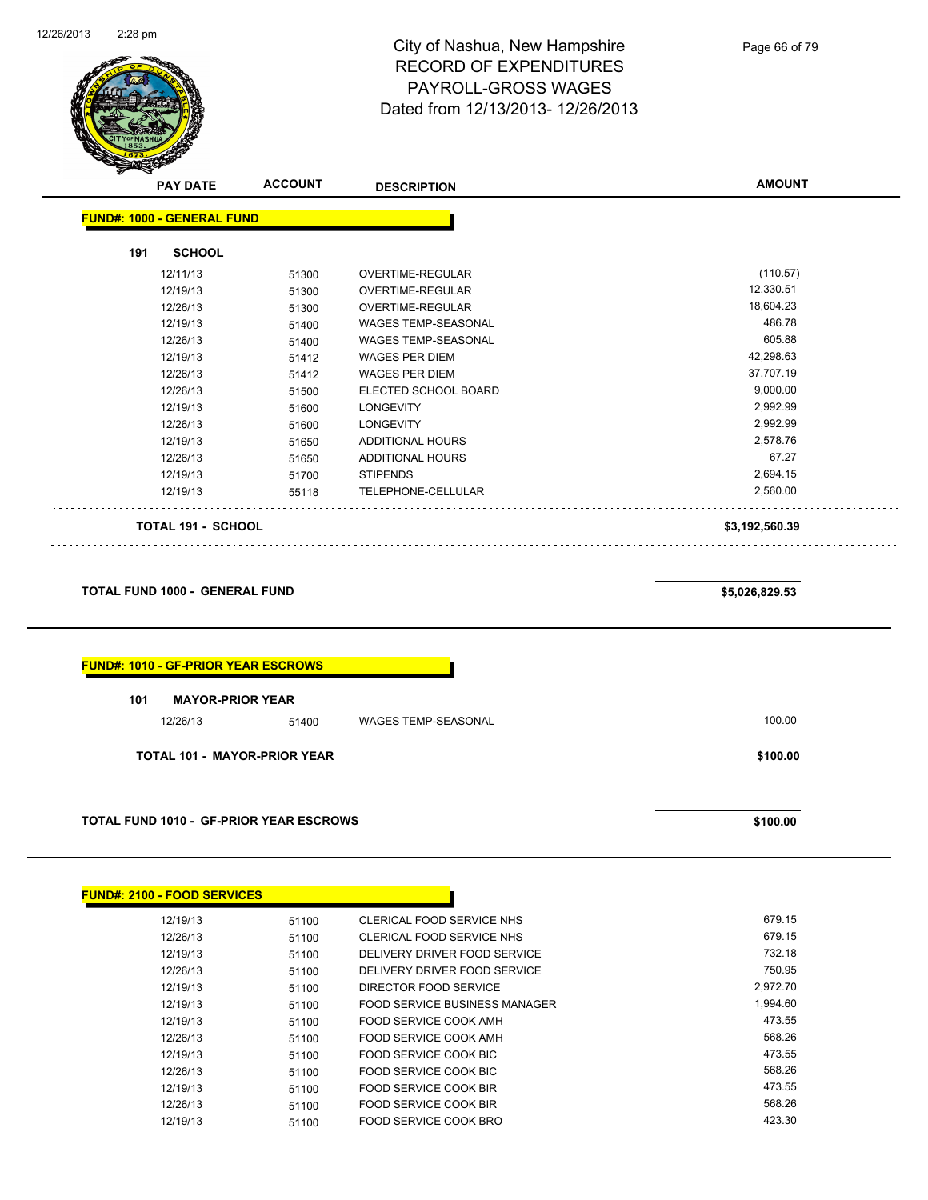

| <b>PAY DATE</b> | <b>ACCOUNT</b> | <b>DESCRIPTION</b>                                             | <b>AMOUNT</b>  |
|-----------------|----------------|----------------------------------------------------------------|----------------|
|                 |                |                                                                |                |
| <b>SCHOOL</b>   |                |                                                                |                |
| 12/11/13        | 51300          | <b>OVERTIME-REGULAR</b>                                        | (110.57)       |
| 12/19/13        | 51300          | OVERTIME-REGULAR                                               | 12,330.51      |
| 12/26/13        | 51300          | <b>OVERTIME-REGULAR</b>                                        | 18,604.23      |
| 12/19/13        | 51400          | <b>WAGES TEMP-SEASONAL</b>                                     | 486.78         |
| 12/26/13        | 51400          | WAGES TEMP-SEASONAL                                            | 605.88         |
| 12/19/13        | 51412          | <b>WAGES PER DIEM</b>                                          | 42,298.63      |
| 12/26/13        | 51412          | <b>WAGES PER DIEM</b>                                          | 37,707.19      |
| 12/26/13        | 51500          | ELECTED SCHOOL BOARD                                           | 9,000.00       |
| 12/19/13        | 51600          | <b>LONGEVITY</b>                                               | 2,992.99       |
| 12/26/13        | 51600          | <b>LONGEVITY</b>                                               | 2,992.99       |
| 12/19/13        | 51650          | ADDITIONAL HOURS                                               | 2,578.76       |
| 12/26/13        | 51650          | ADDITIONAL HOURS                                               | 67.27          |
| 12/19/13        | 51700          | <b>STIPENDS</b>                                                | 2,694.15       |
| 12/19/13        | 55118          | TELEPHONE-CELLULAR                                             | 2,560.00       |
|                 |                |                                                                | \$3,192,560.39 |
|                 | 191            | <b>FUND#: 1000 - GENERAL FUND</b><br><b>TOTAL 191 - SCHOOL</b> |                |

**TOTAL FUND 1000 - GENERAL FUND \$5,026,829.53** 

|     | <b>FUND#: 1010 - GF-PRIOR YEAR ESCROWS</b> |       |                            |        |
|-----|--------------------------------------------|-------|----------------------------|--------|
| 101 | <b>MAYOR-PRIOR YEAR</b><br>12/26/13        | 51400 | <b>WAGES TEMP-SEASONAL</b> | 100.00 |
|     |                                            |       |                            |        |

**TOTAL FUND 1010 - GF-PRIOR YEAR ESCROWS \$100.00** 

| <b>FUND#: 2100 - FOOD SERVICES</b> |       |                               |          |
|------------------------------------|-------|-------------------------------|----------|
| 12/19/13                           | 51100 | CLERICAL FOOD SERVICE NHS     | 679.15   |
| 12/26/13                           | 51100 | CLERICAL FOOD SERVICE NHS     | 679.15   |
| 12/19/13                           | 51100 | DELIVERY DRIVER FOOD SERVICE  | 732.18   |
| 12/26/13                           | 51100 | DELIVERY DRIVER FOOD SERVICE  | 750.95   |
| 12/19/13                           | 51100 | DIRECTOR FOOD SERVICE         | 2.972.70 |
| 12/19/13                           | 51100 | FOOD SERVICE BUSINESS MANAGER | 1,994.60 |
| 12/19/13                           | 51100 | FOOD SERVICE COOK AMH         | 473.55   |
| 12/26/13                           | 51100 | FOOD SERVICE COOK AMH         | 568.26   |
| 12/19/13                           | 51100 | FOOD SERVICE COOK BIC         | 473.55   |
| 12/26/13                           | 51100 | FOOD SERVICE COOK BIC         | 568.26   |
| 12/19/13                           | 51100 | FOOD SERVICE COOK BIR         | 473.55   |
| 12/26/13                           | 51100 | FOOD SERVICE COOK BIR         | 568.26   |
| 12/19/13                           | 51100 | FOOD SERVICE COOK BRO         | 423.30   |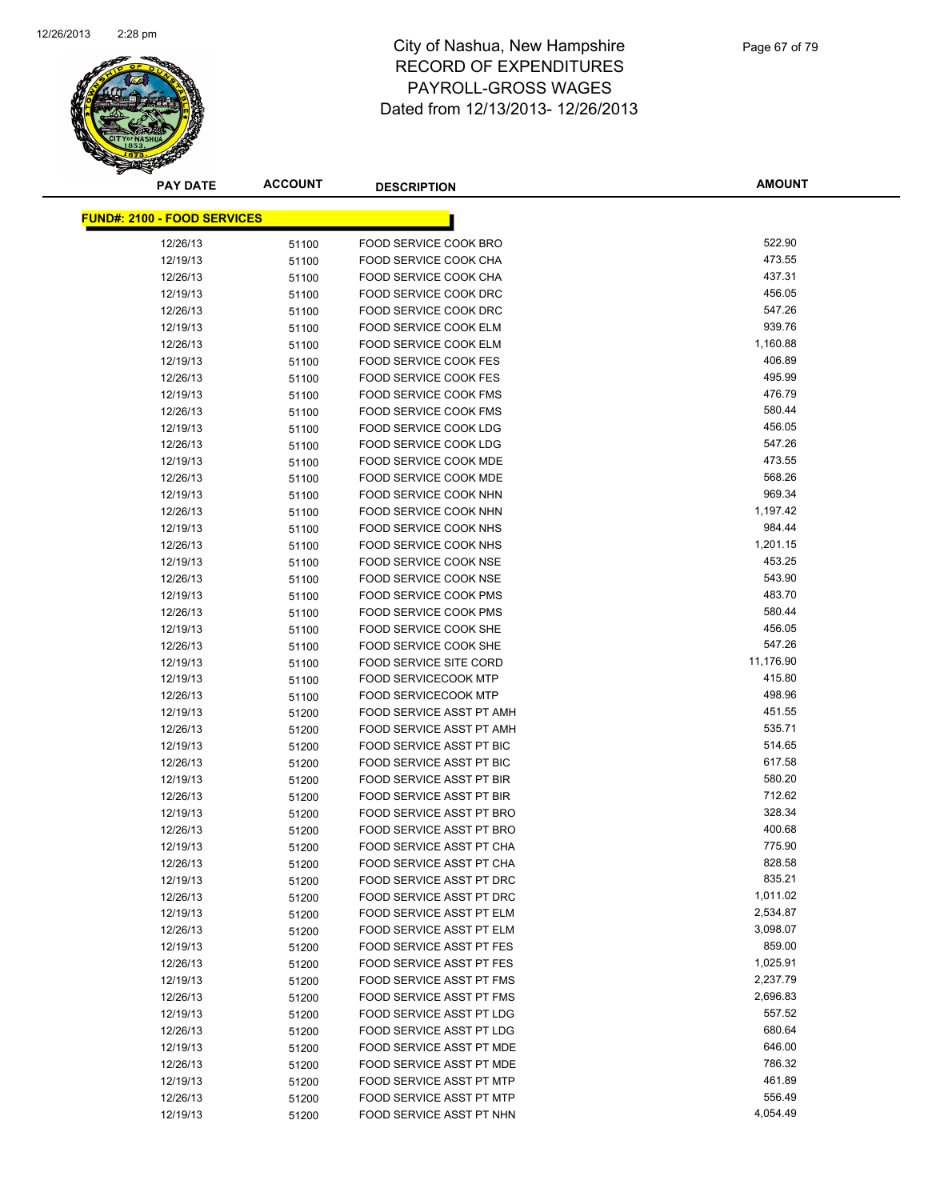

| <b>PAY DATE</b>                    | <b>ACCOUNT</b> | <b>DESCRIPTION</b>              | <b>AMOUNT</b> |
|------------------------------------|----------------|---------------------------------|---------------|
| <b>FUND#: 2100 - FOOD SERVICES</b> |                |                                 |               |
|                                    |                |                                 |               |
| 12/26/13                           | 51100          | FOOD SERVICE COOK BRO           | 522.90        |
| 12/19/13                           | 51100          | FOOD SERVICE COOK CHA           | 473.55        |
| 12/26/13                           | 51100          | FOOD SERVICE COOK CHA           | 437.31        |
| 12/19/13                           | 51100          | FOOD SERVICE COOK DRC           | 456.05        |
| 12/26/13                           | 51100          | FOOD SERVICE COOK DRC           | 547.26        |
| 12/19/13                           | 51100          | FOOD SERVICE COOK ELM           | 939.76        |
| 12/26/13                           | 51100          | <b>FOOD SERVICE COOK ELM</b>    | 1,160.88      |
| 12/19/13                           | 51100          | <b>FOOD SERVICE COOK FES</b>    | 406.89        |
| 12/26/13                           | 51100          | <b>FOOD SERVICE COOK FES</b>    | 495.99        |
| 12/19/13                           | 51100          | <b>FOOD SERVICE COOK FMS</b>    | 476.79        |
| 12/26/13                           | 51100          | <b>FOOD SERVICE COOK FMS</b>    | 580.44        |
| 12/19/13                           | 51100          | <b>FOOD SERVICE COOK LDG</b>    | 456.05        |
| 12/26/13                           | 51100          | <b>FOOD SERVICE COOK LDG</b>    | 547.26        |
| 12/19/13                           | 51100          | FOOD SERVICE COOK MDE           | 473.55        |
| 12/26/13                           | 51100          | FOOD SERVICE COOK MDE           | 568.26        |
| 12/19/13                           | 51100          | FOOD SERVICE COOK NHN           | 969.34        |
| 12/26/13                           | 51100          | FOOD SERVICE COOK NHN           | 1,197.42      |
| 12/19/13                           | 51100          | FOOD SERVICE COOK NHS           | 984.44        |
| 12/26/13                           | 51100          | <b>FOOD SERVICE COOK NHS</b>    | 1,201.15      |
| 12/19/13                           | 51100          | FOOD SERVICE COOK NSE           | 453.25        |
| 12/26/13                           | 51100          | <b>FOOD SERVICE COOK NSE</b>    | 543.90        |
| 12/19/13                           | 51100          | <b>FOOD SERVICE COOK PMS</b>    | 483.70        |
| 12/26/13                           | 51100          | <b>FOOD SERVICE COOK PMS</b>    | 580.44        |
| 12/19/13                           | 51100          | FOOD SERVICE COOK SHE           | 456.05        |
| 12/26/13                           | 51100          | FOOD SERVICE COOK SHE           | 547.26        |
| 12/19/13                           | 51100          | <b>FOOD SERVICE SITE CORD</b>   | 11,176.90     |
| 12/19/13                           | 51100          | <b>FOOD SERVICECOOK MTP</b>     | 415.80        |
| 12/26/13                           | 51100          | <b>FOOD SERVICECOOK MTP</b>     | 498.96        |
| 12/19/13                           | 51200          | FOOD SERVICE ASST PT AMH        | 451.55        |
| 12/26/13                           | 51200          | FOOD SERVICE ASST PT AMH        | 535.71        |
| 12/19/13                           | 51200          | FOOD SERVICE ASST PT BIC        | 514.65        |
| 12/26/13                           | 51200          | FOOD SERVICE ASST PT BIC        | 617.58        |
| 12/19/13                           | 51200          | FOOD SERVICE ASST PT BIR        | 580.20        |
| 12/26/13                           | 51200          | <b>FOOD SERVICE ASST PT BIR</b> | 712.62        |
| 12/19/13                           | 51200          | FOOD SERVICE ASST PT BRO        | 328.34        |
| 12/26/13                           | 51200          | FOOD SERVICE ASST PT BRO        | 400.68        |
| 12/19/13                           | 51200          | FOOD SERVICE ASST PT CHA        | 775.90        |
| 12/26/13                           | 51200          | FOOD SERVICE ASST PT CHA        | 828.58        |
| 12/19/13                           | 51200          | FOOD SERVICE ASST PT DRC        | 835.21        |
| 12/26/13                           | 51200          | FOOD SERVICE ASST PT DRC        | 1,011.02      |
| 12/19/13                           | 51200          | FOOD SERVICE ASST PT ELM        | 2,534.87      |
| 12/26/13                           | 51200          | FOOD SERVICE ASST PT ELM        | 3,098.07      |
| 12/19/13                           | 51200          | <b>FOOD SERVICE ASST PT FES</b> | 859.00        |
| 12/26/13                           | 51200          | FOOD SERVICE ASST PT FES        | 1,025.91      |
| 12/19/13                           | 51200          | FOOD SERVICE ASST PT FMS        | 2,237.79      |
| 12/26/13                           | 51200          | FOOD SERVICE ASST PT FMS        | 2,696.83      |
| 12/19/13                           | 51200          | FOOD SERVICE ASST PT LDG        | 557.52        |
| 12/26/13                           | 51200          | FOOD SERVICE ASST PT LDG        | 680.64        |
| 12/19/13                           | 51200          | <b>FOOD SERVICE ASST PT MDE</b> | 646.00        |
| 12/26/13                           | 51200          | FOOD SERVICE ASST PT MDE        | 786.32        |
| 12/19/13                           | 51200          | FOOD SERVICE ASST PT MTP        | 461.89        |
| 12/26/13                           | 51200          | FOOD SERVICE ASST PT MTP        | 556.49        |
| 12/19/13                           | 51200          | FOOD SERVICE ASST PT NHN        | 4,054.49      |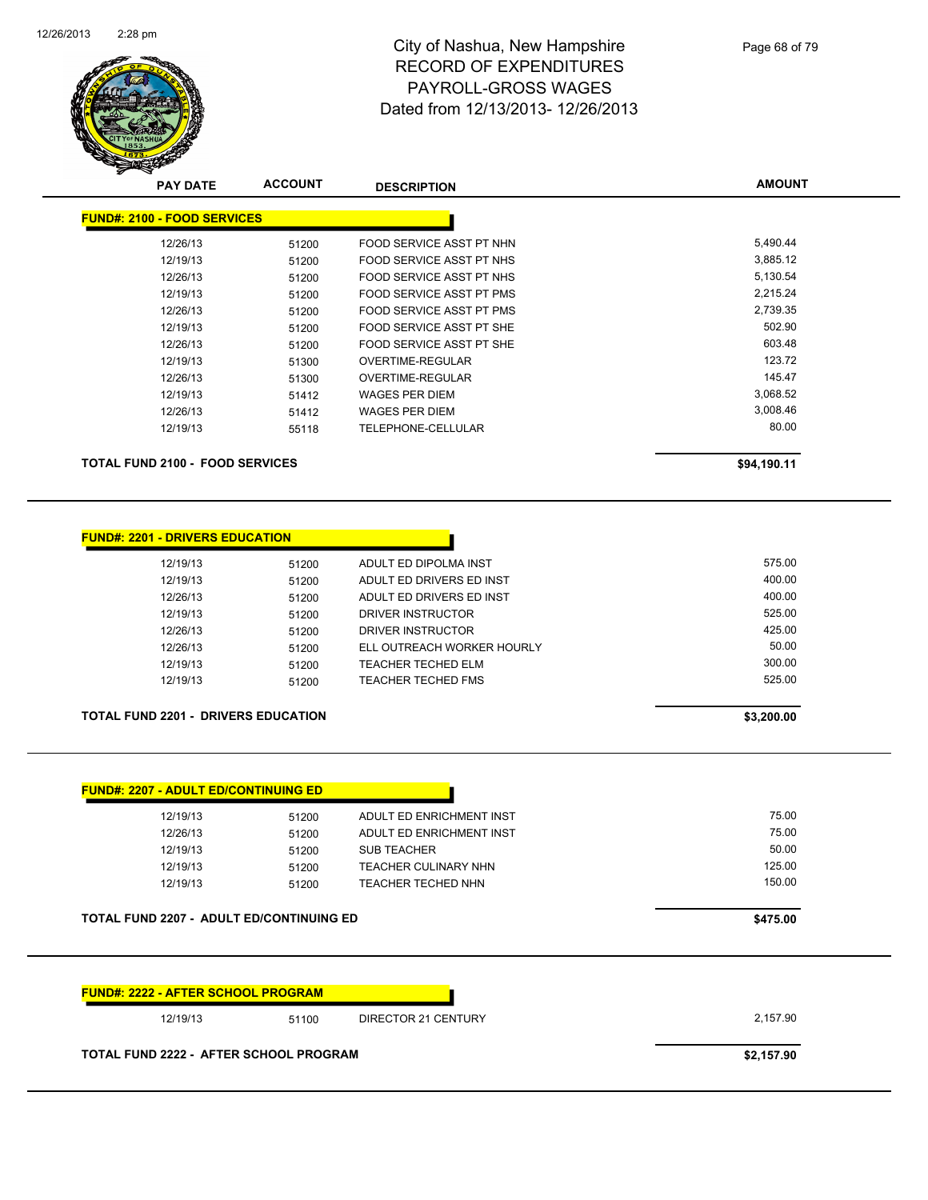

**AMOUNT**

| <b>PAY DATE</b>                        | <b>ACCOUNT</b> | <b>DESCRIPTION</b>              | <b>AMOUNT</b> |
|----------------------------------------|----------------|---------------------------------|---------------|
| <b>FUND#: 2100 - FOOD SERVICES</b>     |                |                                 |               |
| 12/26/13                               | 51200          | FOOD SERVICE ASST PT NHN        | 5,490.44      |
| 12/19/13                               | 51200          | FOOD SERVICE ASST PT NHS        | 3,885.12      |
| 12/26/13                               | 51200          | FOOD SERVICE ASST PT NHS        | 5,130.54      |
| 12/19/13                               | 51200          | FOOD SERVICE ASST PT PMS        | 2,215.24      |
| 12/26/13                               | 51200          | <b>FOOD SERVICE ASST PT PMS</b> | 2,739.35      |
| 12/19/13                               | 51200          | FOOD SERVICE ASST PT SHE        | 502.90        |
| 12/26/13                               | 51200          | FOOD SERVICE ASST PT SHE        | 603.48        |
| 12/19/13                               | 51300          | OVERTIME-REGULAR                | 123.72        |
| 12/26/13                               | 51300          | OVERTIME-REGULAR                | 145.47        |
| 12/19/13                               | 51412          | WAGES PER DIEM                  | 3,068.52      |
| 12/26/13                               | 51412          | <b>WAGES PER DIEM</b>           | 3,008.46      |
| 12/19/13                               | 55118          | <b>TELEPHONE-CELLULAR</b>       | 80.00         |
| <b>TOTAL FUND 2100 - FOOD SERVICES</b> |                |                                 | \$94,190.11   |

| 12/19/13                                   | 51200 | ADULT ED DIPOLMA INST      | 575.00     |
|--------------------------------------------|-------|----------------------------|------------|
| 12/19/13                                   | 51200 | ADULT ED DRIVERS ED INST   | 400.00     |
| 12/26/13                                   | 51200 | ADULT ED DRIVERS ED INST   | 400.00     |
| 12/19/13                                   | 51200 | DRIVER INSTRUCTOR          | 525.00     |
| 12/26/13                                   | 51200 | DRIVER INSTRUCTOR          | 425.00     |
| 12/26/13                                   | 51200 | ELL OUTREACH WORKER HOURLY | 50.00      |
| 12/19/13                                   | 51200 | <b>TEACHER TECHED ELM</b>  | 300.00     |
| 12/19/13                                   | 51200 | <b>TEACHER TECHED FMS</b>  | 525.00     |
| <b>TOTAL FUND 2201 - DRIVERS EDUCATION</b> |       |                            | \$3,200.00 |

**FUND#: 2207 - ADULT ED/CONTINUING ED** 12/19/13 51200 ADULT ED ENRICHMENT INST 600 ADULT ED ENRICHMENT INST 12/26/13 51200 ADULT ED ENRICHMENT INST<br>12/19/13 51200 SUB TEACHER 1200 SUB TEACHER 50.00 12/19/13 51200 TEACHER CULINARY NHN 12/19/13 125.00 12/19/13 51200 TEACHER TECHED NHN 150.00 51200 51200 TEACHER TECHED NHN **TOTAL FUND 2207 - ADULT ED/CONTINUING ED \$475.00** 

| <b>FUND#: 2222 - AFTER SCHOOL PROGRAM</b> |       |                     |            |
|-------------------------------------------|-------|---------------------|------------|
| 12/19/13                                  | 51100 | DIRECTOR 21 CENTURY | 2.157.90   |
| TOTAL FUND 2222 - AFTER SCHOOL PROGRAM    |       |                     | \$2,157.90 |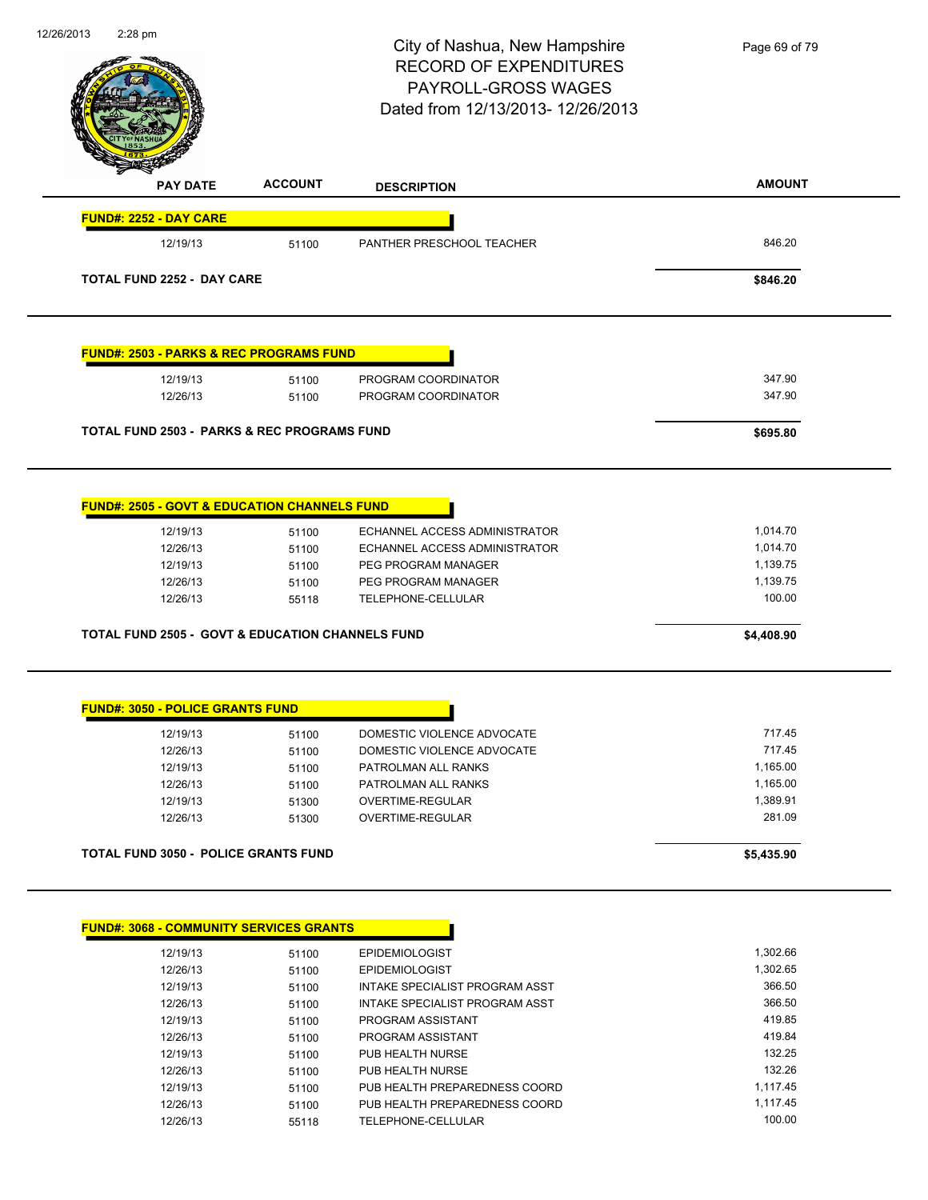| 12/26/2013 | 2:28 pm                                                     |                | City of Nashua, New Hampshire<br><b>RECORD OF EXPENDITURES</b><br>PAYROLL-GROSS WAGES<br>Dated from 12/13/2013-12/26/2013 | Page 69 of 79        |
|------------|-------------------------------------------------------------|----------------|---------------------------------------------------------------------------------------------------------------------------|----------------------|
|            | <b>PAY DATE</b>                                             | <b>ACCOUNT</b> | <b>DESCRIPTION</b>                                                                                                        | <b>AMOUNT</b>        |
|            | <b>FUND#: 2252 - DAY CARE</b>                               |                |                                                                                                                           |                      |
|            | 12/19/13                                                    | 51100          | PANTHER PRESCHOOL TEACHER                                                                                                 | 846.20               |
|            | <b>TOTAL FUND 2252 - DAY CARE</b>                           |                |                                                                                                                           | \$846.20             |
|            | <b>FUND#: 2503 - PARKS &amp; REC PROGRAMS FUND</b>          |                |                                                                                                                           |                      |
|            | 12/19/13                                                    | 51100          | PROGRAM COORDINATOR                                                                                                       | 347.90               |
|            | 12/26/13                                                    | 51100          | PROGRAM COORDINATOR                                                                                                       | 347.90               |
|            | <b>TOTAL FUND 2503 - PARKS &amp; REC PROGRAMS FUND</b>      |                |                                                                                                                           | \$695.80             |
|            | <b>FUND#: 2505 - GOVT &amp; EDUCATION CHANNELS FUND</b>     |                |                                                                                                                           |                      |
|            |                                                             |                |                                                                                                                           |                      |
|            | 12/19/13                                                    | 51100          | ECHANNEL ACCESS ADMINISTRATOR                                                                                             | 1,014.70             |
|            | 12/26/13<br>12/19/13                                        | 51100          | ECHANNEL ACCESS ADMINISTRATOR<br>PEG PROGRAM MANAGER                                                                      | 1,014.70<br>1,139.75 |
|            | 12/26/13                                                    | 51100<br>51100 | PEG PROGRAM MANAGER                                                                                                       | 1,139.75             |
|            | 12/26/13                                                    | 55118          | TELEPHONE-CELLULAR                                                                                                        | 100.00               |
|            | <b>TOTAL FUND 2505 - GOVT &amp; EDUCATION CHANNELS FUND</b> |                |                                                                                                                           | \$4,408.90           |
|            |                                                             |                |                                                                                                                           |                      |
|            | <b>FUND#: 3050 - POLICE GRANTS FUND</b>                     |                |                                                                                                                           |                      |
|            | 12/19/13                                                    | 51100          | DOMESTIC VIOLENCE ADVOCATE                                                                                                | 717.45               |
|            | 12/26/13                                                    | 51100          | DOMESTIC VIOLENCE ADVOCATE                                                                                                | 717.45               |
|            | 12/19/13                                                    | 51100          | PATROLMAN ALL RANKS                                                                                                       | 1,165.00             |
|            | 12/26/13                                                    | 51100          | PATROLMAN ALL RANKS                                                                                                       | 1,165.00             |
|            | 12/19/13                                                    | 51300          | OVERTIME-REGULAR                                                                                                          | 1,389.91<br>281.09   |
|            | 12/26/13                                                    | 51300          | OVERTIME-REGULAR                                                                                                          |                      |
|            | <b>TOTAL FUND 3050 - POLICE GRANTS FUND</b>                 |                |                                                                                                                           | \$5,435.90           |
|            | <b>FUND#: 3068 - COMMUNITY SERVICES GRANTS</b>              |                |                                                                                                                           |                      |
|            | 12/19/13                                                    | 51100          | <b>EPIDEMIOLOGIST</b>                                                                                                     | 1,302.66             |
|            | 12/26/13                                                    | 51100          | <b>EPIDEMIOLOGIST</b>                                                                                                     | 1,302.65             |
|            | 12/19/13                                                    | 51100          | INTAKE SPECIALIST PROGRAM ASST                                                                                            | 366.50               |
|            | 12/26/13                                                    | 51100          | INTAKE SPECIALIST PROGRAM ASST                                                                                            | 366.50               |
|            | 12/19/13                                                    | 51100          | PROGRAM ASSISTANT                                                                                                         | 419.85               |
|            | 12/26/13                                                    | 51100          | PROGRAM ASSISTANT                                                                                                         | 419.84               |
|            | 12/19/13                                                    | 51100          | PUB HEALTH NURSE                                                                                                          | 132.25               |
|            | 12/26/13                                                    | 51100          | PUB HEALTH NURSE                                                                                                          | 132.26               |
|            | 12/19/13                                                    | 51100          | PUB HEALTH PREPAREDNESS COORD                                                                                             | 1,117.45             |
|            | 12/26/13                                                    | 51100          | PUB HEALTH PREPAREDNESS COORD                                                                                             | 1,117.45             |
|            | 12/26/13                                                    | 55118          | TELEPHONE-CELLULAR                                                                                                        | 100.00               |
|            |                                                             |                |                                                                                                                           |                      |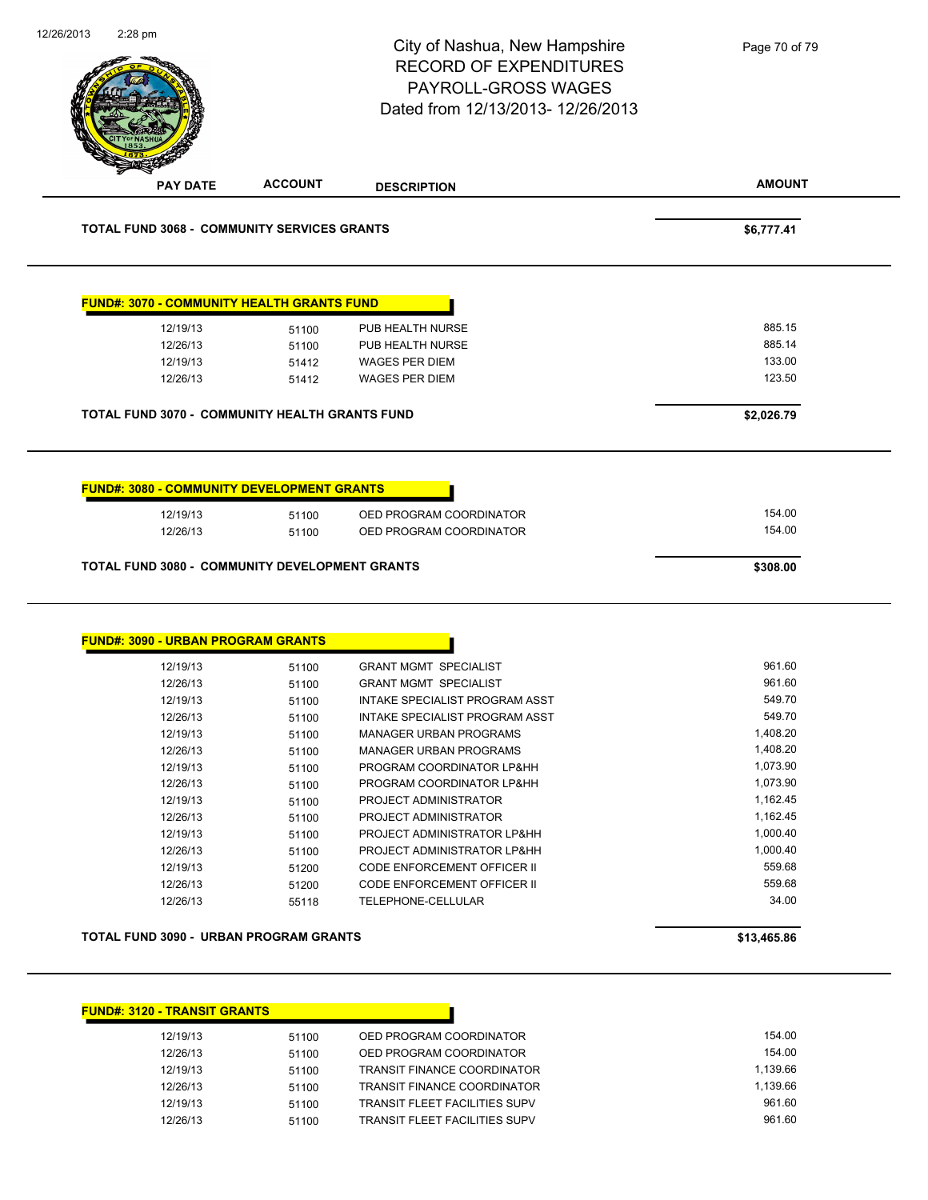|                                                               |                | City of Nashua, New Hampshire<br><b>RECORD OF EXPENDITURES</b><br>PAYROLL-GROSS WAGES<br>Dated from 12/13/2013-12/26/2013 | Page 70 of 79      |
|---------------------------------------------------------------|----------------|---------------------------------------------------------------------------------------------------------------------------|--------------------|
| <b>PAY DATE</b>                                               | <b>ACCOUNT</b> | <b>DESCRIPTION</b>                                                                                                        | <b>AMOUNT</b>      |
| <b>TOTAL FUND 3068 - COMMUNITY SERVICES GRANTS</b>            |                |                                                                                                                           | \$6,777.41         |
| <b>FUND#: 3070 - COMMUNITY HEALTH GRANTS FUND</b>             |                |                                                                                                                           |                    |
| 12/19/13                                                      | 51100          | PUB HEALTH NURSE                                                                                                          | 885.15             |
| 12/26/13                                                      | 51100          | PUB HEALTH NURSE                                                                                                          | 885.14             |
| 12/19/13                                                      | 51412          | <b>WAGES PER DIEM</b>                                                                                                     | 133.00             |
| 12/26/13                                                      | 51412          | <b>WAGES PER DIEM</b>                                                                                                     | 123.50             |
| <b>TOTAL FUND 3070 - COMMUNITY HEALTH GRANTS FUND</b>         |                |                                                                                                                           | \$2,026.79         |
| <b>FUND#: 3080 - COMMUNITY DEVELOPMENT GRANTS</b><br>12/19/13 | 51100          | OED PROGRAM COORDINATOR                                                                                                   | 154.00             |
| 12/26/13<br>TOTAL FUND 3080 - COMMUNITY DEVELOPMENT GRANTS    | 51100          | OED PROGRAM COORDINATOR                                                                                                   | 154.00<br>\$308.00 |
| <b>FUND#: 3090 - URBAN PROGRAM GRANTS</b>                     |                |                                                                                                                           |                    |
| 12/19/13                                                      | 51100          | <b>GRANT MGMT SPECIALIST</b>                                                                                              | 961.60             |
| 12/26/13                                                      | 51100          | <b>GRANT MGMT SPECIALIST</b>                                                                                              | 961.60             |
| 12/19/13                                                      | 51100          | INTAKE SPECIALIST PROGRAM ASST                                                                                            | 549.70             |
| 12/26/13                                                      | 51100          | INTAKE SPECIALIST PROGRAM ASST                                                                                            | 549.70             |
| 12/19/13                                                      | 51100          | <b>MANAGER URBAN PROGRAMS</b>                                                                                             | 1,408.20           |
| 12/26/13                                                      | 51100          | <b>MANAGER URBAN PROGRAMS</b>                                                                                             | 1,408.20           |
| 12/19/13                                                      | 51100          | PROGRAM COORDINATOR LP&HH                                                                                                 | 1,073.90           |
| 12/26/13                                                      | 51100          | PROGRAM COORDINATOR LP&HH                                                                                                 | 1,073.90           |
| 12/19/13                                                      | 51100          | PROJECT ADMINISTRATOR                                                                                                     | 1,162.45           |
| 12/26/13                                                      | 51100          | PROJECT ADMINISTRATOR                                                                                                     | 1,162.45           |
| 12/19/13                                                      | 51100          | PROJECT ADMINISTRATOR LP&HH                                                                                               | 1,000.40           |
| 12/26/13                                                      | 51100          | PROJECT ADMINISTRATOR LP&HH                                                                                               | 1,000.40           |
| 12/19/13<br>12/26/13                                          | 51200<br>51200 | CODE ENFORCEMENT OFFICER II<br>CODE ENFORCEMENT OFFICER II                                                                | 559.68<br>559.68   |

#### **TOTAL FUND 3090 - URBAN PROGRAM GRANTS \$13,465.86**

## **FUND#: 3120 - TRANSIT GRANTS**

| 12/19/13 | 51100 | OED PROGRAM COORDINATOR       | 154.00   |
|----------|-------|-------------------------------|----------|
| 12/26/13 | 51100 | OED PROGRAM COORDINATOR       | 154.00   |
| 12/19/13 | 51100 | TRANSIT FINANCE COORDINATOR   | 1.139.66 |
| 12/26/13 | 51100 | TRANSIT FINANCE COORDINATOR   | 1.139.66 |
| 12/19/13 | 51100 | TRANSIT FLEET FACILITIES SUPV | 961.60   |
| 12/26/13 | 51100 | TRANSIT FLEET FACILITIES SUPV | 961.60   |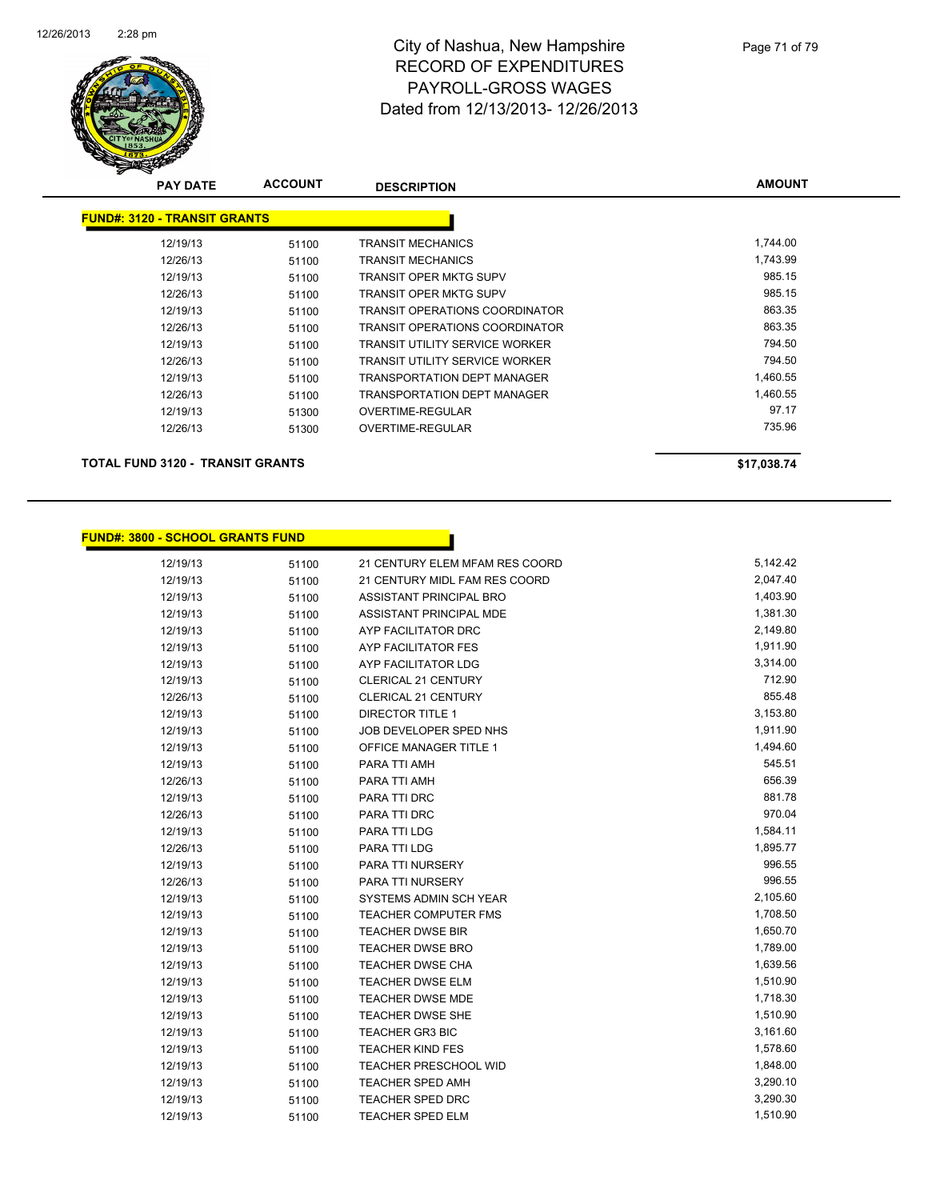

| <b>PAY DATE</b>                     | <b>ACCOUNT</b> | <b>DESCRIPTION</b>                    | <b>AMOUNT</b> |
|-------------------------------------|----------------|---------------------------------------|---------------|
| <b>FUND#: 3120 - TRANSIT GRANTS</b> |                |                                       |               |
| 12/19/13                            | 51100          | <b>TRANSIT MECHANICS</b>              | 1,744.00      |
| 12/26/13                            | 51100          | <b>TRANSIT MECHANICS</b>              | 1,743.99      |
| 12/19/13                            | 51100          | TRANSIT OPER MKTG SUPV                | 985.15        |
| 12/26/13                            | 51100          | <b>TRANSIT OPER MKTG SUPV</b>         | 985.15        |
| 12/19/13                            | 51100          | TRANSIT OPERATIONS COORDINATOR        | 863.35        |
| 12/26/13                            | 51100          | TRANSIT OPERATIONS COORDINATOR        | 863.35        |
| 12/19/13                            | 51100          | TRANSIT UTILITY SERVICE WORKER        | 794.50        |
| 12/26/13                            | 51100          | <b>TRANSIT UTILITY SERVICE WORKER</b> | 794.50        |
| 12/19/13                            | 51100          | TRANSPORTATION DEPT MANAGER           | 1,460.55      |
| 12/26/13                            | 51100          | TRANSPORTATION DEPT MANAGER           | 1,460.55      |
| 12/19/13                            | 51300          | OVERTIME-REGULAR                      | 97.17         |
| 12/26/13                            | 51300          | OVERTIME-REGULAR                      | 735.96        |
| TOTAL FUND 3120 - TRANSIT GRANTS    |                |                                       | \$17,038.74   |

# **FUND#: 3800 - SCHOOL GRANTS FUND**

| 12/19/13 | 51100 | 21 CENTURY ELEM MFAM RES COORD | 5,142.42 |
|----------|-------|--------------------------------|----------|
| 12/19/13 | 51100 | 21 CENTURY MIDL FAM RES COORD  | 2,047.40 |
| 12/19/13 | 51100 | ASSISTANT PRINCIPAL BRO        | 1,403.90 |
| 12/19/13 | 51100 | ASSISTANT PRINCIPAL MDE        | 1,381.30 |
| 12/19/13 | 51100 | AYP FACILITATOR DRC            | 2,149.80 |
| 12/19/13 | 51100 | AYP FACILITATOR FES            | 1,911.90 |
| 12/19/13 | 51100 | AYP FACILITATOR LDG            | 3,314.00 |
| 12/19/13 | 51100 | <b>CLERICAL 21 CENTURY</b>     | 712.90   |
| 12/26/13 | 51100 | <b>CLERICAL 21 CENTURY</b>     | 855.48   |
| 12/19/13 | 51100 | <b>DIRECTOR TITLE 1</b>        | 3,153.80 |
| 12/19/13 | 51100 | JOB DEVELOPER SPED NHS         | 1,911.90 |
| 12/19/13 | 51100 | OFFICE MANAGER TITLE 1         | 1,494.60 |
| 12/19/13 | 51100 | PARA TTI AMH                   | 545.51   |
| 12/26/13 | 51100 | PARA TTI AMH                   | 656.39   |
| 12/19/13 | 51100 | PARA TTI DRC                   | 881.78   |
| 12/26/13 | 51100 | PARA TTI DRC                   | 970.04   |
| 12/19/13 | 51100 | PARA TTI LDG                   | 1,584.11 |
| 12/26/13 | 51100 | PARA TTI LDG                   | 1,895.77 |
| 12/19/13 | 51100 | PARA TTI NURSERY               | 996.55   |
| 12/26/13 | 51100 | PARA TTI NURSERY               | 996.55   |
| 12/19/13 | 51100 | SYSTEMS ADMIN SCH YEAR         | 2,105.60 |
| 12/19/13 | 51100 | <b>TEACHER COMPUTER FMS</b>    | 1,708.50 |
| 12/19/13 | 51100 | <b>TEACHER DWSE BIR</b>        | 1,650.70 |
| 12/19/13 | 51100 | <b>TEACHER DWSE BRO</b>        | 1,789.00 |
| 12/19/13 | 51100 | <b>TEACHER DWSE CHA</b>        | 1,639.56 |
| 12/19/13 | 51100 | <b>TEACHER DWSE ELM</b>        | 1,510.90 |
| 12/19/13 | 51100 | <b>TEACHER DWSE MDE</b>        | 1,718.30 |
| 12/19/13 | 51100 | TEACHER DWSE SHE               | 1,510.90 |
| 12/19/13 | 51100 | <b>TEACHER GR3 BIC</b>         | 3,161.60 |
| 12/19/13 | 51100 | <b>TEACHER KIND FES</b>        | 1,578.60 |
| 12/19/13 | 51100 | <b>TEACHER PRESCHOOL WID</b>   | 1,848.00 |
| 12/19/13 | 51100 | <b>TEACHER SPED AMH</b>        | 3,290.10 |
| 12/19/13 | 51100 | <b>TEACHER SPED DRC</b>        | 3,290.30 |
| 12/19/13 | 51100 | <b>TEACHER SPED ELM</b>        | 1,510.90 |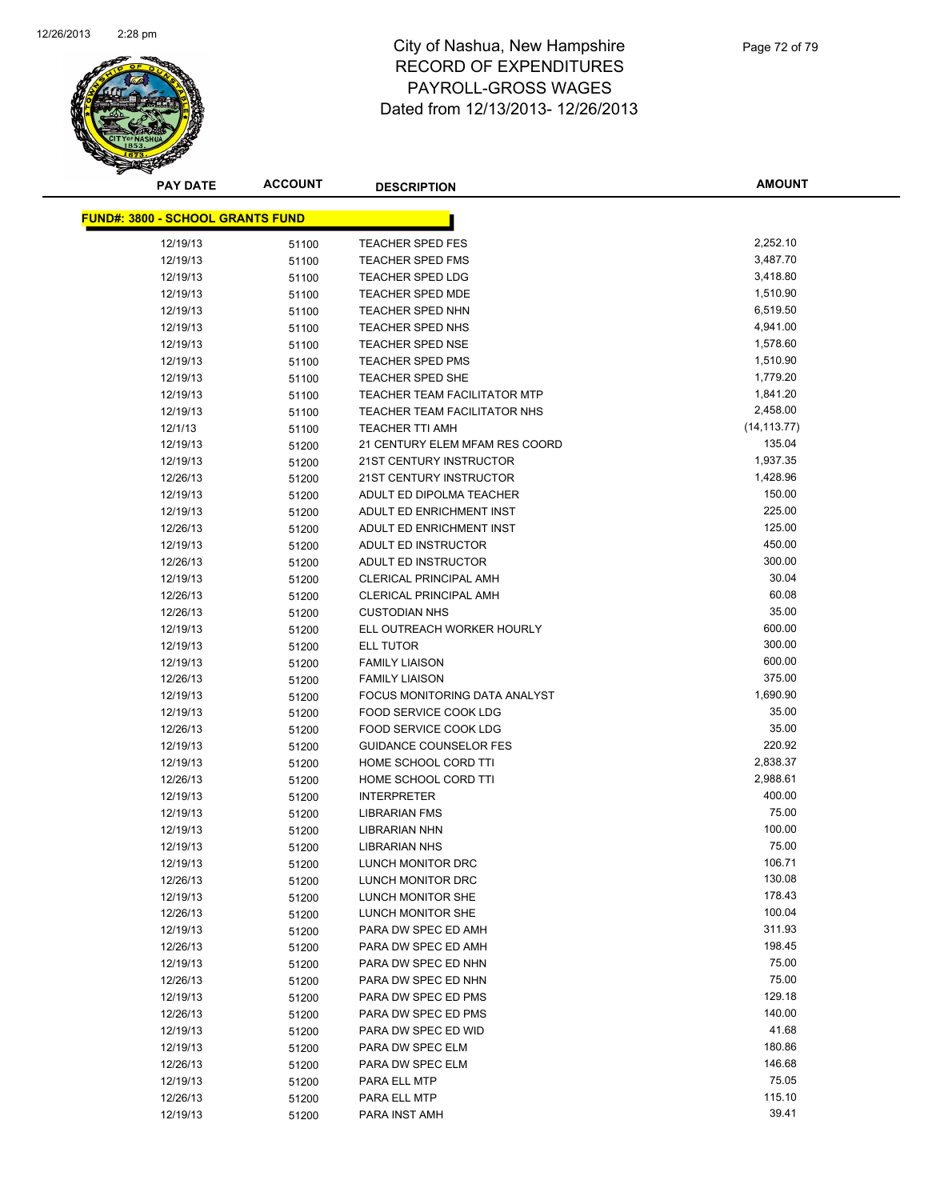

Page 72 of 79

| <b>PAY DATE</b>                         | <b>ACCOUNT</b> | <b>DESCRIPTION</b>                                 | <b>AMOUNT</b>        |
|-----------------------------------------|----------------|----------------------------------------------------|----------------------|
| <b>FUND#: 3800 - SCHOOL GRANTS FUND</b> |                |                                                    |                      |
|                                         |                |                                                    |                      |
| 12/19/13                                | 51100          | <b>TEACHER SPED FES</b>                            | 2,252.10<br>3,487.70 |
| 12/19/13                                | 51100          | <b>TEACHER SPED FMS</b><br><b>TEACHER SPED LDG</b> | 3,418.80             |
| 12/19/13                                | 51100          |                                                    | 1,510.90             |
| 12/19/13                                | 51100          | <b>TEACHER SPED MDE</b>                            |                      |
| 12/19/13<br>12/19/13                    | 51100          | <b>TEACHER SPED NHN</b><br><b>TEACHER SPED NHS</b> | 6,519.50<br>4,941.00 |
| 12/19/13                                | 51100          | TEACHER SPED NSE                                   | 1,578.60             |
|                                         | 51100          |                                                    | 1,510.90             |
| 12/19/13                                | 51100          | <b>TEACHER SPED PMS</b><br><b>TEACHER SPED SHE</b> | 1,779.20             |
| 12/19/13<br>12/19/13                    | 51100          | <b>TEACHER TEAM FACILITATOR MTP</b>                | 1,841.20             |
| 12/19/13                                | 51100          | TEACHER TEAM FACILITATOR NHS                       | 2,458.00             |
| 12/1/13                                 | 51100          | <b>TEACHER TTI AMH</b>                             | (14, 113.77)         |
| 12/19/13                                | 51100          | 21 CENTURY ELEM MFAM RES COORD                     | 135.04               |
| 12/19/13                                | 51200          | 21ST CENTURY INSTRUCTOR                            | 1,937.35             |
| 12/26/13                                | 51200<br>51200 | 21ST CENTURY INSTRUCTOR                            | 1,428.96             |
| 12/19/13                                |                | ADULT ED DIPOLMA TEACHER                           | 150.00               |
| 12/19/13                                | 51200          | ADULT ED ENRICHMENT INST                           | 225.00               |
| 12/26/13                                | 51200          | ADULT ED ENRICHMENT INST                           | 125.00               |
| 12/19/13                                | 51200          | ADULT ED INSTRUCTOR                                | 450.00               |
| 12/26/13                                | 51200          | ADULT ED INSTRUCTOR                                | 300.00               |
| 12/19/13                                | 51200          | <b>CLERICAL PRINCIPAL AMH</b>                      | 30.04                |
| 12/26/13                                | 51200          | <b>CLERICAL PRINCIPAL AMH</b>                      | 60.08                |
| 12/26/13                                | 51200          | <b>CUSTODIAN NHS</b>                               | 35.00                |
| 12/19/13                                | 51200          | ELL OUTREACH WORKER HOURLY                         | 600.00               |
| 12/19/13                                | 51200<br>51200 | ELL TUTOR                                          | 300.00               |
| 12/19/13                                |                | <b>FAMILY LIAISON</b>                              | 600.00               |
| 12/26/13                                | 51200          | <b>FAMILY LIAISON</b>                              | 375.00               |
| 12/19/13                                | 51200          | FOCUS MONITORING DATA ANALYST                      | 1,690.90             |
| 12/19/13                                | 51200          | FOOD SERVICE COOK LDG                              | 35.00                |
| 12/26/13                                | 51200<br>51200 | FOOD SERVICE COOK LDG                              | 35.00                |
| 12/19/13                                | 51200          | <b>GUIDANCE COUNSELOR FES</b>                      | 220.92               |
| 12/19/13                                | 51200          | HOME SCHOOL CORD TTI                               | 2,838.37             |
| 12/26/13                                | 51200          | HOME SCHOOL CORD TTI                               | 2,988.61             |
| 12/19/13                                | 51200          | <b>INTERPRETER</b>                                 | 400.00               |
| 12/19/13                                | 51200          | <b>LIBRARIAN FMS</b>                               | 75.00                |
| 12/19/13                                | 51200          | <b>LIBRARIAN NHN</b>                               | 100.00               |
| 12/19/13                                | 51200          | <b>LIBRARIAN NHS</b>                               | 75.00                |
| 12/19/13                                | 51200          | LUNCH MONITOR DRC                                  | 106.71               |
| 12/26/13                                | 51200          | LUNCH MONITOR DRC                                  | 130.08               |
| 12/19/13                                | 51200          | LUNCH MONITOR SHE                                  | 178.43               |
| 12/26/13                                | 51200          | LUNCH MONITOR SHE                                  | 100.04               |
| 12/19/13                                | 51200          | PARA DW SPEC ED AMH                                | 311.93               |
| 12/26/13                                | 51200          | PARA DW SPEC ED AMH                                | 198.45               |
| 12/19/13                                | 51200          | PARA DW SPEC ED NHN                                | 75.00                |
| 12/26/13                                | 51200          | PARA DW SPEC ED NHN                                | 75.00                |
| 12/19/13                                | 51200          | PARA DW SPEC ED PMS                                | 129.18               |
| 12/26/13                                | 51200          | PARA DW SPEC ED PMS                                | 140.00               |
| 12/19/13                                | 51200          | PARA DW SPEC ED WID                                | 41.68                |
| 12/19/13                                | 51200          | PARA DW SPEC ELM                                   | 180.86               |
| 12/26/13                                | 51200          | PARA DW SPEC ELM                                   | 146.68               |
| 12/19/13                                | 51200          | PARA ELL MTP                                       | 75.05                |
| 12/26/13                                | 51200          | PARA ELL MTP                                       | 115.10               |
| 12/19/13                                | 51200          | PARA INST AMH                                      | 39.41                |
|                                         |                |                                                    |                      |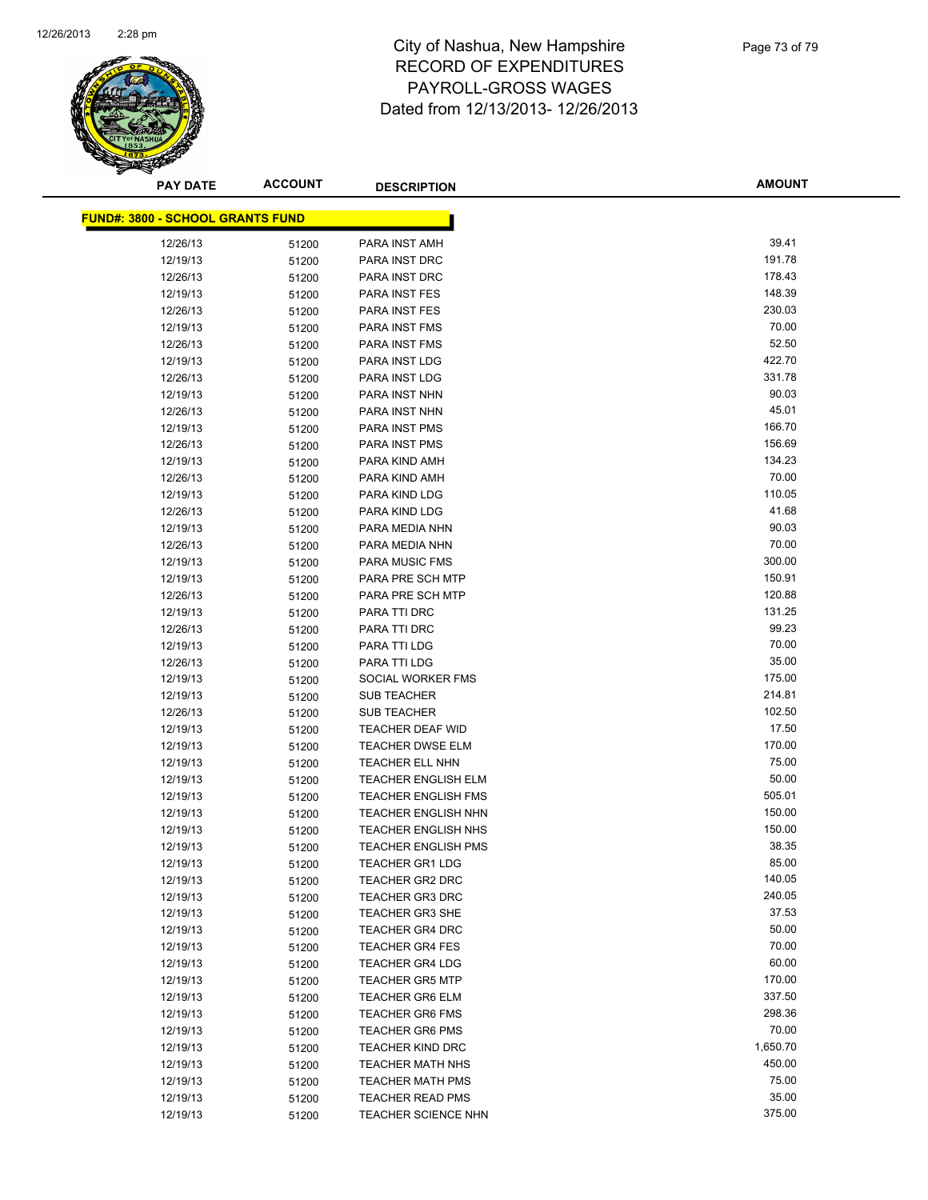

| <b>PAY DATE</b>                         | <b>ACCOUNT</b> | <b>DESCRIPTION</b>             | <b>AMOUNT</b> |
|-----------------------------------------|----------------|--------------------------------|---------------|
| <b>FUND#: 3800 - SCHOOL GRANTS FUND</b> |                |                                |               |
|                                         |                |                                | 39.41         |
| 12/26/13                                | 51200          | PARA INST AMH                  | 191.78        |
| 12/19/13                                | 51200          | PARA INST DRC<br>PARA INST DRC | 178.43        |
| 12/26/13                                | 51200          |                                | 148.39        |
| 12/19/13                                | 51200          | <b>PARA INST FES</b>           | 230.03        |
| 12/26/13                                | 51200          | PARA INST FES<br>PARA INST FMS | 70.00         |
| 12/19/13<br>12/26/13                    | 51200          | PARA INST FMS                  | 52.50         |
|                                         | 51200          | PARA INST LDG                  | 422.70        |
| 12/19/13<br>12/26/13                    | 51200          | PARA INST LDG                  | 331.78        |
| 12/19/13                                | 51200          | PARA INST NHN                  | 90.03         |
| 12/26/13                                | 51200          | PARA INST NHN                  | 45.01         |
| 12/19/13                                | 51200          | PARA INST PMS                  | 166.70        |
| 12/26/13                                | 51200<br>51200 | <b>PARA INST PMS</b>           | 156.69        |
| 12/19/13                                | 51200          | PARA KIND AMH                  | 134.23        |
| 12/26/13                                | 51200          | PARA KIND AMH                  | 70.00         |
| 12/19/13                                |                | PARA KIND LDG                  | 110.05        |
| 12/26/13                                | 51200<br>51200 | PARA KIND LDG                  | 41.68         |
| 12/19/13                                |                | PARA MEDIA NHN                 | 90.03         |
| 12/26/13                                | 51200<br>51200 | PARA MEDIA NHN                 | 70.00         |
| 12/19/13                                | 51200          | PARA MUSIC FMS                 | 300.00        |
| 12/19/13                                | 51200          | PARA PRE SCH MTP               | 150.91        |
| 12/26/13                                | 51200          | PARA PRE SCH MTP               | 120.88        |
| 12/19/13                                | 51200          | PARA TTI DRC                   | 131.25        |
| 12/26/13                                | 51200          | PARA TTI DRC                   | 99.23         |
| 12/19/13                                | 51200          | PARA TTI LDG                   | 70.00         |
| 12/26/13                                | 51200          | PARA TTI LDG                   | 35.00         |
| 12/19/13                                | 51200          | SOCIAL WORKER FMS              | 175.00        |
| 12/19/13                                | 51200          | <b>SUB TEACHER</b>             | 214.81        |
| 12/26/13                                | 51200          | <b>SUB TEACHER</b>             | 102.50        |
| 12/19/13                                | 51200          | <b>TEACHER DEAF WID</b>        | 17.50         |
| 12/19/13                                | 51200          | <b>TEACHER DWSE ELM</b>        | 170.00        |
| 12/19/13                                | 51200          | <b>TEACHER ELL NHN</b>         | 75.00         |
| 12/19/13                                | 51200          | <b>TEACHER ENGLISH ELM</b>     | 50.00         |
| 12/19/13                                | 51200          | <b>TEACHER ENGLISH FMS</b>     | 505.01        |
| 12/19/13                                | 51200          | <b>TEACHER ENGLISH NHN</b>     | 150.00        |
| 12/19/13                                | 51200          | <b>TEACHER ENGLISH NHS</b>     | 150.00        |
| 12/19/13                                | 51200          | <b>TEACHER ENGLISH PMS</b>     | 38.35         |
| 12/19/13                                | 51200          | <b>TEACHER GR1 LDG</b>         | 85.00         |
| 12/19/13                                | 51200          | <b>TEACHER GR2 DRC</b>         | 140.05        |
| 12/19/13                                | 51200          | <b>TEACHER GR3 DRC</b>         | 240.05        |
| 12/19/13                                | 51200          | <b>TEACHER GR3 SHE</b>         | 37.53         |
| 12/19/13                                | 51200          | <b>TEACHER GR4 DRC</b>         | 50.00         |
| 12/19/13                                | 51200          | <b>TEACHER GR4 FES</b>         | 70.00         |
| 12/19/13                                | 51200          | <b>TEACHER GR4 LDG</b>         | 60.00         |
| 12/19/13                                | 51200          | <b>TEACHER GR5 MTP</b>         | 170.00        |
| 12/19/13                                | 51200          | <b>TEACHER GR6 ELM</b>         | 337.50        |
| 12/19/13                                | 51200          | <b>TEACHER GR6 FMS</b>         | 298.36        |
| 12/19/13                                | 51200          | <b>TEACHER GR6 PMS</b>         | 70.00         |
| 12/19/13                                | 51200          | TEACHER KIND DRC               | 1,650.70      |
| 12/19/13                                | 51200          | <b>TEACHER MATH NHS</b>        | 450.00        |
| 12/19/13                                | 51200          | TEACHER MATH PMS               | 75.00         |
| 12/19/13                                | 51200          | <b>TEACHER READ PMS</b>        | 35.00         |
| 12/19/13                                | 51200          | TEACHER SCIENCE NHN            | 375.00        |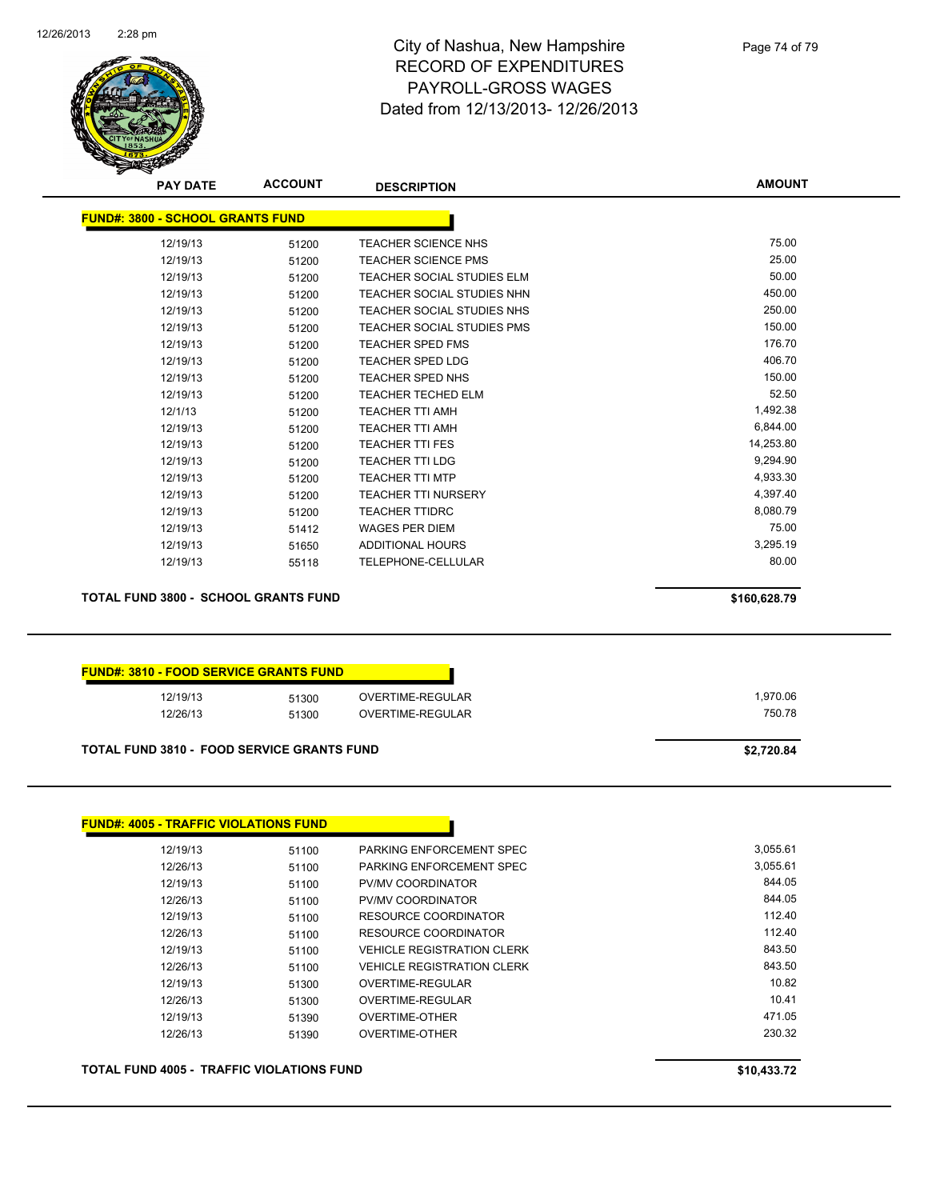

Page 74 of 79

|                                                   | <b>ACCOUNT</b> | <b>DESCRIPTION</b>                   | <b>AMOUNT</b> |
|---------------------------------------------------|----------------|--------------------------------------|---------------|
| <b>FUND#: 3800 - SCHOOL GRANTS FUND</b>           |                |                                      |               |
| 12/19/13                                          | 51200          | TEACHER SCIENCE NHS                  | 75.00         |
| 12/19/13                                          | 51200          | <b>TEACHER SCIENCE PMS</b>           | 25.00         |
| 12/19/13                                          | 51200          | <b>TEACHER SOCIAL STUDIES ELM</b>    | 50.00         |
| 12/19/13                                          | 51200          | TEACHER SOCIAL STUDIES NHN           | 450.00        |
| 12/19/13                                          | 51200          | TEACHER SOCIAL STUDIES NHS           | 250.00        |
| 12/19/13                                          | 51200          | TEACHER SOCIAL STUDIES PMS           | 150.00        |
| 12/19/13                                          | 51200          | <b>TEACHER SPED FMS</b>              | 176.70        |
| 12/19/13                                          | 51200          | <b>TEACHER SPED LDG</b>              | 406.70        |
| 12/19/13                                          | 51200          | <b>TEACHER SPED NHS</b>              | 150.00        |
| 12/19/13                                          | 51200          | <b>TEACHER TECHED ELM</b>            | 52.50         |
| 12/1/13                                           | 51200          | <b>TEACHER TTI AMH</b>               | 1,492.38      |
| 12/19/13                                          | 51200          | <b>TEACHER TTI AMH</b>               | 6,844.00      |
| 12/19/13                                          | 51200          | <b>TEACHER TTI FES</b>               | 14,253.80     |
| 12/19/13                                          | 51200          | <b>TEACHER TTI LDG</b>               | 9,294.90      |
| 12/19/13                                          | 51200          | <b>TEACHER TTI MTP</b>               | 4,933.30      |
| 12/19/13                                          | 51200          | <b>TEACHER TTI NURSERY</b>           | 4,397.40      |
| 12/19/13                                          | 51200          | <b>TEACHER TTIDRC</b>                | 8,080.79      |
| 12/19/13                                          | 51412          | <b>WAGES PER DIEM</b>                | 75.00         |
| 12/19/13                                          | 51650          | <b>ADDITIONAL HOURS</b>              | 3,295.19      |
| 12/19/13                                          | 55118          | TELEPHONE-CELLULAR                   | 80.00         |
| <b>TOTAL FUND 3800 - SCHOOL GRANTS FUND</b>       |                |                                      | \$160,628.79  |
| <b>FUND#: 3810 - FOOD SERVICE GRANTS FUND</b>     |                |                                      | 1,970.06      |
| 12/19/13<br>12/26/13                              | 51300          | OVERTIME-REGULAR<br>OVERTIME-REGULAR | 750.78        |
|                                                   | 51300          |                                      |               |
|                                                   |                |                                      |               |
| <b>TOTAL FUND 3810 - FOOD SERVICE GRANTS FUND</b> |                |                                      | \$2,720.84    |
| <b>FUND#: 4005 - TRAFFIC VIOLATIONS FUND</b>      |                |                                      |               |
| 12/19/13                                          | 51100          | PARKING ENFORCEMENT SPEC             | 3,055.61      |
| 12/26/13                                          | 51100          | PARKING ENFORCEMENT SPEC             | 3,055.61      |
| 12/19/13                                          | 51100          | PV/MV COORDINATOR                    | 844.05        |
| 12/26/13                                          | 51100          | PV/MV COORDINATOR                    | 844.05        |
| 12/19/13                                          | 51100          | <b>RESOURCE COORDINATOR</b>          | 112.40        |
| 12/26/13                                          | 51100          | RESOURCE COORDINATOR                 | 112.40        |
| 12/19/13                                          | 51100          | <b>VEHICLE REGISTRATION CLERK</b>    | 843.50        |
| 12/26/13                                          | 51100          | <b>VEHICLE REGISTRATION CLERK</b>    | 843.50        |
| 12/19/13                                          | 51300          | OVERTIME-REGULAR                     | 10.82         |
| 12/26/13                                          | 51300          | OVERTIME-REGULAR                     | 10.41         |
| 12/19/13                                          | 51390          | <b>OVERTIME-OTHER</b>                | 471.05        |

**TOTAL FUND 4005 - TRAFFIC VIOLATIONS FUND \$10,433.72**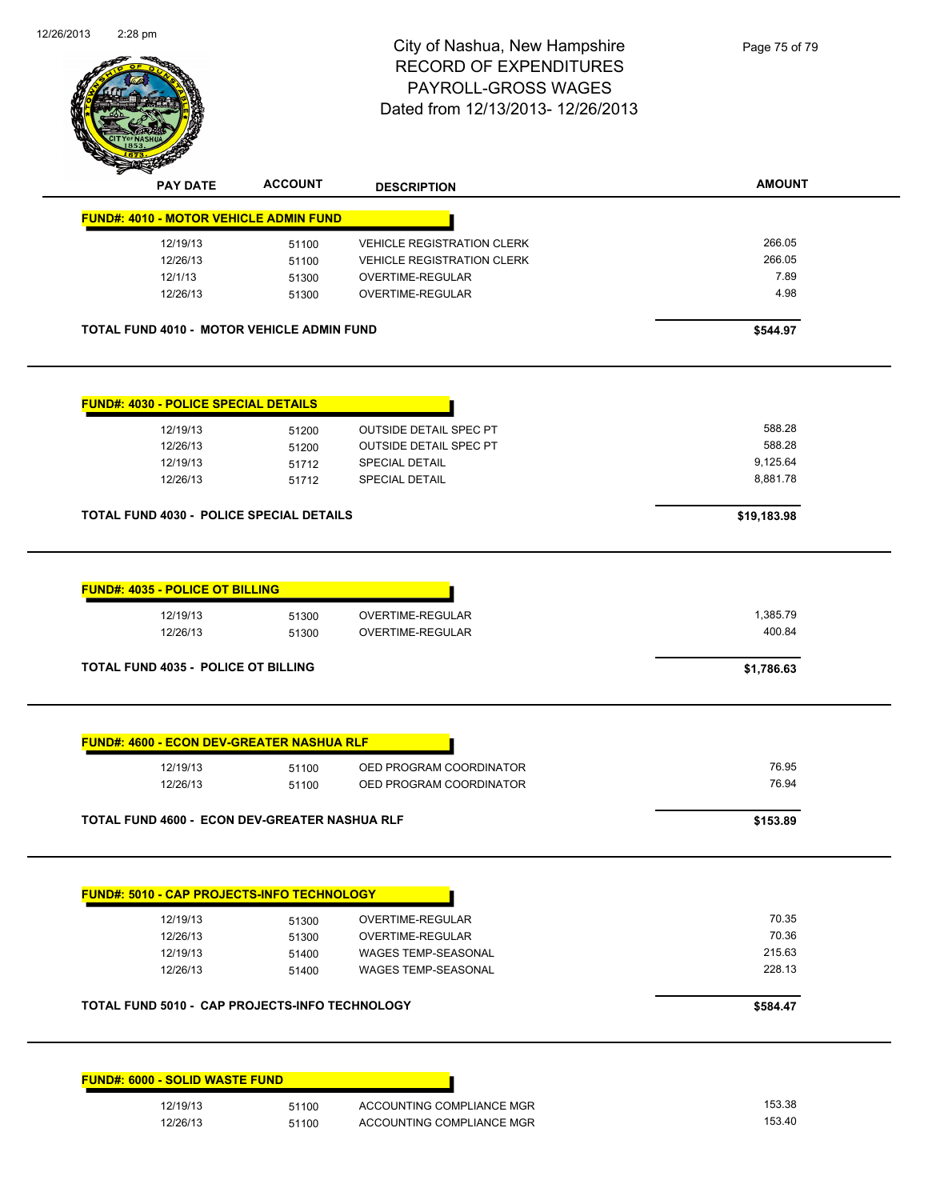

| Ҿ<br>T<br><b>PAY DATE</b>                                      | <b>ACCOUNT</b> | <b>DESCRIPTION</b>                                     | <b>AMOUNT</b>      |
|----------------------------------------------------------------|----------------|--------------------------------------------------------|--------------------|
| <b>FUND#: 4010 - MOTOR VEHICLE ADMIN FUND</b>                  |                |                                                        |                    |
| 12/19/13                                                       | 51100          | <b>VEHICLE REGISTRATION CLERK</b>                      | 266.05             |
| 12/26/13                                                       | 51100          | <b>VEHICLE REGISTRATION CLERK</b>                      | 266.05             |
| 12/1/13                                                        | 51300          | OVERTIME-REGULAR                                       | 7.89               |
| 12/26/13                                                       | 51300          | OVERTIME-REGULAR                                       | 4.98               |
| TOTAL FUND 4010 - MOTOR VEHICLE ADMIN FUND                     |                |                                                        | \$544.97           |
| <b>FUND#: 4030 - POLICE SPECIAL DETAILS</b>                    |                |                                                        |                    |
| 12/19/13                                                       | 51200          | <b>OUTSIDE DETAIL SPEC PT</b>                          | 588.28             |
| 12/26/13                                                       | 51200          | <b>OUTSIDE DETAIL SPEC PT</b>                          | 588.28             |
| 12/19/13                                                       | 51712          | SPECIAL DETAIL                                         | 9,125.64           |
| 12/26/13                                                       | 51712          | <b>SPECIAL DETAIL</b>                                  | 8,881.78           |
| <b>TOTAL FUND 4030 - POLICE SPECIAL DETAILS</b>                |                |                                                        | \$19,183.98        |
| <b>FUND#: 4035 - POLICE OT BILLING</b><br>12/19/13<br>12/26/13 | 51300<br>51300 | OVERTIME-REGULAR<br>OVERTIME-REGULAR                   | 1,385.79<br>400.84 |
| <b>TOTAL FUND 4035 - POLICE OT BILLING</b>                     |                |                                                        | \$1,786.63         |
| <b>FUND#: 4600 - ECON DEV-GREATER NASHUA RLF</b><br>12/19/13   | 51100          | OED PROGRAM COORDINATOR                                | 76.95              |
| 12/26/13                                                       | 51100          | OED PROGRAM COORDINATOR                                | 76.94              |
| <b>TOTAL FUND 4600 - ECON DEV-GREATER NASHUA RLF</b>           |                |                                                        | \$153.89           |
| <b>FUND#: 5010 - CAP PROJECTS-INFO TECHNOLOGY</b>              |                |                                                        |                    |
| 12/19/13                                                       | 51300          | <b>OVERTIME-REGULAR</b>                                | 70.35              |
| 12/26/13                                                       | 51300          | OVERTIME-REGULAR                                       | 70.36              |
| 12/19/13                                                       | 51400          | <b>WAGES TEMP-SEASONAL</b>                             | 215.63             |
| 12/26/13                                                       | 51400          | WAGES TEMP-SEASONAL                                    | 228.13             |
| TOTAL FUND 5010 - CAP PROJECTS-INFO TECHNOLOGY                 |                |                                                        | \$584.47           |
|                                                                |                |                                                        |                    |
|                                                                |                |                                                        |                    |
| <b>FUND#: 6000 - SOLID WASTE FUND</b>                          |                |                                                        |                    |
| 12/19/13<br>12/26/13                                           | 51100<br>51100 | ACCOUNTING COMPLIANCE MGR<br>ACCOUNTING COMPLIANCE MGR | 153.38<br>153.40   |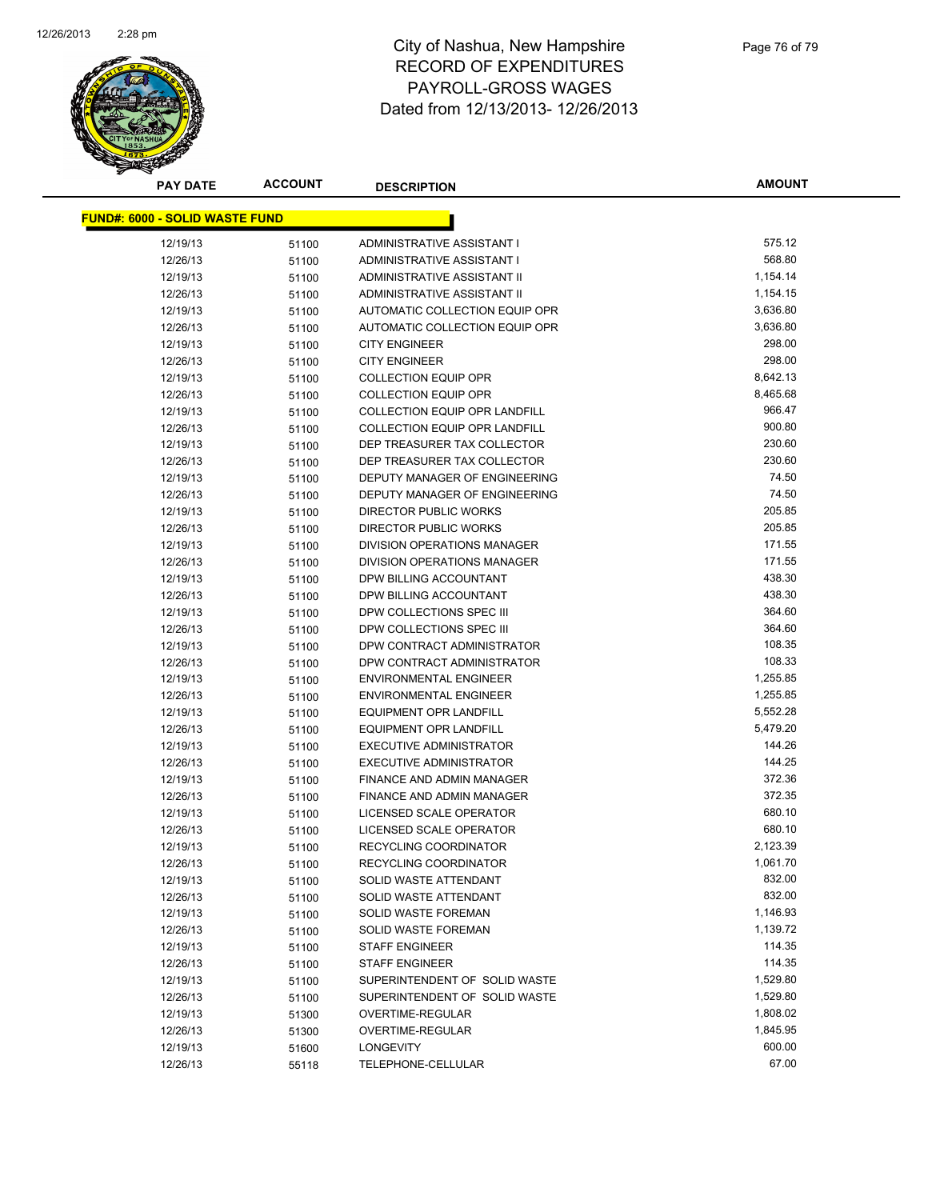

**AMOUNT**

| <b>FUND#: 6000 - SOLID WASTE FUND</b> |       |                                      |          |
|---------------------------------------|-------|--------------------------------------|----------|
| 12/19/13                              | 51100 | ADMINISTRATIVE ASSISTANT I           | 575.12   |
| 12/26/13                              | 51100 | ADMINISTRATIVE ASSISTANT I           | 568.80   |
| 12/19/13                              | 51100 | ADMINISTRATIVE ASSISTANT II          | 1,154.14 |
| 12/26/13                              | 51100 | ADMINISTRATIVE ASSISTANT II          | 1,154.15 |
| 12/19/13                              | 51100 | AUTOMATIC COLLECTION EQUIP OPR       | 3,636.80 |
| 12/26/13                              | 51100 | AUTOMATIC COLLECTION EQUIP OPR       | 3,636.80 |
| 12/19/13                              | 51100 | <b>CITY ENGINEER</b>                 | 298.00   |
| 12/26/13                              | 51100 | <b>CITY ENGINEER</b>                 | 298.00   |
| 12/19/13                              | 51100 | <b>COLLECTION EQUIP OPR</b>          | 8,642.13 |
| 12/26/13                              | 51100 | <b>COLLECTION EQUIP OPR</b>          | 8,465.68 |
| 12/19/13                              | 51100 | <b>COLLECTION EQUIP OPR LANDFILL</b> | 966.47   |
| 12/26/13                              | 51100 | <b>COLLECTION EQUIP OPR LANDFILL</b> | 900.80   |
| 12/19/13                              | 51100 | DEP TREASURER TAX COLLECTOR          | 230.60   |
| 12/26/13                              | 51100 | DEP TREASURER TAX COLLECTOR          | 230.60   |
| 12/19/13                              | 51100 | DEPUTY MANAGER OF ENGINEERING        | 74.50    |
| 12/26/13                              | 51100 | DEPUTY MANAGER OF ENGINEERING        | 74.50    |
| 12/19/13                              | 51100 | <b>DIRECTOR PUBLIC WORKS</b>         | 205.85   |
| 12/26/13                              | 51100 | <b>DIRECTOR PUBLIC WORKS</b>         | 205.85   |
| 12/19/13                              | 51100 | DIVISION OPERATIONS MANAGER          | 171.55   |
| 12/26/13                              | 51100 | DIVISION OPERATIONS MANAGER          | 171.55   |
| 12/19/13                              | 51100 | DPW BILLING ACCOUNTANT               | 438.30   |
| 12/26/13                              | 51100 | DPW BILLING ACCOUNTANT               | 438.30   |
| 12/19/13                              | 51100 | DPW COLLECTIONS SPEC III             | 364.60   |
| 12/26/13                              | 51100 | DPW COLLECTIONS SPEC III             | 364.60   |
| 12/19/13                              | 51100 | DPW CONTRACT ADMINISTRATOR           | 108.35   |
| 12/26/13                              | 51100 | DPW CONTRACT ADMINISTRATOR           | 108.33   |
| 12/19/13                              | 51100 | <b>ENVIRONMENTAL ENGINEER</b>        | 1,255.85 |
| 12/26/13                              | 51100 | <b>ENVIRONMENTAL ENGINEER</b>        | 1,255.85 |
| 12/19/13                              | 51100 | EQUIPMENT OPR LANDFILL               | 5,552.28 |
| 12/26/13                              | 51100 | EQUIPMENT OPR LANDFILL               | 5,479.20 |
| 12/19/13                              | 51100 | <b>EXECUTIVE ADMINISTRATOR</b>       | 144.26   |
| 12/26/13                              | 51100 | <b>EXECUTIVE ADMINISTRATOR</b>       | 144.25   |
| 12/19/13                              | 51100 | FINANCE AND ADMIN MANAGER            | 372.36   |
| 12/26/13                              | 51100 | FINANCE AND ADMIN MANAGER            | 372.35   |
| 12/19/13                              | 51100 | LICENSED SCALE OPERATOR              | 680.10   |
| 12/26/13                              | 51100 | LICENSED SCALE OPERATOR              | 680.10   |
| 12/19/13                              | 51100 | RECYCLING COORDINATOR                | 2,123.39 |
| 12/26/13                              | 51100 | RECYCLING COORDINATOR                | 1,061.70 |
| 12/19/13                              | 51100 | SOLID WASTE ATTENDANT                | 832.00   |
| 12/26/13                              | 51100 | <b>SOLID WASTE ATTENDANT</b>         | 832.00   |
| 12/19/13                              | 51100 | SOLID WASTE FOREMAN                  | 1,146.93 |
| 12/26/13                              | 51100 | SOLID WASTE FOREMAN                  | 1,139.72 |
| 12/19/13                              | 51100 | <b>STAFF ENGINEER</b>                | 114.35   |
| 12/26/13                              | 51100 | <b>STAFF ENGINEER</b>                | 114.35   |
| 12/19/13                              | 51100 | SUPERINTENDENT OF SOLID WASTE        | 1,529.80 |
| 12/26/13                              | 51100 | SUPERINTENDENT OF SOLID WASTE        | 1,529.80 |
| 12/19/13                              | 51300 | OVERTIME-REGULAR                     | 1,808.02 |
| 12/26/13                              | 51300 | OVERTIME-REGULAR                     | 1,845.95 |
| 12/19/13                              | 51600 | <b>LONGEVITY</b>                     | 600.00   |
| 12/26/13                              | 55118 | TELEPHONE-CELLULAR                   | 67.00    |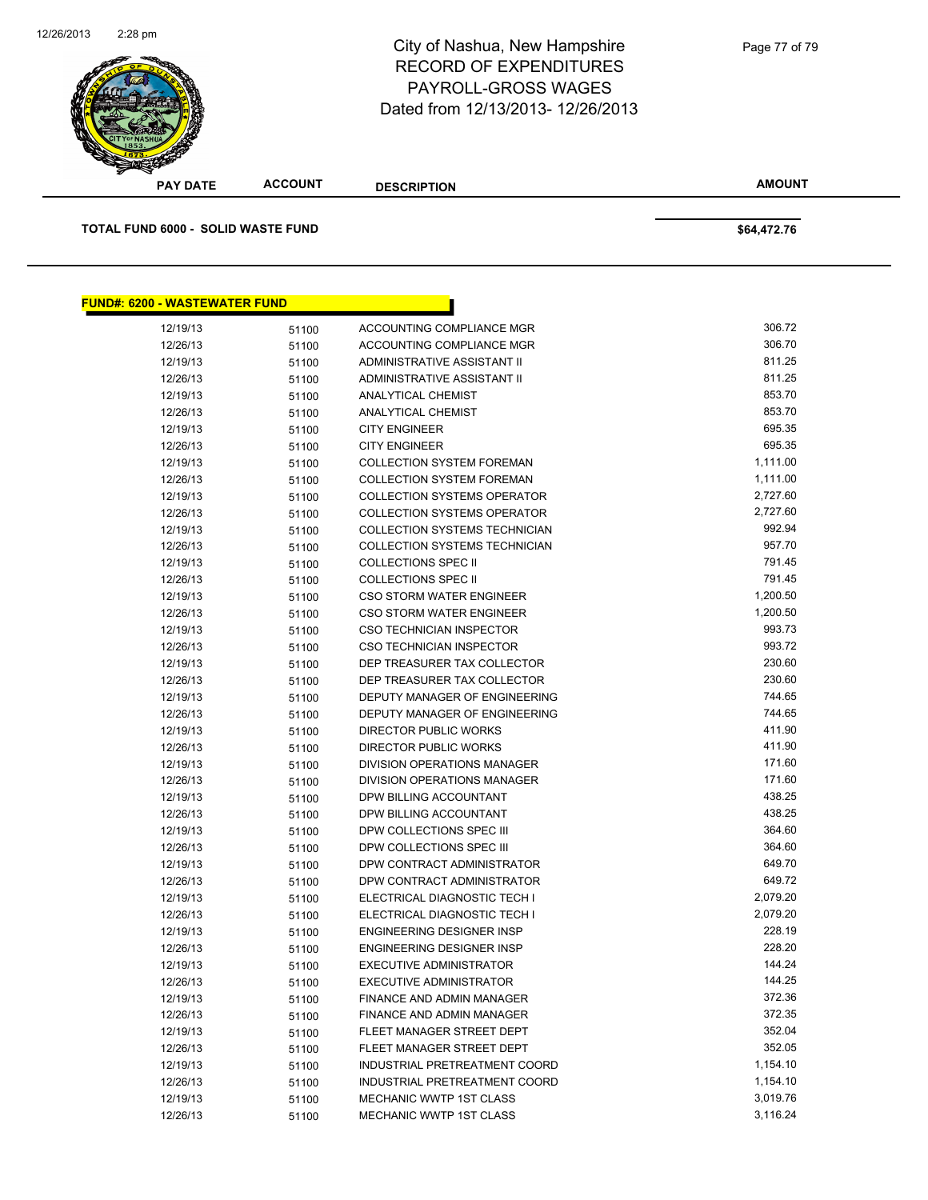

| ⊿                                         |                |                                                              |                    |  |
|-------------------------------------------|----------------|--------------------------------------------------------------|--------------------|--|
| <b>PAY DATE</b>                           | <b>ACCOUNT</b> | <b>DESCRIPTION</b>                                           | <b>AMOUNT</b>      |  |
| <b>TOTAL FUND 6000 - SOLID WASTE FUND</b> |                |                                                              |                    |  |
|                                           |                |                                                              | \$64,472.76        |  |
|                                           |                |                                                              |                    |  |
| <b>FUND#: 6200 - WASTEWATER FUND</b>      |                |                                                              |                    |  |
| 12/19/13                                  | 51100          | ACCOUNTING COMPLIANCE MGR                                    | 306.72             |  |
| 12/26/13                                  | 51100          | ACCOUNTING COMPLIANCE MGR                                    | 306.70             |  |
| 12/19/13                                  | 51100          | ADMINISTRATIVE ASSISTANT II                                  | 811.25             |  |
| 12/26/13                                  | 51100          | ADMINISTRATIVE ASSISTANT II                                  | 811.25             |  |
| 12/19/13                                  | 51100          | ANALYTICAL CHEMIST                                           | 853.70             |  |
| 12/26/13                                  | 51100          | <b>ANALYTICAL CHEMIST</b>                                    | 853.70             |  |
| 12/19/13                                  | 51100          | <b>CITY ENGINEER</b>                                         | 695.35             |  |
| 12/26/13                                  | 51100          | <b>CITY ENGINEER</b>                                         | 695.35             |  |
| 12/19/13                                  | 51100          | <b>COLLECTION SYSTEM FOREMAN</b>                             | 1,111.00           |  |
| 12/26/13                                  | 51100          | <b>COLLECTION SYSTEM FOREMAN</b>                             | 1,111.00           |  |
| 12/19/13                                  | 51100          | <b>COLLECTION SYSTEMS OPERATOR</b>                           | 2,727.60           |  |
| 12/26/13                                  | 51100          | <b>COLLECTION SYSTEMS OPERATOR</b>                           | 2,727.60           |  |
| 12/19/13                                  | 51100          | <b>COLLECTION SYSTEMS TECHNICIAN</b>                         | 992.94             |  |
| 12/26/13                                  | 51100          | <b>COLLECTION SYSTEMS TECHNICIAN</b>                         | 957.70             |  |
| 12/19/13                                  | 51100          | <b>COLLECTIONS SPEC II</b>                                   | 791.45             |  |
| 12/26/13                                  | 51100          | <b>COLLECTIONS SPEC II</b>                                   | 791.45             |  |
| 12/19/13                                  | 51100          | <b>CSO STORM WATER ENGINEER</b>                              | 1,200.50           |  |
| 12/26/13                                  | 51100          | CSO STORM WATER ENGINEER                                     | 1,200.50<br>993.73 |  |
| 12/19/13                                  | 51100          | <b>CSO TECHNICIAN INSPECTOR</b>                              | 993.72             |  |
| 12/26/13                                  | 51100          | <b>CSO TECHNICIAN INSPECTOR</b>                              | 230.60             |  |
| 12/19/13<br>12/26/13                      | 51100          | DEP TREASURER TAX COLLECTOR                                  | 230.60             |  |
| 12/19/13                                  | 51100          | DEP TREASURER TAX COLLECTOR<br>DEPUTY MANAGER OF ENGINEERING | 744.65             |  |
| 12/26/13                                  | 51100          | DEPUTY MANAGER OF ENGINEERING                                | 744.65             |  |
| 12/19/13                                  | 51100<br>51100 | DIRECTOR PUBLIC WORKS                                        | 411.90             |  |
| 12/26/13                                  | 51100          | DIRECTOR PUBLIC WORKS                                        | 411.90             |  |
| 12/19/13                                  | 51100          | <b>DIVISION OPERATIONS MANAGER</b>                           | 171.60             |  |
| 12/26/13                                  | 51100          | <b>DIVISION OPERATIONS MANAGER</b>                           | 171.60             |  |
| 12/19/13                                  | 51100          | DPW BILLING ACCOUNTANT                                       | 438.25             |  |
| 12/26/13                                  | 51100          | DPW BILLING ACCOUNTANT                                       | 438.25             |  |
| 12/19/13                                  | 51100          | DPW COLLECTIONS SPEC III                                     | 364.60             |  |
| 12/26/13                                  | 51100          | DPW COLLECTIONS SPEC III                                     | 364.60             |  |
| 12/19/13                                  | 51100          | DPW CONTRACT ADMINISTRATOR                                   | 649.70             |  |
| 12/26/13                                  | 51100          | DPW CONTRACT ADMINISTRATOR                                   | 649.72             |  |
| 12/19/13                                  | 51100          | ELECTRICAL DIAGNOSTIC TECH I                                 | 2,079.20           |  |
| 12/26/13                                  | 51100          | ELECTRICAL DIAGNOSTIC TECH I                                 | 2,079.20           |  |
| 12/19/13                                  | 51100          | ENGINEERING DESIGNER INSP                                    | 228.19             |  |
| 12/26/13                                  | 51100          | <b>ENGINEERING DESIGNER INSP</b>                             | 228.20             |  |
| 12/19/13                                  | 51100          | <b>EXECUTIVE ADMINISTRATOR</b>                               | 144.24             |  |
| 12/26/13                                  | 51100          | <b>EXECUTIVE ADMINISTRATOR</b>                               | 144.25             |  |
| 12/19/13                                  | 51100          | FINANCE AND ADMIN MANAGER                                    | 372.36             |  |
| 12/26/13                                  | 51100          | FINANCE AND ADMIN MANAGER                                    | 372.35             |  |
| 12/19/13                                  | 51100          | FLEET MANAGER STREET DEPT                                    | 352.04             |  |
| 12/26/13                                  | 51100          | FLEET MANAGER STREET DEPT                                    | 352.05             |  |
| 12/19/13                                  | 51100          | INDUSTRIAL PRETREATMENT COORD                                | 1,154.10           |  |
| 12/26/13                                  | 51100          | INDUSTRIAL PRETREATMENT COORD                                | 1,154.10           |  |
|                                           |                |                                                              |                    |  |

12/19/13 51100 MECHANIC WWTP 1ST CLASS 5,019.76<br>12/26/13 51100 MECHANIC WWTP 1ST CLASS 3,116.24

12/26/13 51100 MECHANIC WWTP 1ST CLASS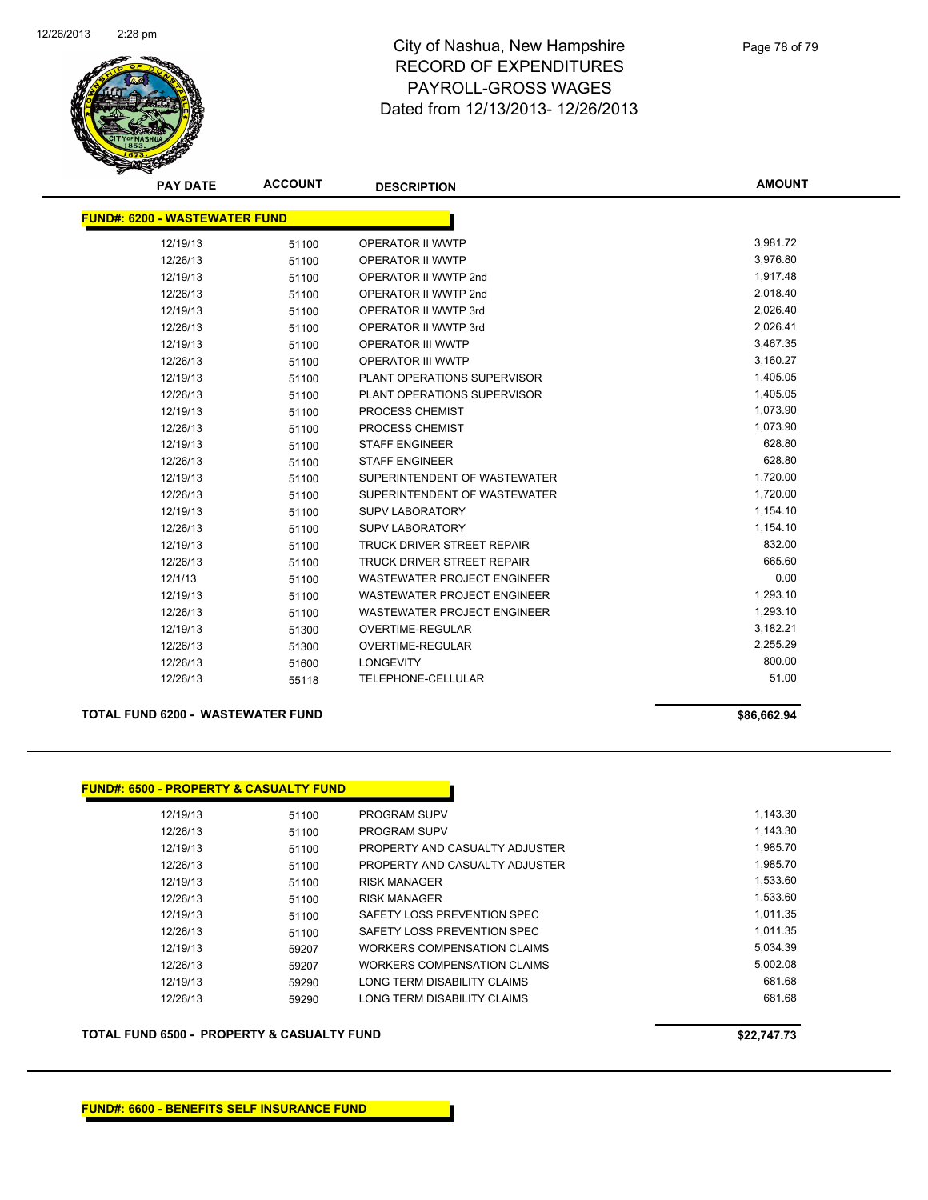

Page 78 of 79

| <b>PAY DATE</b>                      | <b>ACCOUNT</b> | <b>DESCRIPTION</b>                 | <b>AMOUNT</b> |
|--------------------------------------|----------------|------------------------------------|---------------|
| <b>FUND#: 6200 - WASTEWATER FUND</b> |                |                                    |               |
| 12/19/13                             | 51100          | <b>OPERATOR II WWTP</b>            | 3,981.72      |
| 12/26/13                             | 51100          | OPERATOR II WWTP                   | 3,976.80      |
| 12/19/13                             | 51100          | OPERATOR II WWTP 2nd               | 1,917.48      |
| 12/26/13                             | 51100          | OPERATOR II WWTP 2nd               | 2,018.40      |
| 12/19/13                             | 51100          | OPERATOR II WWTP 3rd               | 2,026.40      |
| 12/26/13                             | 51100          | <b>OPERATOR II WWTP 3rd</b>        | 2,026.41      |
| 12/19/13                             | 51100          | OPERATOR III WWTP                  | 3,467.35      |
| 12/26/13                             | 51100          | <b>OPERATOR III WWTP</b>           | 3,160.27      |
| 12/19/13                             | 51100          | PLANT OPERATIONS SUPERVISOR        | 1,405.05      |
| 12/26/13                             | 51100          | PLANT OPERATIONS SUPERVISOR        | 1,405.05      |
| 12/19/13                             | 51100          | PROCESS CHEMIST                    | 1,073.90      |
| 12/26/13                             | 51100          | PROCESS CHEMIST                    | 1,073.90      |
| 12/19/13                             | 51100          | <b>STAFF ENGINEER</b>              | 628.80        |
| 12/26/13                             | 51100          | <b>STAFF ENGINEER</b>              | 628.80        |
| 12/19/13                             | 51100          | SUPERINTENDENT OF WASTEWATER       | 1,720.00      |
| 12/26/13                             | 51100          | SUPERINTENDENT OF WASTEWATER       | 1,720.00      |
| 12/19/13                             | 51100          | <b>SUPV LABORATORY</b>             | 1,154.10      |
| 12/26/13                             | 51100          | <b>SUPV LABORATORY</b>             | 1,154.10      |
| 12/19/13                             | 51100          | TRUCK DRIVER STREET REPAIR         | 832.00        |
| 12/26/13                             | 51100          | <b>TRUCK DRIVER STREET REPAIR</b>  | 665.60        |
| 12/1/13                              | 51100          | <b>WASTEWATER PROJECT ENGINEER</b> | 0.00          |
| 12/19/13                             | 51100          | <b>WASTEWATER PROJECT ENGINEER</b> | 1,293.10      |
| 12/26/13                             | 51100          | <b>WASTEWATER PROJECT ENGINEER</b> | 1,293.10      |
| 12/19/13                             | 51300          | <b>OVERTIME-REGULAR</b>            | 3,182.21      |
| 12/26/13                             | 51300          | <b>OVERTIME-REGULAR</b>            | 2,255.29      |
| 12/26/13                             | 51600          | LONGEVITY                          | 800.00        |
| 12/26/13                             | 55118          | TELEPHONE-CELLULAR                 | 51.00         |
|                                      |                |                                    |               |

#### **TOTAL FUND 6200 - WASTEWATER FUND \$86,662.94**

| 12/19/13<br><b>PROGRAM SUPV</b><br>51100<br>12/26/13<br>PROGRAM SUPV<br>51100<br>12/19/13<br>51100<br>12/26/13<br>51100<br>12/19/13<br><b>RISK MANAGER</b><br>51100<br>12/26/13<br><b>RISK MANAGER</b><br>51100<br>12/19/13<br>SAFETY LOSS PREVENTION SPEC<br>51100<br>12/26/13<br>SAFETY LOSS PREVENTION SPEC<br>51100<br>12/19/13<br>WORKERS COMPENSATION CLAIMS<br>59207<br>12/26/13<br>WORKERS COMPENSATION CLAIMS<br>59207<br>12/19/13<br>LONG TERM DISABILITY CLAIMS<br>59290 | <b>FUND#: 6500 - PROPERTY &amp; CASUALTY FUND</b> |       |                                |
|-------------------------------------------------------------------------------------------------------------------------------------------------------------------------------------------------------------------------------------------------------------------------------------------------------------------------------------------------------------------------------------------------------------------------------------------------------------------------------------|---------------------------------------------------|-------|--------------------------------|
|                                                                                                                                                                                                                                                                                                                                                                                                                                                                                     |                                                   |       |                                |
|                                                                                                                                                                                                                                                                                                                                                                                                                                                                                     |                                                   |       |                                |
|                                                                                                                                                                                                                                                                                                                                                                                                                                                                                     |                                                   |       | PROPERTY AND CASUALTY ADJUSTER |
|                                                                                                                                                                                                                                                                                                                                                                                                                                                                                     |                                                   |       | PROPERTY AND CASUALTY ADJUSTER |
|                                                                                                                                                                                                                                                                                                                                                                                                                                                                                     |                                                   |       |                                |
|                                                                                                                                                                                                                                                                                                                                                                                                                                                                                     |                                                   |       |                                |
|                                                                                                                                                                                                                                                                                                                                                                                                                                                                                     |                                                   |       |                                |
|                                                                                                                                                                                                                                                                                                                                                                                                                                                                                     |                                                   |       |                                |
|                                                                                                                                                                                                                                                                                                                                                                                                                                                                                     |                                                   |       |                                |
|                                                                                                                                                                                                                                                                                                                                                                                                                                                                                     |                                                   |       |                                |
|                                                                                                                                                                                                                                                                                                                                                                                                                                                                                     |                                                   |       |                                |
|                                                                                                                                                                                                                                                                                                                                                                                                                                                                                     | 12/26/13                                          | 59290 | LONG TERM DISABILITY CLAIMS    |

#### **TOTAL FUND 6500 - PROPERTY & CASUALTY FUND \$22,747.73**